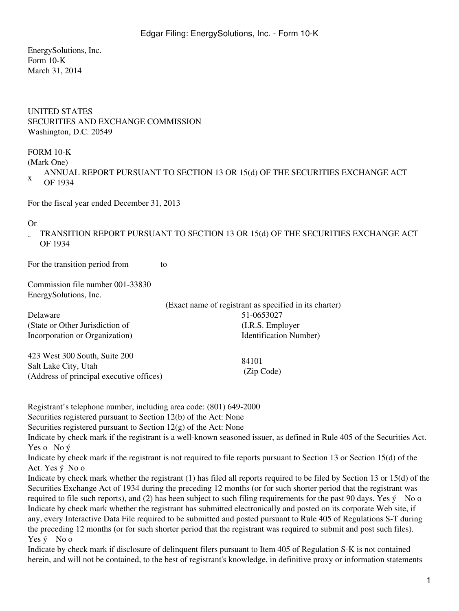EnergySolutions, Inc. Form 10-K March 31, 2014

### UNITED STATES SECURITIES AND EXCHANGE COMMISSION Washington, D.C. 20549

FORM 10-K

(Mark One)

x ANNUAL REPORT PURSUANT TO SECTION 13 OR 15(d) OF THE SECURITIES EXCHANGE ACT OF 1934

For the fiscal year ended December 31, 2013

#### Or

¨ TRANSITION REPORT PURSUANT TO SECTION 13 OR 15(d) OF THE SECURITIES EXCHANGE ACT OF 1934

For the transition period from to

Commission file number 001-33830 EnergySolutions, Inc.

|                                                                                                   | (Exact name of registrant as specified in its charter) |
|---------------------------------------------------------------------------------------------------|--------------------------------------------------------|
| Delaware                                                                                          | 51-0653027                                             |
| (State or Other Jurisdiction of                                                                   | (I.R.S. Employer)                                      |
| Incorporation or Organization)                                                                    | <b>Identification Number</b> )                         |
| 423 West 300 South, Suite 200<br>Salt Lake City, Utah<br>(Address of principal executive offices) | 84101<br>(Zip Code)                                    |
|                                                                                                   |                                                        |

Registrant's telephone number, including area code: (801) 649-2000 Securities registered pursuant to Section 12(b) of the Act: None Securities registered pursuant to Section  $12(g)$  of the Act: None Indicate by check mark if the registrant is a well-known seasoned issuer, as defined in Rule 405 of the Securities Act. Yes o No ý Indicate by check mark if the registrant is not required to file reports pursuant to Section 13 or Section 15(d) of the Act. Yes ý No o Indicate by check mark whether the registrant (1) has filed all reports required to be filed by Section 13 or 15(d) of the Securities Exchange Act of 1934 during the preceding 12 months (or for such shorter period that the registrant was required to file such reports), and (2) has been subject to such filing requirements for the past 90 days. Yes  $\acute{v}$  No o Indicate by check mark whether the registrant has submitted electronically and posted on its corporate Web site, if any, every Interactive Data File required to be submitted and posted pursuant to Rule 405 of Regulations S-T during the preceding 12 months (or for such shorter period that the registrant was required to submit and post such files). Yes ý No o Indicate by check mark if disclosure of delinquent filers pursuant to Item 405 of Regulation S-K is not contained

herein, and will not be contained, to the best of registrant's knowledge, in definitive proxy or information statements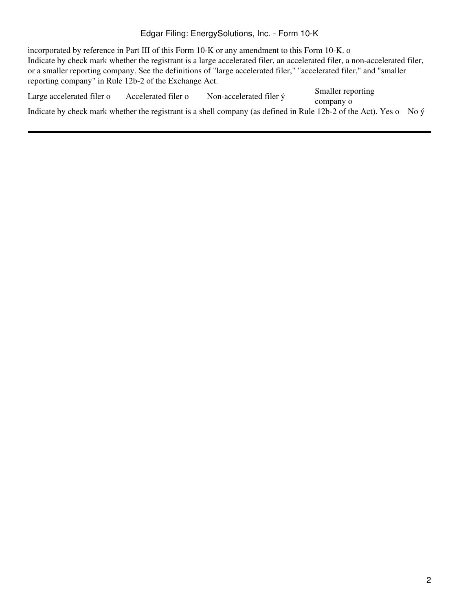## Edgar Filing: EnergySolutions, Inc. - Form 10-K

incorporated by reference in Part III of this Form 10-K or any amendment to this Form 10-K. o Indicate by check mark whether the registrant is a large accelerated filer, an accelerated filer, a non-accelerated filer, or a smaller reporting company. See the definitions of "large accelerated filer," "accelerated filer," and "smaller reporting company" in Rule 12b-2 of the Exchange Act.

| Large accelerated filer o | Accelerated filer o | Non-accelerated filer $\acute{y}$                                                                                            | Smaller reporting |  |
|---------------------------|---------------------|------------------------------------------------------------------------------------------------------------------------------|-------------------|--|
|                           |                     |                                                                                                                              | company o         |  |
|                           |                     | Indicate by check mark whether the registrant is a shell company (as defined in Rule 12b-2 of the Act). Yes o No $\acute{y}$ |                   |  |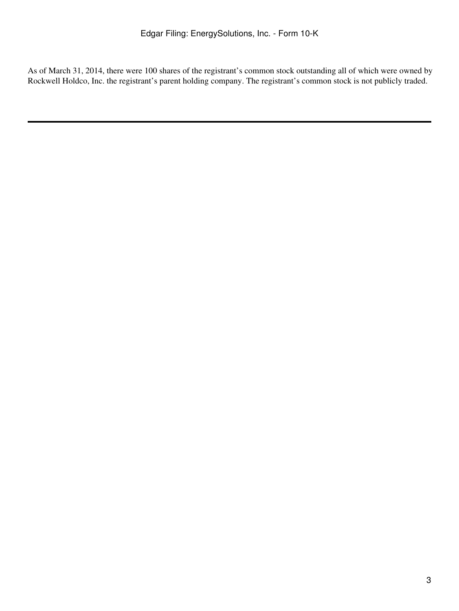As of March 31, 2014, there were 100 shares of the registrant's common stock outstanding all of which were owned by Rockwell Holdco, Inc. the registrant's parent holding company. The registrant's common stock is not publicly traded.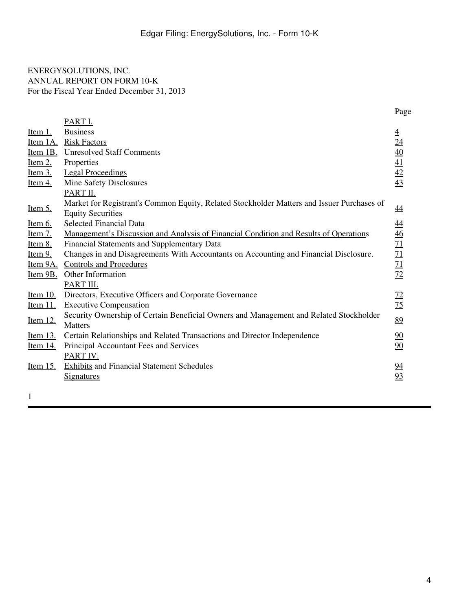## ENERGYSOLUTIONS, INC. ANNUAL REPORT ON FORM 10-K For the Fiscal Year Ended December 31, 2013

|                 |                                                                                            | Page                                                  |
|-----------------|--------------------------------------------------------------------------------------------|-------------------------------------------------------|
|                 | PART I.                                                                                    |                                                       |
| Item $1$ .      | <b>Business</b>                                                                            | 4                                                     |
|                 | Item 1A. Risk Factors                                                                      | 24                                                    |
|                 | Item 1B. Unresolved Staff Comments                                                         | $\overline{40}$                                       |
| Item $2$ .      | Properties                                                                                 |                                                       |
| <u>Item 3.</u>  | <b>Legal Proceedings</b>                                                                   | $\frac{41}{42}$<br>$\frac{42}{43}$                    |
| <u>Item 4.</u>  | Mine Safety Disclosures                                                                    |                                                       |
|                 | PART II.                                                                                   |                                                       |
| <u>Item 5.</u>  | Market for Registrant's Common Equity, Related Stockholder Matters and Issuer Purchases of |                                                       |
|                 | <b>Equity Securities</b>                                                                   | <u>44</u>                                             |
| <u>Item 6.</u>  | Selected Financial Data                                                                    | $\overline{44}$                                       |
| <u>Item 7.</u>  | Management's Discussion and Analysis of Financial Condition and Results of Operations      |                                                       |
| <u>Item 8.</u>  | Financial Statements and Supplementary Data                                                | $\frac{46}{21}$<br>$\frac{71}{21}$<br>$\frac{71}{22}$ |
| <u>Item 9.</u>  | Changes in and Disagreements With Accountants on Accounting and Financial Disclosure.      |                                                       |
|                 | Item 9A. Controls and Procedures                                                           |                                                       |
| Item 9B.        | Other Information                                                                          |                                                       |
|                 | PART III.                                                                                  |                                                       |
| Item $10$ .     | Directors, Executive Officers and Corporate Governance                                     | <u>72</u>                                             |
| <u>Item 11.</u> | <b>Executive Compensation</b>                                                              | $\overline{25}$                                       |
| <u>Item 12.</u> | Security Ownership of Certain Beneficial Owners and Management and Related Stockholder     | 89                                                    |
|                 | <b>Matters</b>                                                                             |                                                       |
| <u>Item 13.</u> | Certain Relationships and Related Transactions and Director Independence                   | 90                                                    |
| <u>Item 14.</u> | Principal Accountant Fees and Services                                                     | 90                                                    |
|                 | PART IV.                                                                                   |                                                       |
| <u>Item 15.</u> | <b>Exhibits</b> and Financial Statement Schedules                                          | <u>94</u>                                             |
|                 | <b>Signatures</b>                                                                          | 93                                                    |
|                 |                                                                                            |                                                       |
|                 |                                                                                            |                                                       |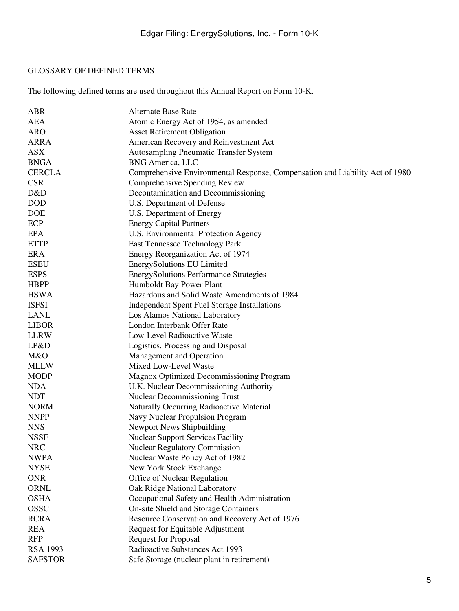# GLOSSARY OF DEFINED TERMS

The following defined terms are used throughout this Annual Report on Form 10-K.

| <b>ABR</b>      | <b>Alternate Base Rate</b>                                                   |
|-----------------|------------------------------------------------------------------------------|
| <b>AEA</b>      | Atomic Energy Act of 1954, as amended                                        |
| <b>ARO</b>      | <b>Asset Retirement Obligation</b>                                           |
| <b>ARRA</b>     | American Recovery and Reinvestment Act                                       |
| <b>ASX</b>      | Autosampling Pneumatic Transfer System                                       |
| <b>BNGA</b>     | <b>BNG</b> America, LLC                                                      |
| <b>CERCLA</b>   | Comprehensive Environmental Response, Compensation and Liability Act of 1980 |
| <b>CSR</b>      | Comprehensive Spending Review                                                |
| D&D             | Decontamination and Decommissioning                                          |
| <b>DOD</b>      | U.S. Department of Defense                                                   |
| <b>DOE</b>      | U.S. Department of Energy                                                    |
| ECP             | <b>Energy Capital Partners</b>                                               |
| <b>EPA</b>      | U.S. Environmental Protection Agency                                         |
| <b>ETTP</b>     | East Tennessee Technology Park                                               |
| <b>ERA</b>      | Energy Reorganization Act of 1974                                            |
| <b>ESEU</b>     | EnergySolutions EU Limited                                                   |
| <b>ESPS</b>     | <b>EnergySolutions Performance Strategies</b>                                |
| <b>HBPP</b>     | Humboldt Bay Power Plant                                                     |
| <b>HSWA</b>     | Hazardous and Solid Waste Amendments of 1984                                 |
| <b>ISFSI</b>    | <b>Independent Spent Fuel Storage Installations</b>                          |
| <b>LANL</b>     | Los Alamos National Laboratory                                               |
| <b>LIBOR</b>    | London Interbank Offer Rate                                                  |
| <b>LLRW</b>     | Low-Level Radioactive Waste                                                  |
| LP&D            | Logistics, Processing and Disposal                                           |
| M&O             | Management and Operation                                                     |
| <b>MLLW</b>     | Mixed Low-Level Waste                                                        |
| <b>MODP</b>     | Magnox Optimized Decommissioning Program                                     |
| <b>NDA</b>      | U.K. Nuclear Decommissioning Authority                                       |
| <b>NDT</b>      | <b>Nuclear Decommissioning Trust</b>                                         |
| <b>NORM</b>     | Naturally Occurring Radioactive Material                                     |
| <b>NNPP</b>     | Navy Nuclear Propulsion Program                                              |
| <b>NNS</b>      | Newport News Shipbuilding                                                    |
| <b>NSSF</b>     | <b>Nuclear Support Services Facility</b>                                     |
| <b>NRC</b>      | <b>Nuclear Regulatory Commission</b>                                         |
| <b>NWPA</b>     | Nuclear Waste Policy Act of 1982                                             |
| <b>NYSE</b>     | New York Stock Exchange                                                      |
| <b>ONR</b>      | Office of Nuclear Regulation                                                 |
| <b>ORNL</b>     | Oak Ridge National Laboratory                                                |
| <b>OSHA</b>     | Occupational Safety and Health Administration                                |
| <b>OSSC</b>     | On-site Shield and Storage Containers                                        |
| <b>RCRA</b>     | Resource Conservation and Recovery Act of 1976                               |
| <b>REA</b>      | Request for Equitable Adjustment                                             |
| <b>RFP</b>      | <b>Request for Proposal</b>                                                  |
| <b>RSA 1993</b> | Radioactive Substances Act 1993                                              |
| <b>SAFSTOR</b>  | Safe Storage (nuclear plant in retirement)                                   |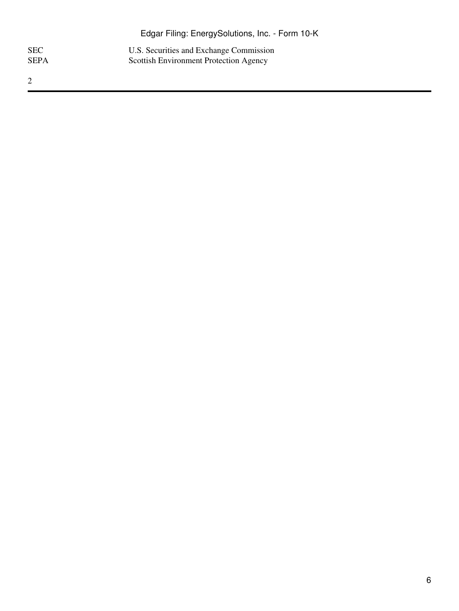| <b>SEC</b>  | U.S. Securities and Exchange Commission       |
|-------------|-----------------------------------------------|
| <b>SEPA</b> | <b>Scottish Environment Protection Agency</b> |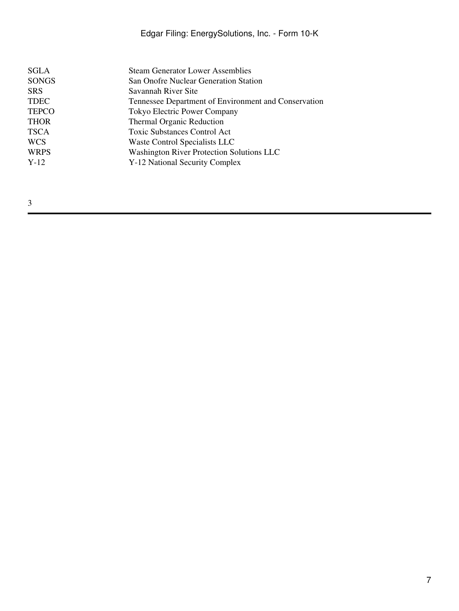| <b>SGLA</b>  | <b>Steam Generator Lower Assemblies</b>              |
|--------------|------------------------------------------------------|
| <b>SONGS</b> | San Onofre Nuclear Generation Station                |
| <b>SRS</b>   | Savannah River Site                                  |
| <b>TDEC</b>  | Tennessee Department of Environment and Conservation |
| <b>TEPCO</b> | <b>Tokyo Electric Power Company</b>                  |
| <b>THOR</b>  | <b>Thermal Organic Reduction</b>                     |
| <b>TSCA</b>  | <b>Toxic Substances Control Act</b>                  |
| <b>WCS</b>   | Waste Control Specialists LLC                        |
| <b>WRPS</b>  | Washington River Protection Solutions LLC            |
| $Y-12$       | Y-12 National Security Complex                       |
|              |                                                      |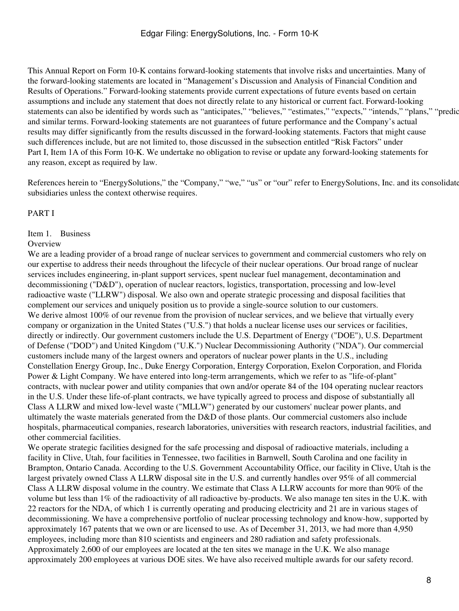This Annual Report on Form 10-K contains forward-looking statements that involve risks and uncertainties. Many of the forward-looking statements are located in "Management's Discussion and Analysis of Financial Condition and Results of Operations." Forward-looking statements provide current expectations of future events based on certain assumptions and include any statement that does not directly relate to any historical or current fact. Forward-looking statements can also be identified by words such as "anticipates," "believes," "estimates," "expects," "intends," "plans," "predic and similar terms. Forward-looking statements are not guarantees of future performance and the Company's actual results may differ significantly from the results discussed in the forward-looking statements. Factors that might cause such differences include, but are not limited to, those discussed in the subsection entitled "Risk Factors" under Part I, Item 1A of this Form 10-K. We undertake no obligation to revise or update any forward-looking statements for any reason, except as required by law.

References herein to "EnergySolutions," the "Company," "we," "us" or "our" refer to EnergySolutions, Inc. and its consolidate subsidiaries unless the context otherwise requires.

### PART I

<span id="page-7-0"></span>Item 1. Business

#### **Overview**

We are a leading provider of a broad range of nuclear services to government and commercial customers who rely on our expertise to address their needs throughout the lifecycle of their nuclear operations. Our broad range of nuclear services includes engineering, in-plant support services, spent nuclear fuel management, decontamination and decommissioning ("D&D"), operation of nuclear reactors, logistics, transportation, processing and low-level radioactive waste ("LLRW") disposal. We also own and operate strategic processing and disposal facilities that complement our services and uniquely position us to provide a single-source solution to our customers. We derive almost 100% of our revenue from the provision of nuclear services, and we believe that virtually every company or organization in the United States ("U.S.") that holds a nuclear license uses our services or facilities, directly or indirectly. Our government customers include the U.S. Department of Energy ("DOE"), U.S. Department of Defense ("DOD") and United Kingdom ("U.K.") Nuclear Decommissioning Authority ("NDA"). Our commercial customers include many of the largest owners and operators of nuclear power plants in the U.S., including Constellation Energy Group, Inc., Duke Energy Corporation, Entergy Corporation, Exelon Corporation, and Florida Power & Light Company. We have entered into long-term arrangements, which we refer to as "life-of-plant" contracts, with nuclear power and utility companies that own and/or operate 84 of the 104 operating nuclear reactors in the U.S. Under these life-of-plant contracts, we have typically agreed to process and dispose of substantially all Class A LLRW and mixed low-level waste ("MLLW") generated by our customers' nuclear power plants, and ultimately the waste materials generated from the D&D of those plants. Our commercial customers also include hospitals, pharmaceutical companies, research laboratories, universities with research reactors, industrial facilities, and other commercial facilities.

We operate strategic facilities designed for the safe processing and disposal of radioactive materials, including a facility in Clive, Utah, four facilities in Tennessee, two facilities in Barnwell, South Carolina and one facility in Brampton, Ontario Canada. According to the U.S. Government Accountability Office, our facility in Clive, Utah is the largest privately owned Class A LLRW disposal site in the U.S. and currently handles over 95% of all commercial Class A LLRW disposal volume in the country. We estimate that Class A LLRW accounts for more than 90% of the volume but less than 1% of the radioactivity of all radioactive by-products. We also manage ten sites in the U.K. with 22 reactors for the NDA, of which 1 is currently operating and producing electricity and 21 are in various stages of decommissioning. We have a comprehensive portfolio of nuclear processing technology and know-how, supported by approximately 167 patents that we own or are licensed to use. As of December 31, 2013, we had more than 4,950 employees, including more than 810 scientists and engineers and 280 radiation and safety professionals. Approximately 2,600 of our employees are located at the ten sites we manage in the U.K. We also manage approximately 200 employees at various DOE sites. We have also received multiple awards for our safety record.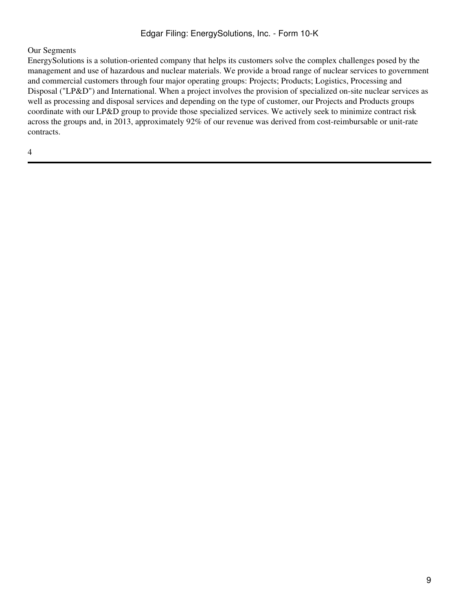### Our Segments

EnergySolutions is a solution-oriented company that helps its customers solve the complex challenges posed by the management and use of hazardous and nuclear materials. We provide a broad range of nuclear services to government and commercial customers through four major operating groups: Projects; Products; Logistics, Processing and Disposal ("LP&D") and International. When a project involves the provision of specialized on-site nuclear services as well as processing and disposal services and depending on the type of customer, our Projects and Products groups coordinate with our LP&D group to provide those specialized services. We actively seek to minimize contract risk across the groups and, in 2013, approximately 92% of our revenue was derived from cost-reimbursable or unit-rate contracts.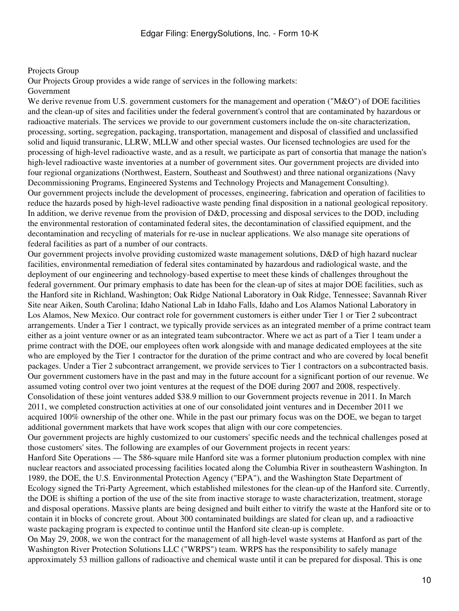#### Projects Group

Our Projects Group provides a wide range of services in the following markets:

Government

We derive revenue from U.S. government customers for the management and operation ("M&O") of DOE facilities and the clean-up of sites and facilities under the federal government's control that are contaminated by hazardous or radioactive materials. The services we provide to our government customers include the on-site characterization, processing, sorting, segregation, packaging, transportation, management and disposal of classified and unclassified solid and liquid transuranic, LLRW, MLLW and other special wastes. Our licensed technologies are used for the processing of high-level radioactive waste, and as a result, we participate as part of consortia that manage the nation's high-level radioactive waste inventories at a number of government sites. Our government projects are divided into four regional organizations (Northwest, Eastern, Southeast and Southwest) and three national organizations (Navy Decommissioning Programs, Engineered Systems and Technology Projects and Management Consulting). Our government projects include the development of processes, engineering, fabrication and operation of facilities to reduce the hazards posed by high-level radioactive waste pending final disposition in a national geological repository. In addition, we derive revenue from the provision of D&D, processing and disposal services to the DOD, including the environmental restoration of contaminated federal sites, the decontamination of classified equipment, and the decontamination and recycling of materials for re-use in nuclear applications. We also manage site operations of federal facilities as part of a number of our contracts.

Our government projects involve providing customized waste management solutions, D&D of high hazard nuclear facilities, environmental remediation of federal sites contaminated by hazardous and radiological waste, and the deployment of our engineering and technology-based expertise to meet these kinds of challenges throughout the federal government. Our primary emphasis to date has been for the clean-up of sites at major DOE facilities, such as the Hanford site in Richland, Washington; Oak Ridge National Laboratory in Oak Ridge, Tennessee; Savannah River Site near Aiken, South Carolina; Idaho National Lab in Idaho Falls, Idaho and Los Alamos National Laboratory in Los Alamos, New Mexico. Our contract role for government customers is either under Tier 1 or Tier 2 subcontract arrangements. Under a Tier 1 contract, we typically provide services as an integrated member of a prime contract team either as a joint venture owner or as an integrated team subcontractor. Where we act as part of a Tier 1 team under a prime contract with the DOE, our employees often work alongside with and manage dedicated employees at the site who are employed by the Tier 1 contractor for the duration of the prime contract and who are covered by local benefit packages. Under a Tier 2 subcontract arrangement, we provide services to Tier 1 contractors on a subcontracted basis. Our government customers have in the past and may in the future account for a significant portion of our revenue. We assumed voting control over two joint ventures at the request of the DOE during 2007 and 2008, respectively. Consolidation of these joint ventures added \$38.9 million to our Government projects revenue in 2011. In March 2011, we completed construction activities at one of our consolidated joint ventures and in December 2011 we acquired 100% ownership of the other one. While in the past our primary focus was on the DOE, we began to target additional government markets that have work scopes that align with our core competencies.

Our government projects are highly customized to our customers' specific needs and the technical challenges posed at those customers' sites. The following are examples of our Government projects in recent years:

Hanford Site Operations — The 586-square mile Hanford site was a former plutonium production complex with nine nuclear reactors and associated processing facilities located along the Columbia River in southeastern Washington. In 1989, the DOE, the U.S. Environmental Protection Agency ("EPA"), and the Washington State Department of Ecology signed the Tri-Party Agreement, which established milestones for the clean-up of the Hanford site. Currently, the DOE is shifting a portion of the use of the site from inactive storage to waste characterization, treatment, storage and disposal operations. Massive plants are being designed and built either to vitrify the waste at the Hanford site or to contain it in blocks of concrete grout. About 300 contaminated buildings are slated for clean up, and a radioactive waste packaging program is expected to continue until the Hanford site clean-up is complete.

On May 29, 2008, we won the contract for the management of all high-level waste systems at Hanford as part of the Washington River Protection Solutions LLC ("WRPS") team. WRPS has the responsibility to safely manage approximately 53 million gallons of radioactive and chemical waste until it can be prepared for disposal. This is one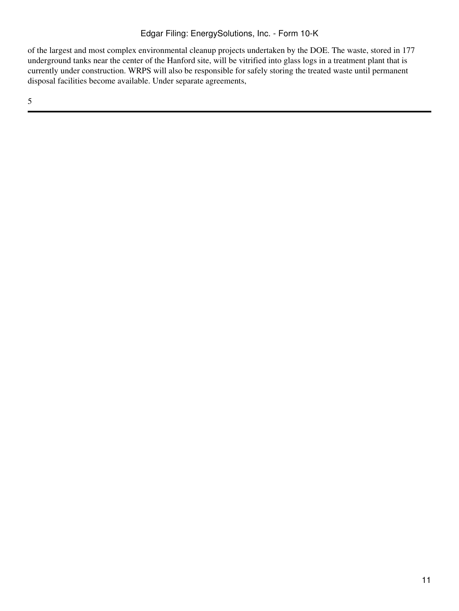of the largest and most complex environmental cleanup projects undertaken by the DOE. The waste, stored in 177 underground tanks near the center of the Hanford site, will be vitrified into glass logs in a treatment plant that is currently under construction. WRPS will also be responsible for safely storing the treated waste until permanent disposal facilities become available. Under separate agreements,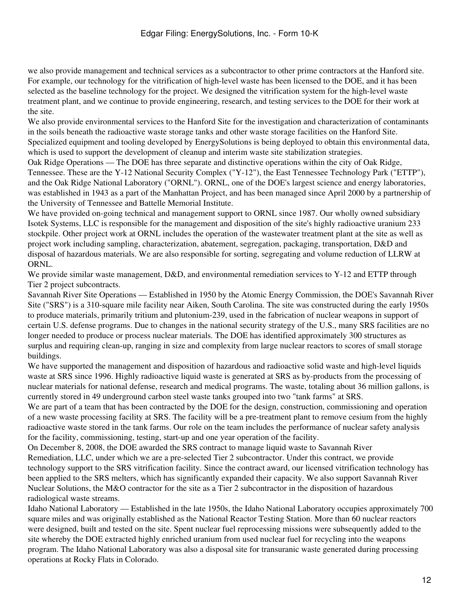we also provide management and technical services as a subcontractor to other prime contractors at the Hanford site. For example, our technology for the vitrification of high-level waste has been licensed to the DOE, and it has been selected as the baseline technology for the project. We designed the vitrification system for the high-level waste treatment plant, and we continue to provide engineering, research, and testing services to the DOE for their work at the site.

We also provide environmental services to the Hanford Site for the investigation and characterization of contaminants in the soils beneath the radioactive waste storage tanks and other waste storage facilities on the Hanford Site. Specialized equipment and tooling developed by EnergySolutions is being deployed to obtain this environmental data, which is used to support the development of cleanup and interim waste site stabilization strategies.

Oak Ridge Operations — The DOE has three separate and distinctive operations within the city of Oak Ridge, Tennessee. These are the Y-12 National Security Complex ("Y-12"), the East Tennessee Technology Park ("ETTP"), and the Oak Ridge National Laboratory ("ORNL"). ORNL, one of the DOE's largest science and energy laboratories, was established in 1943 as a part of the Manhattan Project, and has been managed since April 2000 by a partnership of the University of Tennessee and Battelle Memorial Institute.

We have provided on-going technical and management support to ORNL since 1987. Our wholly owned subsidiary Isotek Systems, LLC is responsible for the management and disposition of the site's highly radioactive uranium 233 stockpile. Other project work at ORNL includes the operation of the wastewater treatment plant at the site as well as project work including sampling, characterization, abatement, segregation, packaging, transportation, D&D and disposal of hazardous materials. We are also responsible for sorting, segregating and volume reduction of LLRW at ORNL.

We provide similar waste management, D&D, and environmental remediation services to Y-12 and ETTP through Tier 2 project subcontracts.

Savannah River Site Operations — Established in 1950 by the Atomic Energy Commission, the DOE's Savannah River Site ("SRS") is a 310-square mile facility near Aiken, South Carolina. The site was constructed during the early 1950s to produce materials, primarily tritium and plutonium-239, used in the fabrication of nuclear weapons in support of certain U.S. defense programs. Due to changes in the national security strategy of the U.S., many SRS facilities are no longer needed to produce or process nuclear materials. The DOE has identified approximately 300 structures as surplus and requiring clean-up, ranging in size and complexity from large nuclear reactors to scores of small storage buildings.

We have supported the management and disposition of hazardous and radioactive solid waste and high-level liquids waste at SRS since 1996. Highly radioactive liquid waste is generated at SRS as by-products from the processing of nuclear materials for national defense, research and medical programs. The waste, totaling about 36 million gallons, is currently stored in 49 underground carbon steel waste tanks grouped into two "tank farms" at SRS.

We are part of a team that has been contracted by the DOE for the design, construction, commissioning and operation of a new waste processing facility at SRS. The facility will be a pre-treatment plant to remove cesium from the highly radioactive waste stored in the tank farms. Our role on the team includes the performance of nuclear safety analysis for the facility, commissioning, testing, start-up and one year operation of the facility.

On December 8, 2008, the DOE awarded the SRS contract to manage liquid waste to Savannah River Remediation, LLC, under which we are a pre-selected Tier 2 subcontractor. Under this contract, we provide technology support to the SRS vitrification facility. Since the contract award, our licensed vitrification technology has been applied to the SRS melters, which has significantly expanded their capacity. We also support Savannah River Nuclear Solutions, the M&O contractor for the site as a Tier 2 subcontractor in the disposition of hazardous radiological waste streams.

Idaho National Laboratory — Established in the late 1950s, the Idaho National Laboratory occupies approximately 700 square miles and was originally established as the National Reactor Testing Station. More than 60 nuclear reactors were designed, built and tested on the site. Spent nuclear fuel reprocessing missions were subsequently added to the site whereby the DOE extracted highly enriched uranium from used nuclear fuel for recycling into the weapons program. The Idaho National Laboratory was also a disposal site for transuranic waste generated during processing operations at Rocky Flats in Colorado.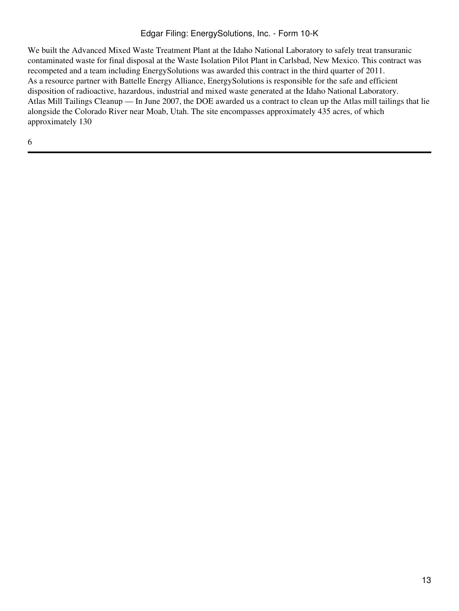## Edgar Filing: EnergySolutions, Inc. - Form 10-K

We built the Advanced Mixed Waste Treatment Plant at the Idaho National Laboratory to safely treat transuranic contaminated waste for final disposal at the Waste Isolation Pilot Plant in Carlsbad, New Mexico. This contract was recompeted and a team including EnergySolutions was awarded this contract in the third quarter of 2011. As a resource partner with Battelle Energy Alliance, EnergySolutions is responsible for the safe and efficient disposition of radioactive, hazardous, industrial and mixed waste generated at the Idaho National Laboratory. Atlas Mill Tailings Cleanup — In June 2007, the DOE awarded us a contract to clean up the Atlas mill tailings that lie alongside the Colorado River near Moab, Utah. The site encompasses approximately 435 acres, of which approximately 130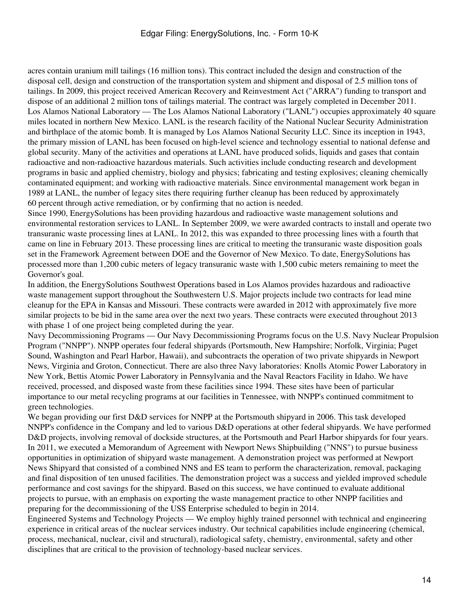acres contain uranium mill tailings (16 million tons). This contract included the design and construction of the disposal cell, design and construction of the transportation system and shipment and disposal of 2.5 million tons of tailings. In 2009, this project received American Recovery and Reinvestment Act ("ARRA") funding to transport and dispose of an additional 2 million tons of tailings material. The contract was largely completed in December 2011. Los Alamos National Laboratory — The Los Alamos National Laboratory ("LANL") occupies approximately 40 square miles located in northern New Mexico. LANL is the research facility of the National Nuclear Security Administration and birthplace of the atomic bomb. It is managed by Los Alamos National Security LLC. Since its inception in 1943, the primary mission of LANL has been focused on high-level science and technology essential to national defense and global security. Many of the activities and operations at LANL have produced solids, liquids and gases that contain radioactive and non-radioactive hazardous materials. Such activities include conducting research and development programs in basic and applied chemistry, biology and physics; fabricating and testing explosives; cleaning chemically contaminated equipment; and working with radioactive materials. Since environmental management work began in 1989 at LANL, the number of legacy sites there requiring further cleanup has been reduced by approximately 60 percent through active remediation, or by confirming that no action is needed.

Since 1990, EnergySolutions has been providing hazardous and radioactive waste management solutions and environmental restoration services to LANL. In September 2009, we were awarded contracts to install and operate two transuranic waste processing lines at LANL. In 2012, this was expanded to three processing lines with a fourth that came on line in February 2013. These processing lines are critical to meeting the transuranic waste disposition goals set in the Framework Agreement between DOE and the Governor of New Mexico. To date, EnergySolutions has processed more than 1,200 cubic meters of legacy transuranic waste with 1,500 cubic meters remaining to meet the Governor's goal.

In addition, the EnergySolutions Southwest Operations based in Los Alamos provides hazardous and radioactive waste management support throughout the Southwestern U.S. Major projects include two contracts for lead mine cleanup for the EPA in Kansas and Missouri. These contracts were awarded in 2012 with approximately five more similar projects to be bid in the same area over the next two years. These contracts were executed throughout 2013 with phase 1 of one project being completed during the year.

Navy Decommissioning Programs — Our Navy Decommissioning Programs focus on the U.S. Navy Nuclear Propulsion Program ("NNPP"). NNPP operates four federal shipyards (Portsmouth, New Hampshire; Norfolk, Virginia; Puget Sound, Washington and Pearl Harbor, Hawaii), and subcontracts the operation of two private shipyards in Newport News, Virginia and Groton, Connecticut. There are also three Navy laboratories: Knolls Atomic Power Laboratory in New York, Bettis Atomic Power Laboratory in Pennsylvania and the Naval Reactors Facility in Idaho. We have received, processed, and disposed waste from these facilities since 1994. These sites have been of particular importance to our metal recycling programs at our facilities in Tennessee, with NNPP's continued commitment to green technologies.

We began providing our first D&D services for NNPP at the Portsmouth shipyard in 2006. This task developed NNPP's confidence in the Company and led to various D&D operations at other federal shipyards. We have performed D&D projects, involving removal of dockside structures, at the Portsmouth and Pearl Harbor shipyards for four years. In 2011, we executed a Memorandum of Agreement with Newport News Shipbuilding ("NNS") to pursue business opportunities in optimization of shipyard waste management. A demonstration project was performed at Newport News Shipyard that consisted of a combined NNS and ES team to perform the characterization, removal, packaging and final disposition of ten unused facilities. The demonstration project was a success and yielded improved schedule performance and cost savings for the shipyard. Based on this success, we have continued to evaluate additional projects to pursue, with an emphasis on exporting the waste management practice to other NNPP facilities and preparing for the decommissioning of the USS Enterprise scheduled to begin in 2014.

Engineered Systems and Technology Projects — We employ highly trained personnel with technical and engineering experience in critical areas of the nuclear services industry. Our technical capabilities include engineering (chemical, process, mechanical, nuclear, civil and structural), radiological safety, chemistry, environmental, safety and other disciplines that are critical to the provision of technology-based nuclear services.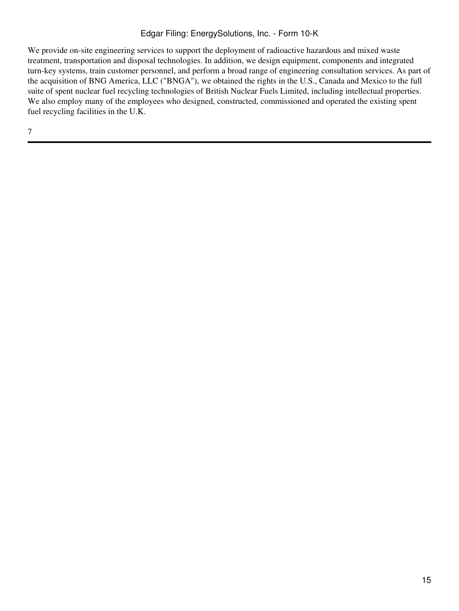# Edgar Filing: EnergySolutions, Inc. - Form 10-K

We provide on-site engineering services to support the deployment of radioactive hazardous and mixed waste treatment, transportation and disposal technologies. In addition, we design equipment, components and integrated turn-key systems, train customer personnel, and perform a broad range of engineering consultation services. As part of the acquisition of BNG America, LLC ("BNGA"), we obtained the rights in the U.S., Canada and Mexico to the full suite of spent nuclear fuel recycling technologies of British Nuclear Fuels Limited, including intellectual properties. We also employ many of the employees who designed, constructed, commissioned and operated the existing spent fuel recycling facilities in the U.K.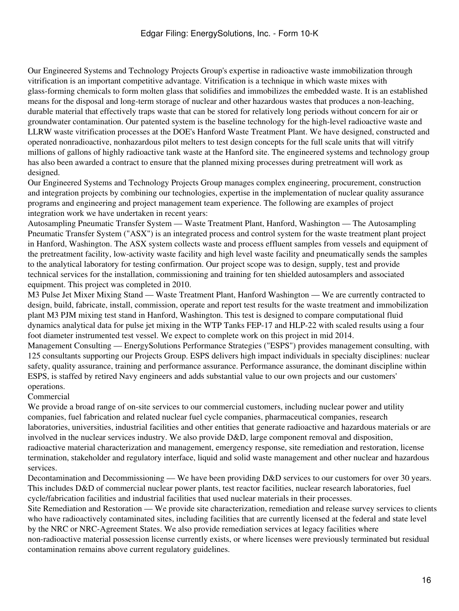Our Engineered Systems and Technology Projects Group's expertise in radioactive waste immobilization through vitrification is an important competitive advantage. Vitrification is a technique in which waste mixes with glass-forming chemicals to form molten glass that solidifies and immobilizes the embedded waste. It is an established means for the disposal and long-term storage of nuclear and other hazardous wastes that produces a non-leaching, durable material that effectively traps waste that can be stored for relatively long periods without concern for air or groundwater contamination. Our patented system is the baseline technology for the high-level radioactive waste and LLRW waste vitrification processes at the DOE's Hanford Waste Treatment Plant. We have designed, constructed and operated nonradioactive, nonhazardous pilot melters to test design concepts for the full scale units that will vitrify millions of gallons of highly radioactive tank waste at the Hanford site. The engineered systems and technology group has also been awarded a contract to ensure that the planned mixing processes during pretreatment will work as designed.

Our Engineered Systems and Technology Projects Group manages complex engineering, procurement, construction and integration projects by combining our technologies, expertise in the implementation of nuclear quality assurance programs and engineering and project management team experience. The following are examples of project integration work we have undertaken in recent years:

Autosampling Pneumatic Transfer System — Waste Treatment Plant, Hanford, Washington — The Autosampling Pneumatic Transfer System ("ASX") is an integrated process and control system for the waste treatment plant project in Hanford, Washington. The ASX system collects waste and process effluent samples from vessels and equipment of the pretreatment facility, low-activity waste facility and high level waste facility and pneumatically sends the samples to the analytical laboratory for testing confirmation. Our project scope was to design, supply, test and provide technical services for the installation, commissioning and training for ten shielded autosamplers and associated equipment. This project was completed in 2010.

M3 Pulse Jet Mixer Mixing Stand — Waste Treatment Plant, Hanford Washington — We are currently contracted to design, build, fabricate, install, commission, operate and report test results for the waste treatment and immobilization plant M3 PJM mixing test stand in Hanford, Washington. This test is designed to compare computational fluid dynamics analytical data for pulse jet mixing in the WTP Tanks FEP-17 and HLP-22 with scaled results using a four foot diameter instrumented test vessel. We expect to complete work on this project in mid 2014.

Management Consulting — EnergySolutions Performance Strategies ("ESPS") provides management consulting, with 125 consultants supporting our Projects Group. ESPS delivers high impact individuals in specialty disciplines: nuclear safety, quality assurance, training and performance assurance. Performance assurance, the dominant discipline within ESPS, is staffed by retired Navy engineers and adds substantial value to our own projects and our customers' operations.

Commercial

We provide a broad range of on-site services to our commercial customers, including nuclear power and utility companies, fuel fabrication and related nuclear fuel cycle companies, pharmaceutical companies, research laboratories, universities, industrial facilities and other entities that generate radioactive and hazardous materials or are involved in the nuclear services industry. We also provide D&D, large component removal and disposition, radioactive material characterization and management, emergency response, site remediation and restoration, license termination, stakeholder and regulatory interface, liquid and solid waste management and other nuclear and hazardous services.

Decontamination and Decommissioning — We have been providing D&D services to our customers for over 30 years. This includes D&D of commercial nuclear power plants, test reactor facilities, nuclear research laboratories, fuel cycle/fabrication facilities and industrial facilities that used nuclear materials in their processes.

Site Remediation and Restoration — We provide site characterization, remediation and release survey services to clients who have radioactively contaminated sites, including facilities that are currently licensed at the federal and state level by the NRC or NRC-Agreement States. We also provide remediation services at legacy facilities where

non-radioactive material possession license currently exists, or where licenses were previously terminated but residual contamination remains above current regulatory guidelines.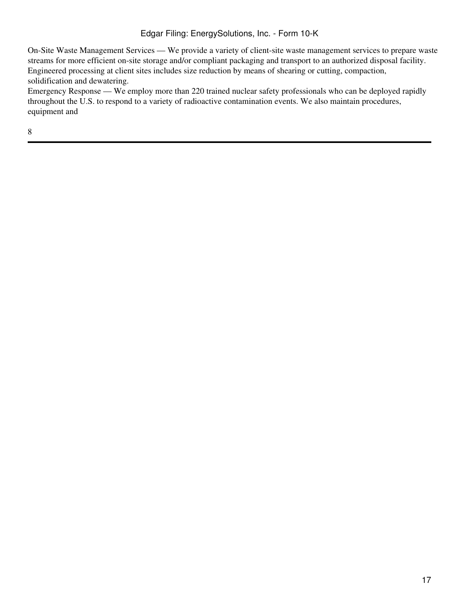On-Site Waste Management Services — We provide a variety of client-site waste management services to prepare waste streams for more efficient on-site storage and/or compliant packaging and transport to an authorized disposal facility. Engineered processing at client sites includes size reduction by means of shearing or cutting, compaction, solidification and dewatering.

Emergency Response — We employ more than 220 trained nuclear safety professionals who can be deployed rapidly throughout the U.S. to respond to a variety of radioactive contamination events. We also maintain procedures, equipment and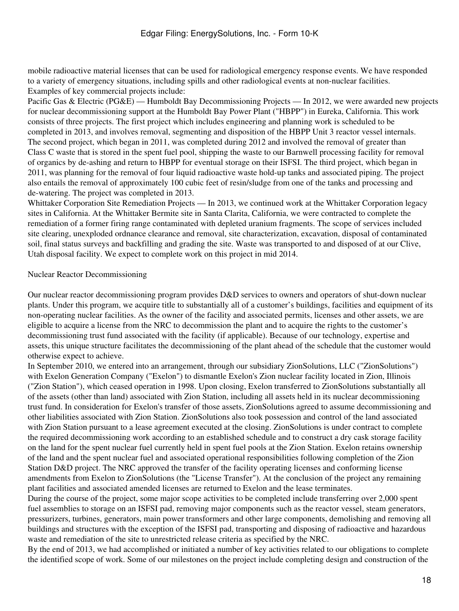mobile radioactive material licenses that can be used for radiological emergency response events. We have responded to a variety of emergency situations, including spills and other radiological events at non-nuclear facilities. Examples of key commercial projects include:

Pacific Gas & Electric (PG&E) — Humboldt Bay Decommissioning Projects — In 2012, we were awarded new projects for nuclear decommissioning support at the Humboldt Bay Power Plant ("HBPP") in Eureka, California. This work consists of three projects. The first project which includes engineering and planning work is scheduled to be completed in 2013, and involves removal, segmenting and disposition of the HBPP Unit 3 reactor vessel internals. The second project, which began in 2011, was completed during 2012 and involved the removal of greater than Class C waste that is stored in the spent fuel pool, shipping the waste to our Barnwell processing facility for removal of organics by de-ashing and return to HBPP for eventual storage on their ISFSI. The third project, which began in 2011, was planning for the removal of four liquid radioactive waste hold-up tanks and associated piping. The project also entails the removal of approximately 100 cubic feet of resin/sludge from one of the tanks and processing and de-watering. The project was completed in 2013.

Whittaker Corporation Site Remediation Projects — In 2013, we continued work at the Whittaker Corporation legacy sites in California. At the Whittaker Bermite site in Santa Clarita, California, we were contracted to complete the remediation of a former firing range contaminated with depleted uranium fragments. The scope of services included site clearing, unexploded ordnance clearance and removal, site characterization, excavation, disposal of contaminated soil, final status surveys and backfilling and grading the site. Waste was transported to and disposed of at our Clive, Utah disposal facility. We expect to complete work on this project in mid 2014.

#### Nuclear Reactor Decommissioning

Our nuclear reactor decommissioning program provides D&D services to owners and operators of shut-down nuclear plants. Under this program, we acquire title to substantially all of a customer's buildings, facilities and equipment of its non-operating nuclear facilities. As the owner of the facility and associated permits, licenses and other assets, we are eligible to acquire a license from the NRC to decommission the plant and to acquire the rights to the customer's decommissioning trust fund associated with the facility (if applicable). Because of our technology, expertise and assets, this unique structure facilitates the decommissioning of the plant ahead of the schedule that the customer would otherwise expect to achieve.

In September 2010, we entered into an arrangement, through our subsidiary ZionSolutions, LLC ("ZionSolutions") with Exelon Generation Company ("Exelon") to dismantle Exelon's Zion nuclear facility located in Zion, Illinois ("Zion Station"), which ceased operation in 1998. Upon closing, Exelon transferred to ZionSolutions substantially all of the assets (other than land) associated with Zion Station, including all assets held in its nuclear decommissioning trust fund. In consideration for Exelon's transfer of those assets, ZionSolutions agreed to assume decommissioning and other liabilities associated with Zion Station. ZionSolutions also took possession and control of the land associated with Zion Station pursuant to a lease agreement executed at the closing. ZionSolutions is under contract to complete the required decommissioning work according to an established schedule and to construct a dry cask storage facility on the land for the spent nuclear fuel currently held in spent fuel pools at the Zion Station. Exelon retains ownership of the land and the spent nuclear fuel and associated operational responsibilities following completion of the Zion Station D&D project. The NRC approved the transfer of the facility operating licenses and conforming license amendments from Exelon to ZionSolutions (the "License Transfer"). At the conclusion of the project any remaining plant facilities and associated amended licenses are returned to Exelon and the lease terminates.

During the course of the project, some major scope activities to be completed include transferring over 2,000 spent fuel assemblies to storage on an ISFSI pad, removing major components such as the reactor vessel, steam generators, pressurizers, turbines, generators, main power transformers and other large components, demolishing and removing all buildings and structures with the exception of the ISFSI pad, transporting and disposing of radioactive and hazardous waste and remediation of the site to unrestricted release criteria as specified by the NRC.

By the end of 2013, we had accomplished or initiated a number of key activities related to our obligations to complete the identified scope of work. Some of our milestones on the project include completing design and construction of the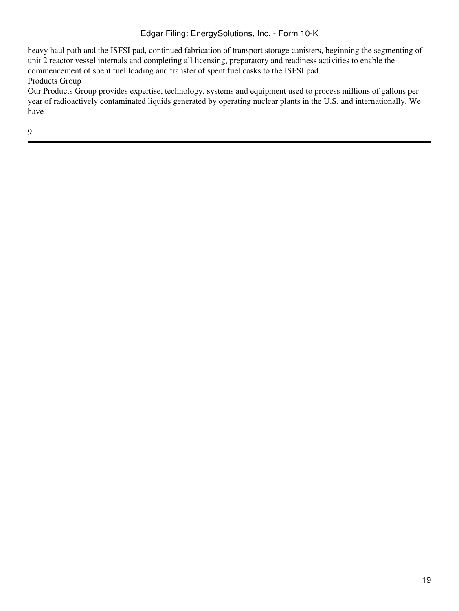# Edgar Filing: EnergySolutions, Inc. - Form 10-K

heavy haul path and the ISFSI pad, continued fabrication of transport storage canisters, beginning the segmenting of unit 2 reactor vessel internals and completing all licensing, preparatory and readiness activities to enable the commencement of spent fuel loading and transfer of spent fuel casks to the ISFSI pad.

Products Group

Our Products Group provides expertise, technology, systems and equipment used to process millions of gallons per year of radioactively contaminated liquids generated by operating nuclear plants in the U.S. and internationally. We have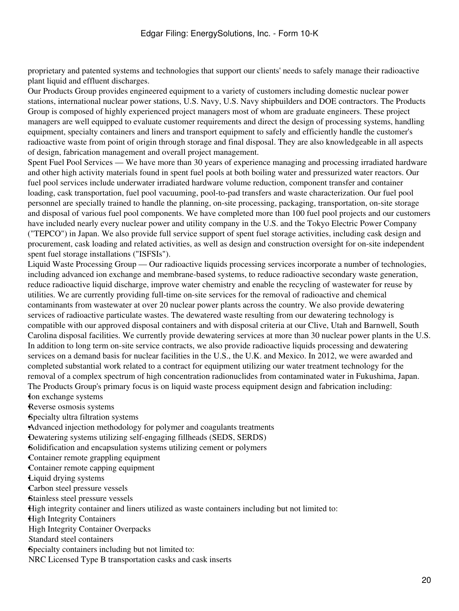proprietary and patented systems and technologies that support our clients' needs to safely manage their radioactive plant liquid and effluent discharges.

Our Products Group provides engineered equipment to a variety of customers including domestic nuclear power stations, international nuclear power stations, U.S. Navy, U.S. Navy shipbuilders and DOE contractors. The Products Group is composed of highly experienced project managers most of whom are graduate engineers. These project managers are well equipped to evaluate customer requirements and direct the design of processing systems, handling equipment, specialty containers and liners and transport equipment to safely and efficiently handle the customer's radioactive waste from point of origin through storage and final disposal. They are also knowledgeable in all aspects of design, fabrication management and overall project management.

Spent Fuel Pool Services — We have more than 30 years of experience managing and processing irradiated hardware and other high activity materials found in spent fuel pools at both boiling water and pressurized water reactors. Our fuel pool services include underwater irradiated hardware volume reduction, component transfer and container loading, cask transportation, fuel pool vacuuming, pool-to-pad transfers and waste characterization. Our fuel pool personnel are specially trained to handle the planning, on-site processing, packaging, transportation, on-site storage and disposal of various fuel pool components. We have completed more than 100 fuel pool projects and our customers have included nearly every nuclear power and utility company in the U.S. and the Tokyo Electric Power Company ("TEPCO") in Japan. We also provide full service support of spent fuel storage activities, including cask design and procurement, cask loading and related activities, as well as design and construction oversight for on-site independent spent fuel storage installations ("ISFSIs").

Liquid Waste Processing Group — Our radioactive liquids processing services incorporate a number of technologies, including advanced ion exchange and membrane-based systems, to reduce radioactive secondary waste generation, reduce radioactive liquid discharge, improve water chemistry and enable the recycling of wastewater for reuse by utilities. We are currently providing full-time on-site services for the removal of radioactive and chemical contaminants from wastewater at over 20 nuclear power plants across the country. We also provide dewatering services of radioactive particulate wastes. The dewatered waste resulting from our dewatering technology is compatible with our approved disposal containers and with disposal criteria at our Clive, Utah and Barnwell, South Carolina disposal facilities. We currently provide dewatering services at more than 30 nuclear power plants in the U.S. In addition to long term on-site service contracts, we also provide radioactive liquids processing and dewatering services on a demand basis for nuclear facilities in the U.S., the U.K. and Mexico. In 2012, we were awarded and completed substantial work related to a contract for equipment utilizing our water treatment technology for the removal of a complex spectrum of high concentration radionuclides from contaminated water in Fukushima, Japan. The Products Group's primary focus is on liquid waste process equipment design and fabrication including: •Ion exchange systems

•Reverse osmosis systems •Specialty ultra filtration systems •Advanced injection methodology for polymer and coagulants treatments •Dewatering systems utilizing self-engaging fillheads (SEDS, SERDS) •Solidification and encapsulation systems utilizing cement or polymers •Container remote grappling equipment •Container remote capping equipment •Liquid drying systems •Carbon steel pressure vessels •Stainless steel pressure vessels •High integrity container and liners utilized as waste containers including but not limited to: •High Integrity Containers High Integrity Container Overpacks Standard steel containers •Specialty containers including but not limited to: NRC Licensed Type B transportation casks and cask inserts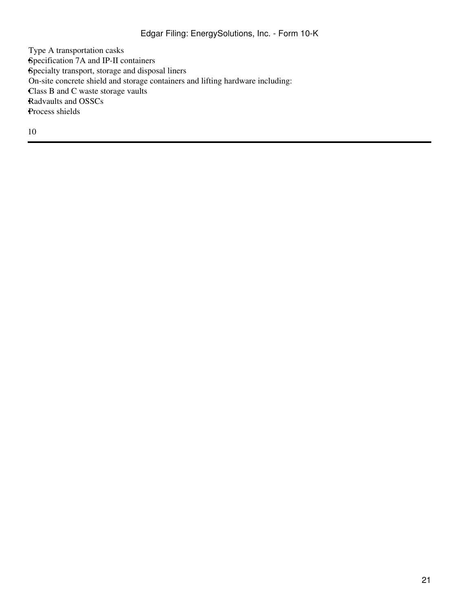Type A transportation casks •Specification 7A and IP-II containers •Specialty transport, storage and disposal liners On-site concrete shield and storage containers and lifting hardware including: •Class B and C waste storage vaults •Radvaults and OSSCs •Process shields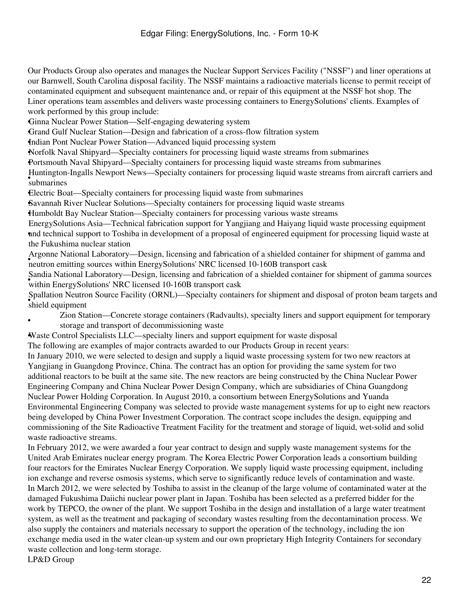Our Products Group also operates and manages the Nuclear Support Services Facility ("NSSF") and liner operations at our Barnwell, South Carolina disposal facility. The NSSF maintains a radioactive materials license to permit receipt of contaminated equipment and subsequent maintenance and, or repair of this equipment at the NSSF hot shop. The Liner operations team assembles and delivers waste processing containers to EnergySolutions' clients. Examples of work performed by this group include:

•Ginna Nuclear Power Station—Self-engaging dewatering system

•Grand Gulf Nuclear Station—Design and fabrication of a cross-flow filtration system

•Indian Pont Nuclear Power Station—Advanced liquid processing system

•Norfolk Naval Shipyard—Specialty containers for processing liquid waste streams from submarines

•Portsmouth Naval Shipyard—Specialty containers for processing liquid waste streams from submarines

• submarines Huntington-Ingalls Newport News—Specialty containers for processing liquid waste streams from aircraft carriers and

•Electric Boat—Specialty containers for processing liquid waste from submarines

•Savannah River Nuclear Solutions—Specialty containers for processing liquid waste streams

•Humboldt Bay Nuclear Station—Specialty containers for processing various waste streams

• and technical support to Toshiba in development of a proposal of engineered equipment for processing liquid waste at EnergySolutions Asia—Technical fabrication support for Yangjiang and Haiyang liquid waste processing equipment the Fukushima nuclear station

**Figure Hanolai Easotatory** Besign, needsing and norteation of a sinended container<br>neutron emitting sources within EnergySolutions' NRC licensed 10-160B transport cask Argonne National Laboratory—Design, licensing and fabrication of a shielded container for shipment of gamma and

within EnergySolutions' NRC licensed 10-160B transport cask Sandia National Laboratory—Design, licensing and fabrication of a shielded container for shipment of gamma sources

• shield equipment Spallation Neutron Source Facility (ORNL)—Specialty containers for shipment and disposal of proton beam targets and

• Zion Station—Concrete storage containers (Radvaults), specialty liners and support equipment for temporary storage and transport of decommissioning waste

•Waste Control Specialists LLC—specialty liners and support equipment for waste disposal

The following are examples of major contracts awarded to our Products Group in recent years:

In January 2010, we were selected to design and supply a liquid waste processing system for two new reactors at Yangjiang in Guangdong Province, China. The contract has an option for providing the same system for two additional reactors to be built at the same site. The new reactors are being constructed by the China Nuclear Power Engineering Company and China Nuclear Power Design Company, which are subsidiaries of China Guangdong Nuclear Power Holding Corporation. In August 2010, a consortium between EnergySolutions and Yuanda Environmental Engineering Company was selected to provide waste management systems for up to eight new reactors being developed by China Power Investment Corporation. The contract scope includes the design, equipping and commissioning of the Site Radioactive Treatment Facility for the treatment and storage of liquid, wet-solid and solid waste radioactive streams.

In February 2012, we were awarded a four year contract to design and supply waste management systems for the United Arab Emirates nuclear energy program. The Korea Electric Power Corporation leads a consortium building four reactors for the Emirates Nuclear Energy Corporation. We supply liquid waste processing equipment, including ion exchange and reverse osmosis systems, which serve to significantly reduce levels of contamination and waste. In March 2012, we were selected by Toshiba to assist in the cleanup of the large volume of contaminated water at the damaged Fukushima Daiichi nuclear power plant in Japan. Toshiba has been selected as a preferred bidder for the work by TEPCO, the owner of the plant. We support Toshiba in the design and installation of a large water treatment system, as well as the treatment and packaging of secondary wastes resulting from the decontamination process. We also supply the containers and materials necessary to support the operation of the technology, including the ion exchange media used in the water clean-up system and our own proprietary High Integrity Containers for secondary waste collection and long-term storage.

LP&D Group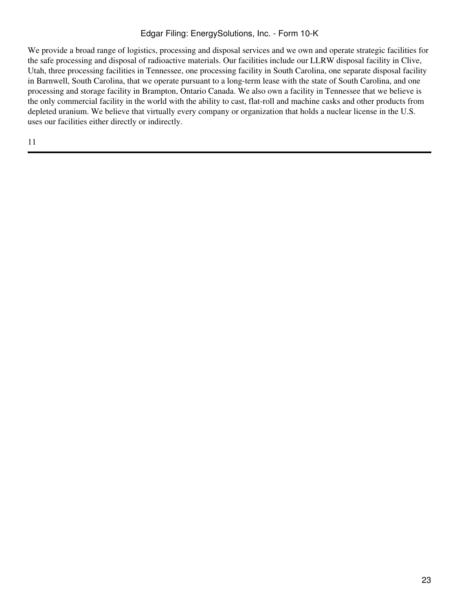# Edgar Filing: EnergySolutions, Inc. - Form 10-K

We provide a broad range of logistics, processing and disposal services and we own and operate strategic facilities for the safe processing and disposal of radioactive materials. Our facilities include our LLRW disposal facility in Clive, Utah, three processing facilities in Tennessee, one processing facility in South Carolina, one separate disposal facility in Barnwell, South Carolina, that we operate pursuant to a long-term lease with the state of South Carolina, and one processing and storage facility in Brampton, Ontario Canada. We also own a facility in Tennessee that we believe is the only commercial facility in the world with the ability to cast, flat-roll and machine casks and other products from depleted uranium. We believe that virtually every company or organization that holds a nuclear license in the U.S. uses our facilities either directly or indirectly.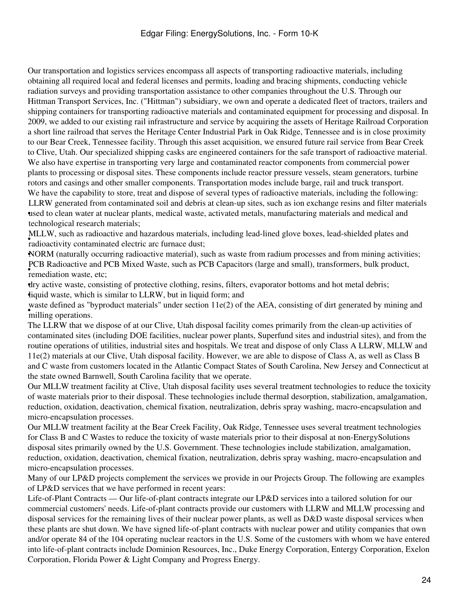Our transportation and logistics services encompass all aspects of transporting radioactive materials, including obtaining all required local and federal licenses and permits, loading and bracing shipments, conducting vehicle radiation surveys and providing transportation assistance to other companies throughout the U.S. Through our Hittman Transport Services, Inc. ("Hittman") subsidiary, we own and operate a dedicated fleet of tractors, trailers and shipping containers for transporting radioactive materials and contaminated equipment for processing and disposal. In 2009, we added to our existing rail infrastructure and service by acquiring the assets of Heritage Railroad Corporation a short line railroad that serves the Heritage Center Industrial Park in Oak Ridge, Tennessee and is in close proximity to our Bear Creek, Tennessee facility. Through this asset acquisition, we ensured future rail service from Bear Creek to Clive, Utah. Our specialized shipping casks are engineered containers for the safe transport of radioactive material. We also have expertise in transporting very large and contaminated reactor components from commercial power plants to processing or disposal sites. These components include reactor pressure vessels, steam generators, turbine rotors and casings and other smaller components. Transportation modes include barge, rail and truck transport. We have the capability to store, treat and dispose of several types of radioactive materials, including the following: • used to clean water at nuclear plants, medical waste, activated metals, manufacturing materials and medical and LLRW generated from contaminated soil and debris at clean-up sites, such as ion exchange resins and filter materials technological research materials;

radioactivity contaminated electric arc furnace dust; MLLW, such as radioactive and hazardous materials, including lead-lined glove boxes, lead-shielded plates and

•NORM (naturally occurring radioactive material), such as waste from radium processes and from mining activities; • CD Radioactive and P<br>remediation waste, etc; PCB Radioactive and PCB Mixed Waste, such as PCB Capacitors (large and small), transformers, bulk product,

•dry active waste, consisting of protective clothing, resins, filters, evaporator bottoms and hot metal debris; •liquid waste, which is similar to LLRW, but in liquid form; and

waste defined as the milling operations. waste defined as "byproduct materials" under section 11e(2) of the AEA, consisting of dirt generated by mining and

The LLRW that we dispose of at our Clive, Utah disposal facility comes primarily from the clean-up activities of contaminated sites (including DOE facilities, nuclear power plants, Superfund sites and industrial sites), and from the routine operations of utilities, industrial sites and hospitals. We treat and dispose of only Class A LLRW, MLLW and 11e(2) materials at our Clive, Utah disposal facility. However, we are able to dispose of Class A, as well as Class B and C waste from customers located in the Atlantic Compact States of South Carolina, New Jersey and Connecticut at the state owned Barnwell, South Carolina facility that we operate.

Our MLLW treatment facility at Clive, Utah disposal facility uses several treatment technologies to reduce the toxicity of waste materials prior to their disposal. These technologies include thermal desorption, stabilization, amalgamation, reduction, oxidation, deactivation, chemical fixation, neutralization, debris spray washing, macro-encapsulation and micro-encapsulation processes.

Our MLLW treatment facility at the Bear Creek Facility, Oak Ridge, Tennessee uses several treatment technologies for Class B and C Wastes to reduce the toxicity of waste materials prior to their disposal at non-EnergySolutions disposal sites primarily owned by the U.S. Government. These technologies include stabilization, amalgamation, reduction, oxidation, deactivation, chemical fixation, neutralization, debris spray washing, macro-encapsulation and micro-encapsulation processes.

Many of our LP&D projects complement the services we provide in our Projects Group. The following are examples of LP&D services that we have performed in recent years:

Life-of-Plant Contracts — Our life-of-plant contracts integrate our LP&D services into a tailored solution for our commercial customers' needs. Life-of-plant contracts provide our customers with LLRW and MLLW processing and disposal services for the remaining lives of their nuclear power plants, as well as D&D waste disposal services when these plants are shut down. We have signed life-of-plant contracts with nuclear power and utility companies that own and/or operate 84 of the 104 operating nuclear reactors in the U.S. Some of the customers with whom we have entered into life-of-plant contracts include Dominion Resources, Inc., Duke Energy Corporation, Entergy Corporation, Exelon Corporation, Florida Power & Light Company and Progress Energy.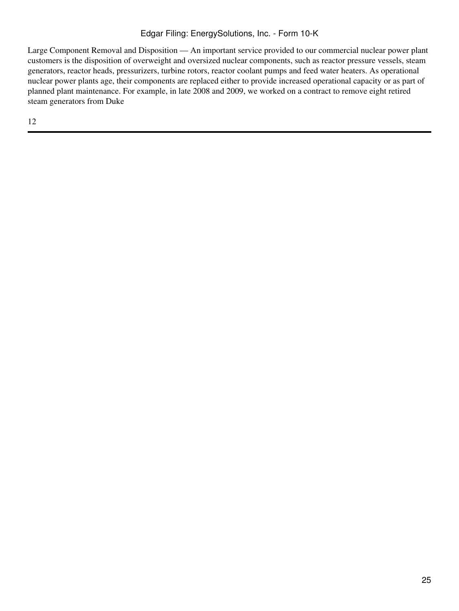# Edgar Filing: EnergySolutions, Inc. - Form 10-K

Large Component Removal and Disposition — An important service provided to our commercial nuclear power plant customers is the disposition of overweight and oversized nuclear components, such as reactor pressure vessels, steam generators, reactor heads, pressurizers, turbine rotors, reactor coolant pumps and feed water heaters. As operational nuclear power plants age, their components are replaced either to provide increased operational capacity or as part of planned plant maintenance. For example, in late 2008 and 2009, we worked on a contract to remove eight retired steam generators from Duke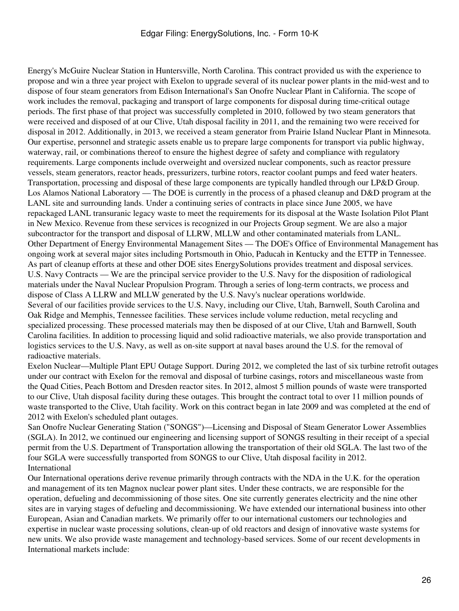Energy's McGuire Nuclear Station in Huntersville, North Carolina. This contract provided us with the experience to propose and win a three year project with Exelon to upgrade several of its nuclear power plants in the mid-west and to dispose of four steam generators from Edison International's San Onofre Nuclear Plant in California. The scope of work includes the removal, packaging and transport of large components for disposal during time-critical outage periods. The first phase of that project was successfully completed in 2010, followed by two steam generators that were received and disposed of at our Clive, Utah disposal facility in 2011, and the remaining two were received for disposal in 2012. Additionally, in 2013, we received a steam generator from Prairie Island Nuclear Plant in Minnesota. Our expertise, personnel and strategic assets enable us to prepare large components for transport via public highway, waterway, rail, or combinations thereof to ensure the highest degree of safety and compliance with regulatory requirements. Large components include overweight and oversized nuclear components, such as reactor pressure vessels, steam generators, reactor heads, pressurizers, turbine rotors, reactor coolant pumps and feed water heaters. Transportation, processing and disposal of these large components are typically handled through our LP&D Group. Los Alamos National Laboratory — The DOE is currently in the process of a phased cleanup and D&D program at the LANL site and surrounding lands. Under a continuing series of contracts in place since June 2005, we have repackaged LANL transuranic legacy waste to meet the requirements for its disposal at the Waste Isolation Pilot Plant in New Mexico. Revenue from these services is recognized in our Projects Group segment. We are also a major subcontractor for the transport and disposal of LLRW, MLLW and other contaminated materials from LANL. Other Department of Energy Environmental Management Sites — The DOE's Office of Environmental Management has ongoing work at several major sites including Portsmouth in Ohio, Paducah in Kentucky and the ETTP in Tennessee. As part of cleanup efforts at these and other DOE sites EnergySolutions provides treatment and disposal services. U.S. Navy Contracts — We are the principal service provider to the U.S. Navy for the disposition of radiological materials under the Naval Nuclear Propulsion Program. Through a series of long-term contracts, we process and dispose of Class A LLRW and MLLW generated by the U.S. Navy's nuclear operations worldwide. Several of our facilities provide services to the U.S. Navy, including our Clive, Utah, Barnwell, South Carolina and Oak Ridge and Memphis, Tennessee facilities. These services include volume reduction, metal recycling and specialized processing. These processed materials may then be disposed of at our Clive, Utah and Barnwell, South Carolina facilities. In addition to processing liquid and solid radioactive materials, we also provide transportation and logistics services to the U.S. Navy, as well as on-site support at naval bases around the U.S. for the removal of radioactive materials.

Exelon Nuclear—Multiple Plant EPU Outage Support. During 2012, we completed the last of six turbine retrofit outages under our contract with Exelon for the removal and disposal of turbine casings, rotors and miscellaneous waste from the Quad Cities, Peach Bottom and Dresden reactor sites. In 2012, almost 5 million pounds of waste were transported to our Clive, Utah disposal facility during these outages. This brought the contract total to over 11 million pounds of waste transported to the Clive, Utah facility. Work on this contract began in late 2009 and was completed at the end of 2012 with Exelon's scheduled plant outages.

San Onofre Nuclear Generating Station ("SONGS")—Licensing and Disposal of Steam Generator Lower Assemblies (SGLA). In 2012, we continued our engineering and licensing support of SONGS resulting in their receipt of a special permit from the U.S. Department of Transportation allowing the transportation of their old SGLA. The last two of the four SGLA were successfully transported from SONGS to our Clive, Utah disposal facility in 2012. International

Our International operations derive revenue primarily through contracts with the NDA in the U.K. for the operation and management of its ten Magnox nuclear power plant sites. Under these contracts, we are responsible for the operation, defueling and decommissioning of those sites. One site currently generates electricity and the nine other sites are in varying stages of defueling and decommissioning. We have extended our international business into other European, Asian and Canadian markets. We primarily offer to our international customers our technologies and expertise in nuclear waste processing solutions, clean-up of old reactors and design of innovative waste systems for new units. We also provide waste management and technology-based services. Some of our recent developments in International markets include: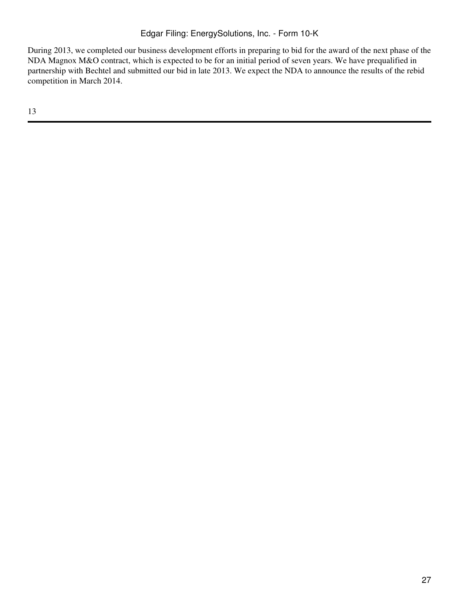During 2013, we completed our business development efforts in preparing to bid for the award of the next phase of the NDA Magnox M&O contract, which is expected to be for an initial period of seven years. We have prequalified in partnership with Bechtel and submitted our bid in late 2013. We expect the NDA to announce the results of the rebid competition in March 2014.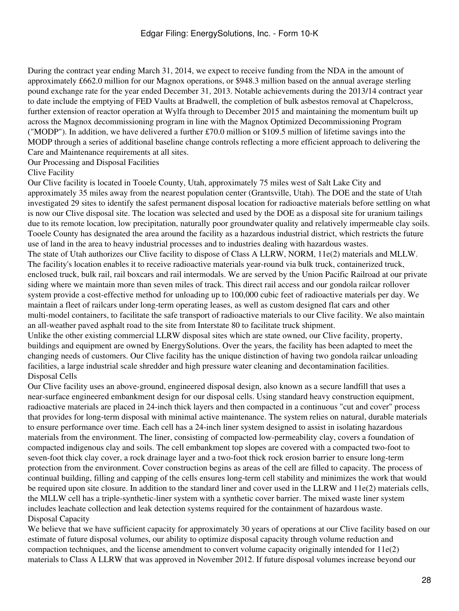During the contract year ending March 31, 2014, we expect to receive funding from the NDA in the amount of approximately £662.0 million for our Magnox operations, or \$948.3 million based on the annual average sterling pound exchange rate for the year ended December 31, 2013. Notable achievements during the 2013/14 contract year to date include the emptying of FED Vaults at Bradwell, the completion of bulk asbestos removal at Chapelcross, further extension of reactor operation at Wylfa through to December 2015 and maintaining the momentum built up across the Magnox decommissioning program in line with the Magnox Optimized Decommissioning Program ("MODP"). In addition, we have delivered a further £70.0 million or \$109.5 million of lifetime savings into the MODP through a series of additional baseline change controls reflecting a more efficient approach to delivering the Care and Maintenance requirements at all sites.

Our Processing and Disposal Facilities

#### Clive Facility

Our Clive facility is located in Tooele County, Utah, approximately 75 miles west of Salt Lake City and approximately 35 miles away from the nearest population center (Grantsville, Utah). The DOE and the state of Utah investigated 29 sites to identify the safest permanent disposal location for radioactive materials before settling on what is now our Clive disposal site. The location was selected and used by the DOE as a disposal site for uranium tailings due to its remote location, low precipitation, naturally poor groundwater quality and relatively impermeable clay soils. Tooele County has designated the area around the facility as a hazardous industrial district, which restricts the future use of land in the area to heavy industrial processes and to industries dealing with hazardous wastes.

The state of Utah authorizes our Clive facility to dispose of Class A LLRW, NORM, 11e(2) materials and MLLW. The facility's location enables it to receive radioactive materials year-round via bulk truck, containerized truck, enclosed truck, bulk rail, rail boxcars and rail intermodals. We are served by the Union Pacific Railroad at our private siding where we maintain more than seven miles of track. This direct rail access and our gondola railcar rollover system provide a cost-effective method for unloading up to 100,000 cubic feet of radioactive materials per day. We maintain a fleet of railcars under long-term operating leases, as well as custom designed flat cars and other multi-model containers, to facilitate the safe transport of radioactive materials to our Clive facility. We also maintain an all-weather paved asphalt road to the site from Interstate 80 to facilitate truck shipment.

Unlike the other existing commercial LLRW disposal sites which are state owned, our Clive facility, property, buildings and equipment are owned by EnergySolutions. Over the years, the facility has been adapted to meet the changing needs of customers. Our Clive facility has the unique distinction of having two gondola railcar unloading facilities, a large industrial scale shredder and high pressure water cleaning and decontamination facilities. Disposal Cells

Our Clive facility uses an above-ground, engineered disposal design, also known as a secure landfill that uses a near-surface engineered embankment design for our disposal cells. Using standard heavy construction equipment, radioactive materials are placed in 24-inch thick layers and then compacted in a continuous "cut and cover" process that provides for long-term disposal with minimal active maintenance. The system relies on natural, durable materials to ensure performance over time. Each cell has a 24-inch liner system designed to assist in isolating hazardous materials from the environment. The liner, consisting of compacted low-permeability clay, covers a foundation of compacted indigenous clay and soils. The cell embankment top slopes are covered with a compacted two-foot to seven-foot thick clay cover, a rock drainage layer and a two-foot thick rock erosion barrier to ensure long-term protection from the environment. Cover construction begins as areas of the cell are filled to capacity. The process of continual building, filling and capping of the cells ensures long-term cell stability and minimizes the work that would be required upon site closure. In addition to the standard liner and cover used in the LLRW and 11e(2) materials cells, the MLLW cell has a triple-synthetic-liner system with a synthetic cover barrier. The mixed waste liner system includes leachate collection and leak detection systems required for the containment of hazardous waste. Disposal Capacity

We believe that we have sufficient capacity for approximately 30 years of operations at our Clive facility based on our estimate of future disposal volumes, our ability to optimize disposal capacity through volume reduction and compaction techniques, and the license amendment to convert volume capacity originally intended for 11e(2) materials to Class A LLRW that was approved in November 2012. If future disposal volumes increase beyond our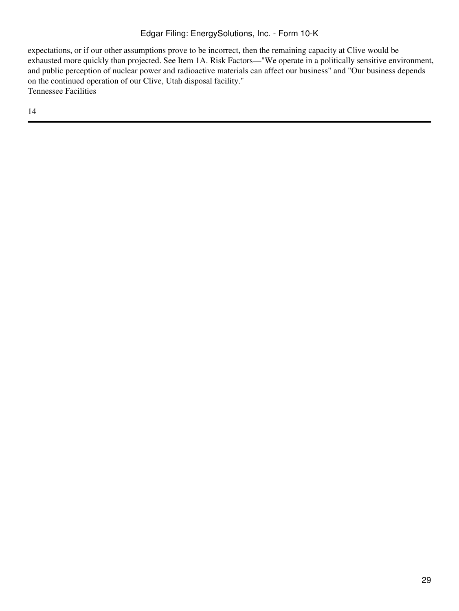expectations, or if our other assumptions prove to be incorrect, then the remaining capacity at Clive would be exhausted more quickly than projected. See Item 1A. Risk Factors—"We operate in a politically sensitive environment, and public perception of nuclear power and radioactive materials can affect our business" and "Our business depends on the continued operation of our Clive, Utah disposal facility." Tennessee Facilities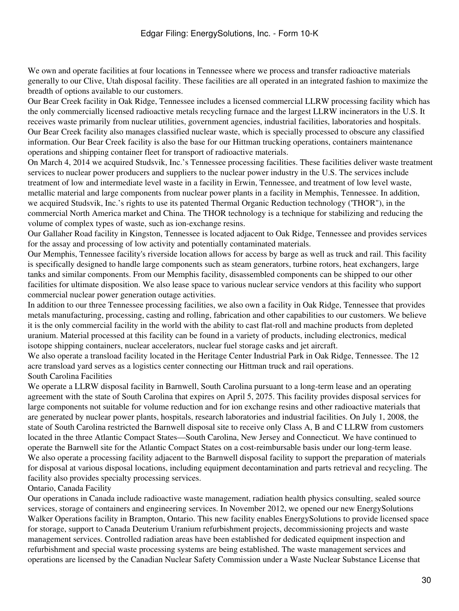We own and operate facilities at four locations in Tennessee where we process and transfer radioactive materials generally to our Clive, Utah disposal facility. These facilities are all operated in an integrated fashion to maximize the breadth of options available to our customers.

Our Bear Creek facility in Oak Ridge, Tennessee includes a licensed commercial LLRW processing facility which has the only commercially licensed radioactive metals recycling furnace and the largest LLRW incinerators in the U.S. It receives waste primarily from nuclear utilities, government agencies, industrial facilities, laboratories and hospitals. Our Bear Creek facility also manages classified nuclear waste, which is specially processed to obscure any classified information. Our Bear Creek facility is also the base for our Hittman trucking operations, containers maintenance operations and shipping container fleet for transport of radioactive materials.

On March 4, 2014 we acquired Studsvik, Inc.'s Tennessee processing facilities. These facilities deliver waste treatment services to nuclear power producers and suppliers to the nuclear power industry in the U.S. The services include treatment of low and intermediate level waste in a facility in Erwin, Tennessee, and treatment of low level waste, metallic material and large components from nuclear power plants in a facility in Memphis, Tennessee. In addition, we acquired Studsvik, Inc.'s rights to use its patented Thermal Organic Reduction technology ('THOR"), in the commercial North America market and China. The THOR technology is a technique for stabilizing and reducing the volume of complex types of waste, such as ion-exchange resins.

Our Gallaher Road facility in Kingston, Tennessee is located adjacent to Oak Ridge, Tennessee and provides services for the assay and processing of low activity and potentially contaminated materials.

Our Memphis, Tennessee facility's riverside location allows for access by barge as well as truck and rail. This facility is specifically designed to handle large components such as steam generators, turbine rotors, heat exchangers, large tanks and similar components. From our Memphis facility, disassembled components can be shipped to our other facilities for ultimate disposition. We also lease space to various nuclear service vendors at this facility who support commercial nuclear power generation outage activities.

In addition to our three Tennessee processing facilities, we also own a facility in Oak Ridge, Tennessee that provides metals manufacturing, processing, casting and rolling, fabrication and other capabilities to our customers. We believe it is the only commercial facility in the world with the ability to cast flat-roll and machine products from depleted uranium. Material processed at this facility can be found in a variety of products, including electronics, medical isotope shipping containers, nuclear accelerators, nuclear fuel storage casks and jet aircraft.

We also operate a transload facility located in the Heritage Center Industrial Park in Oak Ridge, Tennessee. The 12 acre transload yard serves as a logistics center connecting our Hittman truck and rail operations. South Carolina Facilities

We operate a LLRW disposal facility in Barnwell, South Carolina pursuant to a long-term lease and an operating agreement with the state of South Carolina that expires on April 5, 2075. This facility provides disposal services for large components not suitable for volume reduction and for ion exchange resins and other radioactive materials that are generated by nuclear power plants, hospitals, research laboratories and industrial facilities. On July 1, 2008, the state of South Carolina restricted the Barnwell disposal site to receive only Class A, B and C LLRW from customers located in the three Atlantic Compact States—South Carolina, New Jersey and Connecticut. We have continued to operate the Barnwell site for the Atlantic Compact States on a cost-reimbursable basis under our long-term lease. We also operate a processing facility adjacent to the Barnwell disposal facility to support the preparation of materials for disposal at various disposal locations, including equipment decontamination and parts retrieval and recycling. The facility also provides specialty processing services.

### Ontario, Canada Facility

Our operations in Canada include radioactive waste management, radiation health physics consulting, sealed source services, storage of containers and engineering services. In November 2012, we opened our new EnergySolutions Walker Operations facility in Brampton, Ontario. This new facility enables EnergySolutions to provide licensed space for storage, support to Canada Deuterium Uranium refurbishment projects, decommissioning projects and waste management services. Controlled radiation areas have been established for dedicated equipment inspection and refurbishment and special waste processing systems are being established. The waste management services and operations are licensed by the Canadian Nuclear Safety Commission under a Waste Nuclear Substance License that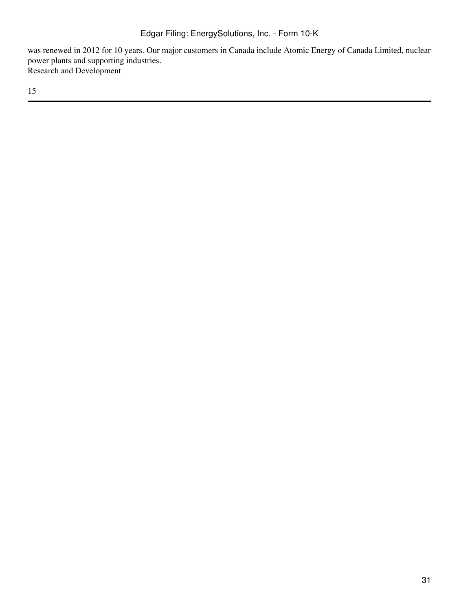was renewed in 2012 for 10 years. Our major customers in Canada include Atomic Energy of Canada Limited, nuclear power plants and supporting industries. Research and Development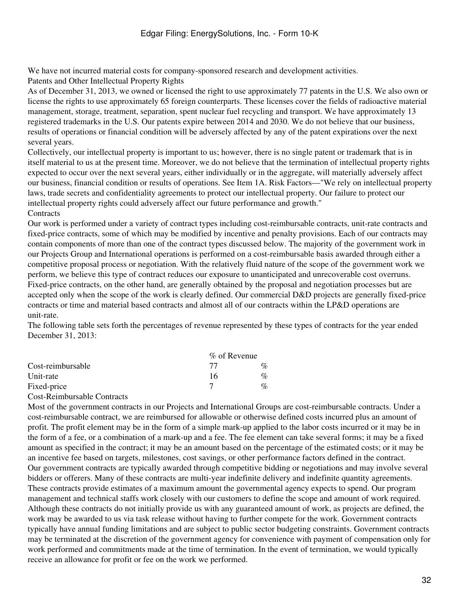We have not incurred material costs for company-sponsored research and development activities.

Patents and Other Intellectual Property Rights

As of December 31, 2013, we owned or licensed the right to use approximately 77 patents in the U.S. We also own or license the rights to use approximately 65 foreign counterparts. These licenses cover the fields of radioactive material management, storage, treatment, separation, spent nuclear fuel recycling and transport. We have approximately 13 registered trademarks in the U.S. Our patents expire between 2014 and 2030. We do not believe that our business, results of operations or financial condition will be adversely affected by any of the patent expirations over the next several years.

Collectively, our intellectual property is important to us; however, there is no single patent or trademark that is in itself material to us at the present time. Moreover, we do not believe that the termination of intellectual property rights expected to occur over the next several years, either individually or in the aggregate, will materially adversely affect our business, financial condition or results of operations. See Item 1A. Risk Factors—"We rely on intellectual property laws, trade secrets and confidentiality agreements to protect our intellectual property. Our failure to protect our intellectual property rights could adversely affect our future performance and growth." **Contracts** 

Our work is performed under a variety of contract types including cost-reimbursable contracts, unit-rate contracts and fixed-price contracts, some of which may be modified by incentive and penalty provisions. Each of our contracts may contain components of more than one of the contract types discussed below. The majority of the government work in our Projects Group and International operations is performed on a cost-reimbursable basis awarded through either a competitive proposal process or negotiation. With the relatively fluid nature of the scope of the government work we perform, we believe this type of contract reduces our exposure to unanticipated and unrecoverable cost overruns. Fixed-price contracts, on the other hand, are generally obtained by the proposal and negotiation processes but are accepted only when the scope of the work is clearly defined. Our commercial D&D projects are generally fixed-price contracts or time and material based contracts and almost all of our contracts within the LP&D operations are unit-rate.

The following table sets forth the percentages of revenue represented by these types of contracts for the year ended December 31, 2013:

|                   | % of Revenue |      |  |
|-------------------|--------------|------|--|
| Cost-reimbursable |              | $\%$ |  |
| Unit-rate         | 16           | %    |  |
| Fixed-price       |              | %    |  |

Cost-Reimbursable Contracts

Most of the government contracts in our Projects and International Groups are cost-reimbursable contracts. Under a cost-reimbursable contract, we are reimbursed for allowable or otherwise defined costs incurred plus an amount of profit. The profit element may be in the form of a simple mark-up applied to the labor costs incurred or it may be in the form of a fee, or a combination of a mark-up and a fee. The fee element can take several forms; it may be a fixed amount as specified in the contract; it may be an amount based on the percentage of the estimated costs; or it may be an incentive fee based on targets, milestones, cost savings, or other performance factors defined in the contract. Our government contracts are typically awarded through competitive bidding or negotiations and may involve several bidders or offerers. Many of these contracts are multi-year indefinite delivery and indefinite quantity agreements. These contracts provide estimates of a maximum amount the governmental agency expects to spend. Our program management and technical staffs work closely with our customers to define the scope and amount of work required. Although these contracts do not initially provide us with any guaranteed amount of work, as projects are defined, the work may be awarded to us via task release without having to further compete for the work. Government contracts typically have annual funding limitations and are subject to public sector budgeting constraints. Government contracts may be terminated at the discretion of the government agency for convenience with payment of compensation only for work performed and commitments made at the time of termination. In the event of termination, we would typically receive an allowance for profit or fee on the work we performed.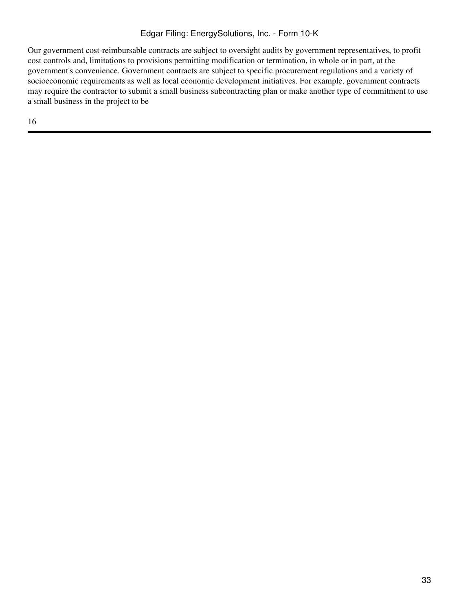# Edgar Filing: EnergySolutions, Inc. - Form 10-K

Our government cost-reimbursable contracts are subject to oversight audits by government representatives, to profit cost controls and, limitations to provisions permitting modification or termination, in whole or in part, at the government's convenience. Government contracts are subject to specific procurement regulations and a variety of socioeconomic requirements as well as local economic development initiatives. For example, government contracts may require the contractor to submit a small business subcontracting plan or make another type of commitment to use a small business in the project to be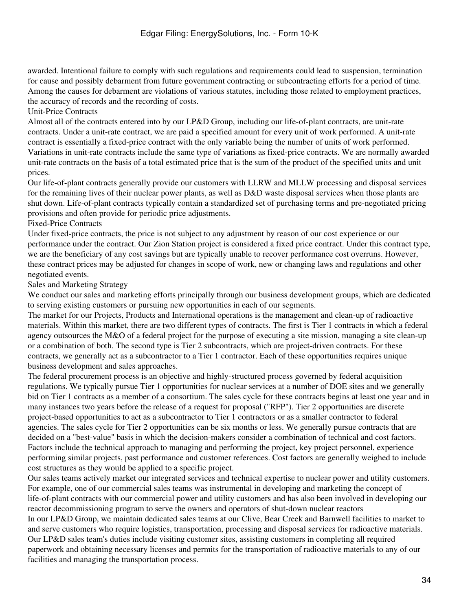awarded. Intentional failure to comply with such regulations and requirements could lead to suspension, termination for cause and possibly debarment from future government contracting or subcontracting efforts for a period of time. Among the causes for debarment are violations of various statutes, including those related to employment practices, the accuracy of records and the recording of costs.

### Unit-Price Contracts

Almost all of the contracts entered into by our LP&D Group, including our life-of-plant contracts, are unit-rate contracts. Under a unit-rate contract, we are paid a specified amount for every unit of work performed. A unit-rate contract is essentially a fixed-price contract with the only variable being the number of units of work performed. Variations in unit-rate contracts include the same type of variations as fixed-price contracts. We are normally awarded unit-rate contracts on the basis of a total estimated price that is the sum of the product of the specified units and unit prices.

Our life-of-plant contracts generally provide our customers with LLRW and MLLW processing and disposal services for the remaining lives of their nuclear power plants, as well as D&D waste disposal services when those plants are shut down. Life-of-plant contracts typically contain a standardized set of purchasing terms and pre-negotiated pricing provisions and often provide for periodic price adjustments.

Fixed-Price Contracts

Under fixed-price contracts, the price is not subject to any adjustment by reason of our cost experience or our performance under the contract. Our Zion Station project is considered a fixed price contract. Under this contract type, we are the beneficiary of any cost savings but are typically unable to recover performance cost overruns. However, these contract prices may be adjusted for changes in scope of work, new or changing laws and regulations and other negotiated events.

Sales and Marketing Strategy

We conduct our sales and marketing efforts principally through our business development groups, which are dedicated to serving existing customers or pursuing new opportunities in each of our segments.

The market for our Projects, Products and International operations is the management and clean-up of radioactive materials. Within this market, there are two different types of contracts. The first is Tier 1 contracts in which a federal agency outsources the M&O of a federal project for the purpose of executing a site mission, managing a site clean-up or a combination of both. The second type is Tier 2 subcontracts, which are project-driven contracts. For these contracts, we generally act as a subcontractor to a Tier 1 contractor. Each of these opportunities requires unique business development and sales approaches.

The federal procurement process is an objective and highly-structured process governed by federal acquisition regulations. We typically pursue Tier 1 opportunities for nuclear services at a number of DOE sites and we generally bid on Tier 1 contracts as a member of a consortium. The sales cycle for these contracts begins at least one year and in many instances two years before the release of a request for proposal ("RFP"). Tier 2 opportunities are discrete project-based opportunities to act as a subcontractor to Tier 1 contractors or as a smaller contractor to federal agencies. The sales cycle for Tier 2 opportunities can be six months or less. We generally pursue contracts that are decided on a "best-value" basis in which the decision-makers consider a combination of technical and cost factors. Factors include the technical approach to managing and performing the project, key project personnel, experience performing similar projects, past performance and customer references. Cost factors are generally weighed to include cost structures as they would be applied to a specific project.

Our sales teams actively market our integrated services and technical expertise to nuclear power and utility customers. For example, one of our commercial sales teams was instrumental in developing and marketing the concept of life-of-plant contracts with our commercial power and utility customers and has also been involved in developing our reactor decommissioning program to serve the owners and operators of shut-down nuclear reactors

In our LP&D Group, we maintain dedicated sales teams at our Clive, Bear Creek and Barnwell facilities to market to and serve customers who require logistics, transportation, processing and disposal services for radioactive materials. Our LP&D sales team's duties include visiting customer sites, assisting customers in completing all required paperwork and obtaining necessary licenses and permits for the transportation of radioactive materials to any of our facilities and managing the transportation process.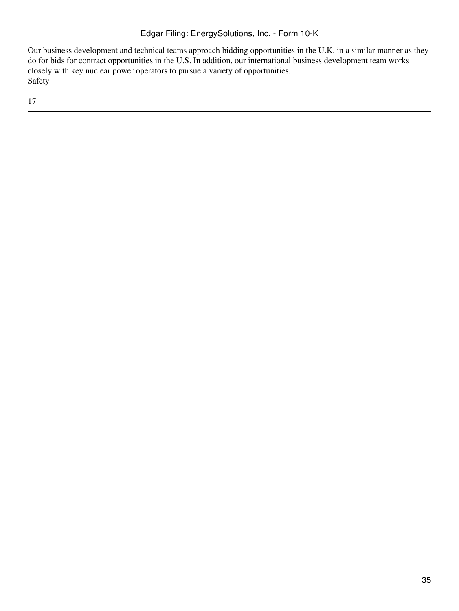Our business development and technical teams approach bidding opportunities in the U.K. in a similar manner as they do for bids for contract opportunities in the U.S. In addition, our international business development team works closely with key nuclear power operators to pursue a variety of opportunities. Safety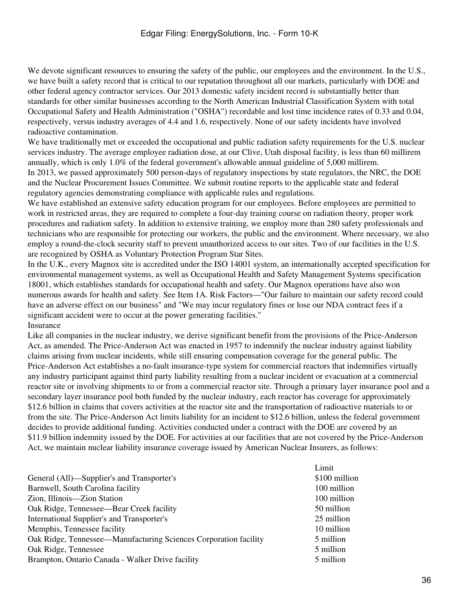We devote significant resources to ensuring the safety of the public, our employees and the environment. In the U.S., we have built a safety record that is critical to our reputation throughout all our markets, particularly with DOE and other federal agency contractor services. Our 2013 domestic safety incident record is substantially better than standards for other similar businesses according to the North American Industrial Classification System with total Occupational Safety and Health Administration ("OSHA") recordable and lost time incidence rates of 0.33 and 0.04, respectively, versus industry averages of 4.4 and 1.6, respectively. None of our safety incidents have involved radioactive contamination.

We have traditionally met or exceeded the occupational and public radiation safety requirements for the U.S. nuclear services industry. The average employee radiation dose, at our Clive, Utah disposal facility, is less than 60 millirem annually, which is only 1.0% of the federal government's allowable annual guideline of 5,000 millirem. In 2013, we passed approximately 500 person-days of regulatory inspections by state regulators, the NRC, the DOE and the Nuclear Procurement Issues Committee. We submit routine reports to the applicable state and federal regulatory agencies demonstrating compliance with applicable rules and regulations.

We have established an extensive safety education program for our employees. Before employees are permitted to work in restricted areas, they are required to complete a four-day training course on radiation theory, proper work procedures and radiation safety. In addition to extensive training, we employ more than 280 safety professionals and technicians who are responsible for protecting our workers, the public and the environment. Where necessary, we also employ a round-the-clock security staff to prevent unauthorized access to our sites. Two of our facilities in the U.S. are recognized by OSHA as Voluntary Protection Program Star Sites.

In the U.K., every Magnox site is accredited under the ISO 14001 system, an internationally accepted specification for environmental management systems, as well as Occupational Health and Safety Management Systems specification 18001, which establishes standards for occupational health and safety. Our Magnox operations have also won numerous awards for health and safety. See Item 1A. Risk Factors—"Our failure to maintain our safety record could have an adverse effect on our business" and "We may incur regulatory fines or lose our NDA contract fees if a significant accident were to occur at the power generating facilities." Insurance

Like all companies in the nuclear industry, we derive significant benefit from the provisions of the Price-Anderson Act, as amended. The Price-Anderson Act was enacted in 1957 to indemnify the nuclear industry against liability claims arising from nuclear incidents, while still ensuring compensation coverage for the general public. The Price-Anderson Act establishes a no-fault insurance-type system for commercial reactors that indemnifies virtually any industry participant against third party liability resulting from a nuclear incident or evacuation at a commercial reactor site or involving shipments to or from a commercial reactor site. Through a primary layer insurance pool and a secondary layer insurance pool both funded by the nuclear industry, each reactor has coverage for approximately \$12.6 billion in claims that covers activities at the reactor site and the transportation of radioactive materials to or from the site. The Price-Anderson Act limits liability for an incident to \$12.6 billion, unless the federal government decides to provide additional funding. Activities conducted under a contract with the DOE are covered by an \$11.9 billion indemnity issued by the DOE. For activities at our facilities that are not covered by the Price-Anderson Act, we maintain nuclear liability insurance coverage issued by American Nuclear Insurers, as follows:

| Limit         |
|---------------|
| \$100 million |
| 100 million   |
| 100 million   |
| 50 million    |
| 25 million    |
| 10 million    |
| 5 million     |
| 5 million     |
| 5 million     |
|               |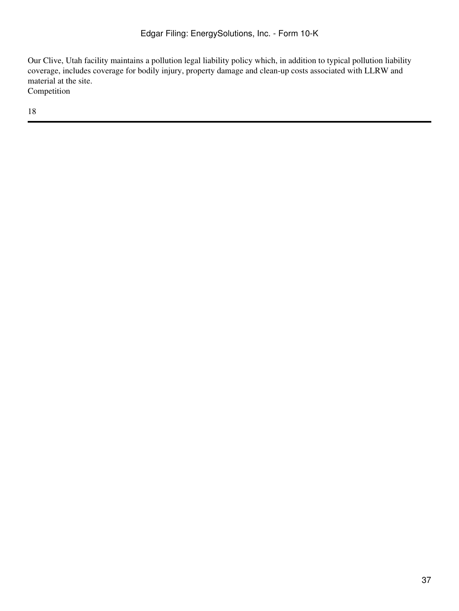Our Clive, Utah facility maintains a pollution legal liability policy which, in addition to typical pollution liability coverage, includes coverage for bodily injury, property damage and clean-up costs associated with LLRW and material at the site.

Competition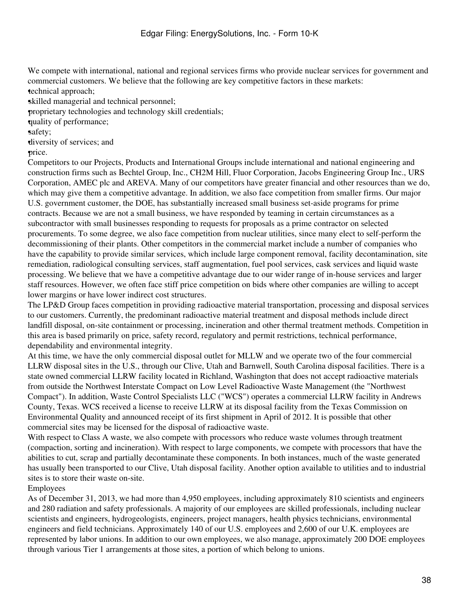We compete with international, national and regional services firms who provide nuclear services for government and commercial customers. We believe that the following are key competitive factors in these markets:

•technical approach;

•skilled managerial and technical personnel;

•proprietary technologies and technology skill credentials;

•quality of performance;

safety;

•diversity of services; and

•price.

Competitors to our Projects, Products and International Groups include international and national engineering and construction firms such as Bechtel Group, Inc., CH2M Hill, Fluor Corporation, Jacobs Engineering Group Inc., URS Corporation, AMEC plc and AREVA. Many of our competitors have greater financial and other resources than we do, which may give them a competitive advantage. In addition, we also face competition from smaller firms. Our major U.S. government customer, the DOE, has substantially increased small business set-aside programs for prime contracts. Because we are not a small business, we have responded by teaming in certain circumstances as a subcontractor with small businesses responding to requests for proposals as a prime contractor on selected procurements. To some degree, we also face competition from nuclear utilities, since many elect to self-perform the decommissioning of their plants. Other competitors in the commercial market include a number of companies who have the capability to provide similar services, which include large component removal, facility decontamination, site remediation, radiological consulting services, staff augmentation, fuel pool services, cask services and liquid waste processing. We believe that we have a competitive advantage due to our wider range of in-house services and larger staff resources. However, we often face stiff price competition on bids where other companies are willing to accept lower margins or have lower indirect cost structures.

The LP&D Group faces competition in providing radioactive material transportation, processing and disposal services to our customers. Currently, the predominant radioactive material treatment and disposal methods include direct landfill disposal, on-site containment or processing, incineration and other thermal treatment methods. Competition in this area is based primarily on price, safety record, regulatory and permit restrictions, technical performance, dependability and environmental integrity.

At this time, we have the only commercial disposal outlet for MLLW and we operate two of the four commercial LLRW disposal sites in the U.S., through our Clive, Utah and Barnwell, South Carolina disposal facilities. There is a state owned commercial LLRW facility located in Richland, Washington that does not accept radioactive materials from outside the Northwest Interstate Compact on Low Level Radioactive Waste Management (the "Northwest Compact"). In addition, Waste Control Specialists LLC ("WCS") operates a commercial LLRW facility in Andrews County, Texas. WCS received a license to receive LLRW at its disposal facility from the Texas Commission on Environmental Quality and announced receipt of its first shipment in April of 2012. It is possible that other commercial sites may be licensed for the disposal of radioactive waste.

With respect to Class A waste, we also compete with processors who reduce waste volumes through treatment (compaction, sorting and incineration). With respect to large components, we compete with processors that have the abilities to cut, scrap and partially decontaminate these components. In both instances, much of the waste generated has usually been transported to our Clive, Utah disposal facility. Another option available to utilities and to industrial sites is to store their waste on-site.

### Employees

As of December 31, 2013, we had more than 4,950 employees, including approximately 810 scientists and engineers and 280 radiation and safety professionals. A majority of our employees are skilled professionals, including nuclear scientists and engineers, hydrogeologists, engineers, project managers, health physics technicians, environmental engineers and field technicians. Approximately 140 of our U.S. employees and 2,600 of our U.K. employees are represented by labor unions. In addition to our own employees, we also manage, approximately 200 DOE employees through various Tier 1 arrangements at those sites, a portion of which belong to unions.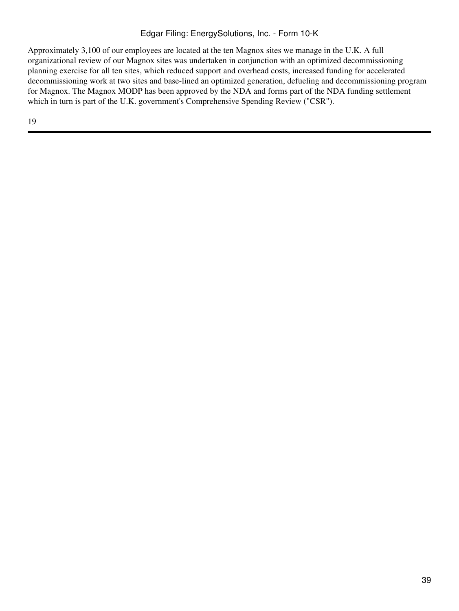# Edgar Filing: EnergySolutions, Inc. - Form 10-K

Approximately 3,100 of our employees are located at the ten Magnox sites we manage in the U.K. A full organizational review of our Magnox sites was undertaken in conjunction with an optimized decommissioning planning exercise for all ten sites, which reduced support and overhead costs, increased funding for accelerated decommissioning work at two sites and base-lined an optimized generation, defueling and decommissioning program for Magnox. The Magnox MODP has been approved by the NDA and forms part of the NDA funding settlement which in turn is part of the U.K. government's Comprehensive Spending Review ("CSR").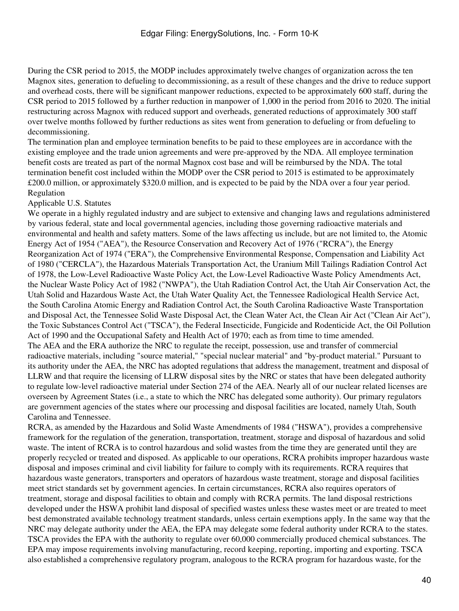During the CSR period to 2015, the MODP includes approximately twelve changes of organization across the ten Magnox sites, generation to defueling to decommissioning, as a result of these changes and the drive to reduce support and overhead costs, there will be significant manpower reductions, expected to be approximately 600 staff, during the CSR period to 2015 followed by a further reduction in manpower of 1,000 in the period from 2016 to 2020. The initial restructuring across Magnox with reduced support and overheads, generated reductions of approximately 300 staff over twelve months followed by further reductions as sites went from generation to defueling or from defueling to decommissioning.

The termination plan and employee termination benefits to be paid to these employees are in accordance with the existing employee and the trade union agreements and were pre-approved by the NDA. All employee termination benefit costs are treated as part of the normal Magnox cost base and will be reimbursed by the NDA. The total termination benefit cost included within the MODP over the CSR period to 2015 is estimated to be approximately £200.0 million, or approximately \$320.0 million, and is expected to be paid by the NDA over a four year period. Regulation

#### Applicable U.S. Statutes

We operate in a highly regulated industry and are subject to extensive and changing laws and regulations administered by various federal, state and local governmental agencies, including those governing radioactive materials and environmental and health and safety matters. Some of the laws affecting us include, but are not limited to, the Atomic Energy Act of 1954 ("AEA"), the Resource Conservation and Recovery Act of 1976 ("RCRA"), the Energy Reorganization Act of 1974 ("ERA"), the Comprehensive Environmental Response, Compensation and Liability Act of 1980 ("CERCLA"), the Hazardous Materials Transportation Act, the Uranium Mill Tailings Radiation Control Act of 1978, the Low-Level Radioactive Waste Policy Act, the Low-Level Radioactive Waste Policy Amendments Act, the Nuclear Waste Policy Act of 1982 ("NWPA"), the Utah Radiation Control Act, the Utah Air Conservation Act, the Utah Solid and Hazardous Waste Act, the Utah Water Quality Act, the Tennessee Radiological Health Service Act, the South Carolina Atomic Energy and Radiation Control Act, the South Carolina Radioactive Waste Transportation and Disposal Act, the Tennessee Solid Waste Disposal Act, the Clean Water Act, the Clean Air Act ("Clean Air Act"), the Toxic Substances Control Act ("TSCA"), the Federal Insecticide, Fungicide and Rodenticide Act, the Oil Pollution Act of 1990 and the Occupational Safety and Health Act of 1970; each as from time to time amended. The AEA and the ERA authorize the NRC to regulate the receipt, possession, use and transfer of commercial radioactive materials, including "source material," "special nuclear material" and "by-product material." Pursuant to its authority under the AEA, the NRC has adopted regulations that address the management, treatment and disposal of LLRW and that require the licensing of LLRW disposal sites by the NRC or states that have been delegated authority to regulate low-level radioactive material under Section 274 of the AEA. Nearly all of our nuclear related licenses are overseen by Agreement States (i.e., a state to which the NRC has delegated some authority). Our primary regulators are government agencies of the states where our processing and disposal facilities are located, namely Utah, South Carolina and Tennessee.

RCRA, as amended by the Hazardous and Solid Waste Amendments of 1984 ("HSWA"), provides a comprehensive framework for the regulation of the generation, transportation, treatment, storage and disposal of hazardous and solid waste. The intent of RCRA is to control hazardous and solid wastes from the time they are generated until they are properly recycled or treated and disposed. As applicable to our operations, RCRA prohibits improper hazardous waste disposal and imposes criminal and civil liability for failure to comply with its requirements. RCRA requires that hazardous waste generators, transporters and operators of hazardous waste treatment, storage and disposal facilities meet strict standards set by government agencies. In certain circumstances, RCRA also requires operators of treatment, storage and disposal facilities to obtain and comply with RCRA permits. The land disposal restrictions developed under the HSWA prohibit land disposal of specified wastes unless these wastes meet or are treated to meet best demonstrated available technology treatment standards, unless certain exemptions apply. In the same way that the NRC may delegate authority under the AEA, the EPA may delegate some federal authority under RCRA to the states. TSCA provides the EPA with the authority to regulate over 60,000 commercially produced chemical substances. The EPA may impose requirements involving manufacturing, record keeping, reporting, importing and exporting. TSCA also established a comprehensive regulatory program, analogous to the RCRA program for hazardous waste, for the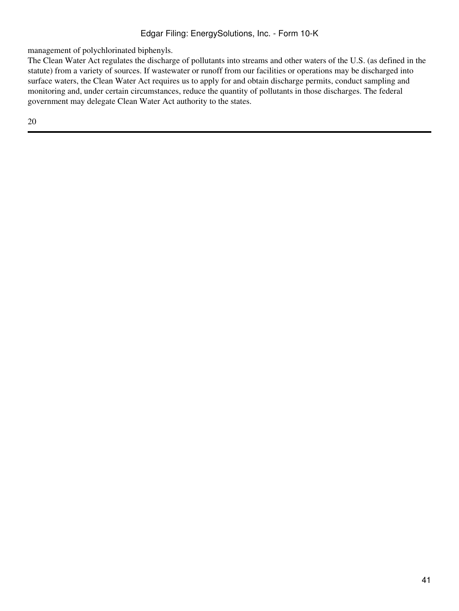management of polychlorinated biphenyls.

The Clean Water Act regulates the discharge of pollutants into streams and other waters of the U.S. (as defined in the statute) from a variety of sources. If wastewater or runoff from our facilities or operations may be discharged into surface waters, the Clean Water Act requires us to apply for and obtain discharge permits, conduct sampling and monitoring and, under certain circumstances, reduce the quantity of pollutants in those discharges. The federal government may delegate Clean Water Act authority to the states.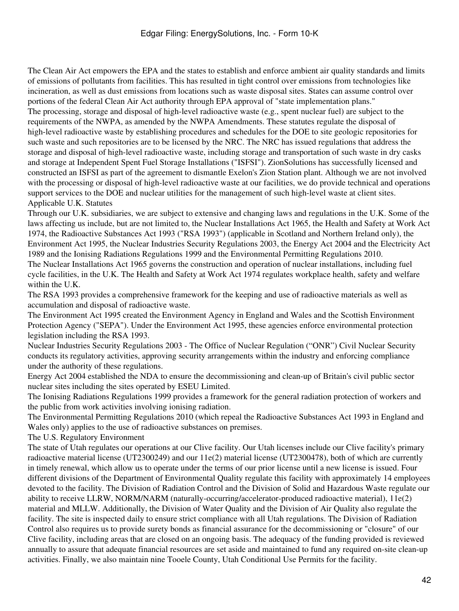The Clean Air Act empowers the EPA and the states to establish and enforce ambient air quality standards and limits of emissions of pollutants from facilities. This has resulted in tight control over emissions from technologies like incineration, as well as dust emissions from locations such as waste disposal sites. States can assume control over portions of the federal Clean Air Act authority through EPA approval of "state implementation plans." The processing, storage and disposal of high-level radioactive waste (e.g., spent nuclear fuel) are subject to the requirements of the NWPA, as amended by the NWPA Amendments. These statutes regulate the disposal of high-level radioactive waste by establishing procedures and schedules for the DOE to site geologic repositories for such waste and such repositories are to be licensed by the NRC. The NRC has issued regulations that address the storage and disposal of high-level radioactive waste, including storage and transportation of such waste in dry casks and storage at Independent Spent Fuel Storage Installations ("ISFSI"). ZionSolutions has successfully licensed and constructed an ISFSI as part of the agreement to dismantle Exelon's Zion Station plant. Although we are not involved with the processing or disposal of high-level radioactive waste at our facilities, we do provide technical and operations support services to the DOE and nuclear utilities for the management of such high-level waste at client sites. Applicable U.K. Statutes

Through our U.K. subsidiaries, we are subject to extensive and changing laws and regulations in the U.K. Some of the laws affecting us include, but are not limited to, the Nuclear Installations Act 1965, the Health and Safety at Work Act 1974, the Radioactive Substances Act 1993 ("RSA 1993") (applicable in Scotland and Northern Ireland only), the Environment Act 1995, the Nuclear Industries Security Regulations 2003, the Energy Act 2004 and the Electricity Act 1989 and the Ionising Radiations Regulations 1999 and the Environmental Permitting Regulations 2010.

The Nuclear Installations Act 1965 governs the construction and operation of nuclear installations, including fuel cycle facilities, in the U.K. The Health and Safety at Work Act 1974 regulates workplace health, safety and welfare within the U.K.

The RSA 1993 provides a comprehensive framework for the keeping and use of radioactive materials as well as accumulation and disposal of radioactive waste.

The Environment Act 1995 created the Environment Agency in England and Wales and the Scottish Environment Protection Agency ("SEPA"). Under the Environment Act 1995, these agencies enforce environmental protection legislation including the RSA 1993.

Nuclear Industries Security Regulations 2003 - The Office of Nuclear Regulation ("ONR") Civil Nuclear Security conducts its regulatory activities, approving security arrangements within the industry and enforcing compliance under the authority of these regulations.

Energy Act 2004 established the NDA to ensure the decommissioning and clean-up of Britain's civil public sector nuclear sites including the sites operated by ESEU Limited.

The Ionising Radiations Regulations 1999 provides a framework for the general radiation protection of workers and the public from work activities involving ionising radiation.

The Environmental Permitting Regulations 2010 (which repeal the Radioactive Substances Act 1993 in England and Wales only) applies to the use of radioactive substances on premises.

The U.S. Regulatory Environment

The state of Utah regulates our operations at our Clive facility. Our Utah licenses include our Clive facility's primary radioactive material license (UT2300249) and our 11e(2) material license (UT2300478), both of which are currently in timely renewal, which allow us to operate under the terms of our prior license until a new license is issued. Four different divisions of the Department of Environmental Quality regulate this facility with approximately 14 employees devoted to the facility. The Division of Radiation Control and the Division of Solid and Hazardous Waste regulate our ability to receive LLRW, NORM/NARM (naturally-occurring/accelerator-produced radioactive material), 11e(2) material and MLLW. Additionally, the Division of Water Quality and the Division of Air Quality also regulate the facility. The site is inspected daily to ensure strict compliance with all Utah regulations. The Division of Radiation Control also requires us to provide surety bonds as financial assurance for the decommissioning or "closure" of our Clive facility, including areas that are closed on an ongoing basis. The adequacy of the funding provided is reviewed annually to assure that adequate financial resources are set aside and maintained to fund any required on-site clean-up activities. Finally, we also maintain nine Tooele County, Utah Conditional Use Permits for the facility.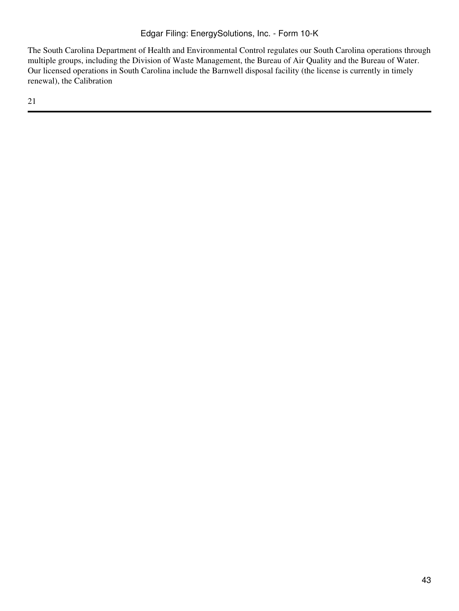The South Carolina Department of Health and Environmental Control regulates our South Carolina operations through multiple groups, including the Division of Waste Management, the Bureau of Air Quality and the Bureau of Water. Our licensed operations in South Carolina include the Barnwell disposal facility (the license is currently in timely renewal), the Calibration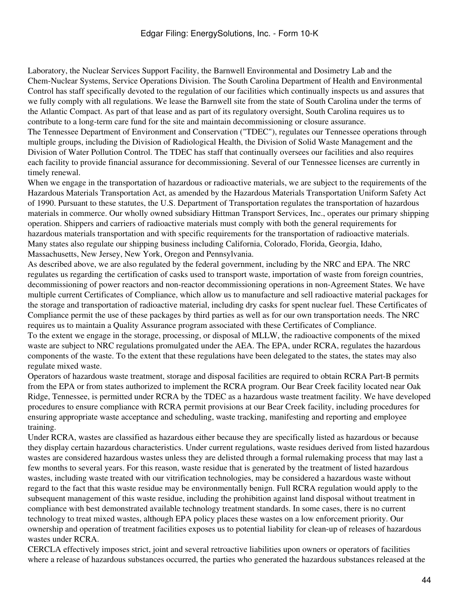Laboratory, the Nuclear Services Support Facility, the Barnwell Environmental and Dosimetry Lab and the Chem-Nuclear Systems, Service Operations Division. The South Carolina Department of Health and Environmental Control has staff specifically devoted to the regulation of our facilities which continually inspects us and assures that we fully comply with all regulations. We lease the Barnwell site from the state of South Carolina under the terms of the Atlantic Compact. As part of that lease and as part of its regulatory oversight, South Carolina requires us to contribute to a long-term care fund for the site and maintain decommissioning or closure assurance.

The Tennessee Department of Environment and Conservation ("TDEC"), regulates our Tennessee operations through multiple groups, including the Division of Radiological Health, the Division of Solid Waste Management and the Division of Water Pollution Control. The TDEC has staff that continually oversees our facilities and also requires each facility to provide financial assurance for decommissioning. Several of our Tennessee licenses are currently in timely renewal.

When we engage in the transportation of hazardous or radioactive materials, we are subject to the requirements of the Hazardous Materials Transportation Act, as amended by the Hazardous Materials Transportation Uniform Safety Act of 1990. Pursuant to these statutes, the U.S. Department of Transportation regulates the transportation of hazardous materials in commerce. Our wholly owned subsidiary Hittman Transport Services, Inc., operates our primary shipping operation. Shippers and carriers of radioactive materials must comply with both the general requirements for hazardous materials transportation and with specific requirements for the transportation of radioactive materials. Many states also regulate our shipping business including California, Colorado, Florida, Georgia, Idaho, Massachusetts, New Jersey, New York, Oregon and Pennsylvania.

As described above, we are also regulated by the federal government, including by the NRC and EPA. The NRC regulates us regarding the certification of casks used to transport waste, importation of waste from foreign countries, decommissioning of power reactors and non-reactor decommissioning operations in non-Agreement States. We have multiple current Certificates of Compliance, which allow us to manufacture and sell radioactive material packages for the storage and transportation of radioactive material, including dry casks for spent nuclear fuel. These Certificates of Compliance permit the use of these packages by third parties as well as for our own transportation needs. The NRC requires us to maintain a Quality Assurance program associated with these Certificates of Compliance.

To the extent we engage in the storage, processing, or disposal of MLLW, the radioactive components of the mixed waste are subject to NRC regulations promulgated under the AEA. The EPA, under RCRA, regulates the hazardous components of the waste. To the extent that these regulations have been delegated to the states, the states may also regulate mixed waste.

Operators of hazardous waste treatment, storage and disposal facilities are required to obtain RCRA Part-B permits from the EPA or from states authorized to implement the RCRA program. Our Bear Creek facility located near Oak Ridge, Tennessee, is permitted under RCRA by the TDEC as a hazardous waste treatment facility. We have developed procedures to ensure compliance with RCRA permit provisions at our Bear Creek facility, including procedures for ensuring appropriate waste acceptance and scheduling, waste tracking, manifesting and reporting and employee training.

Under RCRA, wastes are classified as hazardous either because they are specifically listed as hazardous or because they display certain hazardous characteristics. Under current regulations, waste residues derived from listed hazardous wastes are considered hazardous wastes unless they are delisted through a formal rulemaking process that may last a few months to several years. For this reason, waste residue that is generated by the treatment of listed hazardous wastes, including waste treated with our vitrification technologies, may be considered a hazardous waste without regard to the fact that this waste residue may be environmentally benign. Full RCRA regulation would apply to the subsequent management of this waste residue, including the prohibition against land disposal without treatment in compliance with best demonstrated available technology treatment standards. In some cases, there is no current technology to treat mixed wastes, although EPA policy places these wastes on a low enforcement priority. Our ownership and operation of treatment facilities exposes us to potential liability for clean-up of releases of hazardous wastes under RCRA.

CERCLA effectively imposes strict, joint and several retroactive liabilities upon owners or operators of facilities where a release of hazardous substances occurred, the parties who generated the hazardous substances released at the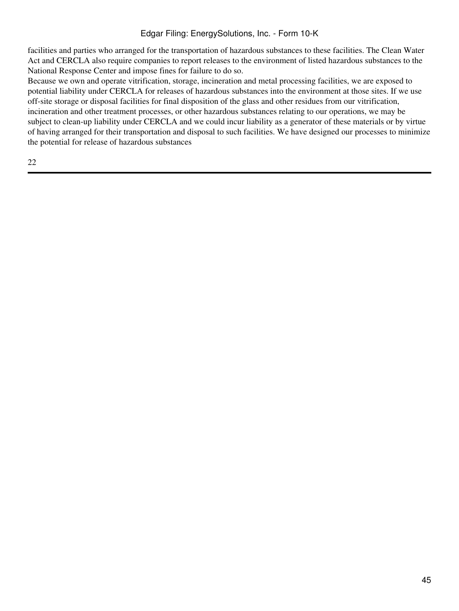### Edgar Filing: EnergySolutions, Inc. - Form 10-K

facilities and parties who arranged for the transportation of hazardous substances to these facilities. The Clean Water Act and CERCLA also require companies to report releases to the environment of listed hazardous substances to the National Response Center and impose fines for failure to do so.

Because we own and operate vitrification, storage, incineration and metal processing facilities, we are exposed to potential liability under CERCLA for releases of hazardous substances into the environment at those sites. If we use off-site storage or disposal facilities for final disposition of the glass and other residues from our vitrification, incineration and other treatment processes, or other hazardous substances relating to our operations, we may be subject to clean-up liability under CERCLA and we could incur liability as a generator of these materials or by virtue of having arranged for their transportation and disposal to such facilities. We have designed our processes to minimize the potential for release of hazardous substances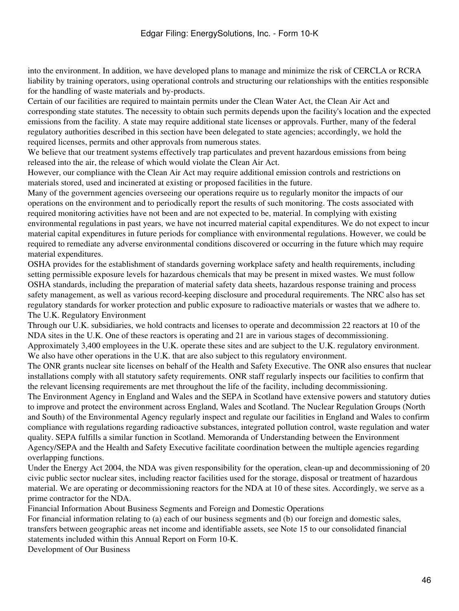into the environment. In addition, we have developed plans to manage and minimize the risk of CERCLA or RCRA liability by training operators, using operational controls and structuring our relationships with the entities responsible for the handling of waste materials and by-products.

Certain of our facilities are required to maintain permits under the Clean Water Act, the Clean Air Act and corresponding state statutes. The necessity to obtain such permits depends upon the facility's location and the expected emissions from the facility. A state may require additional state licenses or approvals. Further, many of the federal regulatory authorities described in this section have been delegated to state agencies; accordingly, we hold the required licenses, permits and other approvals from numerous states.

We believe that our treatment systems effectively trap particulates and prevent hazardous emissions from being released into the air, the release of which would violate the Clean Air Act.

However, our compliance with the Clean Air Act may require additional emission controls and restrictions on materials stored, used and incinerated at existing or proposed facilities in the future.

Many of the government agencies overseeing our operations require us to regularly monitor the impacts of our operations on the environment and to periodically report the results of such monitoring. The costs associated with required monitoring activities have not been and are not expected to be, material. In complying with existing environmental regulations in past years, we have not incurred material capital expenditures. We do not expect to incur material capital expenditures in future periods for compliance with environmental regulations. However, we could be required to remediate any adverse environmental conditions discovered or occurring in the future which may require material expenditures.

OSHA provides for the establishment of standards governing workplace safety and health requirements, including setting permissible exposure levels for hazardous chemicals that may be present in mixed wastes. We must follow OSHA standards, including the preparation of material safety data sheets, hazardous response training and process safety management, as well as various record-keeping disclosure and procedural requirements. The NRC also has set regulatory standards for worker protection and public exposure to radioactive materials or wastes that we adhere to. The U.K. Regulatory Environment

Through our U.K. subsidiaries, we hold contracts and licenses to operate and decommission 22 reactors at 10 of the NDA sites in the U.K. One of these reactors is operating and 21 are in various stages of decommissioning.

Approximately 3,400 employees in the U.K. operate these sites and are subject to the U.K. regulatory environment. We also have other operations in the U.K. that are also subject to this regulatory environment.

The ONR grants nuclear site licenses on behalf of the Health and Safety Executive. The ONR also ensures that nuclear installations comply with all statutory safety requirements. ONR staff regularly inspects our facilities to confirm that the relevant licensing requirements are met throughout the life of the facility, including decommissioning.

The Environment Agency in England and Wales and the SEPA in Scotland have extensive powers and statutory duties to improve and protect the environment across England, Wales and Scotland. The Nuclear Regulation Groups (North and South) of the Environmental Agency regularly inspect and regulate our facilities in England and Wales to confirm compliance with regulations regarding radioactive substances, integrated pollution control, waste regulation and water quality. SEPA fulfills a similar function in Scotland. Memoranda of Understanding between the Environment Agency/SEPA and the Health and Safety Executive facilitate coordination between the multiple agencies regarding overlapping functions.

Under the Energy Act 2004, the NDA was given responsibility for the operation, clean-up and decommissioning of 20 civic public sector nuclear sites, including reactor facilities used for the storage, disposal or treatment of hazardous material. We are operating or decommissioning reactors for the NDA at 10 of these sites. Accordingly, we serve as a prime contractor for the NDA.

Financial Information About Business Segments and Foreign and Domestic Operations

For financial information relating to (a) each of our business segments and (b) our foreign and domestic sales, transfers between geographic areas net income and identifiable assets, see Note 15 to our consolidated financial statements included within this Annual Report on Form 10-K.

Development of Our Business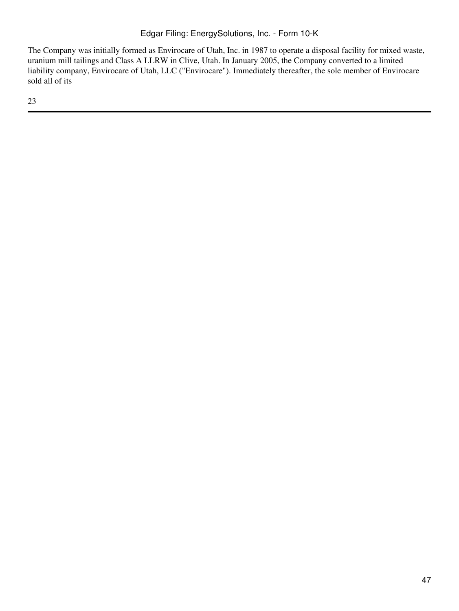The Company was initially formed as Envirocare of Utah, Inc. in 1987 to operate a disposal facility for mixed waste, uranium mill tailings and Class A LLRW in Clive, Utah. In January 2005, the Company converted to a limited liability company, Envirocare of Utah, LLC ("Envirocare"). Immediately thereafter, the sole member of Envirocare sold all of its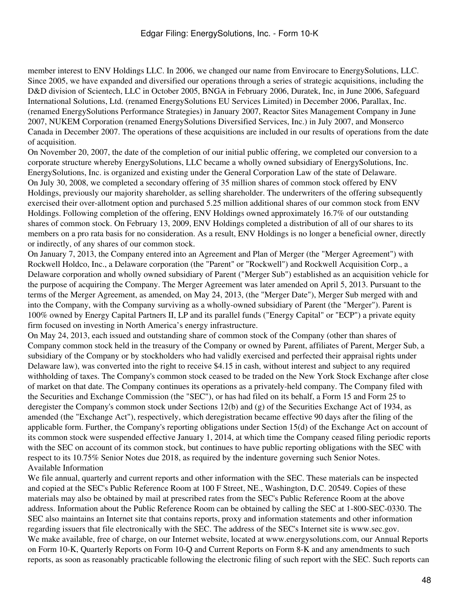member interest to ENV Holdings LLC. In 2006, we changed our name from Envirocare to EnergySolutions, LLC. Since 2005, we have expanded and diversified our operations through a series of strategic acquisitions, including the D&D division of Scientech, LLC in October 2005, BNGA in February 2006, Duratek, Inc, in June 2006, Safeguard International Solutions, Ltd. (renamed EnergySolutions EU Services Limited) in December 2006, Parallax, Inc. (renamed EnergySolutions Performance Strategies) in January 2007, Reactor Sites Management Company in June 2007, NUKEM Corporation (renamed EnergySolutions Diversified Services, Inc.) in July 2007, and Monserco Canada in December 2007. The operations of these acquisitions are included in our results of operations from the date of acquisition.

On November 20, 2007, the date of the completion of our initial public offering, we completed our conversion to a corporate structure whereby EnergySolutions, LLC became a wholly owned subsidiary of EnergySolutions, Inc. EnergySolutions, Inc. is organized and existing under the General Corporation Law of the state of Delaware. On July 30, 2008, we completed a secondary offering of 35 million shares of common stock offered by ENV Holdings, previously our majority shareholder, as selling shareholder. The underwriters of the offering subsequently exercised their over-allotment option and purchased 5.25 million additional shares of our common stock from ENV Holdings. Following completion of the offering, ENV Holdings owned approximately 16.7% of our outstanding shares of common stock. On February 13, 2009, ENV Holdings completed a distribution of all of our shares to its members on a pro rata basis for no consideration. As a result, ENV Holdings is no longer a beneficial owner, directly or indirectly, of any shares of our common stock.

On January 7, 2013, the Company entered into an Agreement and Plan of Merger (the "Merger Agreement") with Rockwell Holdco, Inc., a Delaware corporation (the "Parent" or "Rockwell") and Rockwell Acquisition Corp., a Delaware corporation and wholly owned subsidiary of Parent ("Merger Sub") established as an acquisition vehicle for the purpose of acquiring the Company. The Merger Agreement was later amended on April 5, 2013. Pursuant to the terms of the Merger Agreement, as amended, on May 24, 2013, (the "Merger Date"), Merger Sub merged with and into the Company, with the Company surviving as a wholly-owned subsidiary of Parent (the "Merger"). Parent is 100% owned by Energy Capital Partners II, LP and its parallel funds ("Energy Capital" or "ECP") a private equity firm focused on investing in North America's energy infrastructure.

On May 24, 2013, each issued and outstanding share of common stock of the Company (other than shares of Company common stock held in the treasury of the Company or owned by Parent, affiliates of Parent, Merger Sub, a subsidiary of the Company or by stockholders who had validly exercised and perfected their appraisal rights under Delaware law), was converted into the right to receive \$4.15 in cash, without interest and subject to any required withholding of taxes. The Company's common stock ceased to be traded on the New York Stock Exchange after close of market on that date. The Company continues its operations as a privately-held company. The Company filed with the Securities and Exchange Commission (the "SEC"), or has had filed on its behalf, a Form 15 and Form 25 to deregister the Company's common stock under Sections 12(b) and (g) of the Securities Exchange Act of 1934, as amended (the "Exchange Act"), respectively, which deregistration became effective 90 days after the filing of the applicable form. Further, the Company's reporting obligations under Section 15(d) of the Exchange Act on account of its common stock were suspended effective January 1, 2014, at which time the Company ceased filing periodic reports with the SEC on account of its common stock, but continues to have public reporting obligations with the SEC with respect to its 10.75% Senior Notes due 2018, as required by the indenture governing such Senior Notes. Available Information

We file annual, quarterly and current reports and other information with the SEC. These materials can be inspected and copied at the SEC's Public Reference Room at 100 F Street, NE., Washington, D.C. 20549. Copies of these materials may also be obtained by mail at prescribed rates from the SEC's Public Reference Room at the above address. Information about the Public Reference Room can be obtained by calling the SEC at 1-800-SEC-0330. The SEC also maintains an Internet site that contains reports, proxy and information statements and other information regarding issuers that file electronically with the SEC. The address of the SEC's Internet site is www.sec.gov. We make available, free of charge, on our Internet website, located at www.energysolutions.com, our Annual Reports on Form 10-K, Quarterly Reports on Form 10-Q and Current Reports on Form 8-K and any amendments to such reports, as soon as reasonably practicable following the electronic filing of such report with the SEC. Such reports can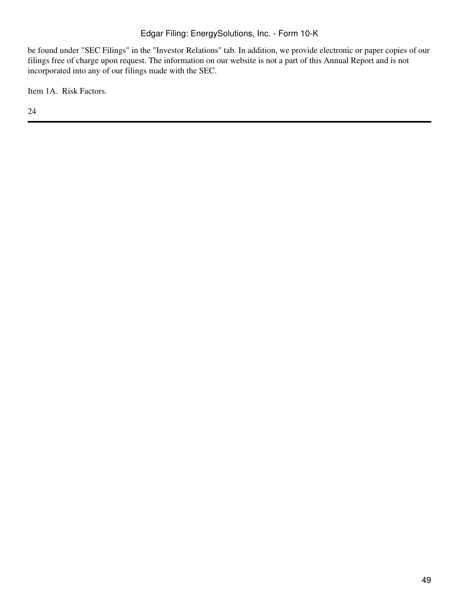be found under "SEC Filings" in the "Investor Relations" tab. In addition, we provide electronic or paper copies of our filings free of charge upon request. The information on our website is not a part of this Annual Report and is not incorporated into any of our filings made with the SEC.

Item 1A. Risk Factors.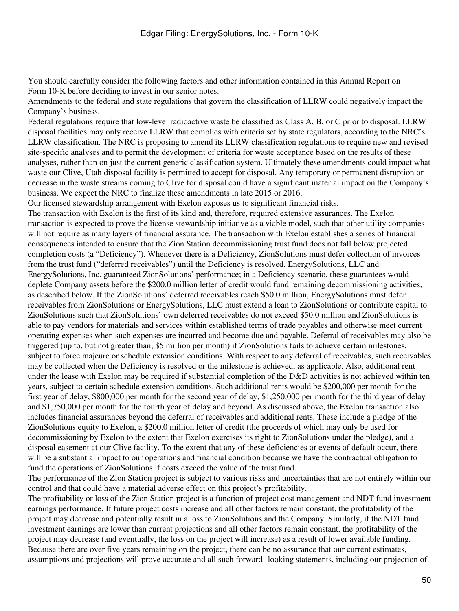You should carefully consider the following factors and other information contained in this Annual Report on Form 10-K before deciding to invest in our senior notes.

Amendments to the federal and state regulations that govern the classification of LLRW could negatively impact the Company's business.

Federal regulations require that low-level radioactive waste be classified as Class A, B, or C prior to disposal. LLRW disposal facilities may only receive LLRW that complies with criteria set by state regulators, according to the NRC's LLRW classification. The NRC is proposing to amend its LLRW classification regulations to require new and revised site-specific analyses and to permit the development of criteria for waste acceptance based on the results of these analyses, rather than on just the current generic classification system. Ultimately these amendments could impact what waste our Clive, Utah disposal facility is permitted to accept for disposal. Any temporary or permanent disruption or decrease in the waste streams coming to Clive for disposal could have a significant material impact on the Company's business. We expect the NRC to finalize these amendments in late 2015 or 2016.

Our licensed stewardship arrangement with Exelon exposes us to significant financial risks.

The transaction with Exelon is the first of its kind and, therefore, required extensive assurances. The Exelon transaction is expected to prove the license stewardship initiative as a viable model, such that other utility companies will not require as many layers of financial assurance. The transaction with Exelon establishes a series of financial consequences intended to ensure that the Zion Station decommissioning trust fund does not fall below projected completion costs (a "Deficiency"). Whenever there is a Deficiency, ZionSolutions must defer collection of invoices from the trust fund ("deferred receivables") until the Deficiency is resolved. EnergySolutions, LLC and EnergySolutions, Inc. guaranteed ZionSolutions' performance; in a Deficiency scenario, these guarantees would deplete Company assets before the \$200.0 million letter of credit would fund remaining decommissioning activities, as described below. If the ZionSolutions' deferred receivables reach \$50.0 million, EnergySolutions must defer receivables from ZionSolutions or EnergySolutions, LLC must extend a loan to ZionSolutions or contribute capital to ZionSolutions such that ZionSolutions' own deferred receivables do not exceed \$50.0 million and ZionSolutions is able to pay vendors for materials and services within established terms of trade payables and otherwise meet current operating expenses when such expenses are incurred and become due and payable. Deferral of receivables may also be triggered (up to, but not greater than, \$5 million per month) if ZionSolutions fails to achieve certain milestones, subject to force majeure or schedule extension conditions. With respect to any deferral of receivables, such receivables may be collected when the Deficiency is resolved or the milestone is achieved, as applicable. Also, additional rent under the lease with Exelon may be required if substantial completion of the D&D activities is not achieved within ten years, subject to certain schedule extension conditions. Such additional rents would be \$200,000 per month for the first year of delay, \$800,000 per month for the second year of delay, \$1,250,000 per month for the third year of delay and \$1,750,000 per month for the fourth year of delay and beyond. As discussed above, the Exelon transaction also includes financial assurances beyond the deferral of receivables and additional rents. These include a pledge of the ZionSolutions equity to Exelon, a \$200.0 million letter of credit (the proceeds of which may only be used for decommissioning by Exelon to the extent that Exelon exercises its right to ZionSolutions under the pledge), and a disposal easement at our Clive facility. To the extent that any of these deficiencies or events of default occur, there will be a substantial impact to our operations and financial condition because we have the contractual obligation to fund the operations of ZionSolutions if costs exceed the value of the trust fund.

The performance of the Zion Station project is subject to various risks and uncertainties that are not entirely within our control and that could have a material adverse effect on this project's profitability.

The profitability or loss of the Zion Station project is a function of project cost management and NDT fund investment earnings performance. If future project costs increase and all other factors remain constant, the profitability of the project may decrease and potentially result in a loss to ZionSolutions and the Company. Similarly, if the NDT fund investment earnings are lower than current projections and all other factors remain constant, the profitability of the project may decrease (and eventually, the loss on the project will increase) as a result of lower available funding. Because there are over five years remaining on the project, there can be no assurance that our current estimates, assumptions and projections will prove accurate and all such forward‑looking statements, including our projection of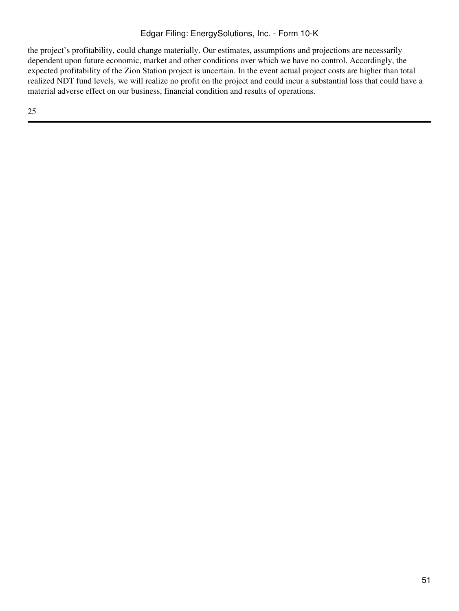# Edgar Filing: EnergySolutions, Inc. - Form 10-K

the project's profitability, could change materially. Our estimates, assumptions and projections are necessarily dependent upon future economic, market and other conditions over which we have no control. Accordingly, the expected profitability of the Zion Station project is uncertain. In the event actual project costs are higher than total realized NDT fund levels, we will realize no profit on the project and could incur a substantial loss that could have a material adverse effect on our business, financial condition and results of operations.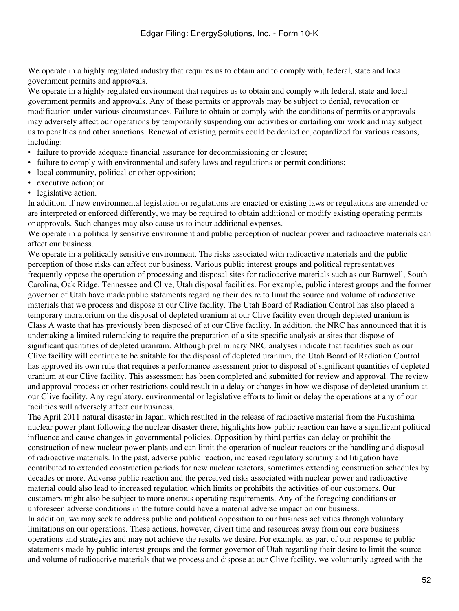We operate in a highly regulated industry that requires us to obtain and to comply with, federal, state and local government permits and approvals.

We operate in a highly regulated environment that requires us to obtain and comply with federal, state and local government permits and approvals. Any of these permits or approvals may be subject to denial, revocation or modification under various circumstances. Failure to obtain or comply with the conditions of permits or approvals may adversely affect our operations by temporarily suspending our activities or curtailing our work and may subject us to penalties and other sanctions. Renewal of existing permits could be denied or jeopardized for various reasons, including:

- failure to provide adequate financial assurance for decommissioning or closure;
- failure to comply with environmental and safety laws and regulations or permit conditions;
- local community, political or other opposition;
- executive action; or
- legislative action.

In addition, if new environmental legislation or regulations are enacted or existing laws or regulations are amended or are interpreted or enforced differently, we may be required to obtain additional or modify existing operating permits or approvals. Such changes may also cause us to incur additional expenses.

We operate in a politically sensitive environment and public perception of nuclear power and radioactive materials can affect our business.

We operate in a politically sensitive environment. The risks associated with radioactive materials and the public perception of those risks can affect our business. Various public interest groups and political representatives frequently oppose the operation of processing and disposal sites for radioactive materials such as our Barnwell, South Carolina, Oak Ridge, Tennessee and Clive, Utah disposal facilities. For example, public interest groups and the former governor of Utah have made public statements regarding their desire to limit the source and volume of radioactive materials that we process and dispose at our Clive facility. The Utah Board of Radiation Control has also placed a temporary moratorium on the disposal of depleted uranium at our Clive facility even though depleted uranium is Class A waste that has previously been disposed of at our Clive facility. In addition, the NRC has announced that it is undertaking a limited rulemaking to require the preparation of a site-specific analysis at sites that dispose of significant quantities of depleted uranium. Although preliminary NRC analyses indicate that facilities such as our Clive facility will continue to be suitable for the disposal of depleted uranium, the Utah Board of Radiation Control has approved its own rule that requires a performance assessment prior to disposal of significant quantities of depleted uranium at our Clive facility. This assessment has been completed and submitted for review and approval. The review and approval process or other restrictions could result in a delay or changes in how we dispose of depleted uranium at our Clive facility. Any regulatory, environmental or legislative efforts to limit or delay the operations at any of our facilities will adversely affect our business.

The April 2011 natural disaster in Japan, which resulted in the release of radioactive material from the Fukushima nuclear power plant following the nuclear disaster there, highlights how public reaction can have a significant political influence and cause changes in governmental policies. Opposition by third parties can delay or prohibit the construction of new nuclear power plants and can limit the operation of nuclear reactors or the handling and disposal of radioactive materials. In the past, adverse public reaction, increased regulatory scrutiny and litigation have contributed to extended construction periods for new nuclear reactors, sometimes extending construction schedules by decades or more. Adverse public reaction and the perceived risks associated with nuclear power and radioactive material could also lead to increased regulation which limits or prohibits the activities of our customers. Our customers might also be subject to more onerous operating requirements. Any of the foregoing conditions or unforeseen adverse conditions in the future could have a material adverse impact on our business.

In addition, we may seek to address public and political opposition to our business activities through voluntary limitations on our operations. These actions, however, divert time and resources away from our core business operations and strategies and may not achieve the results we desire. For example, as part of our response to public statements made by public interest groups and the former governor of Utah regarding their desire to limit the source and volume of radioactive materials that we process and dispose at our Clive facility, we voluntarily agreed with the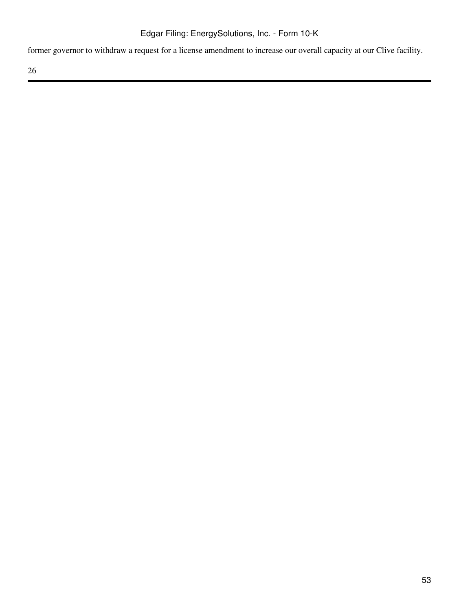former governor to withdraw a request for a license amendment to increase our overall capacity at our Clive facility.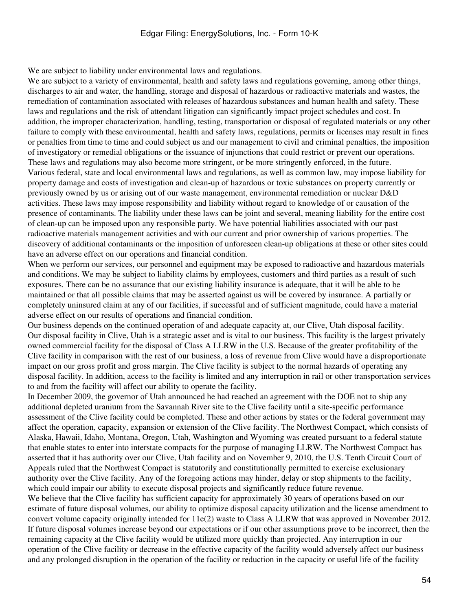We are subject to liability under environmental laws and regulations.

We are subject to a variety of environmental, health and safety laws and regulations governing, among other things, discharges to air and water, the handling, storage and disposal of hazardous or radioactive materials and wastes, the remediation of contamination associated with releases of hazardous substances and human health and safety. These laws and regulations and the risk of attendant litigation can significantly impact project schedules and cost. In addition, the improper characterization, handling, testing, transportation or disposal of regulated materials or any other failure to comply with these environmental, health and safety laws, regulations, permits or licenses may result in fines or penalties from time to time and could subject us and our management to civil and criminal penalties, the imposition of investigatory or remedial obligations or the issuance of injunctions that could restrict or prevent our operations. These laws and regulations may also become more stringent, or be more stringently enforced, in the future. Various federal, state and local environmental laws and regulations, as well as common law, may impose liability for property damage and costs of investigation and clean-up of hazardous or toxic substances on property currently or previously owned by us or arising out of our waste management, environmental remediation or nuclear D&D activities. These laws may impose responsibility and liability without regard to knowledge of or causation of the presence of contaminants. The liability under these laws can be joint and several, meaning liability for the entire cost of clean-up can be imposed upon any responsible party. We have potential liabilities associated with our past radioactive materials management activities and with our current and prior ownership of various properties. The discovery of additional contaminants or the imposition of unforeseen clean-up obligations at these or other sites could have an adverse effect on our operations and financial condition.

When we perform our services, our personnel and equipment may be exposed to radioactive and hazardous materials and conditions. We may be subject to liability claims by employees, customers and third parties as a result of such exposures. There can be no assurance that our existing liability insurance is adequate, that it will be able to be maintained or that all possible claims that may be asserted against us will be covered by insurance. A partially or completely uninsured claim at any of our facilities, if successful and of sufficient magnitude, could have a material adverse effect on our results of operations and financial condition.

Our business depends on the continued operation of and adequate capacity at, our Clive, Utah disposal facility. Our disposal facility in Clive, Utah is a strategic asset and is vital to our business. This facility is the largest privately owned commercial facility for the disposal of Class A LLRW in the U.S. Because of the greater profitability of the Clive facility in comparison with the rest of our business, a loss of revenue from Clive would have a disproportionate impact on our gross profit and gross margin. The Clive facility is subject to the normal hazards of operating any disposal facility. In addition, access to the facility is limited and any interruption in rail or other transportation services to and from the facility will affect our ability to operate the facility.

In December 2009, the governor of Utah announced he had reached an agreement with the DOE not to ship any additional depleted uranium from the Savannah River site to the Clive facility until a site-specific performance assessment of the Clive facility could be completed. These and other actions by states or the federal government may affect the operation, capacity, expansion or extension of the Clive facility. The Northwest Compact, which consists of Alaska, Hawaii, Idaho, Montana, Oregon, Utah, Washington and Wyoming was created pursuant to a federal statute that enable states to enter into interstate compacts for the purpose of managing LLRW. The Northwest Compact has asserted that it has authority over our Clive, Utah facility and on November 9, 2010, the U.S. Tenth Circuit Court of Appeals ruled that the Northwest Compact is statutorily and constitutionally permitted to exercise exclusionary authority over the Clive facility. Any of the foregoing actions may hinder, delay or stop shipments to the facility, which could impair our ability to execute disposal projects and significantly reduce future revenue.

We believe that the Clive facility has sufficient capacity for approximately 30 years of operations based on our estimate of future disposal volumes, our ability to optimize disposal capacity utilization and the license amendment to convert volume capacity originally intended for 11e(2) waste to Class A LLRW that was approved in November 2012. If future disposal volumes increase beyond our expectations or if our other assumptions prove to be incorrect, then the remaining capacity at the Clive facility would be utilized more quickly than projected. Any interruption in our operation of the Clive facility or decrease in the effective capacity of the facility would adversely affect our business and any prolonged disruption in the operation of the facility or reduction in the capacity or useful life of the facility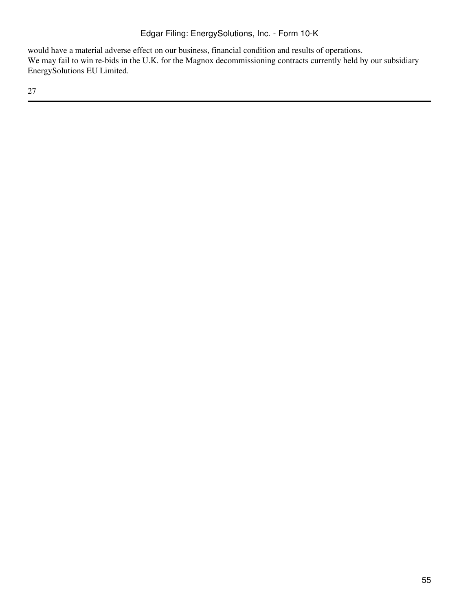would have a material adverse effect on our business, financial condition and results of operations. We may fail to win re-bids in the U.K. for the Magnox decommissioning contracts currently held by our subsidiary EnergySolutions EU Limited.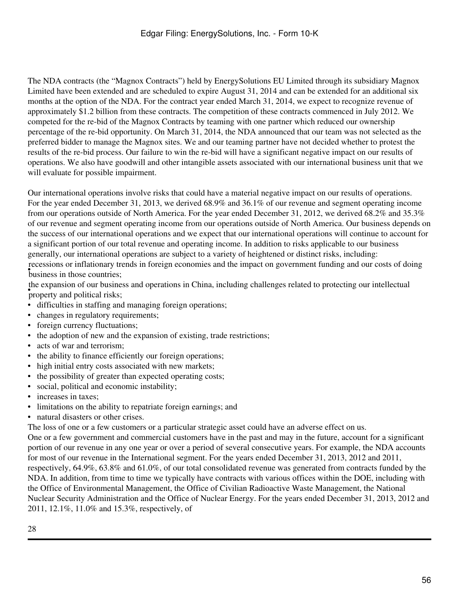The NDA contracts (the "Magnox Contracts") held by EnergySolutions EU Limited through its subsidiary Magnox Limited have been extended and are scheduled to expire August 31, 2014 and can be extended for an additional six months at the option of the NDA. For the contract year ended March 31, 2014, we expect to recognize revenue of approximately \$1.2 billion from these contracts. The competition of these contracts commenced in July 2012. We competed for the re-bid of the Magnox Contracts by teaming with one partner which reduced our ownership percentage of the re-bid opportunity. On March 31, 2014, the NDA announced that our team was not selected as the preferred bidder to manage the Magnox sites. We and our teaming partner have not decided whether to protest the results of the re-bid process. Our failure to win the re-bid will have a significant negative impact on our results of operations. We also have goodwill and other intangible assets associated with our international business unit that we will evaluate for possible impairment.

Our international operations involve risks that could have a material negative impact on our results of operations. For the year ended December 31, 2013, we derived 68.9% and 36.1% of our revenue and segment operating income from our operations outside of North America. For the year ended December 31, 2012, we derived 68.2% and 35.3% of our revenue and segment operating income from our operations outside of North America. Our business depends on the success of our international operations and we expect that our international operations will continue to account for a significant portion of our total revenue and operating income. In addition to risks applicable to our business generally, our international operations are subject to a variety of heightened or distinct risks, including: business in those countries; recessions or inflationary trends in foreign economies and the impact on government funding and our costs of doing

**property and political risks;** the expansion of our business and operations in China, including challenges related to protecting our intellectual

- difficulties in staffing and managing foreign operations;
- changes in regulatory requirements;
- foreign currency fluctuations;
- the adoption of new and the expansion of existing, trade restrictions;
- acts of war and terrorism:
- the ability to finance efficiently our foreign operations;
- high initial entry costs associated with new markets;
- the possibility of greater than expected operating costs;
- social, political and economic instability;
- increases in taxes;
- limitations on the ability to repatriate foreign earnings; and
- natural disasters or other crises.

The loss of one or a few customers or a particular strategic asset could have an adverse effect on us.

One or a few government and commercial customers have in the past and may in the future, account for a significant portion of our revenue in any one year or over a period of several consecutive years. For example, the NDA accounts for most of our revenue in the International segment. For the years ended December 31, 2013, 2012 and 2011, respectively, 64.9%, 63.8% and 61.0%, of our total consolidated revenue was generated from contracts funded by the NDA. In addition, from time to time we typically have contracts with various offices within the DOE, including with the Office of Environmental Management, the Office of Civilian Radioactive Waste Management, the National Nuclear Security Administration and the Office of Nuclear Energy. For the years ended December 31, 2013, 2012 and 2011, 12.1%, 11.0% and 15.3%, respectively, of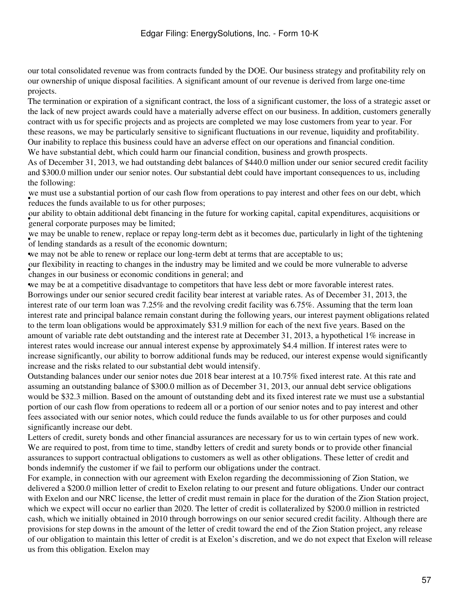our total consolidated revenue was from contracts funded by the DOE. Our business strategy and profitability rely on our ownership of unique disposal facilities. A significant amount of our revenue is derived from large one-time projects.

The termination or expiration of a significant contract, the loss of a significant customer, the loss of a strategic asset or the lack of new project awards could have a materially adverse effect on our business. In addition, customers generally contract with us for specific projects and as projects are completed we may lose customers from year to year. For these reasons, we may be particularly sensitive to significant fluctuations in our revenue, liquidity and profitability. Our inability to replace this business could have an adverse effect on our operations and financial condition. We have substantial debt, which could harm our financial condition, business and growth prospects.

As of December 31, 2013, we had outstanding debt balances of \$440.0 million under our senior secured credit facility and \$300.0 million under our senior notes. Our substantial debt could have important consequences to us, including the following:

reduces the funds available to us for other purposes; we must use a substantial portion of our cash flow from operations to pay interest and other fees on our debt, which

general corporate purposes may be limited; our ability to obtain additional debt financing in the future for working capital, capital expenditures, acquisitions or

we may be unable to renew, replace of repay long-term donot downturn; we may be unable to renew, replace or repay long-term debt as it becomes due, particularly in light of the tightening

•we may not be able to renew or replace our long-term debt at terms that are acceptable to us;

**For the strong in reacting to enanges in the measury may be find**<br>changes in our business or economic conditions in general; and our flexibility in reacting to changes in the industry may be limited and we could be more vulnerable to adverse

•we may be at a competitive disadvantage to competitors that have less debt or more favorable interest rates. Borrowings under our senior secured credit facility bear interest at variable rates. As of December 31, 2013, the interest rate of our term loan was 7.25% and the revolving credit facility was 6.75%. Assuming that the term loan interest rate and principal balance remain constant during the following years, our interest payment obligations related to the term loan obligations would be approximately \$31.9 million for each of the next five years. Based on the amount of variable rate debt outstanding and the interest rate at December 31, 2013, a hypothetical 1% increase in interest rates would increase our annual interest expense by approximately \$4.4 million. If interest rates were to increase significantly, our ability to borrow additional funds may be reduced, our interest expense would significantly increase and the risks related to our substantial debt would intensify.

Outstanding balances under our senior notes due 2018 bear interest at a 10.75% fixed interest rate. At this rate and assuming an outstanding balance of \$300.0 million as of December 31, 2013, our annual debt service obligations would be \$32.3 million. Based on the amount of outstanding debt and its fixed interest rate we must use a substantial portion of our cash flow from operations to redeem all or a portion of our senior notes and to pay interest and other fees associated with our senior notes, which could reduce the funds available to us for other purposes and could significantly increase our debt.

Letters of credit, surety bonds and other financial assurances are necessary for us to win certain types of new work. We are required to post, from time to time, standby letters of credit and surety bonds or to provide other financial assurances to support contractual obligations to customers as well as other obligations. These letter of credit and bonds indemnify the customer if we fail to perform our obligations under the contract.

For example, in connection with our agreement with Exelon regarding the decommissioning of Zion Station, we delivered a \$200.0 million letter of credit to Exelon relating to our present and future obligations. Under our contract with Exelon and our NRC license, the letter of credit must remain in place for the duration of the Zion Station project, which we expect will occur no earlier than 2020. The letter of credit is collateralized by \$200.0 million in restricted cash, which we initially obtained in 2010 through borrowings on our senior secured credit facility. Although there are provisions for step downs in the amount of the letter of credit toward the end of the Zion Station project, any release of our obligation to maintain this letter of credit is at Exelon's discretion, and we do not expect that Exelon will release us from this obligation. Exelon may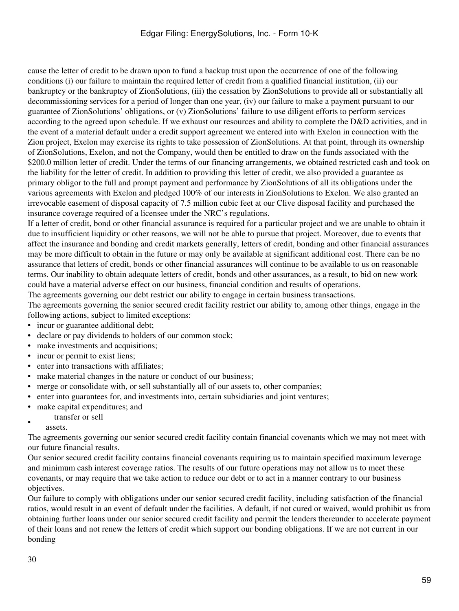cause the letter of credit to be drawn upon to fund a backup trust upon the occurrence of one of the following conditions (i) our failure to maintain the required letter of credit from a qualified financial institution, (ii) our bankruptcy or the bankruptcy of ZionSolutions, (iii) the cessation by ZionSolutions to provide all or substantially all decommissioning services for a period of longer than one year, (iv) our failure to make a payment pursuant to our guarantee of ZionSolutions' obligations, or (v) ZionSolutions' failure to use diligent efforts to perform services according to the agreed upon schedule. If we exhaust our resources and ability to complete the D&D activities, and in the event of a material default under a credit support agreement we entered into with Exelon in connection with the Zion project, Exelon may exercise its rights to take possession of ZionSolutions. At that point, through its ownership of ZionSolutions, Exelon, and not the Company, would then be entitled to draw on the funds associated with the \$200.0 million letter of credit. Under the terms of our financing arrangements, we obtained restricted cash and took on the liability for the letter of credit. In addition to providing this letter of credit, we also provided a guarantee as primary obligor to the full and prompt payment and performance by ZionSolutions of all its obligations under the various agreements with Exelon and pledged 100% of our interests in ZionSolutions to Exelon. We also granted an irrevocable easement of disposal capacity of 7.5 million cubic feet at our Clive disposal facility and purchased the insurance coverage required of a licensee under the NRC's regulations.

If a letter of credit, bond or other financial assurance is required for a particular project and we are unable to obtain it due to insufficient liquidity or other reasons, we will not be able to pursue that project. Moreover, due to events that affect the insurance and bonding and credit markets generally, letters of credit, bonding and other financial assurances may be more difficult to obtain in the future or may only be available at significant additional cost. There can be no assurance that letters of credit, bonds or other financial assurances will continue to be available to us on reasonable terms. Our inability to obtain adequate letters of credit, bonds and other assurances, as a result, to bid on new work could have a material adverse effect on our business, financial condition and results of operations.

The agreements governing our debt restrict our ability to engage in certain business transactions.

The agreements governing the senior secured credit facility restrict our ability to, among other things, engage in the following actions, subject to limited exceptions:

- incur or guarantee additional debt;
- declare or pay dividends to holders of our common stock;
- make investments and acquisitions;
- incur or permit to exist liens;
- enter into transactions with affiliates;
- make material changes in the nature or conduct of our business;
- merge or consolidate with, or sell substantially all of our assets to, other companies;
- enter into guarantees for, and investments into, certain subsidiaries and joint ventures;
- make capital expenditures; and
- transfer or sell
- assets.

The agreements governing our senior secured credit facility contain financial covenants which we may not meet with our future financial results.

Our senior secured credit facility contains financial covenants requiring us to maintain specified maximum leverage and minimum cash interest coverage ratios. The results of our future operations may not allow us to meet these covenants, or may require that we take action to reduce our debt or to act in a manner contrary to our business objectives.

Our failure to comply with obligations under our senior secured credit facility, including satisfaction of the financial ratios, would result in an event of default under the facilities. A default, if not cured or waived, would prohibit us from obtaining further loans under our senior secured credit facility and permit the lenders thereunder to accelerate payment of their loans and not renew the letters of credit which support our bonding obligations. If we are not current in our bonding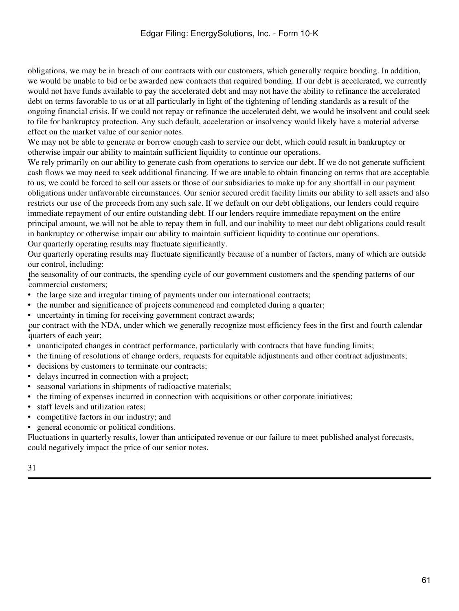obligations, we may be in breach of our contracts with our customers, which generally require bonding. In addition, we would be unable to bid or be awarded new contracts that required bonding. If our debt is accelerated, we currently would not have funds available to pay the accelerated debt and may not have the ability to refinance the accelerated debt on terms favorable to us or at all particularly in light of the tightening of lending standards as a result of the ongoing financial crisis. If we could not repay or refinance the accelerated debt, we would be insolvent and could seek to file for bankruptcy protection. Any such default, acceleration or insolvency would likely have a material adverse effect on the market value of our senior notes.

We may not be able to generate or borrow enough cash to service our debt, which could result in bankruptcy or otherwise impair our ability to maintain sufficient liquidity to continue our operations.

We rely primarily on our ability to generate cash from operations to service our debt. If we do not generate sufficient cash flows we may need to seek additional financing. If we are unable to obtain financing on terms that are acceptable to us, we could be forced to sell our assets or those of our subsidiaries to make up for any shortfall in our payment obligations under unfavorable circumstances. Our senior secured credit facility limits our ability to sell assets and also restricts our use of the proceeds from any such sale. If we default on our debt obligations, our lenders could require immediate repayment of our entire outstanding debt. If our lenders require immediate repayment on the entire principal amount, we will not be able to repay them in full, and our inability to meet our debt obligations could result in bankruptcy or otherwise impair our ability to maintain sufficient liquidity to continue our operations. Our quarterly operating results may fluctuate significantly.

Our quarterly operating results may fluctuate significantly because of a number of factors, many of which are outside our control, including:

**COMMERCIAL COMMERCIAL COMMERCIAL CUSTOMERS**; the seasonality of our contracts, the spending cycle of our government customers and the spending patterns of our

- the large size and irregular timing of payments under our international contracts;
- the number and significance of projects commenced and completed during a quarter;
- uncertainty in timing for receiving government contract awards;

edit contract with the guarters of each year; our contract with the NDA, under which we generally recognize most efficiency fees in the first and fourth calendar

- unanticipated changes in contract performance, particularly with contracts that have funding limits;
- the timing of resolutions of change orders, requests for equitable adjustments and other contract adjustments;
- decisions by customers to terminate our contracts;
- delays incurred in connection with a project;
- seasonal variations in shipments of radioactive materials;
- the timing of expenses incurred in connection with acquisitions or other corporate initiatives;
- staff levels and utilization rates;
- competitive factors in our industry; and
- general economic or political conditions.

Fluctuations in quarterly results, lower than anticipated revenue or our failure to meet published analyst forecasts, could negatively impact the price of our senior notes.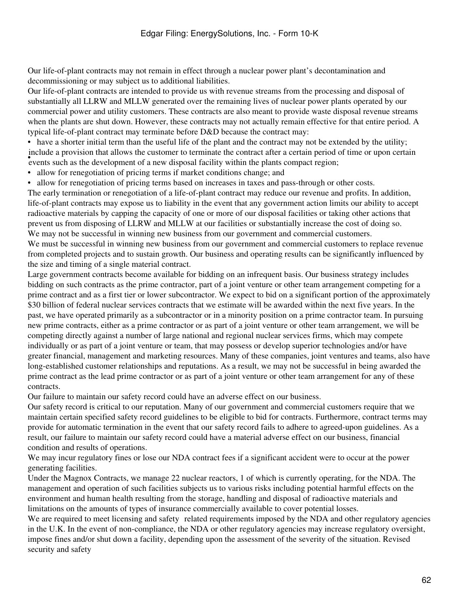Our life-of-plant contracts may not remain in effect through a nuclear power plant's decontamination and decommissioning or may subject us to additional liabilities.

Our life-of-plant contracts are intended to provide us with revenue streams from the processing and disposal of substantially all LLRW and MLLW generated over the remaining lives of nuclear power plants operated by our commercial power and utility customers. These contracts are also meant to provide waste disposal revenue streams when the plants are shut down. However, these contracts may not actually remain effective for that entire period. A typical life-of-plant contract may terminate before D&D because the contract may:

• have a shorter initial term than the useful life of the plant and the contract may not be extended by the utility; **France a** provision that allows the easterner to terminate the contract after a certain period events such as the development of a new disposal facility within the plants compact region; include a provision that allows the customer to terminate the contract after a certain period of time or upon certain

• allow for renegotiation of pricing terms if market conditions change; and

• allow for renegotiation of pricing terms based on increases in taxes and pass-through or other costs. The early termination or renegotiation of a life-of-plant contract may reduce our revenue and profits. In addition, life-of-plant contracts may expose us to liability in the event that any government action limits our ability to accept radioactive materials by capping the capacity of one or more of our disposal facilities or taking other actions that prevent us from disposing of LLRW and MLLW at our facilities or substantially increase the cost of doing so. We may not be successful in winning new business from our government and commercial customers.

We must be successful in winning new business from our government and commercial customers to replace revenue from completed projects and to sustain growth. Our business and operating results can be significantly influenced by the size and timing of a single material contract.

Large government contracts become available for bidding on an infrequent basis. Our business strategy includes bidding on such contracts as the prime contractor, part of a joint venture or other team arrangement competing for a prime contract and as a first tier or lower subcontractor. We expect to bid on a significant portion of the approximately \$30 billion of federal nuclear services contracts that we estimate will be awarded within the next five years. In the past, we have operated primarily as a subcontractor or in a minority position on a prime contractor team. In pursuing new prime contracts, either as a prime contractor or as part of a joint venture or other team arrangement, we will be competing directly against a number of large national and regional nuclear services firms, which may compete individually or as part of a joint venture or team, that may possess or develop superior technologies and/or have greater financial, management and marketing resources. Many of these companies, joint ventures and teams, also have long-established customer relationships and reputations. As a result, we may not be successful in being awarded the prime contract as the lead prime contractor or as part of a joint venture or other team arrangement for any of these contracts.

Our failure to maintain our safety record could have an adverse effect on our business.

Our safety record is critical to our reputation. Many of our government and commercial customers require that we maintain certain specified safety record guidelines to be eligible to bid for contracts. Furthermore, contract terms may provide for automatic termination in the event that our safety record fails to adhere to agreed-upon guidelines. As a result, our failure to maintain our safety record could have a material adverse effect on our business, financial condition and results of operations.

We may incur regulatory fines or lose our NDA contract fees if a significant accident were to occur at the power generating facilities.

Under the Magnox Contracts, we manage 22 nuclear reactors, 1 of which is currently operating, for the NDA. The management and operation of such facilities subjects us to various risks including potential harmful effects on the environment and human health resulting from the storage, handling and disposal of radioactive materials and limitations on the amounts of types of insurance commercially available to cover potential losses.

We are required to meet licensing and safety–related requirements imposed by the NDA and other regulatory agencies in the U.K. In the event of non-compliance, the NDA or other regulatory agencies may increase regulatory oversight, impose fines and/or shut down a facility, depending upon the assessment of the severity of the situation. Revised security and safety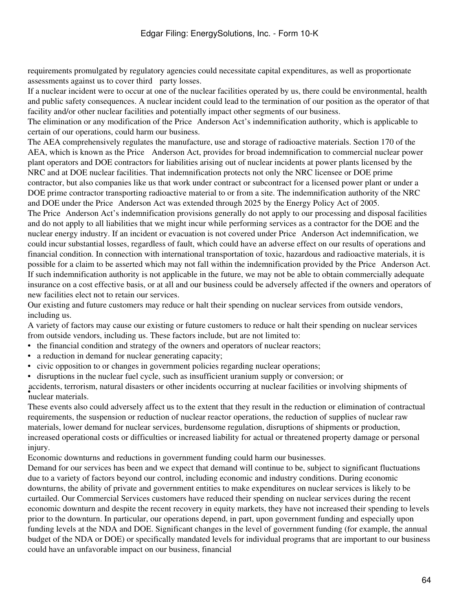requirements promulgated by regulatory agencies could necessitate capital expenditures, as well as proportionate assessments against us to cover third‑ party losses.

If a nuclear incident were to occur at one of the nuclear facilities operated by us, there could be environmental, health and public safety consequences. A nuclear incident could lead to the termination of our position as the operator of that facility and/or other nuclear facilities and potentially impact other segments of our business.

The elimination or any modification of the Price Anderson Act's indemnification authority, which is applicable to certain of our operations, could harm our business.

The AEA comprehensively regulates the manufacture, use and storage of radioactive materials. Section 170 of the AEA, which is known as the Price Anderson Act, provides for broad indemnification to commercial nuclear power plant operators and DOE contractors for liabilities arising out of nuclear incidents at power plants licensed by the NRC and at DOE nuclear facilities. That indemnification protects not only the NRC licensee or DOE prime contractor, but also companies like us that work under contract or subcontract for a licensed power plant or under a DOE prime contractor transporting radioactive material to or from a site. The indemnification authority of the NRC and DOE under the Price Anderson Act was extended through 2025 by the Energy Policy Act of 2005.

The Price–Anderson Act's indemnification provisions generally do not apply to our processing and disposal facilities and do not apply to all liabilities that we might incur while performing services as a contractor for the DOE and the nuclear energy industry. If an incident or evacuation is not covered under Price Anderson Act indemnification, we could incur substantial losses, regardless of fault, which could have an adverse effect on our results of operations and financial condition. In connection with international transportation of toxic, hazardous and radioactive materials, it is possible for a claim to be asserted which may not fall within the indemnification provided by the Price‑Anderson Act. If such indemnification authority is not applicable in the future, we may not be able to obtain commercially adequate insurance on a cost effective basis, or at all and our business could be adversely affected if the owners and operators of new facilities elect not to retain our services.

Our existing and future customers may reduce or halt their spending on nuclear services from outside vendors, including us.

A variety of factors may cause our existing or future customers to reduce or halt their spending on nuclear services from outside vendors, including us. These factors include, but are not limited to:

- the financial condition and strategy of the owners and operators of nuclear reactors;
- a reduction in demand for nuclear generating capacity;
- civic opposition to or changes in government policies regarding nuclear operations;
- disruptions in the nuclear fuel cycle, such as insufficient uranium supply or conversion; or

ections, terrors accidents, terrorism, natural disasters or other incidents occurring at nuclear facilities or involving shipments of

These events also could adversely affect us to the extent that they result in the reduction or elimination of contractual requirements, the suspension or reduction of nuclear reactor operations, the reduction of supplies of nuclear raw materials, lower demand for nuclear services, burdensome regulation, disruptions of shipments or production, increased operational costs or difficulties or increased liability for actual or threatened property damage or personal injury.

Economic downturns and reductions in government funding could harm our businesses.

Demand for our services has been and we expect that demand will continue to be, subject to significant fluctuations due to a variety of factors beyond our control, including economic and industry conditions. During economic downturns, the ability of private and government entities to make expenditures on nuclear services is likely to be curtailed. Our Commercial Services customers have reduced their spending on nuclear services during the recent economic downturn and despite the recent recovery in equity markets, they have not increased their spending to levels prior to the downturn. In particular, our operations depend, in part, upon government funding and especially upon funding levels at the NDA and DOE. Significant changes in the level of government funding (for example, the annual budget of the NDA or DOE) or specifically mandated levels for individual programs that are important to our business could have an unfavorable impact on our business, financial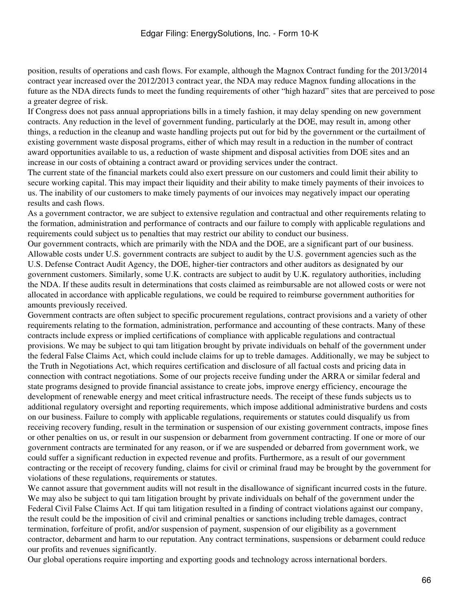position, results of operations and cash flows. For example, although the Magnox Contract funding for the 2013/2014 contract year increased over the 2012/2013 contract year, the NDA may reduce Magnox funding allocations in the future as the NDA directs funds to meet the funding requirements of other "high hazard" sites that are perceived to pose a greater degree of risk.

If Congress does not pass annual appropriations bills in a timely fashion, it may delay spending on new government contracts. Any reduction in the level of government funding, particularly at the DOE, may result in, among other things, a reduction in the cleanup and waste handling projects put out for bid by the government or the curtailment of existing government waste disposal programs, either of which may result in a reduction in the number of contract award opportunities available to us, a reduction of waste shipment and disposal activities from DOE sites and an increase in our costs of obtaining a contract award or providing services under the contract.

The current state of the financial markets could also exert pressure on our customers and could limit their ability to secure working capital. This may impact their liquidity and their ability to make timely payments of their invoices to us. The inability of our customers to make timely payments of our invoices may negatively impact our operating results and cash flows.

As a government contractor, we are subject to extensive regulation and contractual and other requirements relating to the formation, administration and performance of contracts and our failure to comply with applicable regulations and requirements could subject us to penalties that may restrict our ability to conduct our business.

Our government contracts, which are primarily with the NDA and the DOE, are a significant part of our business. Allowable costs under U.S. government contracts are subject to audit by the U.S. government agencies such as the U.S. Defense Contract Audit Agency, the DOE, higher-tier contractors and other auditors as designated by our government customers. Similarly, some U.K. contracts are subject to audit by U.K. regulatory authorities, including the NDA. If these audits result in determinations that costs claimed as reimbursable are not allowed costs or were not allocated in accordance with applicable regulations, we could be required to reimburse government authorities for amounts previously received.

Government contracts are often subject to specific procurement regulations, contract provisions and a variety of other requirements relating to the formation, administration, performance and accounting of these contracts. Many of these contracts include express or implied certifications of compliance with applicable regulations and contractual provisions. We may be subject to qui tam litigation brought by private individuals on behalf of the government under the federal False Claims Act, which could include claims for up to treble damages. Additionally, we may be subject to the Truth in Negotiations Act, which requires certification and disclosure of all factual costs and pricing data in connection with contract negotiations. Some of our projects receive funding under the ARRA or similar federal and state programs designed to provide financial assistance to create jobs, improve energy efficiency, encourage the development of renewable energy and meet critical infrastructure needs. The receipt of these funds subjects us to additional regulatory oversight and reporting requirements, which impose additional administrative burdens and costs on our business. Failure to comply with applicable regulations, requirements or statutes could disqualify us from receiving recovery funding, result in the termination or suspension of our existing government contracts, impose fines or other penalties on us, or result in our suspension or debarment from government contracting. If one or more of our government contracts are terminated for any reason, or if we are suspended or debarred from government work, we could suffer a significant reduction in expected revenue and profits. Furthermore, as a result of our government contracting or the receipt of recovery funding, claims for civil or criminal fraud may be brought by the government for violations of these regulations, requirements or statutes.

We cannot assure that government audits will not result in the disallowance of significant incurred costs in the future. We may also be subject to qui tam litigation brought by private individuals on behalf of the government under the Federal Civil False Claims Act. If qui tam litigation resulted in a finding of contract violations against our company, the result could be the imposition of civil and criminal penalties or sanctions including treble damages, contract termination, forfeiture of profit, and/or suspension of payment, suspension of our eligibility as a government contractor, debarment and harm to our reputation. Any contract terminations, suspensions or debarment could reduce our profits and revenues significantly.

Our global operations require importing and exporting goods and technology across international borders.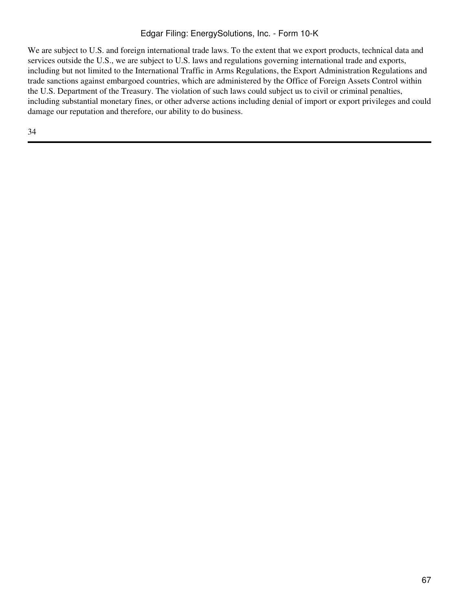## Edgar Filing: EnergySolutions, Inc. - Form 10-K

We are subject to U.S. and foreign international trade laws. To the extent that we export products, technical data and services outside the U.S., we are subject to U.S. laws and regulations governing international trade and exports, including but not limited to the International Traffic in Arms Regulations, the Export Administration Regulations and trade sanctions against embargoed countries, which are administered by the Office of Foreign Assets Control within the U.S. Department of the Treasury. The violation of such laws could subject us to civil or criminal penalties, including substantial monetary fines, or other adverse actions including denial of import or export privileges and could damage our reputation and therefore, our ability to do business.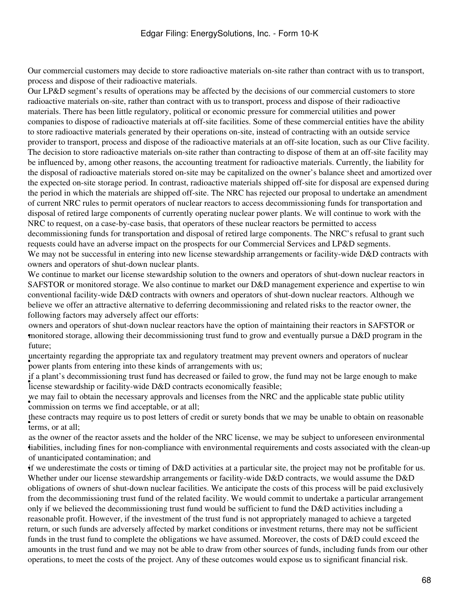Our commercial customers may decide to store radioactive materials on-site rather than contract with us to transport, process and dispose of their radioactive materials.

Our LP&D segment's results of operations may be affected by the decisions of our commercial customers to store radioactive materials on-site, rather than contract with us to transport, process and dispose of their radioactive materials. There has been little regulatory, political or economic pressure for commercial utilities and power companies to dispose of radioactive materials at off-site facilities. Some of these commercial entities have the ability to store radioactive materials generated by their operations on-site, instead of contracting with an outside service provider to transport, process and dispose of the radioactive materials at an off-site location, such as our Clive facility. The decision to store radioactive materials on-site rather than contracting to dispose of them at an off-site facility may be influenced by, among other reasons, the accounting treatment for radioactive materials. Currently, the liability for the disposal of radioactive materials stored on-site may be capitalized on the owner's balance sheet and amortized over the expected on-site storage period. In contrast, radioactive materials shipped off-site for disposal are expensed during the period in which the materials are shipped off-site. The NRC has rejected our proposal to undertake an amendment of current NRC rules to permit operators of nuclear reactors to access decommissioning funds for transportation and disposal of retired large components of currently operating nuclear power plants. We will continue to work with the NRC to request, on a case-by-case basis, that operators of these nuclear reactors be permitted to access decommissioning funds for transportation and disposal of retired large components. The NRC's refusal to grant such requests could have an adverse impact on the prospects for our Commercial Services and LP&D segments. We may not be successful in entering into new license stewardship arrangements or facility-wide D&D contracts with owners and operators of shut-down nuclear plants.

We continue to market our license stewardship solution to the owners and operators of shut-down nuclear reactors in SAFSTOR or monitored storage. We also continue to market our D&D management experience and expertise to win conventional facility-wide D&D contracts with owners and operators of shut-down nuclear reactors. Although we believe we offer an attractive alternative to deferring decommissioning and related risks to the reactor owner, the following factors may adversely affect our efforts:

• monitored storage, allowing their decommissioning trust fund to grow and eventually pursue a D&D program in the owners and operators of shut-down nuclear reactors have the option of maintaining their reactors in SAFSTOR or future;

power plants from entering into these kinds of arrangements with us; uncertainty regarding the appropriate tax and regulatory treatment may prevent owners and operators of nuclear

If a plant s accommissioning trast rand has decreased or raned to grow, the license stewardship or facility-wide D&D contracts economically feasible; if a plant's decommissioning trust fund has decreased or failed to grow, the fund may not be large enough to make

• commission on terms we find acceptable, or at all; we may fail to obtain the necessary approvals and licenses from the NRC and the applicable state public utility

**these contracts** these contracts may require us to post letters of credit or surety bonds that we may be unable to obtain on reasonable

• liabilities, including fines for non-compliance with environmental requirements and costs associated with the clean-up as the owner of the reactor assets and the holder of the NRC license, we may be subject to unforeseen environmental of unanticipated contamination; and

•if we underestimate the costs or timing of D&D activities at a particular site, the project may not be profitable for us. Whether under our license stewardship arrangements or facility-wide D&D contracts, we would assume the D&D obligations of owners of shut-down nuclear facilities. We anticipate the costs of this process will be paid exclusively from the decommissioning trust fund of the related facility. We would commit to undertake a particular arrangement only if we believed the decommissioning trust fund would be sufficient to fund the D&D activities including a reasonable profit. However, if the investment of the trust fund is not appropriately managed to achieve a targeted return, or such funds are adversely affected by market conditions or investment returns, there may not be sufficient funds in the trust fund to complete the obligations we have assumed. Moreover, the costs of D&D could exceed the amounts in the trust fund and we may not be able to draw from other sources of funds, including funds from our other operations, to meet the costs of the project. Any of these outcomes would expose us to significant financial risk.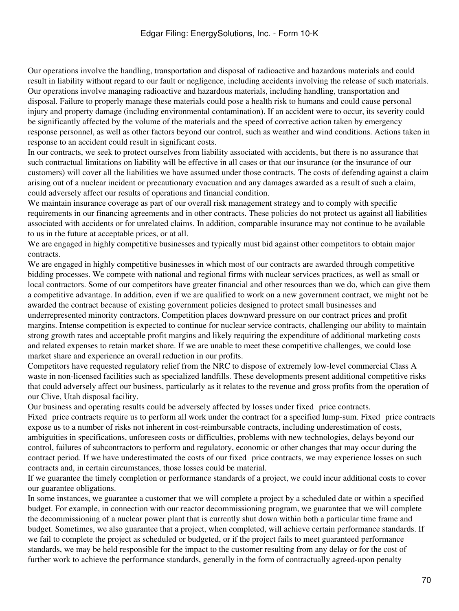Our operations involve the handling, transportation and disposal of radioactive and hazardous materials and could result in liability without regard to our fault or negligence, including accidents involving the release of such materials. Our operations involve managing radioactive and hazardous materials, including handling, transportation and disposal. Failure to properly manage these materials could pose a health risk to humans and could cause personal injury and property damage (including environmental contamination). If an accident were to occur, its severity could be significantly affected by the volume of the materials and the speed of corrective action taken by emergency response personnel, as well as other factors beyond our control, such as weather and wind conditions. Actions taken in response to an accident could result in significant costs.

In our contracts, we seek to protect ourselves from liability associated with accidents, but there is no assurance that such contractual limitations on liability will be effective in all cases or that our insurance (or the insurance of our customers) will cover all the liabilities we have assumed under those contracts. The costs of defending against a claim arising out of a nuclear incident or precautionary evacuation and any damages awarded as a result of such a claim, could adversely affect our results of operations and financial condition.

We maintain insurance coverage as part of our overall risk management strategy and to comply with specific requirements in our financing agreements and in other contracts. These policies do not protect us against all liabilities associated with accidents or for unrelated claims. In addition, comparable insurance may not continue to be available to us in the future at acceptable prices, or at all.

We are engaged in highly competitive businesses and typically must bid against other competitors to obtain major contracts.

We are engaged in highly competitive businesses in which most of our contracts are awarded through competitive bidding processes. We compete with national and regional firms with nuclear services practices, as well as small or local contractors. Some of our competitors have greater financial and other resources than we do, which can give them a competitive advantage. In addition, even if we are qualified to work on a new government contract, we might not be awarded the contract because of existing government policies designed to protect small businesses and underrepresented minority contractors. Competition places downward pressure on our contract prices and profit margins. Intense competition is expected to continue for nuclear service contracts, challenging our ability to maintain

strong growth rates and acceptable profit margins and likely requiring the expenditure of additional marketing costs and related expenses to retain market share. If we are unable to meet these competitive challenges, we could lose market share and experience an overall reduction in our profits.

Competitors have requested regulatory relief from the NRC to dispose of extremely low-level commercial Class A waste in non-licensed facilities such as specialized landfills. These developments present additional competitive risks that could adversely affect our business, particularly as it relates to the revenue and gross profits from the operation of our Clive, Utah disposal facility.

Our business and operating results could be adversely affected by losses under fixed price contracts. Fixed price contracts require us to perform all work under the contract for a specified lump-sum. Fixed price contracts expose us to a number of risks not inherent in cost-reimbursable contracts, including underestimation of costs, ambiguities in specifications, unforeseen costs or difficulties, problems with new technologies, delays beyond our control, failures of subcontractors to perform and regulatory, economic or other changes that may occur during the contract period. If we have underestimated the costs of our fixed price contracts, we may experience losses on such contracts and, in certain circumstances, those losses could be material.

If we guarantee the timely completion or performance standards of a project, we could incur additional costs to cover our guarantee obligations.

In some instances, we guarantee a customer that we will complete a project by a scheduled date or within a specified budget. For example, in connection with our reactor decommissioning program, we guarantee that we will complete the decommissioning of a nuclear power plant that is currently shut down within both a particular time frame and budget. Sometimes, we also guarantee that a project, when completed, will achieve certain performance standards. If we fail to complete the project as scheduled or budgeted, or if the project fails to meet guaranteed performance standards, we may be held responsible for the impact to the customer resulting from any delay or for the cost of further work to achieve the performance standards, generally in the form of contractually agreed-upon penalty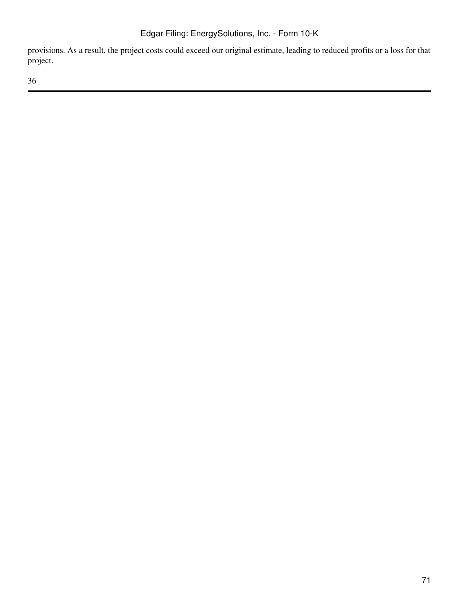provisions. As a result, the project costs could exceed our original estimate, leading to reduced profits or a loss for that project.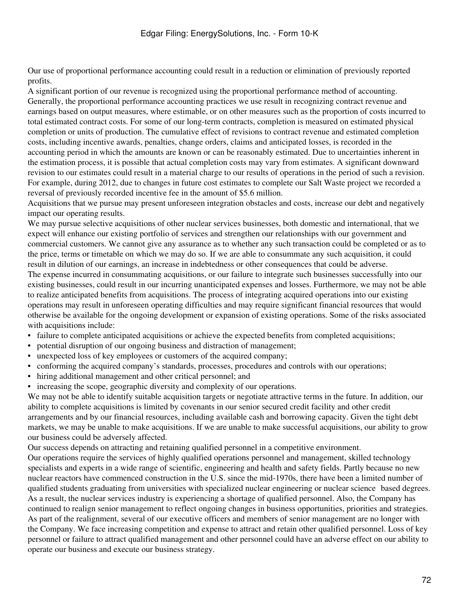Our use of proportional performance accounting could result in a reduction or elimination of previously reported profits.

A significant portion of our revenue is recognized using the proportional performance method of accounting. Generally, the proportional performance accounting practices we use result in recognizing contract revenue and earnings based on output measures, where estimable, or on other measures such as the proportion of costs incurred to total estimated contract costs. For some of our long-term contracts, completion is measured on estimated physical completion or units of production. The cumulative effect of revisions to contract revenue and estimated completion costs, including incentive awards, penalties, change orders, claims and anticipated losses, is recorded in the accounting period in which the amounts are known or can be reasonably estimated. Due to uncertainties inherent in the estimation process, it is possible that actual completion costs may vary from estimates. A significant downward revision to our estimates could result in a material charge to our results of operations in the period of such a revision. For example, during 2012, due to changes in future cost estimates to complete our Salt Waste project we recorded a reversal of previously recorded incentive fee in the amount of \$5.6 million.

Acquisitions that we pursue may present unforeseen integration obstacles and costs, increase our debt and negatively impact our operating results.

We may pursue selective acquisitions of other nuclear services businesses, both domestic and international, that we expect will enhance our existing portfolio of services and strengthen our relationships with our government and commercial customers. We cannot give any assurance as to whether any such transaction could be completed or as to the price, terms or timetable on which we may do so. If we are able to consummate any such acquisition, it could result in dilution of our earnings, an increase in indebtedness or other consequences that could be adverse. The expense incurred in consummating acquisitions, or our failure to integrate such businesses successfully into our existing businesses, could result in our incurring unanticipated expenses and losses. Furthermore, we may not be able to realize anticipated benefits from acquisitions. The process of integrating acquired operations into our existing operations may result in unforeseen operating difficulties and may require significant financial resources that would otherwise be available for the ongoing development or expansion of existing operations. Some of the risks associated with acquisitions include:

- failure to complete anticipated acquisitions or achieve the expected benefits from completed acquisitions;
- potential disruption of our ongoing business and distraction of management;
- unexpected loss of key employees or customers of the acquired company;
- conforming the acquired company's standards, processes, procedures and controls with our operations;
- hiring additional management and other critical personnel; and
- increasing the scope, geographic diversity and complexity of our operations.

We may not be able to identify suitable acquisition targets or negotiate attractive terms in the future. In addition, our ability to complete acquisitions is limited by covenants in our senior secured credit facility and other credit arrangements and by our financial resources, including available cash and borrowing capacity. Given the tight debt markets, we may be unable to make acquisitions. If we are unable to make successful acquisitions, our ability to grow our business could be adversely affected.

Our success depends on attracting and retaining qualified personnel in a competitive environment.

Our operations require the services of highly qualified operations personnel and management, skilled technology specialists and experts in a wide range of scientific, engineering and health and safety fields. Partly because no new nuclear reactors have commenced construction in the U.S. since the mid-1970s, there have been a limited number of qualified students graduating from universities with specialized nuclear engineering or nuclear science‑based degrees. As a result, the nuclear services industry is experiencing a shortage of qualified personnel. Also, the Company has continued to realign senior management to reflect ongoing changes in business opportunities, priorities and strategies. As part of the realignment, several of our executive officers and members of senior management are no longer with the Company. We face increasing competition and expense to attract and retain other qualified personnel. Loss of key personnel or failure to attract qualified management and other personnel could have an adverse effect on our ability to operate our business and execute our business strategy.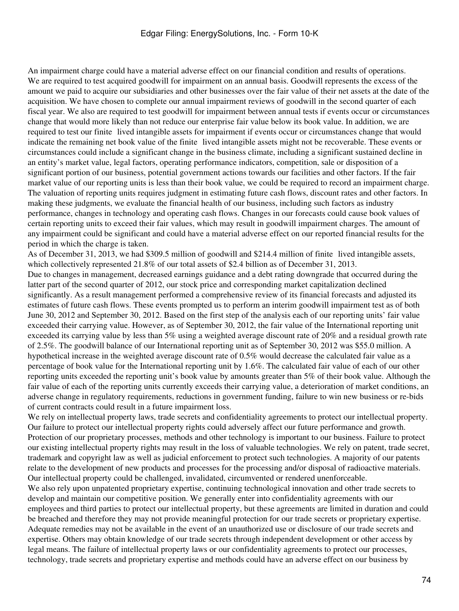An impairment charge could have a material adverse effect on our financial condition and results of operations. We are required to test acquired goodwill for impairment on an annual basis. Goodwill represents the excess of the amount we paid to acquire our subsidiaries and other businesses over the fair value of their net assets at the date of the acquisition. We have chosen to complete our annual impairment reviews of goodwill in the second quarter of each fiscal year. We also are required to test goodwill for impairment between annual tests if events occur or circumstances change that would more likely than not reduce our enterprise fair value below its book value. In addition, we are required to test our finite lived intangible assets for impairment if events occur or circumstances change that would indicate the remaining net book value of the finite lived intangible assets might not be recoverable. These events or circumstances could include a significant change in the business climate, including a significant sustained decline in an entity's market value, legal factors, operating performance indicators, competition, sale or disposition of a significant portion of our business, potential government actions towards our facilities and other factors. If the fair market value of our reporting units is less than their book value, we could be required to record an impairment charge. The valuation of reporting units requires judgment in estimating future cash flows, discount rates and other factors. In making these judgments, we evaluate the financial health of our business, including such factors as industry performance, changes in technology and operating cash flows. Changes in our forecasts could cause book values of certain reporting units to exceed their fair values, which may result in goodwill impairment charges. The amount of any impairment could be significant and could have a material adverse effect on our reported financial results for the period in which the charge is taken.

As of December 31, 2013, we had \$309.5 million of goodwill and \$214.4 million of finite lived intangible assets, which collectively represented 21.8% of our total assets of \$2.4 billion as of December 31, 2013. Due to changes in management, decreased earnings guidance and a debt rating downgrade that occurred during the latter part of the second quarter of 2012, our stock price and corresponding market capitalization declined significantly. As a result management performed a comprehensive review of its financial forecasts and adjusted its estimates of future cash flows. These events prompted us to perform an interim goodwill impairment test as of both June 30, 2012 and September 30, 2012. Based on the first step of the analysis each of our reporting units' fair value exceeded their carrying value. However, as of September 30, 2012, the fair value of the International reporting unit exceeded its carrying value by less than 5% using a weighted average discount rate of 20% and a residual growth rate of 2.5%. The goodwill balance of our International reporting unit as of September 30, 2012 was \$55.0 million. A hypothetical increase in the weighted average discount rate of 0.5% would decrease the calculated fair value as a percentage of book value for the International reporting unit by 1.6%. The calculated fair value of each of our other reporting units exceeded the reporting unit's book value by amounts greater than 5% of their book value. Although the fair value of each of the reporting units currently exceeds their carrying value, a deterioration of market conditions, an adverse change in regulatory requirements, reductions in government funding, failure to win new business or re-bids of current contracts could result in a future impairment loss.

We rely on intellectual property laws, trade secrets and confidentiality agreements to protect our intellectual property. Our failure to protect our intellectual property rights could adversely affect our future performance and growth. Protection of our proprietary processes, methods and other technology is important to our business. Failure to protect our existing intellectual property rights may result in the loss of valuable technologies. We rely on patent, trade secret, trademark and copyright law as well as judicial enforcement to protect such technologies. A majority of our patents relate to the development of new products and processes for the processing and/or disposal of radioactive materials. Our intellectual property could be challenged, invalidated, circumvented or rendered unenforceable.

We also rely upon unpatented proprietary expertise, continuing technological innovation and other trade secrets to develop and maintain our competitive position. We generally enter into confidentiality agreements with our employees and third parties to protect our intellectual property, but these agreements are limited in duration and could be breached and therefore they may not provide meaningful protection for our trade secrets or proprietary expertise. Adequate remedies may not be available in the event of an unauthorized use or disclosure of our trade secrets and expertise. Others may obtain knowledge of our trade secrets through independent development or other access by legal means. The failure of intellectual property laws or our confidentiality agreements to protect our processes, technology, trade secrets and proprietary expertise and methods could have an adverse effect on our business by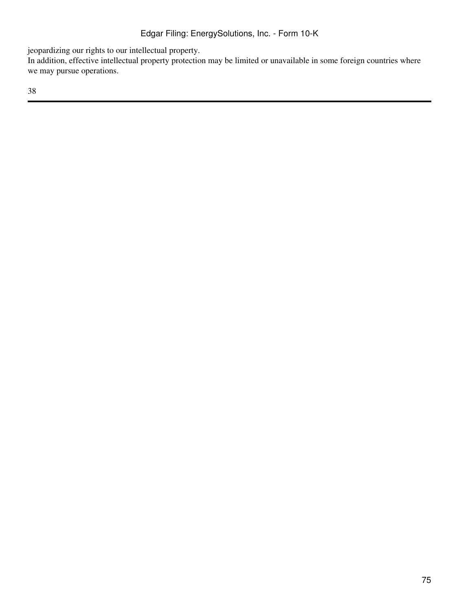jeopardizing our rights to our intellectual property.

In addition, effective intellectual property protection may be limited or unavailable in some foreign countries where we may pursue operations.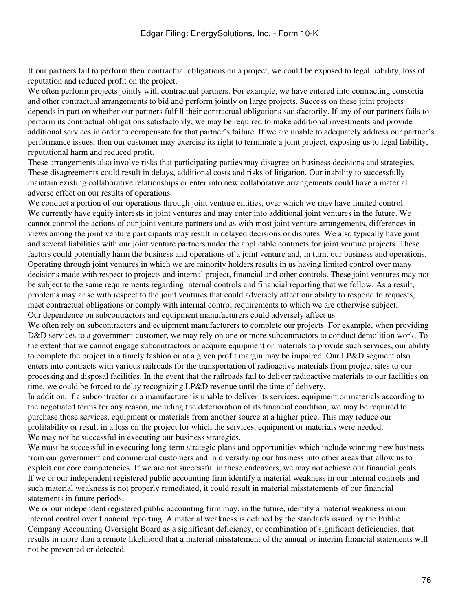If our partners fail to perform their contractual obligations on a project, we could be exposed to legal liability, loss of reputation and reduced profit on the project.

We often perform projects jointly with contractual partners. For example, we have entered into contracting consortia and other contractual arrangements to bid and perform jointly on large projects. Success on these joint projects depends in part on whether our partners fulfill their contractual obligations satisfactorily. If any of our partners fails to perform its contractual obligations satisfactorily, we may be required to make additional investments and provide additional services in order to compensate for that partner's failure. If we are unable to adequately address our partner's performance issues, then our customer may exercise its right to terminate a joint project, exposing us to legal liability, reputational harm and reduced profit.

These arrangements also involve risks that participating parties may disagree on business decisions and strategies. These disagreements could result in delays, additional costs and risks of litigation. Our inability to successfully maintain existing collaborative relationships or enter into new collaborative arrangements could have a material adverse effect on our results of operations.

We conduct a portion of our operations through joint venture entities, over which we may have limited control. We currently have equity interests in joint ventures and may enter into additional joint ventures in the future. We cannot control the actions of our joint venture partners and as with most joint venture arrangements, differences in views among the joint venture participants may result in delayed decisions or disputes. We also typically have joint and several liabilities with our joint venture partners under the applicable contracts for joint venture projects. These factors could potentially harm the business and operations of a joint venture and, in turn, our business and operations. Operating through joint ventures in which we are minority holders results in us having limited control over many decisions made with respect to projects and internal project, financial and other controls. These joint ventures may not be subject to the same requirements regarding internal controls and financial reporting that we follow. As a result, problems may arise with respect to the joint ventures that could adversely affect our ability to respond to requests, meet contractual obligations or comply with internal control requirements to which we are otherwise subject. Our dependence on subcontractors and equipment manufacturers could adversely affect us.

We often rely on subcontractors and equipment manufacturers to complete our projects. For example, when providing D&D services to a government customer, we may rely on one or more subcontractors to conduct demolition work. To the extent that we cannot engage subcontractors or acquire equipment or materials to provide such services, our ability to complete the project in a timely fashion or at a given profit margin may be impaired. Our LP&D segment also enters into contracts with various railroads for the transportation of radioactive materials from project sites to our processing and disposal facilities. In the event that the railroads fail to deliver radioactive materials to our facilities on time, we could be forced to delay recognizing LP&D revenue until the time of delivery.

In addition, if a subcontractor or a manufacturer is unable to deliver its services, equipment or materials according to the negotiated terms for any reason, including the deterioration of its financial condition, we may be required to purchase those services, equipment or materials from another source at a higher price. This may reduce our profitability or result in a loss on the project for which the services, equipment or materials were needed. We may not be successful in executing our business strategies.

We must be successful in executing long-term strategic plans and opportunities which include winning new business from our government and commercial customers and in diversifying our business into other areas that allow us to exploit our core competencies. If we are not successful in these endeavors, we may not achieve our financial goals. If we or our independent registered public accounting firm identify a material weakness in our internal controls and such material weakness is not properly remediated, it could result in material misstatements of our financial statements in future periods.

We or our independent registered public accounting firm may, in the future, identify a material weakness in our internal control over financial reporting. A material weakness is defined by the standards issued by the Public Company Accounting Oversight Board as a significant deficiency, or combination of significant deficiencies, that results in more than a remote likelihood that a material misstatement of the annual or interim financial statements will not be prevented or detected.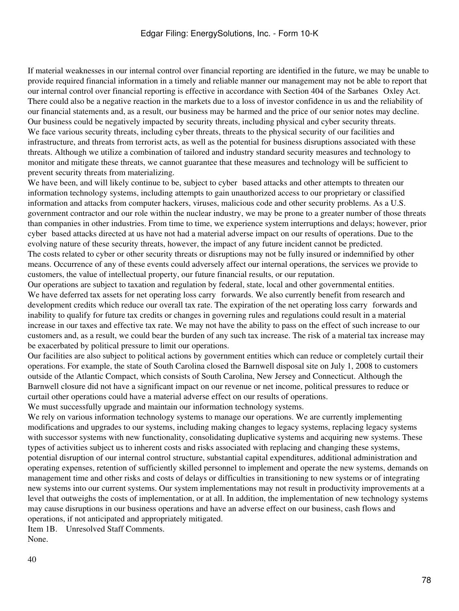If material weaknesses in our internal control over financial reporting are identified in the future, we may be unable to provide required financial information in a timely and reliable manner our management may not be able to report that our internal control over financial reporting is effective in accordance with Section 404 of the Sarbanes Oxley Act. There could also be a negative reaction in the markets due to a loss of investor confidence in us and the reliability of our financial statements and, as a result, our business may be harmed and the price of our senior notes may decline. Our business could be negatively impacted by security threats, including physical and cyber security threats. We face various security threats, including cyber threats, threats to the physical security of our facilities and infrastructure, and threats from terrorist acts, as well as the potential for business disruptions associated with these threats. Although we utilize a combination of tailored and industry standard security measures and technology to monitor and mitigate these threats, we cannot guarantee that these measures and technology will be sufficient to prevent security threats from materializing.

We have been, and will likely continue to be, subject to cyber based attacks and other attempts to threaten our information technology systems, including attempts to gain unauthorized access to our proprietary or classified information and attacks from computer hackers, viruses, malicious code and other security problems. As a U.S. government contractor and our role within the nuclear industry, we may be prone to a greater number of those threats than companies in other industries. From time to time, we experience system interruptions and delays; however, prior cyber based attacks directed at us have not had a material adverse impact on our results of operations. Due to the evolving nature of these security threats, however, the impact of any future incident cannot be predicted. The costs related to cyber or other security threats or disruptions may not be fully insured or indemnified by other means. Occurrence of any of these events could adversely affect our internal operations, the services we provide to customers, the value of intellectual property, our future financial results, or our reputation.

Our operations are subject to taxation and regulation by federal, state, local and other governmental entities. We have deferred tax assets for net operating loss carry forwards. We also currently benefit from research and development credits which reduce our overall tax rate. The expiration of the net operating loss carry forwards and inability to qualify for future tax credits or changes in governing rules and regulations could result in a material increase in our taxes and effective tax rate. We may not have the ability to pass on the effect of such increase to our customers and, as a result, we could bear the burden of any such tax increase. The risk of a material tax increase may be exacerbated by political pressure to limit our operations.

Our facilities are also subject to political actions by government entities which can reduce or completely curtail their operations. For example, the state of South Carolina closed the Barnwell disposal site on July 1, 2008 to customers outside of the Atlantic Compact, which consists of South Carolina, New Jersey and Connecticut. Although the Barnwell closure did not have a significant impact on our revenue or net income, political pressures to reduce or curtail other operations could have a material adverse effect on our results of operations.

We must successfully upgrade and maintain our information technology systems.

We rely on various information technology systems to manage our operations. We are currently implementing modifications and upgrades to our systems, including making changes to legacy systems, replacing legacy systems with successor systems with new functionality, consolidating duplicative systems and acquiring new systems. These types of activities subject us to inherent costs and risks associated with replacing and changing these systems, potential disruption of our internal control structure, substantial capital expenditures, additional administration and operating expenses, retention of sufficiently skilled personnel to implement and operate the new systems, demands on management time and other risks and costs of delays or difficulties in transitioning to new systems or of integrating new systems into our current systems. Our system implementations may not result in productivity improvements at a level that outweighs the costs of implementation, or at all. In addition, the implementation of new technology systems may cause disruptions in our business operations and have an adverse effect on our business, cash flows and operations, if not anticipated and appropriately mitigated.

Item 1B. Unresolved Staff Comments. None.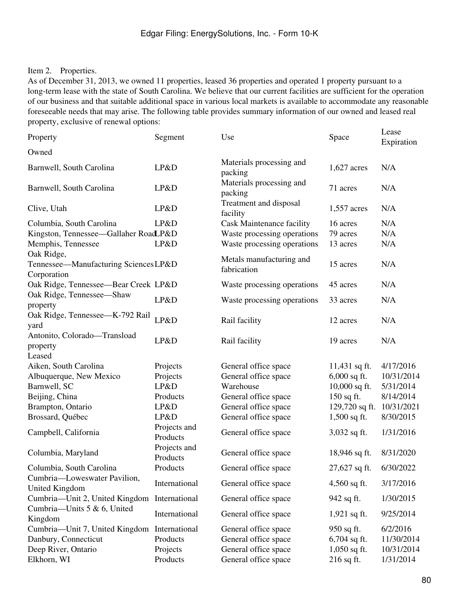## Item 2. Properties.

As of December 31, 2013, we owned 11 properties, leased 36 properties and operated 1 property pursuant to a long-term lease with the state of South Carolina. We believe that our current facilities are sufficient for the operation of our business and that suitable additional space in various local markets is available to accommodate any reasonable foreseeable needs that may arise. The following table provides summary information of our owned and leased real property, exclusive of renewal options:

| Property                                                           | Segment                  | Use                                     | Space          | Lease<br>Expiration |
|--------------------------------------------------------------------|--------------------------|-----------------------------------------|----------------|---------------------|
| Owned                                                              |                          |                                         |                |                     |
| Barnwell, South Carolina                                           | LP&D                     | Materials processing and<br>packing     | $1,627$ acres  | N/A                 |
| Barnwell, South Carolina                                           | LP&D                     | Materials processing and<br>packing     | 71 acres       | N/A                 |
| Clive, Utah                                                        | LP&D                     | Treatment and disposal<br>facility      | 1,557 acres    | N/A                 |
| Columbia, South Carolina                                           | LP&D                     | <b>Cask Maintenance facility</b>        | 16 acres       | N/A                 |
| Kingston, Tennessee-Gallaher RoadLP&D                              |                          | Waste processing operations             | 79 acres       | N/A                 |
| Memphis, Tennessee                                                 | LP&D                     | Waste processing operations             | 13 acres       | N/A                 |
| Oak Ridge,<br>Tennessee-Manufacturing Sciences LP&D<br>Corporation |                          | Metals manufacturing and<br>fabrication | 15 acres       | N/A                 |
| Oak Ridge, Tennessee-Bear Creek LP&D                               |                          | Waste processing operations             | 45 acres       | N/A                 |
| Oak Ridge, Tennessee-Shaw<br>property                              | LP&D                     | Waste processing operations             | 33 acres       | N/A                 |
| Oak Ridge, Tennessee-K-792 Rail<br>yard                            | LP&D                     | Rail facility                           | 12 acres       | N/A                 |
| Antonito, Colorado-Transload<br>property<br>Leased                 | LP&D                     | Rail facility                           | 19 acres       | N/A                 |
| Aiken, South Carolina                                              | Projects                 | General office space                    | 11,431 sq ft.  | 4/17/2016           |
| Albuquerque, New Mexico                                            | Projects                 | General office space                    | $6,000$ sq ft. | 10/31/2014          |
| Barnwell, SC                                                       | LP&D                     | Warehouse                               | 10,000 sq ft.  | 5/31/2014           |
| Beijing, China                                                     | Products                 | General office space                    | 150 sq ft.     | 8/14/2014           |
| Brampton, Ontario                                                  | LP&D                     | General office space                    | 129,720 sq ft. | 10/31/2021          |
| Brossard, Québec                                                   | LP&D                     | General office space                    | $1,500$ sq ft. | 8/30/2015           |
| Campbell, California                                               | Projects and<br>Products | General office space                    | $3,032$ sq ft. | 1/31/2016           |
| Columbia, Maryland                                                 | Projects and<br>Products | General office space                    | 18,946 sq ft.  | 8/31/2020           |
| Columbia, South Carolina                                           | Products                 | General office space                    | 27,627 sq ft.  | 6/30/2022           |
| Cumbria-Loweswater Pavilion,<br><b>United Kingdom</b>              | International            | General office space                    | 4,560 sq ft.   | 3/17/2016           |
| Cumbria—Unit 2, United Kingdom International                       |                          | General office space                    | 942 sq ft.     | 1/30/2015           |
| Cumbria-Units 5 & 6, United<br>Kingdom                             | International            | General office space                    | $1,921$ sq ft. | 9/25/2014           |
| Cumbria-Unit 7, United Kingdom                                     | International            | General office space                    | 950 sq ft.     | 6/2/2016            |
| Danbury, Connecticut                                               | Products                 | General office space                    | $6,704$ sq ft. | 11/30/2014          |
| Deep River, Ontario                                                | Projects                 | General office space                    | $1,050$ sq ft. | 10/31/2014          |
| Elkhorn, WI                                                        | Products                 | General office space                    | 216 sq ft.     | 1/31/2014           |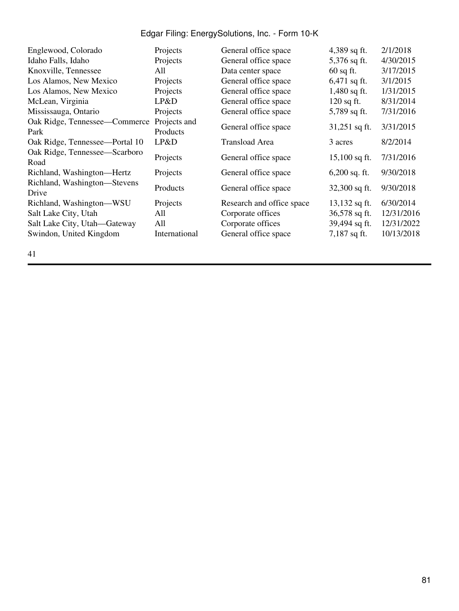| Englewood, Colorado                   | Projects                 | General office space      | 4,389 sq ft.    | 2/1/2018   |
|---------------------------------------|--------------------------|---------------------------|-----------------|------------|
| Idaho Falls, Idaho                    | Projects                 | General office space      | 5,376 sq ft.    | 4/30/2015  |
| Knoxville, Tennessee                  | All                      | Data center space         | $60$ sq ft.     | 3/17/2015  |
| Los Alamos, New Mexico                | Projects                 | General office space      | $6,471$ sq ft.  | 3/1/2015   |
| Los Alamos, New Mexico                | Projects                 | General office space      | 1,480 sq ft.    | 1/31/2015  |
| McLean, Virginia                      | LP&D                     | General office space      | $120$ sq ft.    | 8/31/2014  |
| Mississauga, Ontario                  | Projects                 | General office space      | 5,789 sq ft.    | 7/31/2016  |
| Oak Ridge, Tennessee-Commerce<br>Park | Projects and<br>Products | General office space      | 31,251 sq ft.   | 3/31/2015  |
| Oak Ridge, Tennessee—Portal 10        | LP&D                     | <b>Transload Area</b>     | 3 acres         | 8/2/2014   |
| Oak Ridge, Tennessee—Scarboro<br>Road | Projects                 | General office space      | $15,100$ sq ft. | 7/31/2016  |
| Richland, Washington-Hertz            | Projects                 | General office space      | $6,200$ sq. ft. | 9/30/2018  |
| Richland, Washington—Stevens<br>Drive | Products                 | General office space      | 32,300 sq ft.   | 9/30/2018  |
| Richland, Washington—WSU              | Projects                 | Research and office space | 13,132 sq ft.   | 6/30/2014  |
| Salt Lake City, Utah                  | All                      | Corporate offices         | 36,578 sq ft.   | 12/31/2016 |
| Salt Lake City, Utah—Gateway          | All                      | Corporate offices         | 39,494 sq ft.   | 12/31/2022 |
| Swindon, United Kingdom               | International            | General office space      | 7,187 sq ft.    | 10/13/2018 |
|                                       |                          |                           |                 |            |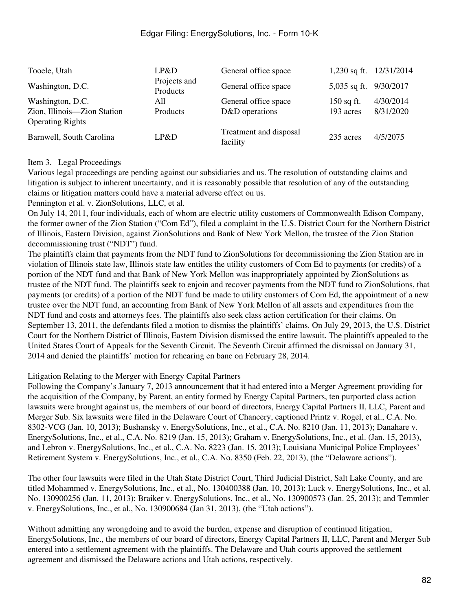| Tooele, Utah                                           | LP&D                     | General office space               | 1,230 sq ft. 12/31/2014 |           |
|--------------------------------------------------------|--------------------------|------------------------------------|-------------------------|-----------|
| Washington, D.C.                                       | Projects and<br>Products | General office space               | 5,035 sq ft. 9/30/2017  |           |
| Washington, D.C.                                       | A11                      | General office space               | $150$ sq ft.            | 4/30/2014 |
| Zion, Illinois-Zion Station<br><b>Operating Rights</b> | Products                 | D&D operations                     | 193 acres               | 8/31/2020 |
| Barnwell, South Carolina                               | LP&D                     | Treatment and disposal<br>facility | 235 acres               | 4/5/2075  |

### Item 3. Legal Proceedings

Various legal proceedings are pending against our subsidiaries and us. The resolution of outstanding claims and litigation is subject to inherent uncertainty, and it is reasonably possible that resolution of any of the outstanding claims or litigation matters could have a material adverse effect on us.

Pennington et al. v. ZionSolutions, LLC, et al.

On July 14, 2011, four individuals, each of whom are electric utility customers of Commonwealth Edison Company, the former owner of the Zion Station ("Com Ed"), filed a complaint in the U.S. District Court for the Northern District of Illinois, Eastern Division, against ZionSolutions and Bank of New York Mellon, the trustee of the Zion Station decommissioning trust ("NDT") fund.

The plaintiffs claim that payments from the NDT fund to ZionSolutions for decommissioning the Zion Station are in violation of Illinois state law, Illinois state law entitles the utility customers of Com Ed to payments (or credits) of a portion of the NDT fund and that Bank of New York Mellon was inappropriately appointed by ZionSolutions as trustee of the NDT fund. The plaintiffs seek to enjoin and recover payments from the NDT fund to ZionSolutions, that payments (or credits) of a portion of the NDT fund be made to utility customers of Com Ed, the appointment of a new trustee over the NDT fund, an accounting from Bank of New York Mellon of all assets and expenditures from the NDT fund and costs and attorneys fees. The plaintiffs also seek class action certification for their claims. On September 13, 2011, the defendants filed a motion to dismiss the plaintiffs' claims. On July 29, 2013, the U.S. District Court for the Northern District of Illinois, Eastern Division dismissed the entire lawsuit. The plaintiffs appealed to the United States Court of Appeals for the Seventh Circuit. The Seventh Circuit affirmed the dismissal on January 31, 2014 and denied the plaintiffs' motion for rehearing en banc on February 28, 2014.

#### Litigation Relating to the Merger with Energy Capital Partners

Following the Company's January 7, 2013 announcement that it had entered into a Merger Agreement providing for the acquisition of the Company, by Parent, an entity formed by Energy Capital Partners, ten purported class action lawsuits were brought against us, the members of our board of directors, Energy Capital Partners II, LLC, Parent and Merger Sub. Six lawsuits were filed in the Delaware Court of Chancery, captioned Printz v. Rogel, et al., C.A. No. 8302-VCG (Jan. 10, 2013); Bushansky v. EnergySolutions, Inc., et al., C.A. No. 8210 (Jan. 11, 2013); Danahare v. EnergySolutions, Inc., et al., C.A. No. 8219 (Jan. 15, 2013); Graham v. EnergySolutions, Inc., et al. (Jan. 15, 2013), and Lebron v. EnergySolutions, Inc., et al., C.A. No. 8223 (Jan. 15, 2013); Louisiana Municipal Police Employees' Retirement System v. EnergySolutions, Inc., et al., C.A. No. 8350 (Feb. 22, 2013), (the "Delaware actions").

The other four lawsuits were filed in the Utah State District Court, Third Judicial District, Salt Lake County, and are titled Mohammed v. EnergySolutions, Inc., et al., No. 130400388 (Jan. 10, 2013); Luck v. EnergySolutions, Inc., et al. No. 130900256 (Jan. 11, 2013); Braiker v. EnergySolutions, Inc., et al., No. 130900573 (Jan. 25, 2013); and Temmler v. EnergySolutions, Inc., et al., No. 130900684 (Jan 31, 2013), (the "Utah actions").

Without admitting any wrongdoing and to avoid the burden, expense and disruption of continued litigation, EnergySolutions, Inc., the members of our board of directors, Energy Capital Partners II, LLC, Parent and Merger Sub entered into a settlement agreement with the plaintiffs. The Delaware and Utah courts approved the settlement agreement and dismissed the Delaware actions and Utah actions, respectively.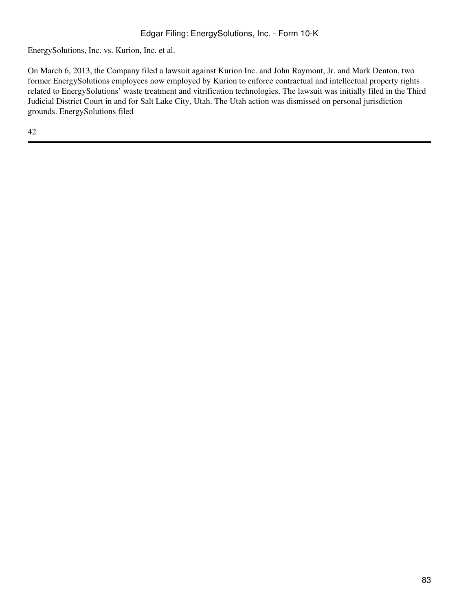EnergySolutions, Inc. vs. Kurion, Inc. et al.

On March 6, 2013, the Company filed a lawsuit against Kurion Inc. and John Raymont, Jr. and Mark Denton, two former EnergySolutions employees now employed by Kurion to enforce contractual and intellectual property rights related to EnergySolutions' waste treatment and vitrification technologies. The lawsuit was initially filed in the Third Judicial District Court in and for Salt Lake City, Utah. The Utah action was dismissed on personal jurisdiction grounds. EnergySolutions filed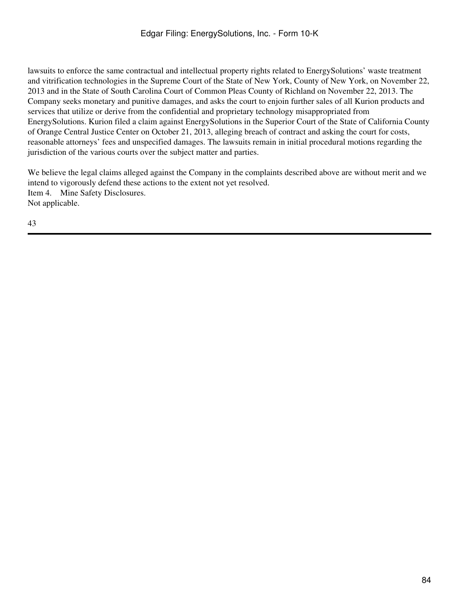lawsuits to enforce the same contractual and intellectual property rights related to EnergySolutions' waste treatment and vitrification technologies in the Supreme Court of the State of New York, County of New York, on November 22, 2013 and in the State of South Carolina Court of Common Pleas County of Richland on November 22, 2013. The Company seeks monetary and punitive damages, and asks the court to enjoin further sales of all Kurion products and services that utilize or derive from the confidential and proprietary technology misappropriated from EnergySolutions. Kurion filed a claim against EnergySolutions in the Superior Court of the State of California County of Orange Central Justice Center on October 21, 2013, alleging breach of contract and asking the court for costs, reasonable attorneys' fees and unspecified damages. The lawsuits remain in initial procedural motions regarding the jurisdiction of the various courts over the subject matter and parties.

We believe the legal claims alleged against the Company in the complaints described above are without merit and we intend to vigorously defend these actions to the extent not yet resolved. Item 4. Mine Safety Disclosures. Not applicable.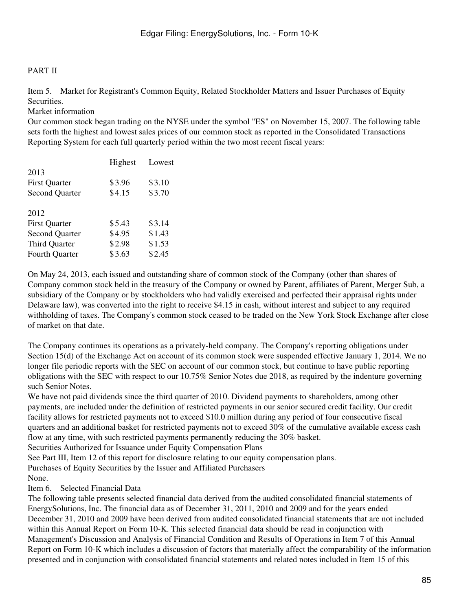## PART II

Item 5. Market for Registrant's Common Equity, Related Stockholder Matters and Issuer Purchases of Equity Securities.

Market information

Our common stock began trading on the NYSE under the symbol "ES" on November 15, 2007. The following table sets forth the highest and lowest sales prices of our common stock as reported in the Consolidated Transactions Reporting System for each full quarterly period within the two most recent fiscal years:

|                       | Highest | Lowest |
|-----------------------|---------|--------|
| 2013                  |         |        |
| <b>First Quarter</b>  | \$3.96  | \$3.10 |
| <b>Second Quarter</b> | \$4.15  | \$3.70 |
| 2012                  |         |        |
| <b>First Quarter</b>  | \$5.43  | \$3.14 |
| <b>Second Quarter</b> | \$4.95  | \$1.43 |
| Third Quarter         | \$2.98  | \$1.53 |
| <b>Fourth Quarter</b> | \$3.63  | \$2.45 |

On May 24, 2013, each issued and outstanding share of common stock of the Company (other than shares of Company common stock held in the treasury of the Company or owned by Parent, affiliates of Parent, Merger Sub, a subsidiary of the Company or by stockholders who had validly exercised and perfected their appraisal rights under Delaware law), was converted into the right to receive \$4.15 in cash, without interest and subject to any required withholding of taxes. The Company's common stock ceased to be traded on the New York Stock Exchange after close of market on that date.

The Company continues its operations as a privately-held company. The Company's reporting obligations under Section 15(d) of the Exchange Act on account of its common stock were suspended effective January 1, 2014. We no longer file periodic reports with the SEC on account of our common stock, but continue to have public reporting obligations with the SEC with respect to our 10.75% Senior Notes due 2018, as required by the indenture governing such Senior Notes.

We have not paid dividends since the third quarter of 2010. Dividend payments to shareholders, among other payments, are included under the definition of restricted payments in our senior secured credit facility. Our credit facility allows for restricted payments not to exceed \$10.0 million during any period of four consecutive fiscal quarters and an additional basket for restricted payments not to exceed 30% of the cumulative available excess cash flow at any time, with such restricted payments permanently reducing the 30% basket.

Securities Authorized for Issuance under Equity Compensation Plans

See Part III, Item 12 of this report for disclosure relating to our equity compensation plans.

Purchases of Equity Securities by the Issuer and Affiliated Purchasers

None.

Item 6. Selected Financial Data

The following table presents selected financial data derived from the audited consolidated financial statements of EnergySolutions, Inc. The financial data as of December 31, 2011, 2010 and 2009 and for the years ended December 31, 2010 and 2009 have been derived from audited consolidated financial statements that are not included within this Annual Report on Form 10-K. This selected financial data should be read in conjunction with Management's Discussion and Analysis of Financial Condition and Results of Operations in Item 7 of this Annual Report on Form 10-K which includes a discussion of factors that materially affect the comparability of the information presented and in conjunction with consolidated financial statements and related notes included in Item 15 of this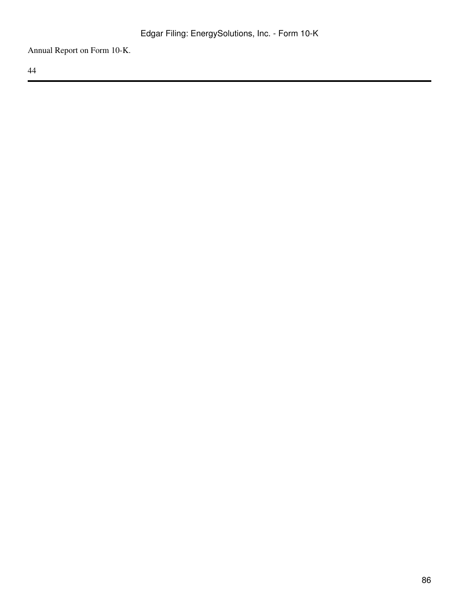Annual Report on Form 10-K.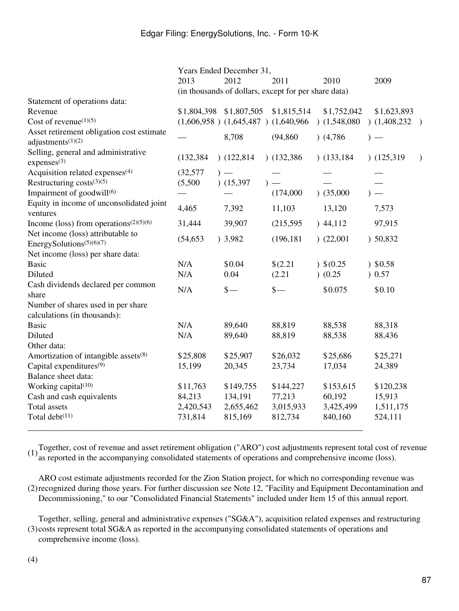|                                                                            | 2013                                                 | 2012                                      | 2011            | 2010         |                              |
|----------------------------------------------------------------------------|------------------------------------------------------|-------------------------------------------|-----------------|--------------|------------------------------|
|                                                                            |                                                      |                                           |                 |              | 2009                         |
|                                                                            | (in thousands of dollars, except for per share data) |                                           |                 |              |                              |
| Statement of operations data:                                              |                                                      |                                           |                 |              |                              |
| Revenue                                                                    |                                                      | \$1,804,398 \$1,807,505 \$1,815,514       |                 | \$1,752,042  | \$1,623,893                  |
| Cost of revenue <sup><math>(1)(5)</math></sup>                             |                                                      | $(1,606,958)$ $(1,645,487)$ $(1,640,966)$ |                 | (1,548,080)  | (1,408,232)<br>$\rightarrow$ |
| Asset retirement obligation cost estimate<br>adjustments <sup>(1)(2)</sup> |                                                      | 8,708                                     | (94, 860)       | (4,786)      | $)$ —                        |
| Selling, general and administrative<br>express <sup>(3)</sup>              | (132, 384)                                           | (122, 814)                                | (132, 386)      | (133, 184)   | (125, 319)<br>$\mathcal{L}$  |
| Acquisition related expenses $(4)$                                         | (32,577)                                             | $)$ —                                     |                 |              |                              |
| Restructuring costs <sup>(3)(5)</sup>                                      | (5,500)                                              | (15,397)                                  | $)$ —           |              |                              |
| Impairment of goodwill <sup>(6)</sup>                                      |                                                      |                                           | (174,000)       | (35,000)     |                              |
| Equity in income of unconsolidated joint<br>ventures                       | 4,465                                                | 7,392                                     | 11,103          | 13,120       | 7,573                        |
| Income (loss) from operations <sup><math>(2)(5)(6)</math></sup>            | 31,444                                               | 39,907                                    | (215, 595)      | ) 44,112     | 97,915                       |
| Net income (loss) attributable to<br>EnergySolutions <sup>(5)(6)(7)</sup>  | (54, 653)                                            | )3,982                                    | (196, 181)      | (22,001)     | ) 50,832                     |
| Net income (loss) per share data:                                          |                                                      |                                           |                 |              |                              |
| <b>Basic</b>                                                               | N/A                                                  | \$0.04                                    | \$(2.21)        | $)$ \$(0.25) | $)$ \$0.58                   |
| Diluted                                                                    | N/A                                                  | 0.04                                      | (2.21)          | (0.25)       | 0.57                         |
| Cash dividends declared per common<br>share                                | N/A                                                  | $\frac{\ }{s-}$                           | $\frac{\ }{s-}$ | \$0.075      | \$0.10                       |
| Number of shares used in per share<br>calculations (in thousands):         |                                                      |                                           |                 |              |                              |
| <b>Basic</b>                                                               | N/A                                                  | 89,640                                    | 88,819          | 88,538       | 88,318                       |
| Diluted                                                                    | N/A                                                  | 89,640                                    | 88,819          | 88,538       | 88,436                       |
| Other data:                                                                |                                                      |                                           |                 |              |                              |
| Amortization of intangible assets <sup>(8)</sup>                           | \$25,808                                             | \$25,907                                  | \$26,032        | \$25,686     | \$25,271                     |
| Capital expenditures <sup>(9)</sup>                                        | 15,199                                               | 20,345                                    | 23,734          | 17,034       | 24,389                       |
| Balance sheet data:                                                        |                                                      |                                           |                 |              |                              |
| Working capital <sup>(10)</sup>                                            | \$11,763                                             | \$149,755                                 | \$144,227       | \$153,615    | \$120,238                    |
| Cash and cash equivalents                                                  | 84,213                                               | 134,191                                   | 77,213          | 60,192       | 15,913                       |
| Total assets                                                               | 2,420,543                                            | 2,655,462                                 | 3,015,933       | 3,425,499    | 1,511,175                    |
| Total debt <sup>(11)</sup>                                                 | 731,814                                              | 815,169                                   | 812,734         | 840,160      | 524,111                      |

(1)Together, cost of revenue and asset retirement obligation ("ARO") cost adjustments represent total cost of revenue as reported in the accompanying consolidated statements of operations and comprehensive income (loss).

(2) recognized during those years. For further discussion see Note 12, "Facility and Equipment Decontamination and ARO cost estimate adjustments recorded for the Zion Station project, for which no corresponding revenue was Decommissioning," to our "Consolidated Financial Statements" included under Item 15 of this annual report.

(3) costs represent total SG&A as reported in the accompanying consolidated statements of operations and Together, selling, general and administrative expenses ("SG&A"), acquisition related expenses and restructuring comprehensive income (loss).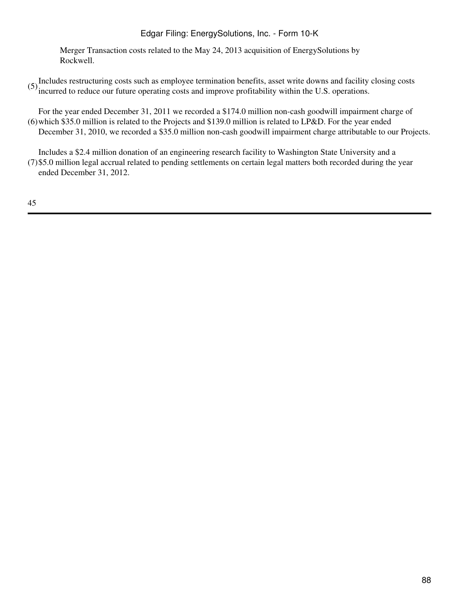Merger Transaction costs related to the May 24, 2013 acquisition of EnergySolutions by Rockwell.

(5)Includes restructuring costs such as employee termination benefits, asset write downs and facility closing costs incurred to reduce our future operating costs and improve profitability within the U.S. operations.

(6) which \$35.0 million is related to the Projects and \$139.0 million is related to LP&D. For the year ended For the year ended December 31, 2011 we recorded a \$174.0 million non-cash goodwill impairment charge of December 31, 2010, we recorded a \$35.0 million non-cash goodwill impairment charge attributable to our Projects.

(7) \$5.0 million legal accrual related to pending settlements on certain legal matters both recorded during the year Includes a \$2.4 million donation of an engineering research facility to Washington State University and a ended December 31, 2012.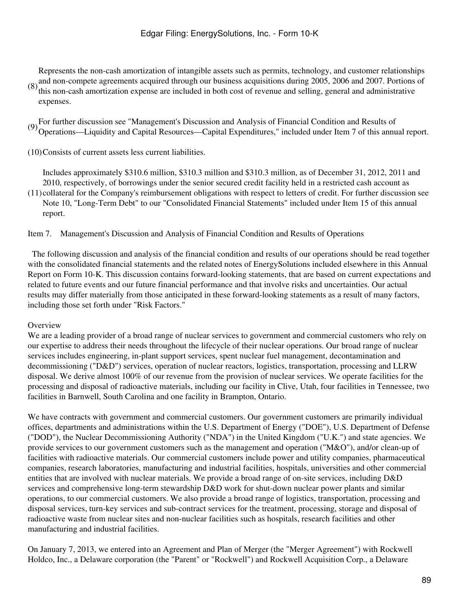Represents the non-cash amortization of intangible assets such as permits, technology, and customer relationships and non-compete agreements acquired through our business acquisitions during 2005, 2006 and 2007. Portions of

(8) this non-cash amortization expense are included in both cost of revenue and selling, general and administrative expenses.

(9)For further discussion see "Management's Discussion and Analysis of Financial Condition and Results of Operations—Liquidity and Capital Resources—Capital Expenditures," included under Item 7 of this annual report.

(10)Consists of current assets less current liabilities.

Includes approximately \$310.6 million, \$310.3 million and \$310.3 million, as of December 31, 2012, 2011 and 2010, respectively, of borrowings under the senior secured credit facility held in a restricted cash account as

- (11) collateral for the Company's reimbursement obligations with respect to letters of credit. For further discussion see Note 10, "Long-Term Debt" to our "Consolidated Financial Statements" included under Item 15 of this annual report.
- Item 7. Management's Discussion and Analysis of Financial Condition and Results of Operations

 The following discussion and analysis of the financial condition and results of our operations should be read together with the consolidated financial statements and the related notes of EnergySolutions included elsewhere in this Annual Report on Form 10-K. This discussion contains forward-looking statements, that are based on current expectations and related to future events and our future financial performance and that involve risks and uncertainties. Our actual results may differ materially from those anticipated in these forward-looking statements as a result of many factors, including those set forth under "Risk Factors."

### **Overview**

We are a leading provider of a broad range of nuclear services to government and commercial customers who rely on our expertise to address their needs throughout the lifecycle of their nuclear operations. Our broad range of nuclear services includes engineering, in-plant support services, spent nuclear fuel management, decontamination and decommissioning ("D&D") services, operation of nuclear reactors, logistics, transportation, processing and LLRW disposal. We derive almost 100% of our revenue from the provision of nuclear services. We operate facilities for the processing and disposal of radioactive materials, including our facility in Clive, Utah, four facilities in Tennessee, two facilities in Barnwell, South Carolina and one facility in Brampton, Ontario.

We have contracts with government and commercial customers. Our government customers are primarily individual offices, departments and administrations within the U.S. Department of Energy ("DOE"), U.S. Department of Defense ("DOD"), the Nuclear Decommissioning Authority ("NDA") in the United Kingdom ("U.K.") and state agencies. We provide services to our government customers such as the management and operation ("M&O"), and/or clean-up of facilities with radioactive materials. Our commercial customers include power and utility companies, pharmaceutical companies, research laboratories, manufacturing and industrial facilities, hospitals, universities and other commercial entities that are involved with nuclear materials. We provide a broad range of on-site services, including D&D services and comprehensive long-term stewardship D&D work for shut-down nuclear power plants and similar operations, to our commercial customers. We also provide a broad range of logistics, transportation, processing and disposal services, turn-key services and sub-contract services for the treatment, processing, storage and disposal of radioactive waste from nuclear sites and non-nuclear facilities such as hospitals, research facilities and other manufacturing and industrial facilities.

On January 7, 2013, we entered into an Agreement and Plan of Merger (the "Merger Agreement") with Rockwell Holdco, Inc., a Delaware corporation (the "Parent" or "Rockwell") and Rockwell Acquisition Corp., a Delaware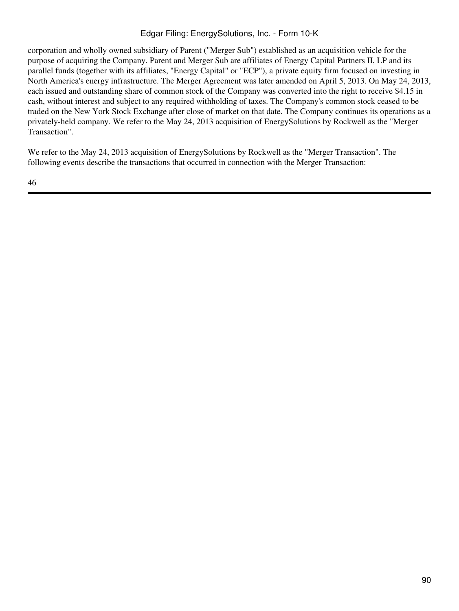corporation and wholly owned subsidiary of Parent ("Merger Sub") established as an acquisition vehicle for the purpose of acquiring the Company. Parent and Merger Sub are affiliates of Energy Capital Partners II, LP and its parallel funds (together with its affiliates, "Energy Capital" or "ECP"), a private equity firm focused on investing in North America's energy infrastructure. The Merger Agreement was later amended on April 5, 2013. On May 24, 2013, each issued and outstanding share of common stock of the Company was converted into the right to receive \$4.15 in cash, without interest and subject to any required withholding of taxes. The Company's common stock ceased to be traded on the New York Stock Exchange after close of market on that date. The Company continues its operations as a privately-held company. We refer to the May 24, 2013 acquisition of EnergySolutions by Rockwell as the "Merger Transaction".

We refer to the May 24, 2013 acquisition of EnergySolutions by Rockwell as the "Merger Transaction". The following events describe the transactions that occurred in connection with the Merger Transaction: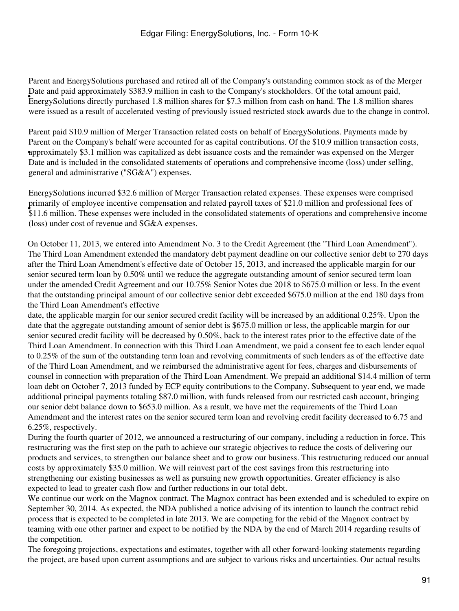• EnergySolutions directly purchased 1.8 million shares for \$7.3 million from cash on hand. The 1.8 million shares Parent and EnergySolutions purchased and retired all of the Company's outstanding common stock as of the Merger Date and paid approximately \$383.9 million in cash to the Company's stockholders. Of the total amount paid, were issued as a result of accelerated vesting of previously issued restricted stock awards due to the change in control.

• approximately \$3.1 million was capitalized as debt issuance costs and the remainder was expensed on the Merger Parent paid \$10.9 million of Merger Transaction related costs on behalf of EnergySolutions. Payments made by Parent on the Company's behalf were accounted for as capital contributions. Of the \$10.9 million transaction costs, Date and is included in the consolidated statements of operations and comprehensive income (loss) under selling, general and administrative ("SG&A") expenses.

• \$11.6 million. These expenses were included in the consolidated statements of operations and comprehensive income EnergySolutions incurred \$32.6 million of Merger Transaction related expenses. These expenses were comprised primarily of employee incentive compensation and related payroll taxes of \$21.0 million and professional fees of (loss) under cost of revenue and SG&A expenses.

On October 11, 2013, we entered into Amendment No. 3 to the Credit Agreement (the "Third Loan Amendment"). The Third Loan Amendment extended the mandatory debt payment deadline on our collective senior debt to 270 days after the Third Loan Amendment's effective date of October 15, 2013, and increased the applicable margin for our senior secured term loan by 0.50% until we reduce the aggregate outstanding amount of senior secured term loan under the amended Credit Agreement and our 10.75% Senior Notes due 2018 to \$675.0 million or less. In the event that the outstanding principal amount of our collective senior debt exceeded \$675.0 million at the end 180 days from the Third Loan Amendment's effective

date, the applicable margin for our senior secured credit facility will be increased by an additional 0.25%. Upon the date that the aggregate outstanding amount of senior debt is \$675.0 million or less, the applicable margin for our senior secured credit facility will be decreased by 0.50%, back to the interest rates prior to the effective date of the Third Loan Amendment. In connection with this Third Loan Amendment, we paid a consent fee to each lender equal to 0.25% of the sum of the outstanding term loan and revolving commitments of such lenders as of the effective date of the Third Loan Amendment, and we reimbursed the administrative agent for fees, charges and disbursements of counsel in connection with preparation of the Third Loan Amendment. We prepaid an additional \$14.4 million of term loan debt on October 7, 2013 funded by ECP equity contributions to the Company. Subsequent to year end, we made additional principal payments totaling \$87.0 million, with funds released from our restricted cash account, bringing our senior debt balance down to \$653.0 million. As a result, we have met the requirements of the Third Loan Amendment and the interest rates on the senior secured term loan and revolving credit facility decreased to 6.75 and 6.25%, respectively.

During the fourth quarter of 2012, we announced a restructuring of our company, including a reduction in force. This restructuring was the first step on the path to achieve our strategic objectives to reduce the costs of delivering our products and services, to strengthen our balance sheet and to grow our business. This restructuring reduced our annual costs by approximately \$35.0 million. We will reinvest part of the cost savings from this restructuring into strengthening our existing businesses as well as pursuing new growth opportunities. Greater efficiency is also expected to lead to greater cash flow and further reductions in our total debt.

We continue our work on the Magnox contract. The Magnox contract has been extended and is scheduled to expire on September 30, 2014. As expected, the NDA published a notice advising of its intention to launch the contract rebid process that is expected to be completed in late 2013. We are competing for the rebid of the Magnox contract by teaming with one other partner and expect to be notified by the NDA by the end of March 2014 regarding results of the competition.

The foregoing projections, expectations and estimates, together with all other forward-looking statements regarding the project, are based upon current assumptions and are subject to various risks and uncertainties. Our actual results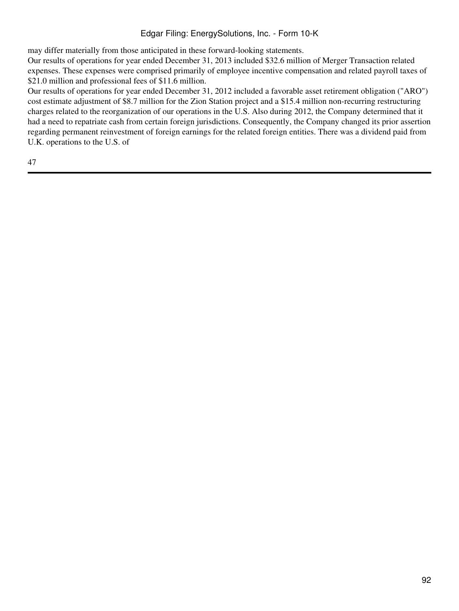may differ materially from those anticipated in these forward-looking statements.

Our results of operations for year ended December 31, 2013 included \$32.6 million of Merger Transaction related expenses. These expenses were comprised primarily of employee incentive compensation and related payroll taxes of \$21.0 million and professional fees of \$11.6 million.

Our results of operations for year ended December 31, 2012 included a favorable asset retirement obligation ("ARO") cost estimate adjustment of \$8.7 million for the Zion Station project and a \$15.4 million non-recurring restructuring charges related to the reorganization of our operations in the U.S. Also during 2012, the Company determined that it had a need to repatriate cash from certain foreign jurisdictions. Consequently, the Company changed its prior assertion regarding permanent reinvestment of foreign earnings for the related foreign entities. There was a dividend paid from U.K. operations to the U.S. of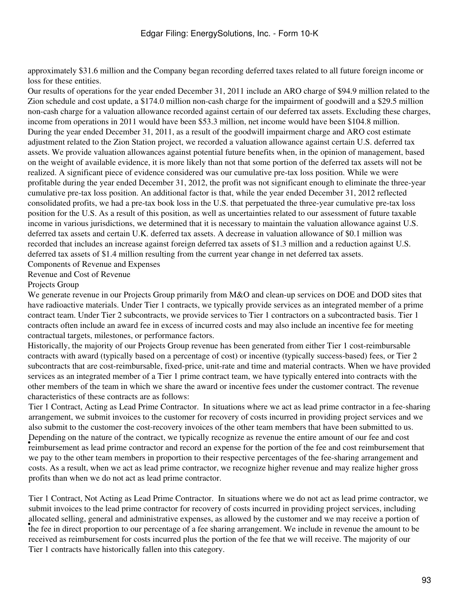approximately \$31.6 million and the Company began recording deferred taxes related to all future foreign income or loss for these entities.

Our results of operations for the year ended December 31, 2011 include an ARO charge of \$94.9 million related to the Zion schedule and cost update, a \$174.0 million non-cash charge for the impairment of goodwill and a \$29.5 million non-cash charge for a valuation allowance recorded against certain of our deferred tax assets. Excluding these charges, income from operations in 2011 would have been \$53.3 million, net income would have been \$104.8 million. During the year ended December 31, 2011, as a result of the goodwill impairment charge and ARO cost estimate adjustment related to the Zion Station project, we recorded a valuation allowance against certain U.S. deferred tax assets. We provide valuation allowances against potential future benefits when, in the opinion of management, based on the weight of available evidence, it is more likely than not that some portion of the deferred tax assets will not be realized. A significant piece of evidence considered was our cumulative pre-tax loss position. While we were profitable during the year ended December 31, 2012, the profit was not significant enough to eliminate the three-year cumulative pre-tax loss position. An additional factor is that, while the year ended December 31, 2012 reflected consolidated profits, we had a pre-tax book loss in the U.S. that perpetuated the three-year cumulative pre-tax loss position for the U.S. As a result of this position, as well as uncertainties related to our assessment of future taxable income in various jurisdictions, we determined that it is necessary to maintain the valuation allowance against U.S. deferred tax assets and certain U.K. deferred tax assets. A decrease in valuation allowance of \$0.1 million was recorded that includes an increase against foreign deferred tax assets of \$1.3 million and a reduction against U.S. deferred tax assets of \$1.4 million resulting from the current year change in net deferred tax assets.

Components of Revenue and Expenses

Revenue and Cost of Revenue

Projects Group

We generate revenue in our Projects Group primarily from M&O and clean-up services on DOE and DOD sites that have radioactive materials. Under Tier 1 contracts, we typically provide services as an integrated member of a prime contract team. Under Tier 2 subcontracts, we provide services to Tier 1 contractors on a subcontracted basis. Tier 1 contracts often include an award fee in excess of incurred costs and may also include an incentive fee for meeting contractual targets, milestones, or performance factors.

Historically, the majority of our Projects Group revenue has been generated from either Tier 1 cost-reimbursable contracts with award (typically based on a percentage of cost) or incentive (typically success-based) fees, or Tier 2 subcontracts that are cost-reimbursable, fixed-price, unit-rate and time and material contracts. When we have provided services as an integrated member of a Tier 1 prime contract team, we have typically entered into contracts with the other members of the team in which we share the award or incentive fees under the customer contract. The revenue characteristics of these contracts are as follows:

• reimbursement as lead prime contractor and record an expense for the portion of the fee and cost reimbursement that Tier 1 Contract, Acting as Lead Prime Contractor. In situations where we act as lead prime contractor in a fee-sharing arrangement, we submit invoices to the customer for recovery of costs incurred in providing project services and we also submit to the customer the cost-recovery invoices of the other team members that have been submitted to us. Depending on the nature of the contract, we typically recognize as revenue the entire amount of our fee and cost we pay to the other team members in proportion to their respective percentages of the fee-sharing arrangement and costs. As a result, when we act as lead prime contractor, we recognize higher revenue and may realize higher gross profits than when we do not act as lead prime contractor.

the fee in direct proportion to our percentage of a fee sharing arrangement. We include in revenue the amount to be Tier 1 Contract, Not Acting as Lead Prime Contractor. In situations where we do not act as lead prime contractor, we submit invoices to the lead prime contractor for recovery of costs incurred in providing project services, including allocated selling, general and administrative expenses, as allowed by the customer and we may receive a portion of received as reimbursement for costs incurred plus the portion of the fee that we will receive. The majority of our Tier 1 contracts have historically fallen into this category.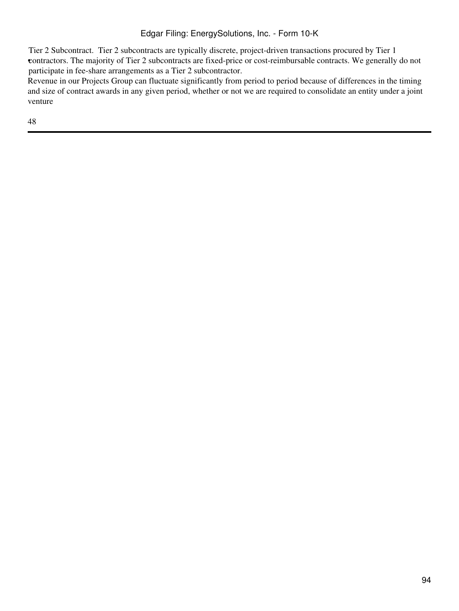• contractors. The majority of Tier 2 subcontracts are fixed-price or cost-reimbursable contracts. We generally do not Tier 2 Subcontract. Tier 2 subcontracts are typically discrete, project-driven transactions procured by Tier 1 participate in fee-share arrangements as a Tier 2 subcontractor.

Revenue in our Projects Group can fluctuate significantly from period to period because of differences in the timing and size of contract awards in any given period, whether or not we are required to consolidate an entity under a joint venture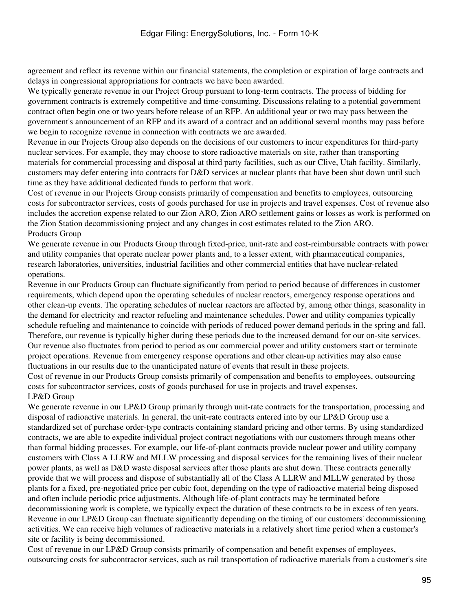agreement and reflect its revenue within our financial statements, the completion or expiration of large contracts and delays in congressional appropriations for contracts we have been awarded.

We typically generate revenue in our Project Group pursuant to long-term contracts. The process of bidding for government contracts is extremely competitive and time-consuming. Discussions relating to a potential government contract often begin one or two years before release of an RFP. An additional year or two may pass between the government's announcement of an RFP and its award of a contract and an additional several months may pass before we begin to recognize revenue in connection with contracts we are awarded.

Revenue in our Projects Group also depends on the decisions of our customers to incur expenditures for third-party nuclear services. For example, they may choose to store radioactive materials on site, rather than transporting materials for commercial processing and disposal at third party facilities, such as our Clive, Utah facility. Similarly, customers may defer entering into contracts for D&D services at nuclear plants that have been shut down until such time as they have additional dedicated funds to perform that work.

Cost of revenue in our Projects Group consists primarily of compensation and benefits to employees, outsourcing costs for subcontractor services, costs of goods purchased for use in projects and travel expenses. Cost of revenue also includes the accretion expense related to our Zion ARO, Zion ARO settlement gains or losses as work is performed on the Zion Station decommissioning project and any changes in cost estimates related to the Zion ARO. Products Group

We generate revenue in our Products Group through fixed-price, unit-rate and cost-reimbursable contracts with power and utility companies that operate nuclear power plants and, to a lesser extent, with pharmaceutical companies, research laboratories, universities, industrial facilities and other commercial entities that have nuclear-related operations.

Revenue in our Products Group can fluctuate significantly from period to period because of differences in customer requirements, which depend upon the operating schedules of nuclear reactors, emergency response operations and other clean-up events. The operating schedules of nuclear reactors are affected by, among other things, seasonality in the demand for electricity and reactor refueling and maintenance schedules. Power and utility companies typically schedule refueling and maintenance to coincide with periods of reduced power demand periods in the spring and fall. Therefore, our revenue is typically higher during these periods due to the increased demand for our on-site services. Our revenue also fluctuates from period to period as our commercial power and utility customers start or terminate project operations. Revenue from emergency response operations and other clean-up activities may also cause fluctuations in our results due to the unanticipated nature of events that result in these projects.

Cost of revenue in our Products Group consists primarily of compensation and benefits to employees, outsourcing costs for subcontractor services, costs of goods purchased for use in projects and travel expenses. LP&D Group

We generate revenue in our LP&D Group primarily through unit-rate contracts for the transportation, processing and disposal of radioactive materials. In general, the unit-rate contracts entered into by our LP&D Group use a standardized set of purchase order-type contracts containing standard pricing and other terms. By using standardized contracts, we are able to expedite individual project contract negotiations with our customers through means other than formal bidding processes. For example, our life-of-plant contracts provide nuclear power and utility company customers with Class A LLRW and MLLW processing and disposal services for the remaining lives of their nuclear power plants, as well as D&D waste disposal services after those plants are shut down. These contracts generally provide that we will process and dispose of substantially all of the Class A LLRW and MLLW generated by those plants for a fixed, pre-negotiated price per cubic foot, depending on the type of radioactive material being disposed and often include periodic price adjustments. Although life-of-plant contracts may be terminated before decommissioning work is complete, we typically expect the duration of these contracts to be in excess of ten years. Revenue in our LP&D Group can fluctuate significantly depending on the timing of our customers' decommissioning activities. We can receive high volumes of radioactive materials in a relatively short time period when a customer's site or facility is being decommissioned.

Cost of revenue in our LP&D Group consists primarily of compensation and benefit expenses of employees, outsourcing costs for subcontractor services, such as rail transportation of radioactive materials from a customer's site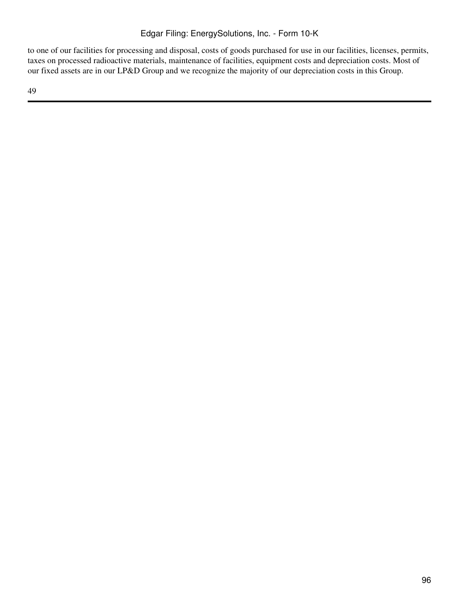to one of our facilities for processing and disposal, costs of goods purchased for use in our facilities, licenses, permits, taxes on processed radioactive materials, maintenance of facilities, equipment costs and depreciation costs. Most of our fixed assets are in our LP&D Group and we recognize the majority of our depreciation costs in this Group.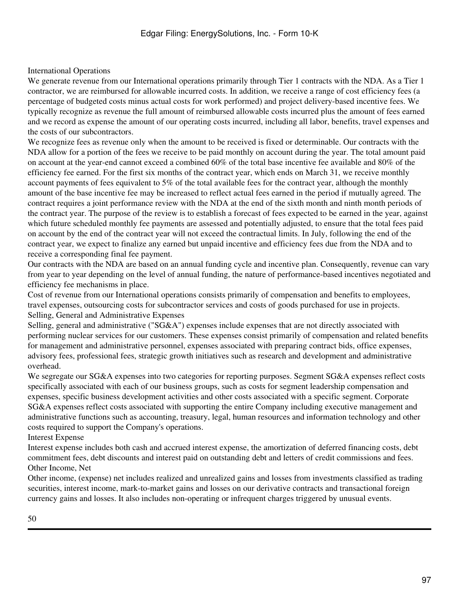### International Operations

We generate revenue from our International operations primarily through Tier 1 contracts with the NDA. As a Tier 1 contractor, we are reimbursed for allowable incurred costs. In addition, we receive a range of cost efficiency fees (a percentage of budgeted costs minus actual costs for work performed) and project delivery-based incentive fees. We typically recognize as revenue the full amount of reimbursed allowable costs incurred plus the amount of fees earned and we record as expense the amount of our operating costs incurred, including all labor, benefits, travel expenses and the costs of our subcontractors.

We recognize fees as revenue only when the amount to be received is fixed or determinable. Our contracts with the NDA allow for a portion of the fees we receive to be paid monthly on account during the year. The total amount paid on account at the year-end cannot exceed a combined 60% of the total base incentive fee available and 80% of the efficiency fee earned. For the first six months of the contract year, which ends on March 31, we receive monthly account payments of fees equivalent to 5% of the total available fees for the contract year, although the monthly amount of the base incentive fee may be increased to reflect actual fees earned in the period if mutually agreed. The contract requires a joint performance review with the NDA at the end of the sixth month and ninth month periods of the contract year. The purpose of the review is to establish a forecast of fees expected to be earned in the year, against which future scheduled monthly fee payments are assessed and potentially adjusted, to ensure that the total fees paid on account by the end of the contract year will not exceed the contractual limits. In July, following the end of the contract year, we expect to finalize any earned but unpaid incentive and efficiency fees due from the NDA and to receive a corresponding final fee payment.

Our contracts with the NDA are based on an annual funding cycle and incentive plan. Consequently, revenue can vary from year to year depending on the level of annual funding, the nature of performance-based incentives negotiated and efficiency fee mechanisms in place.

Cost of revenue from our International operations consists primarily of compensation and benefits to employees, travel expenses, outsourcing costs for subcontractor services and costs of goods purchased for use in projects. Selling, General and Administrative Expenses

Selling, general and administrative ("SG&A") expenses include expenses that are not directly associated with performing nuclear services for our customers. These expenses consist primarily of compensation and related benefits for management and administrative personnel, expenses associated with preparing contract bids, office expenses, advisory fees, professional fees, strategic growth initiatives such as research and development and administrative overhead.

We segregate our SG&A expenses into two categories for reporting purposes. Segment SG&A expenses reflect costs specifically associated with each of our business groups, such as costs for segment leadership compensation and expenses, specific business development activities and other costs associated with a specific segment. Corporate SG&A expenses reflect costs associated with supporting the entire Company including executive management and administrative functions such as accounting, treasury, legal, human resources and information technology and other costs required to support the Company's operations.

Interest Expense

Interest expense includes both cash and accrued interest expense, the amortization of deferred financing costs, debt commitment fees, debt discounts and interest paid on outstanding debt and letters of credit commissions and fees. Other Income, Net

Other income, (expense) net includes realized and unrealized gains and losses from investments classified as trading securities, interest income, mark-to-market gains and losses on our derivative contracts and transactional foreign currency gains and losses. It also includes non-operating or infrequent charges triggered by unusual events.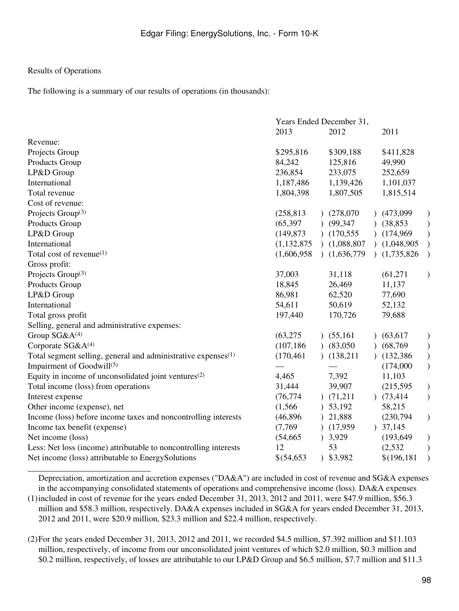#### Results of Operations

\_\_\_\_\_\_\_\_\_\_\_\_\_\_\_\_\_\_\_\_\_\_\_\_\_\_\_\_\_

The following is a summary of our results of operations (in thousands):

|                                                                           | Years Ended December 31, |  |             |               |              |               |
|---------------------------------------------------------------------------|--------------------------|--|-------------|---------------|--------------|---------------|
|                                                                           | 2013                     |  | 2012        |               | 2011         |               |
| Revenue:                                                                  |                          |  |             |               |              |               |
| Projects Group                                                            | \$295,816                |  | \$309,188   |               | \$411,828    |               |
| Products Group                                                            | 84,242                   |  | 125,816     |               | 49,990       |               |
| LP&D Group                                                                | 236,854                  |  | 233,075     |               | 252,659      |               |
| International                                                             | 1,187,486                |  | 1,139,426   |               | 1,101,037    |               |
| Total revenue                                                             | 1,804,398                |  | 1,807,505   |               | 1,815,514    |               |
| Cost of revenue:                                                          |                          |  |             |               |              |               |
| Projects $Group^{(3)}$                                                    | (258, 813)               |  | (278,070)   |               | (473,099)    |               |
| Products Group                                                            | (65, 397)                |  | (99, 347)   |               | (38, 853)    |               |
| LP&D Group                                                                | (149, 873)               |  | (170, 555)  |               | (174,969)    |               |
| International                                                             | (1,132,875)              |  | (1,088,807) |               | (1,048,905)  | $\mathcal{E}$ |
| Total cost of revenue $^{(1)}$                                            | (1,606,958)              |  | (1,636,779) |               | (1,735,826)  |               |
| Gross profit:                                                             |                          |  |             |               |              |               |
| Projects $Group^{(3)}$                                                    | 37,003                   |  | 31,118      |               | (61, 271)    |               |
| Products Group                                                            | 18,845                   |  | 26,469      |               | 11,137       |               |
| LP&D Group                                                                | 86,981                   |  | 62,520      |               | 77,690       |               |
| International                                                             | 54,611                   |  | 50,619      |               | 52,132       |               |
| Total gross profit                                                        | 197,440                  |  | 170,726     |               | 79,688       |               |
| Selling, general and administrative expenses:                             |                          |  |             |               |              |               |
| Group SG&A <sup>(4)</sup>                                                 | (63, 275)                |  | (55, 161)   |               | (63, 617)    |               |
| Corporate SG&A <sup>(4)</sup>                                             | (107, 186)               |  | (83,050)    |               | (68, 769)    | $)$           |
| Total segment selling, general and administrative expenses <sup>(1)</sup> | (170, 461)               |  | (138,211)   | $\mathcal{L}$ | (132, 386)   | )<br>)        |
| Impairment of Goodwill $(5)$                                              |                          |  |             |               | (174,000)    |               |
| Equity in income of unconsolidated joint ventures $(2)$                   | 4,465                    |  | 7,392       |               | 11,103       |               |
| Total income (loss) from operations                                       | 31,444                   |  | 39,907      |               | (215, 595)   | $\mathcal{E}$ |
| Interest expense                                                          | (76, 774)                |  | (71,211)    | $\mathcal{L}$ | (73, 414)    | $\mathcal{E}$ |
| Other income (expense), net                                               | (1,566)                  |  | 53,192      |               | 58,215       |               |
| Income (loss) before income taxes and noncontrolling interests            | (46, 896)                |  | 21,888      |               | (230,794)    | $\mathcal{E}$ |
| Income tax benefit (expense)                                              | (7,769)                  |  | (17,959)    |               | ) 37,145     |               |
| Net income (loss)                                                         | (54, 665)                |  | 3,929       |               | (193, 649)   | $\mathcal{Y}$ |
| Less: Net loss (income) attributable to noncontrolling interests          | 12                       |  | 53          |               | (2,532)      |               |
| Net income (loss) attributable to EnergySolutions                         | \$(54,653)               |  | 3,982       |               | \$(196, 181) |               |

Depreciation, amortization and accretion expenses ("DA&A") are included in cost of revenue and SG&A expenses in the accompanying consolidated statements of operations and comprehensive income (loss). DA&A expenses

(1) included in cost of revenue for the years ended December 31, 2013, 2012 and 2011, were \$47.9 million, \$56.3 million and \$58.3 million, respectively. DA&A expenses included in SG&A for years ended December 31, 2013, 2012 and 2011, were \$20.9 million, \$23.3 million and \$22.4 million, respectively.

(2)For the years ended December 31, 2013, 2012 and 2011, we recorded \$4.5 million, \$7.392 million and \$11.103 million, respectively, of income from our unconsolidated joint ventures of which \$2.0 million, \$0.3 million and \$0.2 million, respectively, of losses are attributable to our LP&D Group and \$6.5 million, \$7.7 million and \$11.3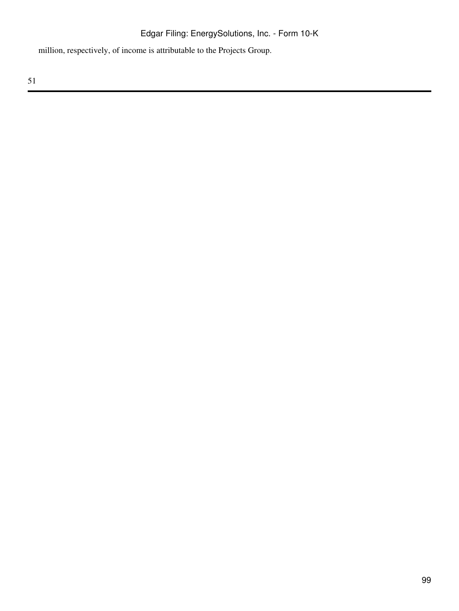million, respectively, of income is attributable to the Projects Group.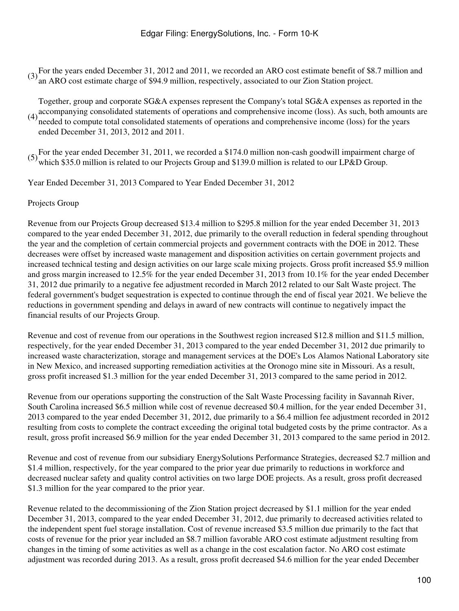(3)For the years ended December 31, 2012 and 2011, we recorded an ARO cost estimate benefit of \$8.7 million and an ARO cost estimate charge of \$94.9 million, respectively, associated to our Zion Station project.

(4) accompanying consolidated statements of operations and comprehensive income (loss). As such, both amounts are<br>and a second to compute tatel consolidated statements of operations and comprehensive income (loss) for the Together, group and corporate SG&A expenses represent the Company's total SG&A expenses as reported in the needed to compute total consolidated statements of operations and comprehensive income (loss) for the years ended December 31, 2013, 2012 and 2011.

(5) For the year ended December 31, 2011, we recorded a \$174.0 million non-cash goodwill impairment charge of which \$35.0 million is related to our Projects Group and \$139.0 million is related to our LP&D Group.

Year Ended December 31, 2013 Compared to Year Ended December 31, 2012

Projects Group

Revenue from our Projects Group decreased \$13.4 million to \$295.8 million for the year ended December 31, 2013 compared to the year ended December 31, 2012, due primarily to the overall reduction in federal spending throughout the year and the completion of certain commercial projects and government contracts with the DOE in 2012. These decreases were offset by increased waste management and disposition activities on certain government projects and increased technical testing and design activities on our large scale mixing projects. Gross profit increased \$5.9 million and gross margin increased to 12.5% for the year ended December 31, 2013 from 10.1% for the year ended December 31, 2012 due primarily to a negative fee adjustment recorded in March 2012 related to our Salt Waste project. The federal government's budget sequestration is expected to continue through the end of fiscal year 2021. We believe the reductions in government spending and delays in award of new contracts will continue to negatively impact the financial results of our Projects Group.

Revenue and cost of revenue from our operations in the Southwest region increased \$12.8 million and \$11.5 million, respectively, for the year ended December 31, 2013 compared to the year ended December 31, 2012 due primarily to increased waste characterization, storage and management services at the DOE's Los Alamos National Laboratory site in New Mexico, and increased supporting remediation activities at the Oronogo mine site in Missouri. As a result, gross profit increased \$1.3 million for the year ended December 31, 2013 compared to the same period in 2012.

Revenue from our operations supporting the construction of the Salt Waste Processing facility in Savannah River, South Carolina increased \$6.5 million while cost of revenue decreased \$0.4 million, for the year ended December 31, 2013 compared to the year ended December 31, 2012, due primarily to a \$6.4 million fee adjustment recorded in 2012 resulting from costs to complete the contract exceeding the original total budgeted costs by the prime contractor. As a result, gross profit increased \$6.9 million for the year ended December 31, 2013 compared to the same period in 2012.

Revenue and cost of revenue from our subsidiary EnergySolutions Performance Strategies, decreased \$2.7 million and \$1.4 million, respectively, for the year compared to the prior year due primarily to reductions in workforce and decreased nuclear safety and quality control activities on two large DOE projects. As a result, gross profit decreased \$1.3 million for the year compared to the prior year.

Revenue related to the decommissioning of the Zion Station project decreased by \$1.1 million for the year ended December 31, 2013, compared to the year ended December 31, 2012, due primarily to decreased activities related to the independent spent fuel storage installation. Cost of revenue increased \$3.5 million due primarily to the fact that costs of revenue for the prior year included an \$8.7 million favorable ARO cost estimate adjustment resulting from changes in the timing of some activities as well as a change in the cost escalation factor. No ARO cost estimate adjustment was recorded during 2013. As a result, gross profit decreased \$4.6 million for the year ended December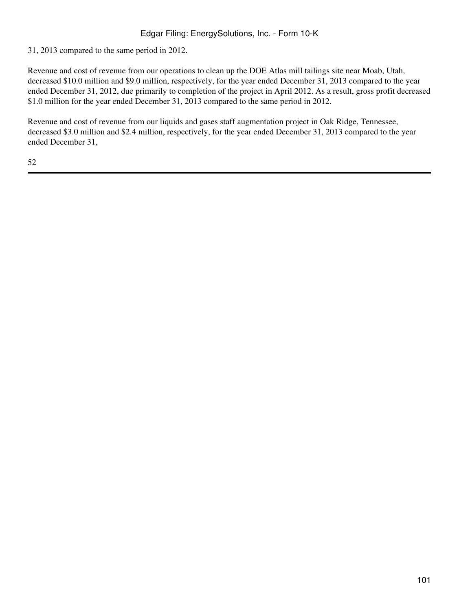31, 2013 compared to the same period in 2012.

Revenue and cost of revenue from our operations to clean up the DOE Atlas mill tailings site near Moab, Utah, decreased \$10.0 million and \$9.0 million, respectively, for the year ended December 31, 2013 compared to the year ended December 31, 2012, due primarily to completion of the project in April 2012. As a result, gross profit decreased \$1.0 million for the year ended December 31, 2013 compared to the same period in 2012.

Revenue and cost of revenue from our liquids and gases staff augmentation project in Oak Ridge, Tennessee, decreased \$3.0 million and \$2.4 million, respectively, for the year ended December 31, 2013 compared to the year ended December 31,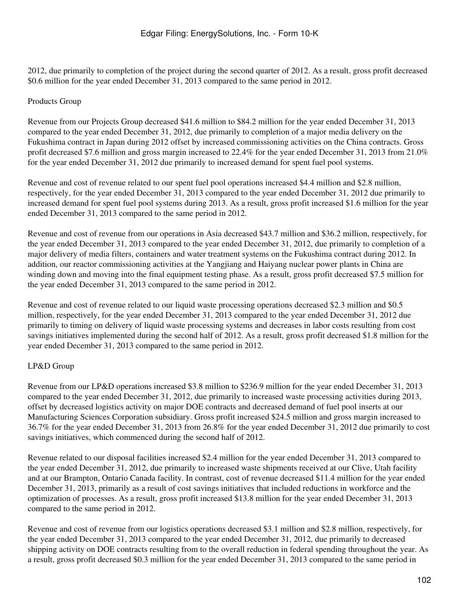2012, due primarily to completion of the project during the second quarter of 2012. As a result, gross profit decreased \$0.6 million for the year ended December 31, 2013 compared to the same period in 2012.

# Products Group

Revenue from our Projects Group decreased \$41.6 million to \$84.2 million for the year ended December 31, 2013 compared to the year ended December 31, 2012, due primarily to completion of a major media delivery on the Fukushima contract in Japan during 2012 offset by increased commissioning activities on the China contracts. Gross profit decreased \$7.6 million and gross margin increased to 22.4% for the year ended December 31, 2013 from 21.0% for the year ended December 31, 2012 due primarily to increased demand for spent fuel pool systems.

Revenue and cost of revenue related to our spent fuel pool operations increased \$4.4 million and \$2.8 million, respectively, for the year ended December 31, 2013 compared to the year ended December 31, 2012 due primarily to increased demand for spent fuel pool systems during 2013. As a result, gross profit increased \$1.6 million for the year ended December 31, 2013 compared to the same period in 2012.

Revenue and cost of revenue from our operations in Asia decreased \$43.7 million and \$36.2 million, respectively, for the year ended December 31, 2013 compared to the year ended December 31, 2012, due primarily to completion of a major delivery of media filters, containers and water treatment systems on the Fukushima contract during 2012. In addition, our reactor commissioning activities at the Yangjiang and Haiyang nuclear power plants in China are winding down and moving into the final equipment testing phase. As a result, gross profit decreased \$7.5 million for the year ended December 31, 2013 compared to the same period in 2012.

Revenue and cost of revenue related to our liquid waste processing operations decreased \$2.3 million and \$0.5 million, respectively, for the year ended December 31, 2013 compared to the year ended December 31, 2012 due primarily to timing on delivery of liquid waste processing systems and decreases in labor costs resulting from cost savings initiatives implemented during the second half of 2012. As a result, gross profit decreased \$1.8 million for the year ended December 31, 2013 compared to the same period in 2012.

### LP&D Group

Revenue from our LP&D operations increased \$3.8 million to \$236.9 million for the year ended December 31, 2013 compared to the year ended December 31, 2012, due primarily to increased waste processing activities during 2013, offset by decreased logistics activity on major DOE contracts and decreased demand of fuel pool inserts at our Manufacturing Sciences Corporation subsidiary. Gross profit increased \$24.5 million and gross margin increased to 36.7% for the year ended December 31, 2013 from 26.8% for the year ended December 31, 2012 due primarily to cost savings initiatives, which commenced during the second half of 2012.

Revenue related to our disposal facilities increased \$2.4 million for the year ended December 31, 2013 compared to the year ended December 31, 2012, due primarily to increased waste shipments received at our Clive, Utah facility and at our Brampton, Ontario Canada facility. In contrast, cost of revenue decreased \$11.4 million for the year ended December 31, 2013, primarily as a result of cost savings initiatives that included reductions in workforce and the optimization of processes. As a result, gross profit increased \$13.8 million for the year ended December 31, 2013 compared to the same period in 2012.

Revenue and cost of revenue from our logistics operations decreased \$3.1 million and \$2.8 million, respectively, for the year ended December 31, 2013 compared to the year ended December 31, 2012, due primarily to decreased shipping activity on DOE contracts resulting from to the overall reduction in federal spending throughout the year. As a result, gross profit decreased \$0.3 million for the year ended December 31, 2013 compared to the same period in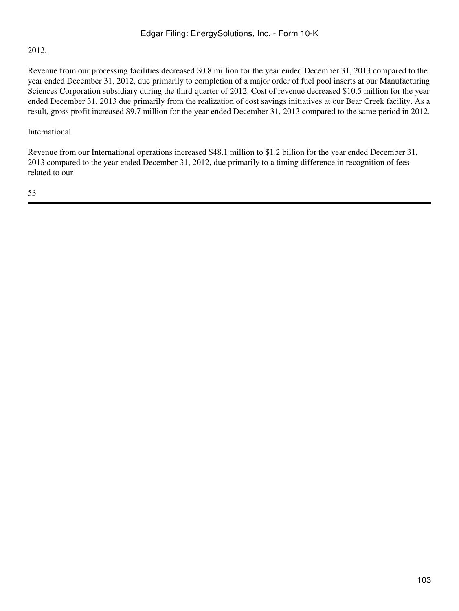## 2012.

Revenue from our processing facilities decreased \$0.8 million for the year ended December 31, 2013 compared to the year ended December 31, 2012, due primarily to completion of a major order of fuel pool inserts at our Manufacturing Sciences Corporation subsidiary during the third quarter of 2012. Cost of revenue decreased \$10.5 million for the year ended December 31, 2013 due primarily from the realization of cost savings initiatives at our Bear Creek facility. As a result, gross profit increased \$9.7 million for the year ended December 31, 2013 compared to the same period in 2012.

### International

Revenue from our International operations increased \$48.1 million to \$1.2 billion for the year ended December 31, 2013 compared to the year ended December 31, 2012, due primarily to a timing difference in recognition of fees related to our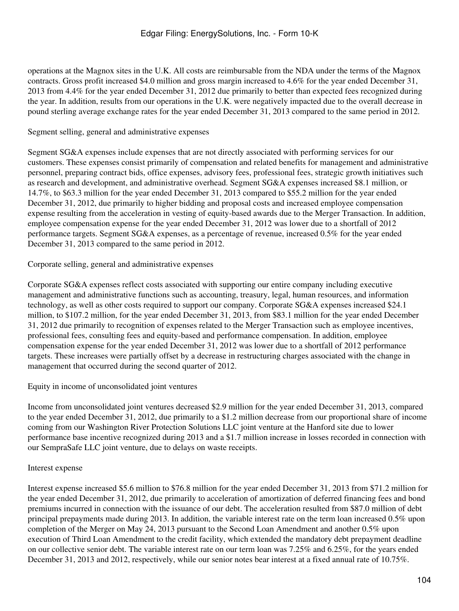operations at the Magnox sites in the U.K. All costs are reimbursable from the NDA under the terms of the Magnox contracts. Gross profit increased \$4.0 million and gross margin increased to 4.6% for the year ended December 31, 2013 from 4.4% for the year ended December 31, 2012 due primarily to better than expected fees recognized during the year. In addition, results from our operations in the U.K. were negatively impacted due to the overall decrease in pound sterling average exchange rates for the year ended December 31, 2013 compared to the same period in 2012.

Segment selling, general and administrative expenses

Segment SG&A expenses include expenses that are not directly associated with performing services for our customers. These expenses consist primarily of compensation and related benefits for management and administrative personnel, preparing contract bids, office expenses, advisory fees, professional fees, strategic growth initiatives such as research and development, and administrative overhead. Segment SG&A expenses increased \$8.1 million, or 14.7%, to \$63.3 million for the year ended December 31, 2013 compared to \$55.2 million for the year ended December 31, 2012, due primarily to higher bidding and proposal costs and increased employee compensation expense resulting from the acceleration in vesting of equity-based awards due to the Merger Transaction. In addition, employee compensation expense for the year ended December 31, 2012 was lower due to a shortfall of 2012 performance targets. Segment SG&A expenses, as a percentage of revenue, increased 0.5% for the year ended December 31, 2013 compared to the same period in 2012.

Corporate selling, general and administrative expenses

Corporate SG&A expenses reflect costs associated with supporting our entire company including executive management and administrative functions such as accounting, treasury, legal, human resources, and information technology, as well as other costs required to support our company. Corporate SG&A expenses increased \$24.1 million, to \$107.2 million, for the year ended December 31, 2013, from \$83.1 million for the year ended December 31, 2012 due primarily to recognition of expenses related to the Merger Transaction such as employee incentives, professional fees, consulting fees and equity-based and performance compensation. In addition, employee compensation expense for the year ended December 31, 2012 was lower due to a shortfall of 2012 performance targets. These increases were partially offset by a decrease in restructuring charges associated with the change in management that occurred during the second quarter of 2012.

Equity in income of unconsolidated joint ventures

Income from unconsolidated joint ventures decreased \$2.9 million for the year ended December 31, 2013, compared to the year ended December 31, 2012, due primarily to a \$1.2 million decrease from our proportional share of income coming from our Washington River Protection Solutions LLC joint venture at the Hanford site due to lower performance base incentive recognized during 2013 and a \$1.7 million increase in losses recorded in connection with our SempraSafe LLC joint venture, due to delays on waste receipts.

#### Interest expense

Interest expense increased \$5.6 million to \$76.8 million for the year ended December 31, 2013 from \$71.2 million for the year ended December 31, 2012, due primarily to acceleration of amortization of deferred financing fees and bond premiums incurred in connection with the issuance of our debt. The acceleration resulted from \$87.0 million of debt principal prepayments made during 2013. In addition, the variable interest rate on the term loan increased 0.5% upon completion of the Merger on May 24, 2013 pursuant to the Second Loan Amendment and another 0.5% upon execution of Third Loan Amendment to the credit facility, which extended the mandatory debt prepayment deadline on our collective senior debt. The variable interest rate on our term loan was 7.25% and 6.25%, for the years ended December 31, 2013 and 2012, respectively, while our senior notes bear interest at a fixed annual rate of 10.75%.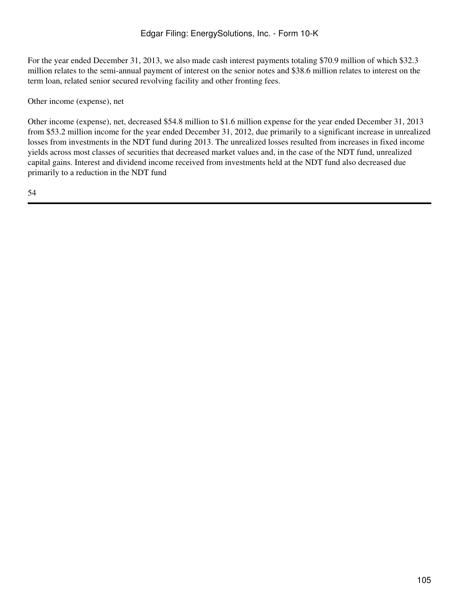For the year ended December 31, 2013, we also made cash interest payments totaling \$70.9 million of which \$32.3 million relates to the semi-annual payment of interest on the senior notes and \$38.6 million relates to interest on the term loan, related senior secured revolving facility and other fronting fees.

Other income (expense), net

Other income (expense), net, decreased \$54.8 million to \$1.6 million expense for the year ended December 31, 2013 from \$53.2 million income for the year ended December 31, 2012, due primarily to a significant increase in unrealized losses from investments in the NDT fund during 2013. The unrealized losses resulted from increases in fixed income yields across most classes of securities that decreased market values and, in the case of the NDT fund, unrealized capital gains. Interest and dividend income received from investments held at the NDT fund also decreased due primarily to a reduction in the NDT fund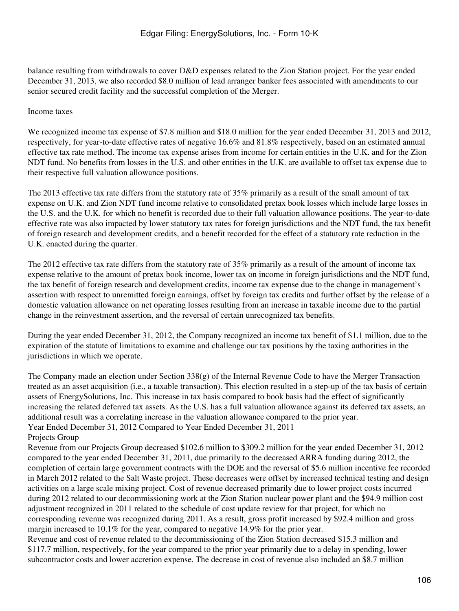balance resulting from withdrawals to cover D&D expenses related to the Zion Station project. For the year ended December 31, 2013, we also recorded \$8.0 million of lead arranger banker fees associated with amendments to our senior secured credit facility and the successful completion of the Merger.

#### Income taxes

We recognized income tax expense of \$7.8 million and \$18.0 million for the year ended December 31, 2013 and 2012, respectively, for year-to-date effective rates of negative 16.6% and 81.8% respectively, based on an estimated annual effective tax rate method. The income tax expense arises from income for certain entities in the U.K. and for the Zion NDT fund. No benefits from losses in the U.S. and other entities in the U.K. are available to offset tax expense due to their respective full valuation allowance positions.

The 2013 effective tax rate differs from the statutory rate of 35% primarily as a result of the small amount of tax expense on U.K. and Zion NDT fund income relative to consolidated pretax book losses which include large losses in the U.S. and the U.K. for which no benefit is recorded due to their full valuation allowance positions. The year-to-date effective rate was also impacted by lower statutory tax rates for foreign jurisdictions and the NDT fund, the tax benefit of foreign research and development credits, and a benefit recorded for the effect of a statutory rate reduction in the U.K. enacted during the quarter.

The 2012 effective tax rate differs from the statutory rate of 35% primarily as a result of the amount of income tax expense relative to the amount of pretax book income, lower tax on income in foreign jurisdictions and the NDT fund, the tax benefit of foreign research and development credits, income tax expense due to the change in management's assertion with respect to unremitted foreign earnings, offset by foreign tax credits and further offset by the release of a domestic valuation allowance on net operating losses resulting from an increase in taxable income due to the partial change in the reinvestment assertion, and the reversal of certain unrecognized tax benefits.

During the year ended December 31, 2012, the Company recognized an income tax benefit of \$1.1 million, due to the expiration of the statute of limitations to examine and challenge our tax positions by the taxing authorities in the jurisdictions in which we operate.

The Company made an election under Section 338(g) of the Internal Revenue Code to have the Merger Transaction treated as an asset acquisition (i.e., a taxable transaction). This election resulted in a step-up of the tax basis of certain assets of EnergySolutions, Inc. This increase in tax basis compared to book basis had the effect of significantly increasing the related deferred tax assets. As the U.S. has a full valuation allowance against its deferred tax assets, an additional result was a correlating increase in the valuation allowance compared to the prior year. Year Ended December 31, 2012 Compared to Year Ended December 31, 2011

#### Projects Group

Revenue from our Projects Group decreased \$102.6 million to \$309.2 million for the year ended December 31, 2012 compared to the year ended December 31, 2011, due primarily to the decreased ARRA funding during 2012, the completion of certain large government contracts with the DOE and the reversal of \$5.6 million incentive fee recorded in March 2012 related to the Salt Waste project. These decreases were offset by increased technical testing and design activities on a large scale mixing project. Cost of revenue decreased primarily due to lower project costs incurred during 2012 related to our decommissioning work at the Zion Station nuclear power plant and the \$94.9 million cost adjustment recognized in 2011 related to the schedule of cost update review for that project, for which no corresponding revenue was recognized during 2011. As a result, gross profit increased by \$92.4 million and gross margin increased to 10.1% for the year, compared to negative 14.9% for the prior year.

Revenue and cost of revenue related to the decommissioning of the Zion Station decreased \$15.3 million and \$117.7 million, respectively, for the year compared to the prior year primarily due to a delay in spending, lower subcontractor costs and lower accretion expense. The decrease in cost of revenue also included an \$8.7 million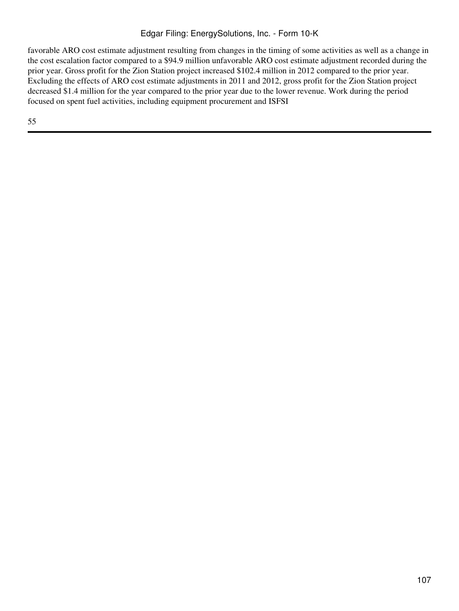favorable ARO cost estimate adjustment resulting from changes in the timing of some activities as well as a change in the cost escalation factor compared to a \$94.9 million unfavorable ARO cost estimate adjustment recorded during the prior year. Gross profit for the Zion Station project increased \$102.4 million in 2012 compared to the prior year. Excluding the effects of ARO cost estimate adjustments in 2011 and 2012, gross profit for the Zion Station project decreased \$1.4 million for the year compared to the prior year due to the lower revenue. Work during the period focused on spent fuel activities, including equipment procurement and ISFSI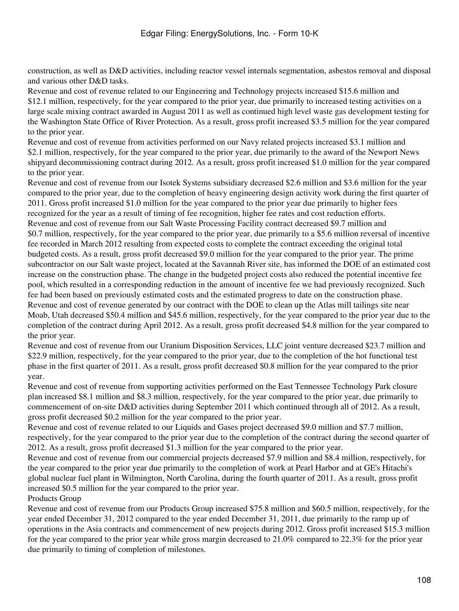construction, as well as D&D activities, including reactor vessel internals segmentation, asbestos removal and disposal and various other D&D tasks.

Revenue and cost of revenue related to our Engineering and Technology projects increased \$15.6 million and \$12.1 million, respectively, for the year compared to the prior year, due primarily to increased testing activities on a large scale mixing contract awarded in August 2011 as well as continued high level waste gas development testing for the Washington State Office of River Protection. As a result, gross profit increased \$3.5 million for the year compared to the prior year.

Revenue and cost of revenue from activities performed on our Navy related projects increased \$3.1 million and \$2.1 million, respectively, for the year compared to the prior year, due primarily to the award of the Newport News shipyard decommissioning contract during 2012. As a result, gross profit increased \$1.0 million for the year compared to the prior year.

Revenue and cost of revenue from our Isotek Systems subsidiary decreased \$2.6 million and \$3.6 million for the year compared to the prior year, due to the completion of heavy engineering design activity work during the first quarter of 2011. Gross profit increased \$1.0 million for the year compared to the prior year due primarily to higher fees recognized for the year as a result of timing of fee recognition, higher fee rates and cost reduction efforts. Revenue and cost of revenue from our Salt Waste Processing Facility contract decreased \$9.7 million and \$0.7 million, respectively, for the year compared to the prior year, due primarily to a \$5.6 million reversal of incentive fee recorded in March 2012 resulting from expected costs to complete the contract exceeding the original total budgeted costs. As a result, gross profit decreased \$9.0 million for the year compared to the prior year. The prime subcontractor on our Salt waste project, located at the Savannah River site, has informed the DOE of an estimated cost increase on the construction phase. The change in the budgeted project costs also reduced the potential incentive fee pool, which resulted in a corresponding reduction in the amount of incentive fee we had previously recognized. Such fee had been based on previously estimated costs and the estimated progress to date on the construction phase. Revenue and cost of revenue generated by our contract with the DOE to clean up the Atlas mill tailings site near Moab, Utah decreased \$50.4 million and \$45.6 million, respectively, for the year compared to the prior year due to the completion of the contract during April 2012. As a result, gross profit decreased \$4.8 million for the year compared to the prior year.

Revenue and cost of revenue from our Uranium Disposition Services, LLC joint venture decreased \$23.7 million and \$22.9 million, respectively, for the year compared to the prior year, due to the completion of the hot functional test phase in the first quarter of 2011. As a result, gross profit decreased \$0.8 million for the year compared to the prior year.

Revenue and cost of revenue from supporting activities performed on the East Tennessee Technology Park closure plan increased \$8.1 million and \$8.3 million, respectively, for the year compared to the prior year, due primarily to commencement of on-site D&D activities during September 2011 which continued through all of 2012. As a result, gross profit decreased \$0.2 million for the year compared to the prior year.

Revenue and cost of revenue related to our Liquids and Gases project decreased \$9.0 million and \$7.7 million, respectively, for the year compared to the prior year due to the completion of the contract during the second quarter of 2012. As a result, gross profit decreased \$1.3 million for the year compared to the prior year.

Revenue and cost of revenue from our commercial projects decreased \$7.9 million and \$8.4 million, respectively, for the year compared to the prior year due primarily to the completion of work at Pearl Harbor and at GE's Hitachi's global nuclear fuel plant in Wilmington, North Carolina, during the fourth quarter of 2011. As a result, gross profit increased \$0.5 million for the year compared to the prior year.

### Products Group

Revenue and cost of revenue from our Products Group increased \$75.8 million and \$60.5 million, respectively, for the year ended December 31, 2012 compared to the year ended December 31, 2011, due primarily to the ramp up of operations in the Asia contracts and commencement of new projects during 2012. Gross profit increased \$15.3 million for the year compared to the prior year while gross margin decreased to 21.0% compared to 22.3% for the prior year due primarily to timing of completion of milestones.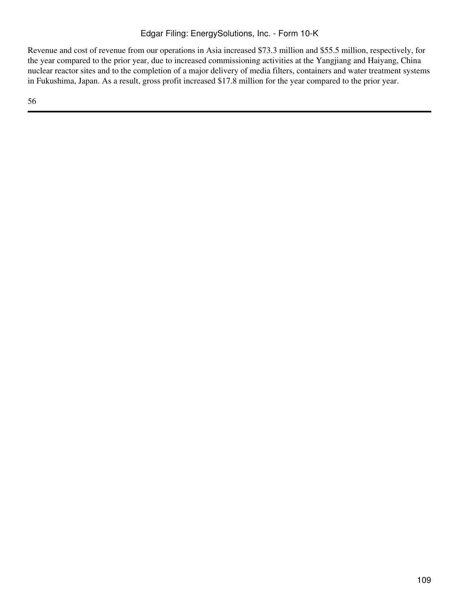Revenue and cost of revenue from our operations in Asia increased \$73.3 million and \$55.5 million, respectively, for the year compared to the prior year, due to increased commissioning activities at the Yangjiang and Haiyang, China nuclear reactor sites and to the completion of a major delivery of media filters, containers and water treatment systems in Fukushima, Japan. As a result, gross profit increased \$17.8 million for the year compared to the prior year.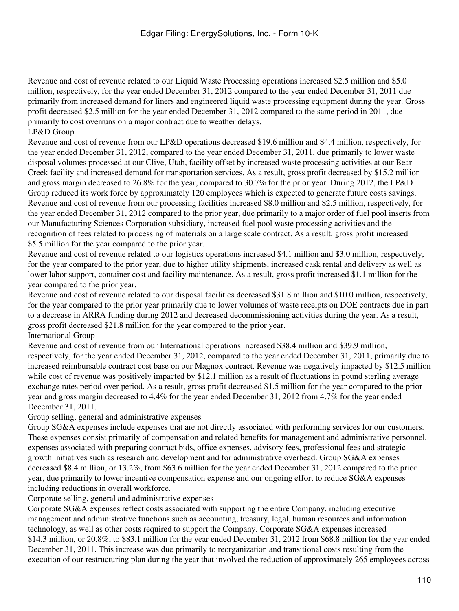Revenue and cost of revenue related to our Liquid Waste Processing operations increased \$2.5 million and \$5.0 million, respectively, for the year ended December 31, 2012 compared to the year ended December 31, 2011 due primarily from increased demand for liners and engineered liquid waste processing equipment during the year. Gross profit decreased \$2.5 million for the year ended December 31, 2012 compared to the same period in 2011, due primarily to cost overruns on a major contract due to weather delays.

## LP&D Group

Revenue and cost of revenue from our LP&D operations decreased \$19.6 million and \$4.4 million, respectively, for the year ended December 31, 2012, compared to the year ended December 31, 2011, due primarily to lower waste disposal volumes processed at our Clive, Utah, facility offset by increased waste processing activities at our Bear Creek facility and increased demand for transportation services. As a result, gross profit decreased by \$15.2 million and gross margin decreased to 26.8% for the year, compared to 30.7% for the prior year. During 2012, the LP&D Group reduced its work force by approximately 120 employees which is expected to generate future costs savings. Revenue and cost of revenue from our processing facilities increased \$8.0 million and \$2.5 million, respectively, for the year ended December 31, 2012 compared to the prior year, due primarily to a major order of fuel pool inserts from our Manufacturing Sciences Corporation subsidiary, increased fuel pool waste processing activities and the recognition of fees related to processing of materials on a large scale contract. As a result, gross profit increased \$5.5 million for the year compared to the prior year.

Revenue and cost of revenue related to our logistics operations increased \$4.1 million and \$3.0 million, respectively, for the year compared to the prior year, due to higher utility shipments, increased cask rental and delivery as well as lower labor support, container cost and facility maintenance. As a result, gross profit increased \$1.1 million for the year compared to the prior year.

Revenue and cost of revenue related to our disposal facilities decreased \$31.8 million and \$10.0 million, respectively, for the year compared to the prior year primarily due to lower volumes of waste receipts on DOE contracts due in part to a decrease in ARRA funding during 2012 and decreased decommissioning activities during the year. As a result, gross profit decreased \$21.8 million for the year compared to the prior year.

International Group

Revenue and cost of revenue from our International operations increased \$38.4 million and \$39.9 million, respectively, for the year ended December 31, 2012, compared to the year ended December 31, 2011, primarily due to increased reimbursable contract cost base on our Magnox contract. Revenue was negatively impacted by \$12.5 million while cost of revenue was positively impacted by \$12.1 million as a result of fluctuations in pound sterling average exchange rates period over period. As a result, gross profit decreased \$1.5 million for the year compared to the prior year and gross margin decreased to 4.4% for the year ended December 31, 2012 from 4.7% for the year ended December 31, 2011.

### Group selling, general and administrative expenses

Group SG&A expenses include expenses that are not directly associated with performing services for our customers. These expenses consist primarily of compensation and related benefits for management and administrative personnel, expenses associated with preparing contract bids, office expenses, advisory fees, professional fees and strategic growth initiatives such as research and development and for administrative overhead. Group SG&A expenses decreased \$8.4 million, or 13.2%, from \$63.6 million for the year ended December 31, 2012 compared to the prior year, due primarily to lower incentive compensation expense and our ongoing effort to reduce SG&A expenses including reductions in overall workforce.

Corporate selling, general and administrative expenses

Corporate SG&A expenses reflect costs associated with supporting the entire Company, including executive management and administrative functions such as accounting, treasury, legal, human resources and information technology, as well as other costs required to support the Company. Corporate SG&A expenses increased \$14.3 million, or 20.8%, to \$83.1 million for the year ended December 31, 2012 from \$68.8 million for the year ended December 31, 2011. This increase was due primarily to reorganization and transitional costs resulting from the execution of our restructuring plan during the year that involved the reduction of approximately 265 employees across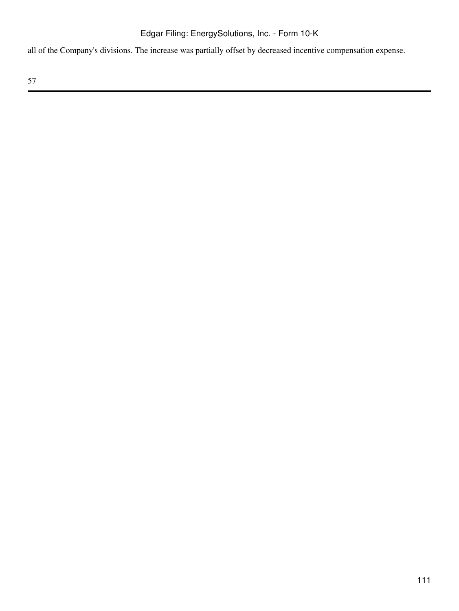all of the Company's divisions. The increase was partially offset by decreased incentive compensation expense.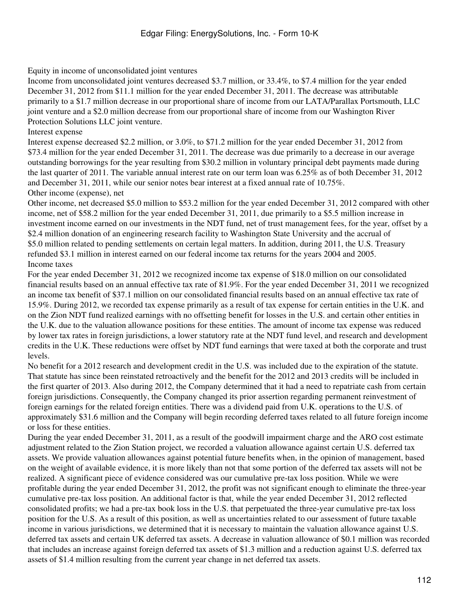Equity in income of unconsolidated joint ventures

Income from unconsolidated joint ventures decreased \$3.7 million, or 33.4%, to \$7.4 million for the year ended December 31, 2012 from \$11.1 million for the year ended December 31, 2011. The decrease was attributable primarily to a \$1.7 million decrease in our proportional share of income from our LATA/Parallax Portsmouth, LLC joint venture and a \$2.0 million decrease from our proportional share of income from our Washington River Protection Solutions LLC joint venture.

Interest expense

Interest expense decreased \$2.2 million, or 3.0%, to \$71.2 million for the year ended December 31, 2012 from \$73.4 million for the year ended December 31, 2011. The decrease was due primarily to a decrease in our average outstanding borrowings for the year resulting from \$30.2 million in voluntary principal debt payments made during the last quarter of 2011. The variable annual interest rate on our term loan was 6.25% as of both December 31, 2012 and December 31, 2011, while our senior notes bear interest at a fixed annual rate of 10.75%. Other income (expense), net

Other income, net decreased \$5.0 million to \$53.2 million for the year ended December 31, 2012 compared with other income, net of \$58.2 million for the year ended December 31, 2011, due primarily to a \$5.5 million increase in investment income earned on our investments in the NDT fund, net of trust management fees, for the year, offset by a \$2.4 million donation of an engineering research facility to Washington State University and the accrual of \$5.0 million related to pending settlements on certain legal matters. In addition, during 2011, the U.S. Treasury refunded \$3.1 million in interest earned on our federal income tax returns for the years 2004 and 2005. Income taxes

For the year ended December 31, 2012 we recognized income tax expense of \$18.0 million on our consolidated financial results based on an annual effective tax rate of 81.9%. For the year ended December 31, 2011 we recognized an income tax benefit of \$37.1 million on our consolidated financial results based on an annual effective tax rate of 15.9%. During 2012, we recorded tax expense primarily as a result of tax expense for certain entities in the U.K. and on the Zion NDT fund realized earnings with no offsetting benefit for losses in the U.S. and certain other entities in the U.K. due to the valuation allowance positions for these entities. The amount of income tax expense was reduced by lower tax rates in foreign jurisdictions, a lower statutory rate at the NDT fund level, and research and development credits in the U.K. These reductions were offset by NDT fund earnings that were taxed at both the corporate and trust levels.

No benefit for a 2012 research and development credit in the U.S. was included due to the expiration of the statute. That statute has since been reinstated retroactively and the benefit for the 2012 and 2013 credits will be included in the first quarter of 2013. Also during 2012, the Company determined that it had a need to repatriate cash from certain foreign jurisdictions. Consequently, the Company changed its prior assertion regarding permanent reinvestment of foreign earnings for the related foreign entities. There was a dividend paid from U.K. operations to the U.S. of approximately \$31.6 million and the Company will begin recording deferred taxes related to all future foreign income or loss for these entities.

During the year ended December 31, 2011, as a result of the goodwill impairment charge and the ARO cost estimate adjustment related to the Zion Station project, we recorded a valuation allowance against certain U.S. deferred tax assets. We provide valuation allowances against potential future benefits when, in the opinion of management, based on the weight of available evidence, it is more likely than not that some portion of the deferred tax assets will not be realized. A significant piece of evidence considered was our cumulative pre-tax loss position. While we were profitable during the year ended December 31, 2012, the profit was not significant enough to eliminate the three-year cumulative pre-tax loss position. An additional factor is that, while the year ended December 31, 2012 reflected consolidated profits; we had a pre-tax book loss in the U.S. that perpetuated the three-year cumulative pre-tax loss position for the U.S. As a result of this position, as well as uncertainties related to our assessment of future taxable income in various jurisdictions, we determined that it is necessary to maintain the valuation allowance against U.S. deferred tax assets and certain UK deferred tax assets. A decrease in valuation allowance of \$0.1 million was recorded that includes an increase against foreign deferred tax assets of \$1.3 million and a reduction against U.S. deferred tax assets of \$1.4 million resulting from the current year change in net deferred tax assets.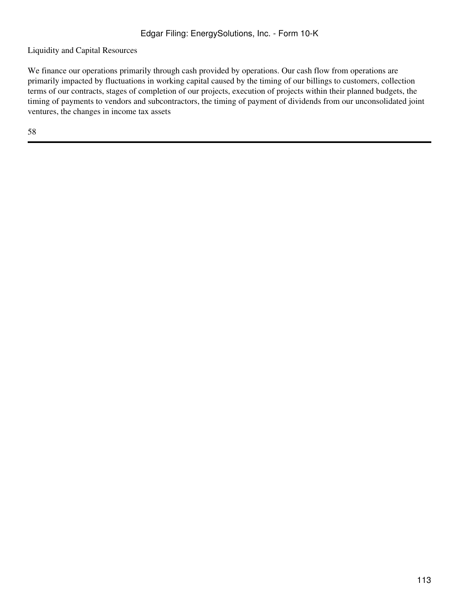Liquidity and Capital Resources

We finance our operations primarily through cash provided by operations. Our cash flow from operations are primarily impacted by fluctuations in working capital caused by the timing of our billings to customers, collection terms of our contracts, stages of completion of our projects, execution of projects within their planned budgets, the timing of payments to vendors and subcontractors, the timing of payment of dividends from our unconsolidated joint ventures, the changes in income tax assets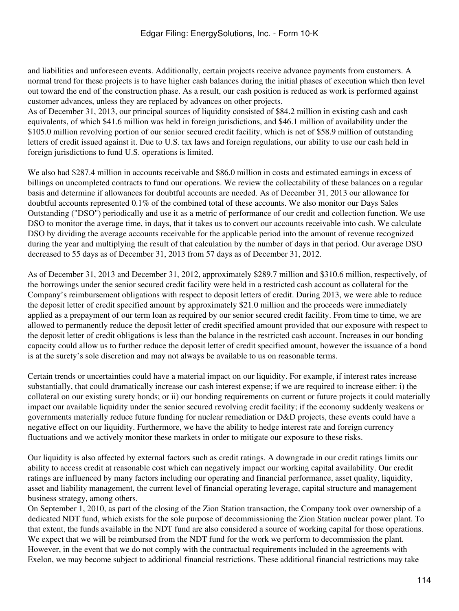and liabilities and unforeseen events. Additionally, certain projects receive advance payments from customers. A normal trend for these projects is to have higher cash balances during the initial phases of execution which then level out toward the end of the construction phase. As a result, our cash position is reduced as work is performed against customer advances, unless they are replaced by advances on other projects.

As of December 31, 2013, our principal sources of liquidity consisted of \$84.2 million in existing cash and cash equivalents, of which \$41.6 million was held in foreign jurisdictions, and \$46.1 million of availability under the \$105.0 million revolving portion of our senior secured credit facility, which is net of \$58.9 million of outstanding letters of credit issued against it. Due to U.S. tax laws and foreign regulations, our ability to use our cash held in foreign jurisdictions to fund U.S. operations is limited.

We also had \$287.4 million in accounts receivable and \$86.0 million in costs and estimated earnings in excess of billings on uncompleted contracts to fund our operations. We review the collectability of these balances on a regular basis and determine if allowances for doubtful accounts are needed. As of December 31, 2013 our allowance for doubtful accounts represented 0.1% of the combined total of these accounts. We also monitor our Days Sales Outstanding ("DSO") periodically and use it as a metric of performance of our credit and collection function. We use DSO to monitor the average time, in days, that it takes us to convert our accounts receivable into cash. We calculate DSO by dividing the average accounts receivable for the applicable period into the amount of revenue recognized during the year and multiplying the result of that calculation by the number of days in that period. Our average DSO decreased to 55 days as of December 31, 2013 from 57 days as of December 31, 2012.

As of December 31, 2013 and December 31, 2012, approximately \$289.7 million and \$310.6 million, respectively, of the borrowings under the senior secured credit facility were held in a restricted cash account as collateral for the Company's reimbursement obligations with respect to deposit letters of credit. During 2013, we were able to reduce the deposit letter of credit specified amount by approximately \$21.0 million and the proceeds were immediately applied as a prepayment of our term loan as required by our senior secured credit facility. From time to time, we are allowed to permanently reduce the deposit letter of credit specified amount provided that our exposure with respect to the deposit letter of credit obligations is less than the balance in the restricted cash account. Increases in our bonding capacity could allow us to further reduce the deposit letter of credit specified amount, however the issuance of a bond is at the surety's sole discretion and may not always be available to us on reasonable terms.

Certain trends or uncertainties could have a material impact on our liquidity. For example, if interest rates increase substantially, that could dramatically increase our cash interest expense; if we are required to increase either: i) the collateral on our existing surety bonds; or ii) our bonding requirements on current or future projects it could materially impact our available liquidity under the senior secured revolving credit facility; if the economy suddenly weakens or governments materially reduce future funding for nuclear remediation or D&D projects, these events could have a negative effect on our liquidity. Furthermore, we have the ability to hedge interest rate and foreign currency fluctuations and we actively monitor these markets in order to mitigate our exposure to these risks.

Our liquidity is also affected by external factors such as credit ratings. A downgrade in our credit ratings limits our ability to access credit at reasonable cost which can negatively impact our working capital availability. Our credit ratings are influenced by many factors including our operating and financial performance, asset quality, liquidity, asset and liability management, the current level of financial operating leverage, capital structure and management business strategy, among others.

On September 1, 2010, as part of the closing of the Zion Station transaction, the Company took over ownership of a dedicated NDT fund, which exists for the sole purpose of decommissioning the Zion Station nuclear power plant. To that extent, the funds available in the NDT fund are also considered a source of working capital for those operations. We expect that we will be reimbursed from the NDT fund for the work we perform to decommission the plant. However, in the event that we do not comply with the contractual requirements included in the agreements with Exelon, we may become subject to additional financial restrictions. These additional financial restrictions may take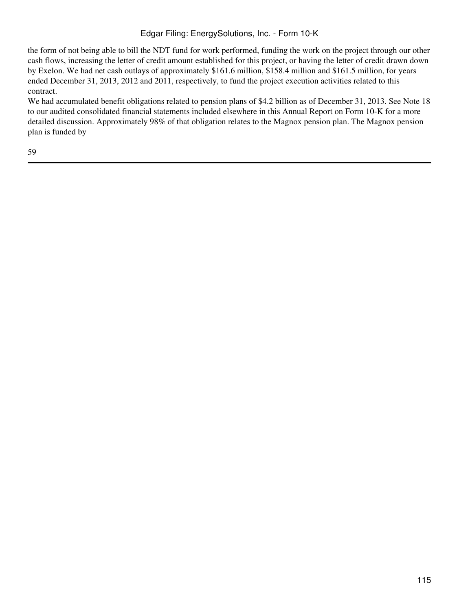the form of not being able to bill the NDT fund for work performed, funding the work on the project through our other cash flows, increasing the letter of credit amount established for this project, or having the letter of credit drawn down by Exelon. We had net cash outlays of approximately \$161.6 million, \$158.4 million and \$161.5 million, for years ended December 31, 2013, 2012 and 2011, respectively, to fund the project execution activities related to this contract.

We had accumulated benefit obligations related to pension plans of \$4.2 billion as of December 31, 2013. See Note 18 to our audited consolidated financial statements included elsewhere in this Annual Report on Form 10-K for a more detailed discussion. Approximately 98% of that obligation relates to the Magnox pension plan. The Magnox pension plan is funded by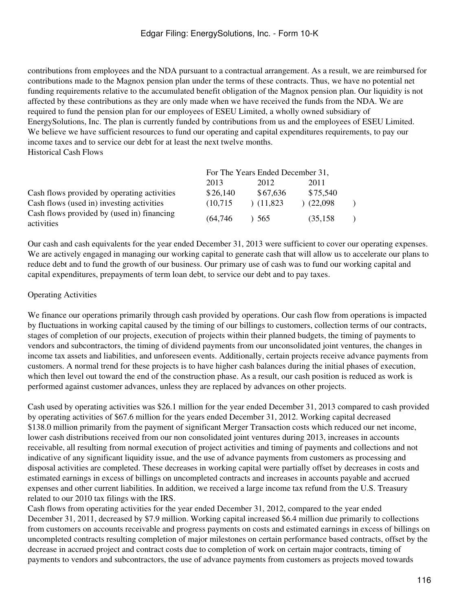contributions from employees and the NDA pursuant to a contractual arrangement. As a result, we are reimbursed for contributions made to the Magnox pension plan under the terms of these contracts. Thus, we have no potential net funding requirements relative to the accumulated benefit obligation of the Magnox pension plan. Our liquidity is not affected by these contributions as they are only made when we have received the funds from the NDA. We are required to fund the pension plan for our employees of ESEU Limited, a wholly owned subsidiary of EnergySolutions, Inc. The plan is currently funded by contributions from us and the employees of ESEU Limited. We believe we have sufficient resources to fund our operating and capital expenditures requirements, to pay our income taxes and to service our debt for at least the next twelve months. Historical Cash Flows

|                                                          | For The Years Ended December 31, |          |           |  |
|----------------------------------------------------------|----------------------------------|----------|-----------|--|
|                                                          | 2013                             | 2012     | 2011      |  |
| Cash flows provided by operating activities              | \$26,140                         | \$67,636 | \$75,540  |  |
| Cash flows (used in) investing activities                | (10,715)                         | (11,823) | (22,098)  |  |
| Cash flows provided by (used in) financing<br>activities | (64.746)                         | 565      | (35, 158) |  |

Our cash and cash equivalents for the year ended December 31, 2013 were sufficient to cover our operating expenses. We are actively engaged in managing our working capital to generate cash that will allow us to accelerate our plans to reduce debt and to fund the growth of our business. Our primary use of cash was to fund our working capital and capital expenditures, prepayments of term loan debt, to service our debt and to pay taxes.

### Operating Activities

We finance our operations primarily through cash provided by operations. Our cash flow from operations is impacted by fluctuations in working capital caused by the timing of our billings to customers, collection terms of our contracts, stages of completion of our projects, execution of projects within their planned budgets, the timing of payments to vendors and subcontractors, the timing of dividend payments from our unconsolidated joint ventures, the changes in income tax assets and liabilities, and unforeseen events. Additionally, certain projects receive advance payments from customers. A normal trend for these projects is to have higher cash balances during the initial phases of execution, which then level out toward the end of the construction phase. As a result, our cash position is reduced as work is performed against customer advances, unless they are replaced by advances on other projects.

Cash used by operating activities was \$26.1 million for the year ended December 31, 2013 compared to cash provided by operating activities of \$67.6 million for the years ended December 31, 2012. Working capital decreased \$138.0 million primarily from the payment of significant Merger Transaction costs which reduced our net income, lower cash distributions received from our non consolidated joint ventures during 2013, increases in accounts receivable, all resulting from normal execution of project activities and timing of payments and collections and not indicative of any significant liquidity issue, and the use of advance payments from customers as processing and disposal activities are completed. These decreases in working capital were partially offset by decreases in costs and estimated earnings in excess of billings on uncompleted contracts and increases in accounts payable and accrued expenses and other current liabilities. In addition, we received a large income tax refund from the U.S. Treasury related to our 2010 tax filings with the IRS.

Cash flows from operating activities for the year ended December 31, 2012, compared to the year ended December 31, 2011, decreased by \$7.9 million. Working capital increased \$6.4 million due primarily to collections from customers on accounts receivable and progress payments on costs and estimated earnings in excess of billings on uncompleted contracts resulting completion of major milestones on certain performance based contracts, offset by the decrease in accrued project and contract costs due to completion of work on certain major contracts, timing of payments to vendors and subcontractors, the use of advance payments from customers as projects moved towards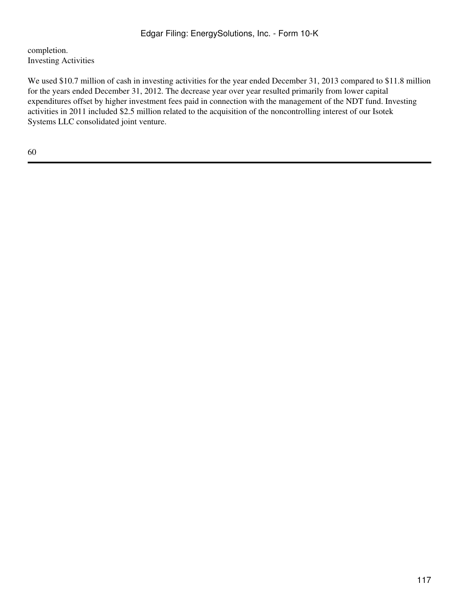completion. Investing Activities

We used \$10.7 million of cash in investing activities for the year ended December 31, 2013 compared to \$11.8 million for the years ended December 31, 2012. The decrease year over year resulted primarily from lower capital expenditures offset by higher investment fees paid in connection with the management of the NDT fund. Investing activities in 2011 included \$2.5 million related to the acquisition of the noncontrolling interest of our Isotek Systems LLC consolidated joint venture.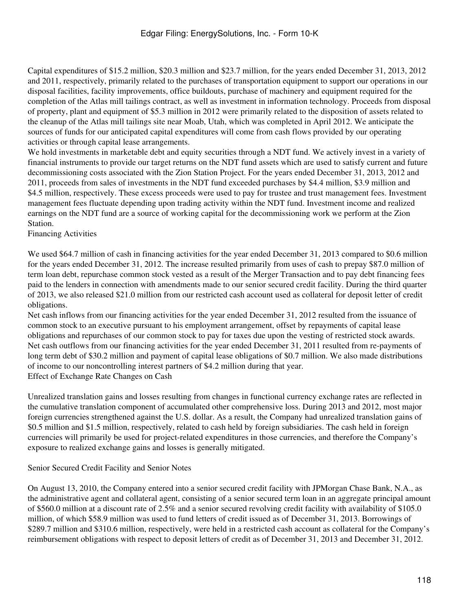Capital expenditures of \$15.2 million, \$20.3 million and \$23.7 million, for the years ended December 31, 2013, 2012 and 2011, respectively, primarily related to the purchases of transportation equipment to support our operations in our disposal facilities, facility improvements, office buildouts, purchase of machinery and equipment required for the completion of the Atlas mill tailings contract, as well as investment in information technology. Proceeds from disposal of property, plant and equipment of \$5.3 million in 2012 were primarily related to the disposition of assets related to the cleanup of the Atlas mill tailings site near Moab, Utah, which was completed in April 2012. We anticipate the sources of funds for our anticipated capital expenditures will come from cash flows provided by our operating activities or through capital lease arrangements.

We hold investments in marketable debt and equity securities through a NDT fund. We actively invest in a variety of financial instruments to provide our target returns on the NDT fund assets which are used to satisfy current and future decommissioning costs associated with the Zion Station Project. For the years ended December 31, 2013, 2012 and 2011, proceeds from sales of investments in the NDT fund exceeded purchases by \$4.4 million, \$3.9 million and \$4.5 million, respectively. These excess proceeds were used to pay for trustee and trust management fees. Investment management fees fluctuate depending upon trading activity within the NDT fund. Investment income and realized earnings on the NDT fund are a source of working capital for the decommissioning work we perform at the Zion Station.

Financing Activities

We used \$64.7 million of cash in financing activities for the year ended December 31, 2013 compared to \$0.6 million for the years ended December 31, 2012. The increase resulted primarily from uses of cash to prepay \$87.0 million of term loan debt, repurchase common stock vested as a result of the Merger Transaction and to pay debt financing fees paid to the lenders in connection with amendments made to our senior secured credit facility. During the third quarter of 2013, we also released \$21.0 million from our restricted cash account used as collateral for deposit letter of credit obligations.

Net cash inflows from our financing activities for the year ended December 31, 2012 resulted from the issuance of common stock to an executive pursuant to his employment arrangement, offset by repayments of capital lease obligations and repurchases of our common stock to pay for taxes due upon the vesting of restricted stock awards. Net cash outflows from our financing activities for the year ended December 31, 2011 resulted from re-payments of long term debt of \$30.2 million and payment of capital lease obligations of \$0.7 million. We also made distributions of income to our noncontrolling interest partners of \$4.2 million during that year. Effect of Exchange Rate Changes on Cash

Unrealized translation gains and losses resulting from changes in functional currency exchange rates are reflected in the cumulative translation component of accumulated other comprehensive loss. During 2013 and 2012, most major foreign currencies strengthened against the U.S. dollar. As a result, the Company had unrealized translation gains of \$0.5 million and \$1.5 million, respectively, related to cash held by foreign subsidiaries. The cash held in foreign currencies will primarily be used for project-related expenditures in those currencies, and therefore the Company's exposure to realized exchange gains and losses is generally mitigated.

Senior Secured Credit Facility and Senior Notes

On August 13, 2010, the Company entered into a senior secured credit facility with JPMorgan Chase Bank, N.A., as the administrative agent and collateral agent, consisting of a senior secured term loan in an aggregate principal amount of \$560.0 million at a discount rate of 2.5% and a senior secured revolving credit facility with availability of \$105.0 million, of which \$58.9 million was used to fund letters of credit issued as of December 31, 2013. Borrowings of \$289.7 million and \$310.6 million, respectively, were held in a restricted cash account as collateral for the Company's reimbursement obligations with respect to deposit letters of credit as of December 31, 2013 and December 31, 2012.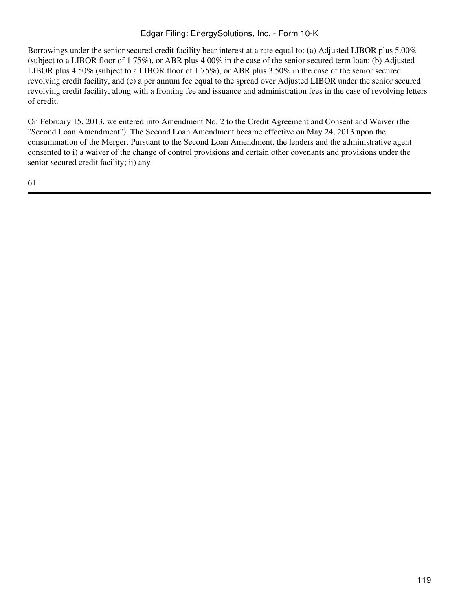Borrowings under the senior secured credit facility bear interest at a rate equal to: (a) Adjusted LIBOR plus 5.00% (subject to a LIBOR floor of 1.75%), or ABR plus 4.00% in the case of the senior secured term loan; (b) Adjusted LIBOR plus 4.50% (subject to a LIBOR floor of 1.75%), or ABR plus 3.50% in the case of the senior secured revolving credit facility, and (c) a per annum fee equal to the spread over Adjusted LIBOR under the senior secured revolving credit facility, along with a fronting fee and issuance and administration fees in the case of revolving letters of credit.

On February 15, 2013, we entered into Amendment No. 2 to the Credit Agreement and Consent and Waiver (the "Second Loan Amendment"). The Second Loan Amendment became effective on May 24, 2013 upon the consummation of the Merger. Pursuant to the Second Loan Amendment, the lenders and the administrative agent consented to i) a waiver of the change of control provisions and certain other covenants and provisions under the senior secured credit facility; ii) any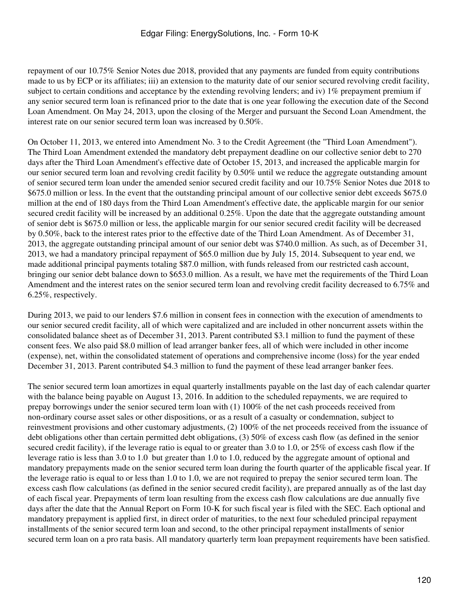repayment of our 10.75% Senior Notes due 2018, provided that any payments are funded from equity contributions made to us by ECP or its affiliates; iii) an extension to the maturity date of our senior secured revolving credit facility, subject to certain conditions and acceptance by the extending revolving lenders; and iv) 1% prepayment premium if any senior secured term loan is refinanced prior to the date that is one year following the execution date of the Second Loan Amendment. On May 24, 2013, upon the closing of the Merger and pursuant the Second Loan Amendment, the interest rate on our senior secured term loan was increased by 0.50%.

On October 11, 2013, we entered into Amendment No. 3 to the Credit Agreement (the "Third Loan Amendment"). The Third Loan Amendment extended the mandatory debt prepayment deadline on our collective senior debt to 270 days after the Third Loan Amendment's effective date of October 15, 2013, and increased the applicable margin for our senior secured term loan and revolving credit facility by 0.50% until we reduce the aggregate outstanding amount of senior secured term loan under the amended senior secured credit facility and our 10.75% Senior Notes due 2018 to \$675.0 million or less. In the event that the outstanding principal amount of our collective senior debt exceeds \$675.0 million at the end of 180 days from the Third Loan Amendment's effective date, the applicable margin for our senior secured credit facility will be increased by an additional 0.25%. Upon the date that the aggregate outstanding amount of senior debt is \$675.0 million or less, the applicable margin for our senior secured credit facility will be decreased by 0.50%, back to the interest rates prior to the effective date of the Third Loan Amendment. As of December 31, 2013, the aggregate outstanding principal amount of our senior debt was \$740.0 million. As such, as of December 31, 2013, we had a mandatory principal repayment of \$65.0 million due by July 15, 2014. Subsequent to year end, we made additional principal payments totaling \$87.0 million, with funds released from our restricted cash account, bringing our senior debt balance down to \$653.0 million. As a result, we have met the requirements of the Third Loan Amendment and the interest rates on the senior secured term loan and revolving credit facility decreased to 6.75% and 6.25%, respectively.

During 2013, we paid to our lenders \$7.6 million in consent fees in connection with the execution of amendments to our senior secured credit facility, all of which were capitalized and are included in other noncurrent assets within the consolidated balance sheet as of December 31, 2013. Parent contributed \$3.1 million to fund the payment of these consent fees. We also paid \$8.0 million of lead arranger banker fees, all of which were included in other income (expense), net, within the consolidated statement of operations and comprehensive income (loss) for the year ended December 31, 2013. Parent contributed \$4.3 million to fund the payment of these lead arranger banker fees.

The senior secured term loan amortizes in equal quarterly installments payable on the last day of each calendar quarter with the balance being payable on August 13, 2016. In addition to the scheduled repayments, we are required to prepay borrowings under the senior secured term loan with (1) 100% of the net cash proceeds received from non-ordinary course asset sales or other dispositions, or as a result of a casualty or condemnation, subject to reinvestment provisions and other customary adjustments, (2) 100% of the net proceeds received from the issuance of debt obligations other than certain permitted debt obligations, (3) 50% of excess cash flow (as defined in the senior secured credit facility), if the leverage ratio is equal to or greater than 3.0 to 1.0, or 25% of excess cash flow if the leverage ratio is less than 3.0 to 1.0 but greater than 1.0 to 1.0, reduced by the aggregate amount of optional and mandatory prepayments made on the senior secured term loan during the fourth quarter of the applicable fiscal year. If the leverage ratio is equal to or less than 1.0 to 1.0, we are not required to prepay the senior secured term loan. The excess cash flow calculations (as defined in the senior secured credit facility), are prepared annually as of the last day of each fiscal year. Prepayments of term loan resulting from the excess cash flow calculations are due annually five days after the date that the Annual Report on Form 10-K for such fiscal year is filed with the SEC. Each optional and mandatory prepayment is applied first, in direct order of maturities, to the next four scheduled principal repayment installments of the senior secured term loan and second, to the other principal repayment installments of senior secured term loan on a pro rata basis. All mandatory quarterly term loan prepayment requirements have been satisfied.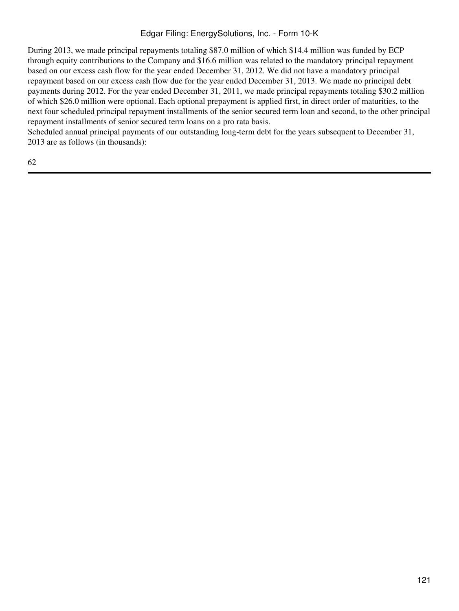During 2013, we made principal repayments totaling \$87.0 million of which \$14.4 million was funded by ECP through equity contributions to the Company and \$16.6 million was related to the mandatory principal repayment based on our excess cash flow for the year ended December 31, 2012. We did not have a mandatory principal repayment based on our excess cash flow due for the year ended December 31, 2013. We made no principal debt payments during 2012. For the year ended December 31, 2011, we made principal repayments totaling \$30.2 million of which \$26.0 million were optional. Each optional prepayment is applied first, in direct order of maturities, to the next four scheduled principal repayment installments of the senior secured term loan and second, to the other principal repayment installments of senior secured term loans on a pro rata basis.

Scheduled annual principal payments of our outstanding long-term debt for the years subsequent to December 31, 2013 are as follows (in thousands):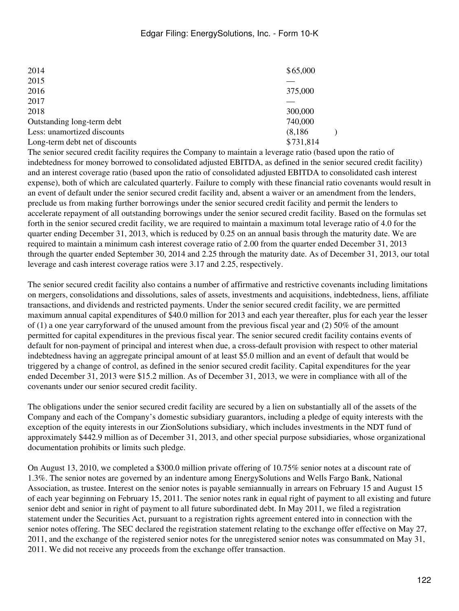| 2014                            | \$65,000  |
|---------------------------------|-----------|
| 2015                            |           |
| 2016                            | 375,000   |
| 2017                            |           |
| 2018                            | 300,000   |
| Outstanding long-term debt      | 740,000   |
| Less: unamortized discounts     | (8,186)   |
| Long-term debt net of discounts | \$731,814 |

The senior secured credit facility requires the Company to maintain a leverage ratio (based upon the ratio of indebtedness for money borrowed to consolidated adjusted EBITDA, as defined in the senior secured credit facility) and an interest coverage ratio (based upon the ratio of consolidated adjusted EBITDA to consolidated cash interest expense), both of which are calculated quarterly. Failure to comply with these financial ratio covenants would result in an event of default under the senior secured credit facility and, absent a waiver or an amendment from the lenders, preclude us from making further borrowings under the senior secured credit facility and permit the lenders to accelerate repayment of all outstanding borrowings under the senior secured credit facility. Based on the formulas set forth in the senior secured credit facility, we are required to maintain a maximum total leverage ratio of 4.0 for the quarter ending December 31, 2013, which is reduced by 0.25 on an annual basis through the maturity date. We are required to maintain a minimum cash interest coverage ratio of 2.00 from the quarter ended December 31, 2013 through the quarter ended September 30, 2014 and 2.25 through the maturity date. As of December 31, 2013, our total leverage and cash interest coverage ratios were 3.17 and 2.25, respectively.

The senior secured credit facility also contains a number of affirmative and restrictive covenants including limitations on mergers, consolidations and dissolutions, sales of assets, investments and acquisitions, indebtedness, liens, affiliate transactions, and dividends and restricted payments. Under the senior secured credit facility, we are permitted maximum annual capital expenditures of \$40.0 million for 2013 and each year thereafter, plus for each year the lesser of (1) a one year carryforward of the unused amount from the previous fiscal year and (2) 50% of the amount permitted for capital expenditures in the previous fiscal year. The senior secured credit facility contains events of default for non-payment of principal and interest when due, a cross-default provision with respect to other material indebtedness having an aggregate principal amount of at least \$5.0 million and an event of default that would be triggered by a change of control, as defined in the senior secured credit facility. Capital expenditures for the year ended December 31, 2013 were \$15.2 million. As of December 31, 2013, we were in compliance with all of the covenants under our senior secured credit facility.

The obligations under the senior secured credit facility are secured by a lien on substantially all of the assets of the Company and each of the Company's domestic subsidiary guarantors, including a pledge of equity interests with the exception of the equity interests in our ZionSolutions subsidiary, which includes investments in the NDT fund of approximately \$442.9 million as of December 31, 2013, and other special purpose subsidiaries, whose organizational documentation prohibits or limits such pledge.

On August 13, 2010, we completed a \$300.0 million private offering of 10.75% senior notes at a discount rate of 1.3%. The senior notes are governed by an indenture among EnergySolutions and Wells Fargo Bank, National Association, as trustee. Interest on the senior notes is payable semiannually in arrears on February 15 and August 15 of each year beginning on February 15, 2011. The senior notes rank in equal right of payment to all existing and future senior debt and senior in right of payment to all future subordinated debt. In May 2011, we filed a registration statement under the Securities Act, pursuant to a registration rights agreement entered into in connection with the senior notes offering. The SEC declared the registration statement relating to the exchange offer effective on May 27, 2011, and the exchange of the registered senior notes for the unregistered senior notes was consummated on May 31, 2011. We did not receive any proceeds from the exchange offer transaction.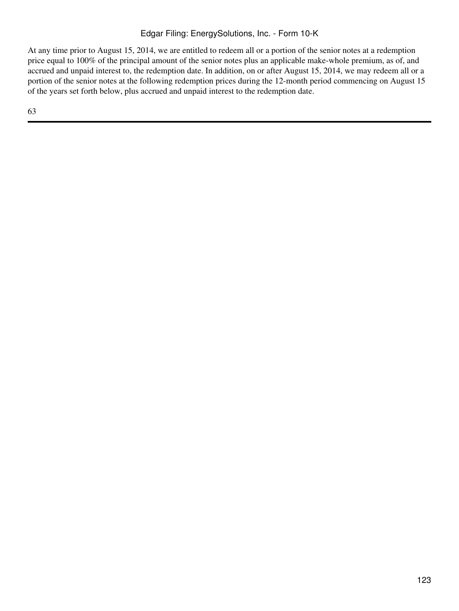At any time prior to August 15, 2014, we are entitled to redeem all or a portion of the senior notes at a redemption price equal to 100% of the principal amount of the senior notes plus an applicable make-whole premium, as of, and accrued and unpaid interest to, the redemption date. In addition, on or after August 15, 2014, we may redeem all or a portion of the senior notes at the following redemption prices during the 12-month period commencing on August 15 of the years set forth below, plus accrued and unpaid interest to the redemption date.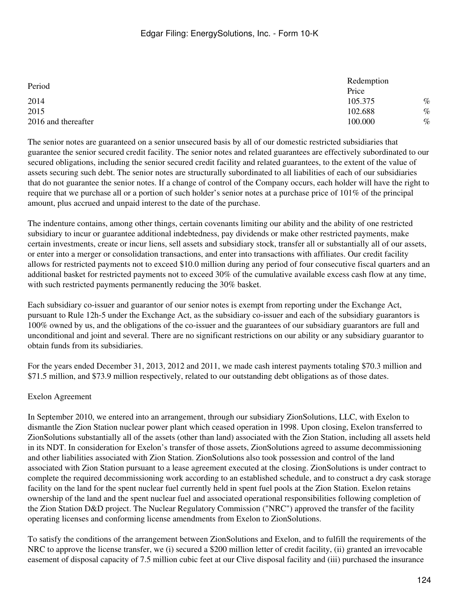| Period              | Redemption |      |  |
|---------------------|------------|------|--|
|                     | Price      |      |  |
| 2014                | 105.375    | $\%$ |  |
| 2015                | 102.688    | $\%$ |  |
| 2016 and thereafter | 100.000    | $\%$ |  |

The senior notes are guaranteed on a senior unsecured basis by all of our domestic restricted subsidiaries that guarantee the senior secured credit facility. The senior notes and related guarantees are effectively subordinated to our secured obligations, including the senior secured credit facility and related guarantees, to the extent of the value of assets securing such debt. The senior notes are structurally subordinated to all liabilities of each of our subsidiaries that do not guarantee the senior notes. If a change of control of the Company occurs, each holder will have the right to require that we purchase all or a portion of such holder's senior notes at a purchase price of 101% of the principal amount, plus accrued and unpaid interest to the date of the purchase.

The indenture contains, among other things, certain covenants limiting our ability and the ability of one restricted subsidiary to incur or guarantee additional indebtedness, pay dividends or make other restricted payments, make certain investments, create or incur liens, sell assets and subsidiary stock, transfer all or substantially all of our assets, or enter into a merger or consolidation transactions, and enter into transactions with affiliates. Our credit facility allows for restricted payments not to exceed \$10.0 million during any period of four consecutive fiscal quarters and an additional basket for restricted payments not to exceed 30% of the cumulative available excess cash flow at any time, with such restricted payments permanently reducing the 30% basket.

Each subsidiary co-issuer and guarantor of our senior notes is exempt from reporting under the Exchange Act, pursuant to Rule 12h-5 under the Exchange Act, as the subsidiary co-issuer and each of the subsidiary guarantors is 100% owned by us, and the obligations of the co-issuer and the guarantees of our subsidiary guarantors are full and unconditional and joint and several. There are no significant restrictions on our ability or any subsidiary guarantor to obtain funds from its subsidiaries.

For the years ended December 31, 2013, 2012 and 2011, we made cash interest payments totaling \$70.3 million and \$71.5 million, and \$73.9 million respectively, related to our outstanding debt obligations as of those dates.

### Exelon Agreement

In September 2010, we entered into an arrangement, through our subsidiary ZionSolutions, LLC, with Exelon to dismantle the Zion Station nuclear power plant which ceased operation in 1998. Upon closing, Exelon transferred to ZionSolutions substantially all of the assets (other than land) associated with the Zion Station, including all assets held in its NDT. In consideration for Exelon's transfer of those assets, ZionSolutions agreed to assume decommissioning and other liabilities associated with Zion Station. ZionSolutions also took possession and control of the land associated with Zion Station pursuant to a lease agreement executed at the closing. ZionSolutions is under contract to complete the required decommissioning work according to an established schedule, and to construct a dry cask storage facility on the land for the spent nuclear fuel currently held in spent fuel pools at the Zion Station. Exelon retains ownership of the land and the spent nuclear fuel and associated operational responsibilities following completion of the Zion Station D&D project. The Nuclear Regulatory Commission ("NRC") approved the transfer of the facility operating licenses and conforming license amendments from Exelon to ZionSolutions.

To satisfy the conditions of the arrangement between ZionSolutions and Exelon, and to fulfill the requirements of the NRC to approve the license transfer, we (i) secured a \$200 million letter of credit facility, (ii) granted an irrevocable easement of disposal capacity of 7.5 million cubic feet at our Clive disposal facility and (iii) purchased the insurance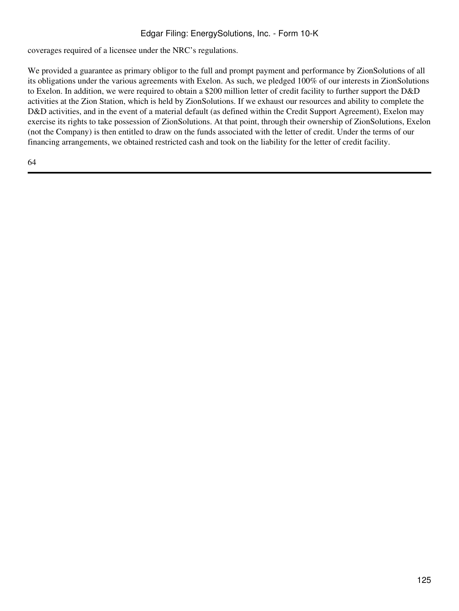coverages required of a licensee under the NRC's regulations.

We provided a guarantee as primary obligor to the full and prompt payment and performance by ZionSolutions of all its obligations under the various agreements with Exelon. As such, we pledged 100% of our interests in ZionSolutions to Exelon. In addition, we were required to obtain a \$200 million letter of credit facility to further support the D&D activities at the Zion Station, which is held by ZionSolutions. If we exhaust our resources and ability to complete the D&D activities, and in the event of a material default (as defined within the Credit Support Agreement), Exelon may exercise its rights to take possession of ZionSolutions. At that point, through their ownership of ZionSolutions, Exelon (not the Company) is then entitled to draw on the funds associated with the letter of credit. Under the terms of our financing arrangements, we obtained restricted cash and took on the liability for the letter of credit facility.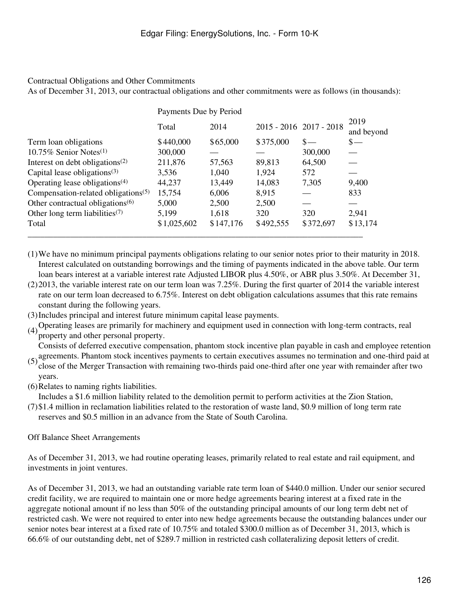### Contractual Obligations and Other Commitments

As of December 31, 2013, our contractual obligations and other commitments were as follows (in thousands):

|                                                              | Payments Due by Period |           |           |                         |                    |
|--------------------------------------------------------------|------------------------|-----------|-----------|-------------------------|--------------------|
|                                                              | Total                  | 2014      |           | 2015 - 2016 2017 - 2018 | 2019<br>and beyond |
| Term loan obligations                                        | \$440,000              | \$65,000  | \$375,000 | $\mathbf{s}$ —          | $\frac{1}{2}$      |
| 10.75% Senior Notes $(1)$                                    | 300,000                |           |           | 300,000                 |                    |
| Interest on debt obligations <sup><math>(2)</math></sup>     | 211,876                | 57,563    | 89,813    | 64,500                  |                    |
| Capital lease obligations $(3)$                              | 3,536                  | 1,040     | 1,924     | 572                     |                    |
| Operating lease obligations $(4)$                            | 44,237                 | 13,449    | 14,083    | 7,305                   | 9,400              |
| Compensation-related obligations <sup><math>(5)</math></sup> | 15,754                 | 6,006     | 8,915     |                         | 833                |
| Other contractual obligations $(6)$                          | 5,000                  | 2,500     | 2,500     |                         |                    |
| Other long term liabilities <sup><math>(7)</math></sup>      | 5,199                  | 1,618     | 320       | 320                     | 2,941              |
| Total                                                        | \$1,025,602            | \$147,176 | \$492,555 | \$372,697               | \$13,174           |

(1)We have no minimum principal payments obligations relating to our senior notes prior to their maturity in 2018. Interest calculated on outstanding borrowings and the timing of payments indicated in the above table. Our term loan bears interest at a variable interest rate Adjusted LIBOR plus 4.50%, or ABR plus 3.50%. At December 31,

(2) 2013, the variable interest rate on our term loan was 7.25%. During the first quarter of 2014 the variable interest rate on our term loan decreased to 6.75%. Interest on debt obligation calculations assumes that this rate remains constant during the following years.

- (3)Includes principal and interest future minimum capital lease payments.
- $(4)$ Operating leases are primarily for machinery and equipment used in connection with long-term contracts, real property and other personal property.

(5) agreements. Phantom stock incentives payments to certain executives assumes no termination and one-third paid at  $(5)$  along of the Merger Transaction with remaining two third and one third after and your with remainde Consists of deferred executive compensation, phantom stock incentive plan payable in cash and employee retention

- close of the Merger Transaction with remaining two-thirds paid one-third after one year with remainder after two years.
- (6)Relates to naming rights liabilities.

Includes a \$1.6 million liability related to the demolition permit to perform activities at the Zion Station,

(7) \$1.4 million in reclamation liabilities related to the restoration of waste land, \$0.9 million of long term rate reserves and \$0.5 million in an advance from the State of South Carolina.

#### Off Balance Sheet Arrangements

As of December 31, 2013, we had routine operating leases, primarily related to real estate and rail equipment, and investments in joint ventures.

As of December 31, 2013, we had an outstanding variable rate term loan of \$440.0 million. Under our senior secured credit facility, we are required to maintain one or more hedge agreements bearing interest at a fixed rate in the aggregate notional amount if no less than 50% of the outstanding principal amounts of our long term debt net of restricted cash. We were not required to enter into new hedge agreements because the outstanding balances under our senior notes bear interest at a fixed rate of 10.75% and totaled \$300.0 million as of December 31, 2013, which is 66.6% of our outstanding debt, net of \$289.7 million in restricted cash collateralizing deposit letters of credit.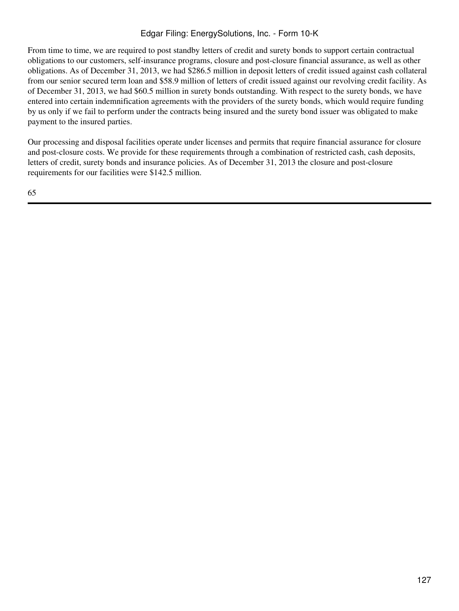From time to time, we are required to post standby letters of credit and surety bonds to support certain contractual obligations to our customers, self-insurance programs, closure and post-closure financial assurance, as well as other obligations. As of December 31, 2013, we had \$286.5 million in deposit letters of credit issued against cash collateral from our senior secured term loan and \$58.9 million of letters of credit issued against our revolving credit facility. As of December 31, 2013, we had \$60.5 million in surety bonds outstanding. With respect to the surety bonds, we have entered into certain indemnification agreements with the providers of the surety bonds, which would require funding by us only if we fail to perform under the contracts being insured and the surety bond issuer was obligated to make payment to the insured parties.

Our processing and disposal facilities operate under licenses and permits that require financial assurance for closure and post-closure costs. We provide for these requirements through a combination of restricted cash, cash deposits, letters of credit, surety bonds and insurance policies. As of December 31, 2013 the closure and post-closure requirements for our facilities were \$142.5 million.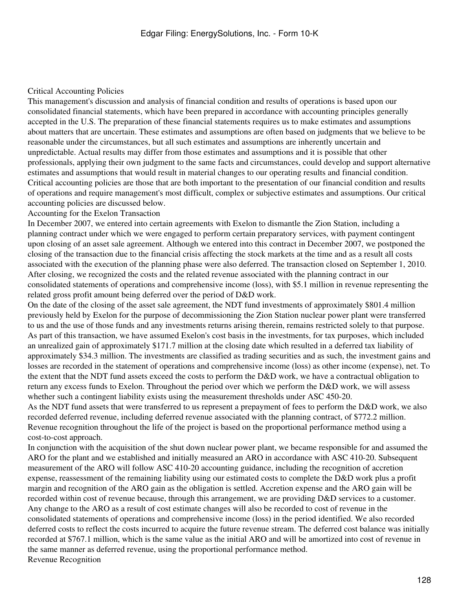#### Critical Accounting Policies

This management's discussion and analysis of financial condition and results of operations is based upon our consolidated financial statements, which have been prepared in accordance with accounting principles generally accepted in the U.S. The preparation of these financial statements requires us to make estimates and assumptions about matters that are uncertain. These estimates and assumptions are often based on judgments that we believe to be reasonable under the circumstances, but all such estimates and assumptions are inherently uncertain and unpredictable. Actual results may differ from those estimates and assumptions and it is possible that other professionals, applying their own judgment to the same facts and circumstances, could develop and support alternative estimates and assumptions that would result in material changes to our operating results and financial condition. Critical accounting policies are those that are both important to the presentation of our financial condition and results of operations and require management's most difficult, complex or subjective estimates and assumptions. Our critical accounting policies are discussed below.

### Accounting for the Exelon Transaction

In December 2007, we entered into certain agreements with Exelon to dismantle the Zion Station, including a planning contract under which we were engaged to perform certain preparatory services, with payment contingent upon closing of an asset sale agreement. Although we entered into this contract in December 2007, we postponed the closing of the transaction due to the financial crisis affecting the stock markets at the time and as a result all costs associated with the execution of the planning phase were also deferred. The transaction closed on September 1, 2010. After closing, we recognized the costs and the related revenue associated with the planning contract in our consolidated statements of operations and comprehensive income (loss), with \$5.1 million in revenue representing the related gross profit amount being deferred over the period of D&D work.

On the date of the closing of the asset sale agreement, the NDT fund investments of approximately \$801.4 million previously held by Exelon for the purpose of decommissioning the Zion Station nuclear power plant were transferred to us and the use of those funds and any investments returns arising therein, remains restricted solely to that purpose. As part of this transaction, we have assumed Exelon's cost basis in the investments, for tax purposes, which included an unrealized gain of approximately \$171.7 million at the closing date which resulted in a deferred tax liability of approximately \$34.3 million. The investments are classified as trading securities and as such, the investment gains and losses are recorded in the statement of operations and comprehensive income (loss) as other income (expense), net. To the extent that the NDT fund assets exceed the costs to perform the D&D work, we have a contractual obligation to return any excess funds to Exelon. Throughout the period over which we perform the D&D work, we will assess whether such a contingent liability exists using the measurement thresholds under ASC 450-20.

As the NDT fund assets that were transferred to us represent a prepayment of fees to perform the D&D work, we also recorded deferred revenue, including deferred revenue associated with the planning contract, of \$772.2 million. Revenue recognition throughout the life of the project is based on the proportional performance method using a cost-to-cost approach.

In conjunction with the acquisition of the shut down nuclear power plant, we became responsible for and assumed the ARO for the plant and we established and initially measured an ARO in accordance with ASC 410-20. Subsequent measurement of the ARO will follow ASC 410-20 accounting guidance, including the recognition of accretion expense, reassessment of the remaining liability using our estimated costs to complete the D&D work plus a profit margin and recognition of the ARO gain as the obligation is settled. Accretion expense and the ARO gain will be recorded within cost of revenue because, through this arrangement, we are providing D&D services to a customer. Any change to the ARO as a result of cost estimate changes will also be recorded to cost of revenue in the consolidated statements of operations and comprehensive income (loss) in the period identified. We also recorded deferred costs to reflect the costs incurred to acquire the future revenue stream. The deferred cost balance was initially recorded at \$767.1 million, which is the same value as the initial ARO and will be amortized into cost of revenue in the same manner as deferred revenue, using the proportional performance method. Revenue Recognition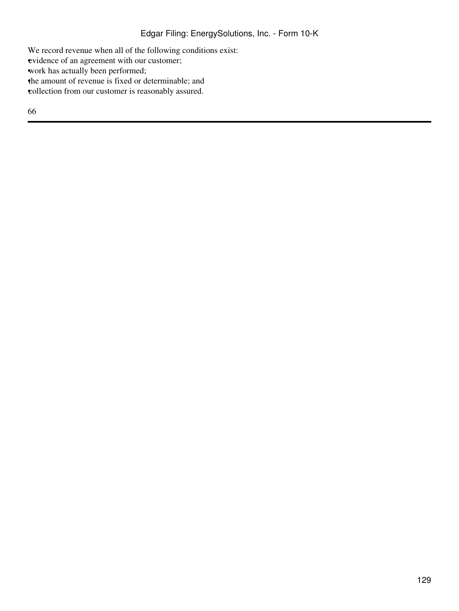We record revenue when all of the following conditions exist:

evidence of an agreement with our customer;

•work has actually been performed;

the amount of revenue is fixed or determinable; and

•collection from our customer is reasonably assured.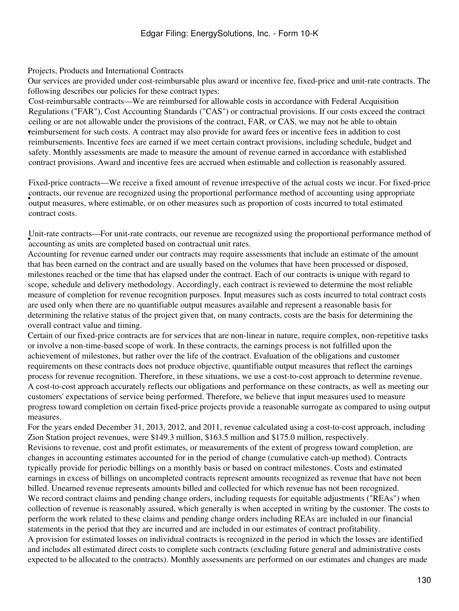#### Projects, Products and International Contracts

Our services are provided under cost-reimbursable plus award or incentive fee, fixed-price and unit-rate contracts. The following describes our policies for these contract types:

• reimbursement for such costs. A contract may also provide for award fees or incentive fees in addition to cost Cost-reimbursable contracts—We are reimbursed for allowable costs in accordance with Federal Acquisition Regulations ("FAR"), Cost Accounting Standards ("CAS") or contractual provisions. If our costs exceed the contract ceiling or are not allowable under the provisions of the contract, FAR, or CAS, we may not be able to obtain reimbursements. Incentive fees are earned if we meet certain contract provisions, including schedule, budget and safety. Monthly assessments are made to measure the amount of revenue earned in accordance with established contract provisions. Award and incentive fees are accrued when estimable and collection is reasonably assured.

• output measures, where estimable, or on other measures such as proportion of costs incurred to total estimated Fixed-price contracts—We receive a fixed amount of revenue irrespective of the actual costs we incur. For fixed-price contracts, our revenue are recognized using the proportional performance method of accounting using appropriate contract costs.

enterate contracts—1 or unit-rate contracts, our revenue are reco<sub>n</sub><br>accounting as units are completed based on contractual unit rates. Unit-rate contracts—For unit-rate contracts, our revenue are recognized using the proportional performance method of

Accounting for revenue earned under our contracts may require assessments that include an estimate of the amount that has been earned on the contract and are usually based on the volumes that have been processed or disposed, milestones reached or the time that has elapsed under the contract. Each of our contracts is unique with regard to scope, schedule and delivery methodology. Accordingly, each contract is reviewed to determine the most reliable measure of completion for revenue recognition purposes. Input measures such as costs incurred to total contract costs are used only when there are no quantifiable output measures available and represent a reasonable basis for determining the relative status of the project given that, on many contracts, costs are the basis for determining the overall contract value and timing.

Certain of our fixed-price contracts are for services that are non-linear in nature, require complex, non-repetitive tasks or involve a non-time-based scope of work. In these contracts, the earnings process is not fulfilled upon the achievement of milestones, but rather over the life of the contract. Evaluation of the obligations and customer requirements on these contracts does not produce objective, quantifiable output measures that reflect the earnings process for revenue recognition. Therefore, in these situations, we use a cost-to-cost approach to determine revenue. A cost-to-cost approach accurately reflects our obligations and performance on these contracts, as well as meeting our customers' expectations of service being performed. Therefore, we believe that input measures used to measure progress toward completion on certain fixed-price projects provide a reasonable surrogate as compared to using output measures.

For the years ended December 31, 2013, 2012, and 2011, revenue calculated using a cost-to-cost approach, including Zion Station project revenues, were \$149.3 million, \$163.5 million and \$175.0 million, respectively. Revisions to revenue, cost and profit estimates, or measurements of the extent of progress toward completion, are changes in accounting estimates accounted for in the period of change (cumulative catch-up method). Contracts typically provide for periodic billings on a monthly basis or based on contract milestones. Costs and estimated earnings in excess of billings on uncompleted contracts represent amounts recognized as revenue that have not been billed. Unearned revenue represents amounts billed and collected for which revenue has not been recognized. We record contract claims and pending change orders, including requests for equitable adjustments ("REAs") when collection of revenue is reasonably assured, which generally is when accepted in writing by the customer. The costs to perform the work related to these claims and pending change orders including REAs are included in our financial statements in the period that they are incurred and are included in our estimates of contract profitability.

A provision for estimated losses on individual contracts is recognized in the period in which the losses are identified and includes all estimated direct costs to complete such contracts (excluding future general and administrative costs expected to be allocated to the contracts). Monthly assessments are performed on our estimates and changes are made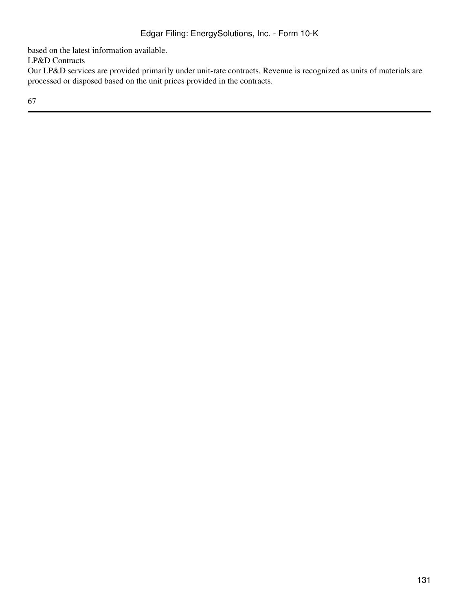based on the latest information available.

LP&D Contracts

Our LP&D services are provided primarily under unit-rate contracts. Revenue is recognized as units of materials are processed or disposed based on the unit prices provided in the contracts.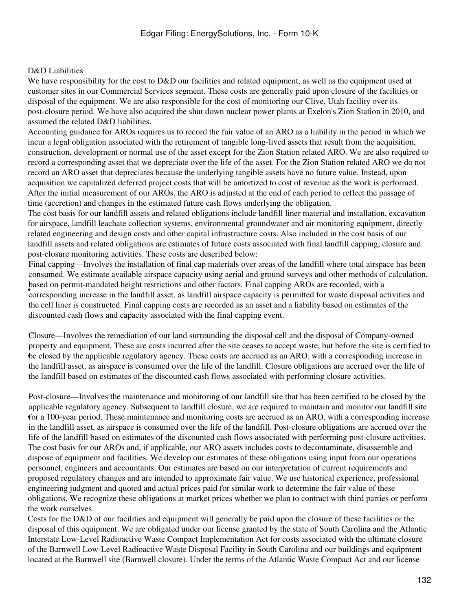### D&D Liabilities

We have responsibility for the cost to D&D our facilities and related equipment, as well as the equipment used at customer sites in our Commercial Services segment. These costs are generally paid upon closure of the facilities or disposal of the equipment. We are also responsible for the cost of monitoring our Clive, Utah facility over its post-closure period. We have also acquired the shut down nuclear power plants at Exelon's Zion Station in 2010, and assumed the related D&D liabilities.

Accounting guidance for AROs requires us to record the fair value of an ARO as a liability in the period in which we incur a legal obligation associated with the retirement of tangible long-lived assets that result from the acquisition, construction, development or normal use of the asset except for the Zion Station related ARO. We are also required to record a corresponding asset that we depreciate over the life of the asset. For the Zion Station related ARO we do not record an ARO asset that depreciates because the underlying tangible assets have no future value. Instead, upon acquisition we capitalized deferred project costs that will be amortized to cost of revenue as the work is performed. After the initial measurement of our AROs, the ARO is adjusted at the end of each period to reflect the passage of time (accretion) and changes in the estimated future cash flows underlying the obligation.

The cost basis for our landfill assets and related obligations include landfill liner material and installation, excavation for airspace, landfill leachate collection systems, environmental groundwater and air monitoring equipment, directly related engineering and design costs and other capital infrastructure costs. Also included in the cost basis of our landfill assets and related obligations are estimates of future costs associated with final landfill capping, closure and post-closure monitoring activities. These costs are described below:

pased on permit-mandated neight restrictions and other ractors. That capping 7100s are recorded, while a corresponding increase in the landfill asset, as landfill airspace capacity is permitted for waste disposal activitie Final capping—Involves the installation of final cap materials over areas of the landfill where total airspace has been consumed. We estimate available airspace capacity using aerial and ground surveys and other methods of calculation, based on permit-mandated height restrictions and other factors. Final capping AROs are recorded, with a the cell liner is constructed. Final capping costs are recorded as an asset and a liability based on estimates of the discounted cash flows and capacity associated with the final capping event.

• be closed by the applicable regulatory agency. These costs are accrued as an ARO, with a corresponding increase in Closure—Involves the remediation of our land surrounding the disposal cell and the disposal of Company-owned property and equipment. These are costs incurred after the site ceases to accept waste, but before the site is certified to the landfill asset, as airspace is consumed over the life of the landfill. Closure obligations are accrued over the life of the landfill based on estimates of the discounted cash flows associated with performing closure activities.

• for a 100-year period. These maintenance and monitoring costs are accrued as an ARO, with a corresponding increase Post-closure—Involves the maintenance and monitoring of our landfill site that has been certified to be closed by the applicable regulatory agency. Subsequent to landfill closure, we are required to maintain and monitor our landfill site in the landfill asset, as airspace is consumed over the life of the landfill. Post-closure obligations are accrued over the life of the landfill based on estimates of the discounted cash flows associated with performing post-closure activities. The cost basis for our AROs and, if applicable, our ARO assets includes costs to decontaminate, disassemble and dispose of equipment and facilities. We develop our estimates of these obligations using input from our operations personnel, engineers and accountants. Our estimates are based on our interpretation of current requirements and proposed regulatory changes and are intended to approximate fair value. We use historical experience, professional engineering judgment and quoted and actual prices paid for similar work to determine the fair value of these obligations. We recognize these obligations at market prices whether we plan to contract with third parties or perform the work ourselves.

Costs for the D&D of our facilities and equipment will generally be paid upon the closure of these facilities or the disposal of this equipment. We are obligated under our license granted by the state of South Carolina and the Atlantic Interstate Low-Level Radioactive Waste Compact Implementation Act for costs associated with the ultimate closure of the Barnwell Low-Level Radioactive Waste Disposal Facility in South Carolina and our buildings and equipment located at the Barnwell site (Barnwell closure). Under the terms of the Atlantic Waste Compact Act and our license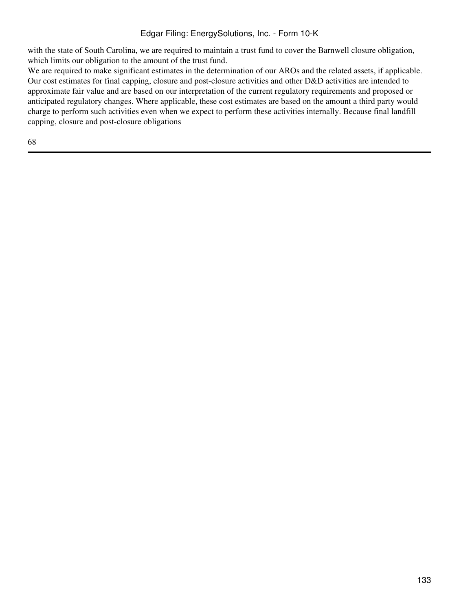with the state of South Carolina, we are required to maintain a trust fund to cover the Barnwell closure obligation, which limits our obligation to the amount of the trust fund.

We are required to make significant estimates in the determination of our AROs and the related assets, if applicable. Our cost estimates for final capping, closure and post-closure activities and other D&D activities are intended to approximate fair value and are based on our interpretation of the current regulatory requirements and proposed or anticipated regulatory changes. Where applicable, these cost estimates are based on the amount a third party would charge to perform such activities even when we expect to perform these activities internally. Because final landfill capping, closure and post-closure obligations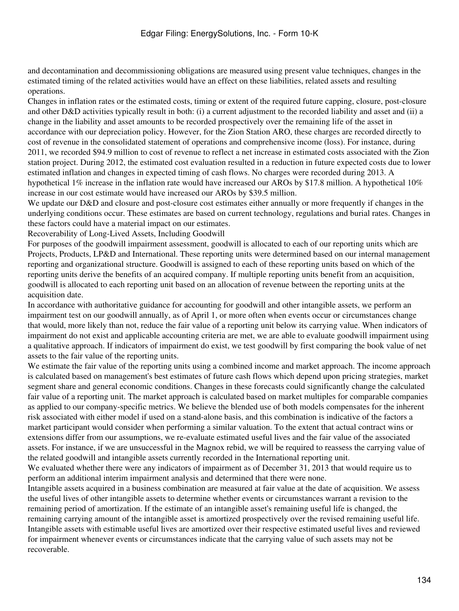and decontamination and decommissioning obligations are measured using present value techniques, changes in the estimated timing of the related activities would have an effect on these liabilities, related assets and resulting operations.

Changes in inflation rates or the estimated costs, timing or extent of the required future capping, closure, post-closure and other D&D activities typically result in both: (i) a current adjustment to the recorded liability and asset and (ii) a change in the liability and asset amounts to be recorded prospectively over the remaining life of the asset in accordance with our depreciation policy. However, for the Zion Station ARO, these charges are recorded directly to cost of revenue in the consolidated statement of operations and comprehensive income (loss). For instance, during 2011, we recorded \$94.9 million to cost of revenue to reflect a net increase in estimated costs associated with the Zion station project. During 2012, the estimated cost evaluation resulted in a reduction in future expected costs due to lower estimated inflation and changes in expected timing of cash flows. No charges were recorded during 2013. A hypothetical 1% increase in the inflation rate would have increased our AROs by \$17.8 million. A hypothetical 10% increase in our cost estimate would have increased our AROs by \$39.5 million.

We update our D&D and closure and post-closure cost estimates either annually or more frequently if changes in the underlying conditions occur. These estimates are based on current technology, regulations and burial rates. Changes in these factors could have a material impact on our estimates.

Recoverability of Long-Lived Assets, Including Goodwill

For purposes of the goodwill impairment assessment, goodwill is allocated to each of our reporting units which are Projects, Products, LP&D and International. These reporting units were determined based on our internal management reporting and organizational structure. Goodwill is assigned to each of these reporting units based on which of the reporting units derive the benefits of an acquired company. If multiple reporting units benefit from an acquisition, goodwill is allocated to each reporting unit based on an allocation of revenue between the reporting units at the acquisition date.

In accordance with authoritative guidance for accounting for goodwill and other intangible assets, we perform an impairment test on our goodwill annually, as of April 1, or more often when events occur or circumstances change that would, more likely than not, reduce the fair value of a reporting unit below its carrying value. When indicators of impairment do not exist and applicable accounting criteria are met, we are able to evaluate goodwill impairment using a qualitative approach. If indicators of impairment do exist, we test goodwill by first comparing the book value of net assets to the fair value of the reporting units.

We estimate the fair value of the reporting units using a combined income and market approach. The income approach is calculated based on management's best estimates of future cash flows which depend upon pricing strategies, market segment share and general economic conditions. Changes in these forecasts could significantly change the calculated fair value of a reporting unit. The market approach is calculated based on market multiples for comparable companies as applied to our company-specific metrics. We believe the blended use of both models compensates for the inherent risk associated with either model if used on a stand-alone basis, and this combination is indicative of the factors a market participant would consider when performing a similar valuation. To the extent that actual contract wins or extensions differ from our assumptions, we re-evaluate estimated useful lives and the fair value of the associated assets. For instance, if we are unsuccessful in the Magnox rebid, we will be required to reassess the carrying value of the related goodwill and intangible assets currently recorded in the International reporting unit.

We evaluated whether there were any indicators of impairment as of December 31, 2013 that would require us to perform an additional interim impairment analysis and determined that there were none.

Intangible assets acquired in a business combination are measured at fair value at the date of acquisition. We assess the useful lives of other intangible assets to determine whether events or circumstances warrant a revision to the remaining period of amortization. If the estimate of an intangible asset's remaining useful life is changed, the remaining carrying amount of the intangible asset is amortized prospectively over the revised remaining useful life. Intangible assets with estimable useful lives are amortized over their respective estimated useful lives and reviewed for impairment whenever events or circumstances indicate that the carrying value of such assets may not be recoverable.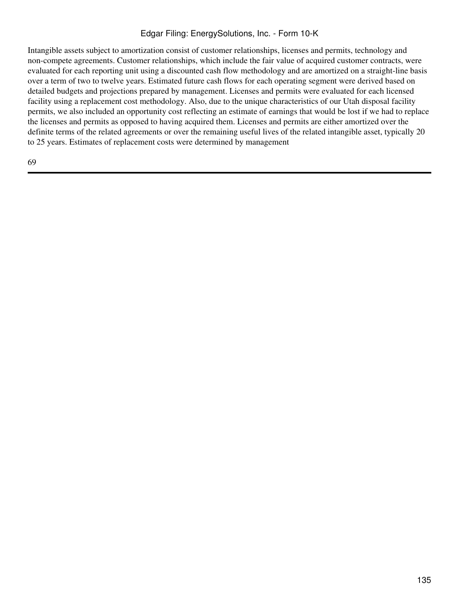Intangible assets subject to amortization consist of customer relationships, licenses and permits, technology and non-compete agreements. Customer relationships, which include the fair value of acquired customer contracts, were evaluated for each reporting unit using a discounted cash flow methodology and are amortized on a straight-line basis over a term of two to twelve years. Estimated future cash flows for each operating segment were derived based on detailed budgets and projections prepared by management. Licenses and permits were evaluated for each licensed facility using a replacement cost methodology. Also, due to the unique characteristics of our Utah disposal facility permits, we also included an opportunity cost reflecting an estimate of earnings that would be lost if we had to replace the licenses and permits as opposed to having acquired them. Licenses and permits are either amortized over the definite terms of the related agreements or over the remaining useful lives of the related intangible asset, typically 20 to 25 years. Estimates of replacement costs were determined by management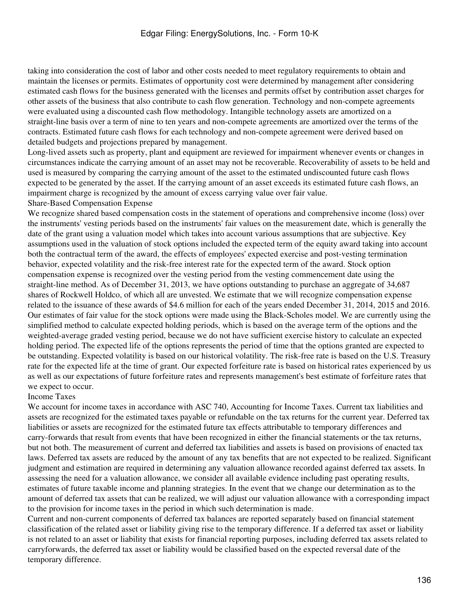taking into consideration the cost of labor and other costs needed to meet regulatory requirements to obtain and maintain the licenses or permits. Estimates of opportunity cost were determined by management after considering estimated cash flows for the business generated with the licenses and permits offset by contribution asset charges for other assets of the business that also contribute to cash flow generation. Technology and non-compete agreements were evaluated using a discounted cash flow methodology. Intangible technology assets are amortized on a straight-line basis over a term of nine to ten years and non-compete agreements are amortized over the terms of the contracts. Estimated future cash flows for each technology and non-compete agreement were derived based on detailed budgets and projections prepared by management.

Long-lived assets such as property, plant and equipment are reviewed for impairment whenever events or changes in circumstances indicate the carrying amount of an asset may not be recoverable. Recoverability of assets to be held and used is measured by comparing the carrying amount of the asset to the estimated undiscounted future cash flows expected to be generated by the asset. If the carrying amount of an asset exceeds its estimated future cash flows, an impairment charge is recognized by the amount of excess carrying value over fair value. Share-Based Compensation Expense

We recognize shared based compensation costs in the statement of operations and comprehensive income (loss) over the instruments' vesting periods based on the instruments' fair values on the measurement date, which is generally the date of the grant using a valuation model which takes into account various assumptions that are subjective. Key assumptions used in the valuation of stock options included the expected term of the equity award taking into account both the contractual term of the award, the effects of employees' expected exercise and post-vesting termination behavior, expected volatility and the risk-free interest rate for the expected term of the award. Stock option compensation expense is recognized over the vesting period from the vesting commencement date using the straight-line method. As of December 31, 2013, we have options outstanding to purchase an aggregate of 34,687 shares of Rockwell Holdco, of which all are unvested. We estimate that we will recognize compensation expense related to the issuance of these awards of \$4.6 million for each of the years ended December 31, 2014, 2015 and 2016. Our estimates of fair value for the stock options were made using the Black-Scholes model. We are currently using the simplified method to calculate expected holding periods, which is based on the average term of the options and the weighted-average graded vesting period, because we do not have sufficient exercise history to calculate an expected holding period. The expected life of the options represents the period of time that the options granted are expected to be outstanding. Expected volatility is based on our historical volatility. The risk-free rate is based on the U.S. Treasury rate for the expected life at the time of grant. Our expected forfeiture rate is based on historical rates experienced by us as well as our expectations of future forfeiture rates and represents management's best estimate of forfeiture rates that we expect to occur.

#### Income Taxes

We account for income taxes in accordance with ASC 740, Accounting for Income Taxes. Current tax liabilities and assets are recognized for the estimated taxes payable or refundable on the tax returns for the current year. Deferred tax liabilities or assets are recognized for the estimated future tax effects attributable to temporary differences and carry-forwards that result from events that have been recognized in either the financial statements or the tax returns, but not both. The measurement of current and deferred tax liabilities and assets is based on provisions of enacted tax laws. Deferred tax assets are reduced by the amount of any tax benefits that are not expected to be realized. Significant judgment and estimation are required in determining any valuation allowance recorded against deferred tax assets. In assessing the need for a valuation allowance, we consider all available evidence including past operating results, estimates of future taxable income and planning strategies. In the event that we change our determination as to the amount of deferred tax assets that can be realized, we will adjust our valuation allowance with a corresponding impact to the provision for income taxes in the period in which such determination is made.

Current and non-current components of deferred tax balances are reported separately based on financial statement classification of the related asset or liability giving rise to the temporary difference. If a deferred tax asset or liability is not related to an asset or liability that exists for financial reporting purposes, including deferred tax assets related to carryforwards, the deferred tax asset or liability would be classified based on the expected reversal date of the temporary difference.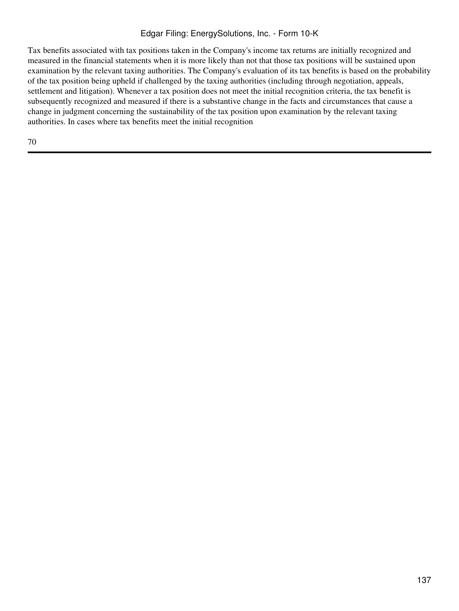Tax benefits associated with tax positions taken in the Company's income tax returns are initially recognized and measured in the financial statements when it is more likely than not that those tax positions will be sustained upon examination by the relevant taxing authorities. The Company's evaluation of its tax benefits is based on the probability of the tax position being upheld if challenged by the taxing authorities (including through negotiation, appeals, settlement and litigation). Whenever a tax position does not meet the initial recognition criteria, the tax benefit is subsequently recognized and measured if there is a substantive change in the facts and circumstances that cause a change in judgment concerning the sustainability of the tax position upon examination by the relevant taxing authorities. In cases where tax benefits meet the initial recognition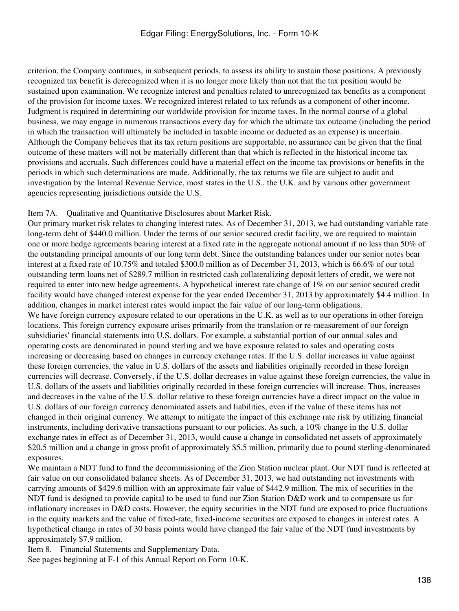criterion, the Company continues, in subsequent periods, to assess its ability to sustain those positions. A previously recognized tax benefit is derecognized when it is no longer more likely than not that the tax position would be sustained upon examination. We recognize interest and penalties related to unrecognized tax benefits as a component of the provision for income taxes. We recognized interest related to tax refunds as a component of other income. Judgment is required in determining our worldwide provision for income taxes. In the normal course of a global business, we may engage in numerous transactions every day for which the ultimate tax outcome (including the period in which the transaction will ultimately be included in taxable income or deducted as an expense) is uncertain. Although the Company believes that its tax return positions are supportable, no assurance can be given that the final outcome of these matters will not be materially different than that which is reflected in the historical income tax provisions and accruals. Such differences could have a material effect on the income tax provisions or benefits in the periods in which such determinations are made. Additionally, the tax returns we file are subject to audit and investigation by the Internal Revenue Service, most states in the U.S., the U.K. and by various other government agencies representing jurisdictions outside the U.S.

### Item 7A. Qualitative and Quantitative Disclosures about Market Risk.

Our primary market risk relates to changing interest rates. As of December 31, 2013, we had outstanding variable rate long-term debt of \$440.0 million. Under the terms of our senior secured credit facility, we are required to maintain one or more hedge agreements bearing interest at a fixed rate in the aggregate notional amount if no less than 50% of the outstanding principal amounts of our long term debt. Since the outstanding balances under our senior notes bear interest at a fixed rate of 10.75% and totaled \$300.0 million as of December 31, 2013, which is 66.6% of our total outstanding term loans net of \$289.7 million in restricted cash collateralizing deposit letters of credit, we were not required to enter into new hedge agreements. A hypothetical interest rate change of 1% on our senior secured credit facility would have changed interest expense for the year ended December 31, 2013 by approximately \$4.4 million. In addition, changes in market interest rates would impact the fair value of our long-term obligations. We have foreign currency exposure related to our operations in the U.K. as well as to our operations in other foreign locations. This foreign currency exposure arises primarily from the translation or re-measurement of our foreign subsidiaries' financial statements into U.S. dollars. For example, a substantial portion of our annual sales and operating costs are denominated in pound sterling and we have exposure related to sales and operating costs increasing or decreasing based on changes in currency exchange rates. If the U.S. dollar increases in value against these foreign currencies, the value in U.S. dollars of the assets and liabilities originally recorded in these foreign currencies will decrease. Conversely, if the U.S. dollar decreases in value against these foreign currencies, the value in U.S. dollars of the assets and liabilities originally recorded in these foreign currencies will increase. Thus, increases and decreases in the value of the U.S. dollar relative to these foreign currencies have a direct impact on the value in U.S. dollars of our foreign currency denominated assets and liabilities, even if the value of these items has not changed in their original currency. We attempt to mitigate the impact of this exchange rate risk by utilizing financial instruments, including derivative transactions pursuant to our policies. As such, a 10% change in the U.S. dollar exchange rates in effect as of December 31, 2013, would cause a change in consolidated net assets of approximately \$20.5 million and a change in gross profit of approximately \$5.5 million, primarily due to pound sterling-denominated exposures.

We maintain a NDT fund to fund the decommissioning of the Zion Station nuclear plant. Our NDT fund is reflected at fair value on our consolidated balance sheets. As of December 31, 2013, we had outstanding net investments with carrying amounts of \$429.6 million with an approximate fair value of \$442.9 million. The mix of securities in the NDT fund is designed to provide capital to be used to fund our Zion Station D&D work and to compensate us for inflationary increases in D&D costs. However, the equity securities in the NDT fund are exposed to price fluctuations in the equity markets and the value of fixed-rate, fixed-income securities are exposed to changes in interest rates. A hypothetical change in rates of 30 basis points would have changed the fair value of the NDT fund investments by approximately \$7.9 million.

Item 8. Financial Statements and Supplementary Data. See pages beginning at F-1 of this Annual Report on Form 10-K.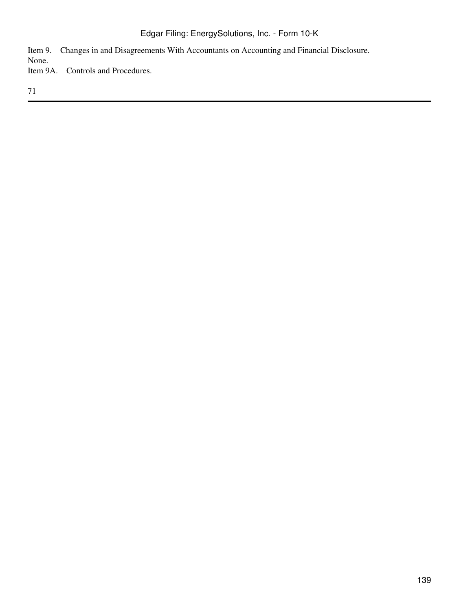Item 9. Changes in and Disagreements With Accountants on Accounting and Financial Disclosure.

None.

Item 9A. Controls and Procedures.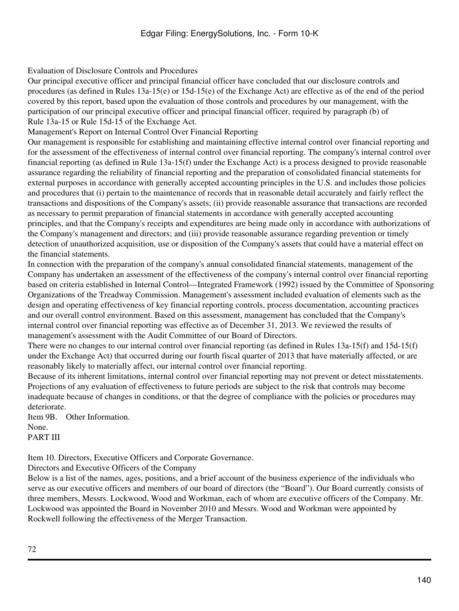Evaluation of Disclosure Controls and Procedures

Our principal executive officer and principal financial officer have concluded that our disclosure controls and procedures (as defined in Rules 13a-15(e) or 15d-15(e) of the Exchange Act) are effective as of the end of the period covered by this report, based upon the evaluation of those controls and procedures by our management, with the participation of our principal executive officer and principal financial officer, required by paragraph (b) of Rule 13a-15 or Rule 15d-15 of the Exchange Act.

Management's Report on Internal Control Over Financial Reporting

Our management is responsible for establishing and maintaining effective internal control over financial reporting and for the assessment of the effectiveness of internal control over financial reporting. The company's internal control over financial reporting (as defined in Rule 13a-15(f) under the Exchange Act) is a process designed to provide reasonable assurance regarding the reliability of financial reporting and the preparation of consolidated financial statements for external purposes in accordance with generally accepted accounting principles in the U.S. and includes those policies and procedures that (i) pertain to the maintenance of records that in reasonable detail accurately and fairly reflect the transactions and dispositions of the Company's assets; (ii) provide reasonable assurance that transactions are recorded as necessary to permit preparation of financial statements in accordance with generally accepted accounting principles, and that the Company's receipts and expenditures are being made only in accordance with authorizations of the Company's management and directors; and (iii) provide reasonable assurance regarding prevention or timely detection of unauthorized acquisition, use or disposition of the Company's assets that could have a material effect on the financial statements.

In connection with the preparation of the company's annual consolidated financial statements, management of the Company has undertaken an assessment of the effectiveness of the company's internal control over financial reporting based on criteria established in Internal Control—Integrated Framework (1992) issued by the Committee of Sponsoring Organizations of the Treadway Commission. Management's assessment included evaluation of elements such as the design and operating effectiveness of key financial reporting controls, process documentation, accounting practices and our overall control environment. Based on this assessment, management has concluded that the Company's internal control over financial reporting was effective as of December 31, 2013. We reviewed the results of management's assessment with the Audit Committee of our Board of Directors.

There were no changes to our internal control over financial reporting (as defined in Rules 13a-15(f) and 15d-15(f) under the Exchange Act) that occurred during our fourth fiscal quarter of 2013 that have materially affected, or are reasonably likely to materially affect, our internal control over financial reporting.

Because of its inherent limitations, internal control over financial reporting may not prevent or detect misstatements. Projections of any evaluation of effectiveness to future periods are subject to the risk that controls may become inadequate because of changes in conditions, or that the degree of compliance with the policies or procedures may deteriorate.

Item 9B. Other Information. None. PART III

Item 10. Directors, Executive Officers and Corporate Governance.

Directors and Executive Officers of the Company

Below is a list of the names, ages, positions, and a brief account of the business experience of the individuals who serve as our executive officers and members of our board of directors (the "Board"). Our Board currently consists of three members, Messrs. Lockwood, Wood and Workman, each of whom are executive officers of the Company. Mr. Lockwood was appointed the Board in November 2010 and Messrs. Wood and Workman were appointed by Rockwell following the effectiveness of the Merger Transaction.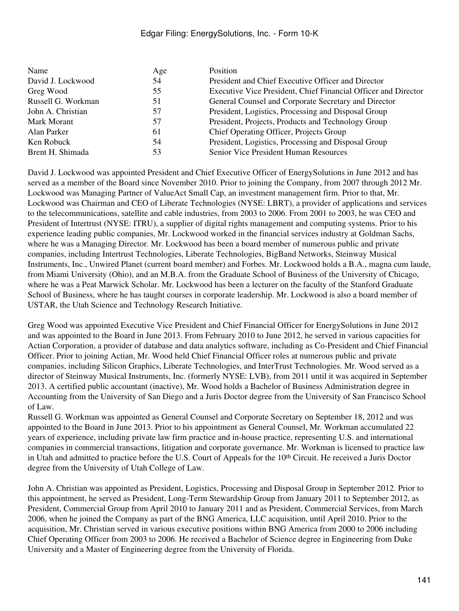| Name               | Age | <b>Position</b>                                                |
|--------------------|-----|----------------------------------------------------------------|
| David J. Lockwood  | 54  | President and Chief Executive Officer and Director             |
| Greg Wood          | 55  | Executive Vice President, Chief Financial Officer and Director |
| Russell G. Workman | 51  | General Counsel and Corporate Secretary and Director           |
| John A. Christian  | 57  | President, Logistics, Processing and Disposal Group            |
| Mark Morant        | 57  | President, Projects, Products and Technology Group             |
| Alan Parker        | 61  | Chief Operating Officer, Projects Group                        |
| Ken Robuck         | 54  | President, Logistics, Processing and Disposal Group            |
| Brent H. Shimada   | 53  | Senior Vice President Human Resources                          |

David J. Lockwood was appointed President and Chief Executive Officer of EnergySolutions in June 2012 and has served as a member of the Board since November 2010. Prior to joining the Company, from 2007 through 2012 Mr. Lockwood was Managing Partner of ValueAct Small Cap, an investment management firm. Prior to that, Mr. Lockwood was Chairman and CEO of Liberate Technologies (NYSE: LBRT), a provider of applications and services to the telecommunications, satellite and cable industries, from 2003 to 2006. From 2001 to 2003, he was CEO and President of Intertrust (NYSE: ITRU), a supplier of digital rights management and computing systems. Prior to his experience leading public companies, Mr. Lockwood worked in the financial services industry at Goldman Sachs, where he was a Managing Director. Mr. Lockwood has been a board member of numerous public and private companies, including Intertrust Technologies, Liberate Technologies, BigBand Networks, Steinway Musical Instruments, Inc., Unwired Planet (current board member) and Forbes. Mr. Lockwood holds a B.A., magna cum laude, from Miami University (Ohio), and an M.B.A. from the Graduate School of Business of the University of Chicago, where he was a Peat Marwick Scholar. Mr. Lockwood has been a lecturer on the faculty of the Stanford Graduate School of Business, where he has taught courses in corporate leadership. Mr. Lockwood is also a board member of USTAR, the Utah Science and Technology Research Initiative.

Greg Wood was appointed Executive Vice President and Chief Financial Officer for EnergySolutions in June 2012 and was appointed to the Board in June 2013. From February 2010 to June 2012, he served in various capacities for Actian Corporation, a provider of database and data analytics software, including as Co-President and Chief Financial Officer. Prior to joining Actian, Mr. Wood held Chief Financial Officer roles at numerous public and private companies, including Silicon Graphics, Liberate Technologies, and InterTrust Technologies. Mr. Wood served as a director of Steinway Musical Instruments, Inc. (formerly NYSE: LVB), from 2011 until it was acquired in September 2013. A certified public accountant (inactive), Mr. Wood holds a Bachelor of Business Administration degree in Accounting from the University of San Diego and a Juris Doctor degree from the University of San Francisco School of Law.

Russell G. Workman was appointed as General Counsel and Corporate Secretary on September 18, 2012 and was appointed to the Board in June 2013. Prior to his appointment as General Counsel, Mr. Workman accumulated 22 years of experience, including private law firm practice and in-house practice, representing U.S. and international companies in commercial transactions, litigation and corporate governance. Mr. Workman is licensed to practice law in Utah and admitted to practice before the U.S. Court of Appeals for the 10<sup>th</sup> Circuit. He received a Juris Doctor degree from the University of Utah College of Law.

John A. Christian was appointed as President, Logistics, Processing and Disposal Group in September 2012. Prior to this appointment, he served as President, Long-Term Stewardship Group from January 2011 to September 2012, as President, Commercial Group from April 2010 to January 2011 and as President, Commercial Services, from March 2006, when he joined the Company as part of the BNG America, LLC acquisition, until April 2010. Prior to the acquisition, Mr. Christian served in various executive positions within BNG America from 2000 to 2006 including Chief Operating Officer from 2003 to 2006. He received a Bachelor of Science degree in Engineering from Duke University and a Master of Engineering degree from the University of Florida.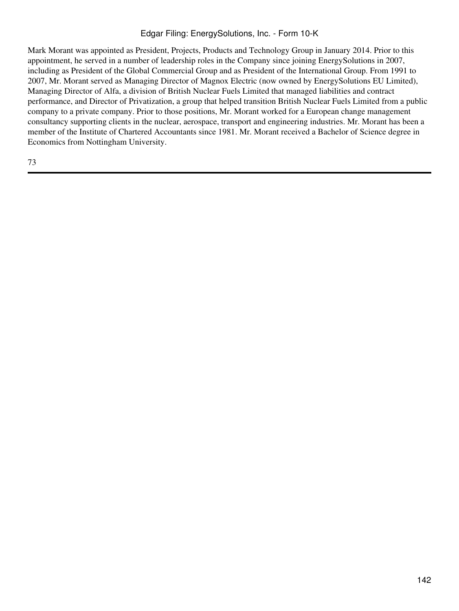Mark Morant was appointed as President, Projects, Products and Technology Group in January 2014. Prior to this appointment, he served in a number of leadership roles in the Company since joining EnergySolutions in 2007, including as President of the Global Commercial Group and as President of the International Group. From 1991 to 2007, Mr. Morant served as Managing Director of Magnox Electric (now owned by EnergySolutions EU Limited), Managing Director of Alfa, a division of British Nuclear Fuels Limited that managed liabilities and contract performance, and Director of Privatization, a group that helped transition British Nuclear Fuels Limited from a public company to a private company. Prior to those positions, Mr. Morant worked for a European change management consultancy supporting clients in the nuclear, aerospace, transport and engineering industries. Mr. Morant has been a member of the Institute of Chartered Accountants since 1981. Mr. Morant received a Bachelor of Science degree in Economics from Nottingham University.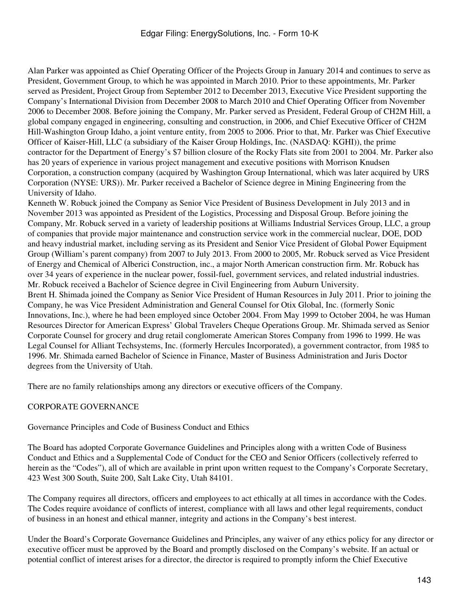Alan Parker was appointed as Chief Operating Officer of the Projects Group in January 2014 and continues to serve as President, Government Group, to which he was appointed in March 2010. Prior to these appointments, Mr. Parker served as President, Project Group from September 2012 to December 2013, Executive Vice President supporting the Company's International Division from December 2008 to March 2010 and Chief Operating Officer from November 2006 to December 2008. Before joining the Company, Mr. Parker served as President, Federal Group of CH2M Hill, a global company engaged in engineering, consulting and construction, in 2006, and Chief Executive Officer of CH2M Hill-Washington Group Idaho, a joint venture entity, from 2005 to 2006. Prior to that, Mr. Parker was Chief Executive Officer of Kaiser-Hill, LLC (a subsidiary of the Kaiser Group Holdings, Inc. (NASDAQ: KGHI)), the prime contractor for the Department of Energy's \$7 billion closure of the Rocky Flats site from 2001 to 2004. Mr. Parker also has 20 years of experience in various project management and executive positions with Morrison Knudsen Corporation, a construction company (acquired by Washington Group International, which was later acquired by URS Corporation (NYSE: URS)). Mr. Parker received a Bachelor of Science degree in Mining Engineering from the University of Idaho.

Kenneth W. Robuck joined the Company as Senior Vice President of Business Development in July 2013 and in November 2013 was appointed as President of the Logistics, Processing and Disposal Group. Before joining the Company, Mr. Robuck served in a variety of leadership positions at Williams Industrial Services Group, LLC, a group of companies that provide major maintenance and construction service work in the commercial nuclear, DOE, DOD and heavy industrial market, including serving as its President and Senior Vice President of Global Power Equipment Group (William's parent company) from 2007 to July 2013. From 2000 to 2005, Mr. Robuck served as Vice President of Energy and Chemical of Alberici Construction, inc., a major North American construction firm. Mr. Robuck has over 34 years of experience in the nuclear power, fossil-fuel, government services, and related industrial industries. Mr. Robuck received a Bachelor of Science degree in Civil Engineering from Auburn University. Brent H. Shimada joined the Company as Senior Vice President of Human Resources in July 2011. Prior to joining the Company, he was Vice President Administration and General Counsel for Otix Global, Inc. (formerly Sonic Innovations, Inc.), where he had been employed since October 2004. From May 1999 to October 2004, he was Human Resources Director for American Express' Global Travelers Cheque Operations Group. Mr. Shimada served as Senior Corporate Counsel for grocery and drug retail conglomerate American Stores Company from 1996 to 1999. He was Legal Counsel for Alliant Techsystems, Inc. (formerly Hercules Incorporated), a government contractor, from 1985 to 1996. Mr. Shimada earned Bachelor of Science in Finance, Master of Business Administration and Juris Doctor degrees from the University of Utah.

There are no family relationships among any directors or executive officers of the Company.

### CORPORATE GOVERNANCE

### Governance Principles and Code of Business Conduct and Ethics

The Board has adopted Corporate Governance Guidelines and Principles along with a written Code of Business Conduct and Ethics and a Supplemental Code of Conduct for the CEO and Senior Officers (collectively referred to herein as the "Codes"), all of which are available in print upon written request to the Company's Corporate Secretary, 423 West 300 South, Suite 200, Salt Lake City, Utah 84101.

The Company requires all directors, officers and employees to act ethically at all times in accordance with the Codes. The Codes require avoidance of conflicts of interest, compliance with all laws and other legal requirements, conduct of business in an honest and ethical manner, integrity and actions in the Company's best interest.

Under the Board's Corporate Governance Guidelines and Principles, any waiver of any ethics policy for any director or executive officer must be approved by the Board and promptly disclosed on the Company's website. If an actual or potential conflict of interest arises for a director, the director is required to promptly inform the Chief Executive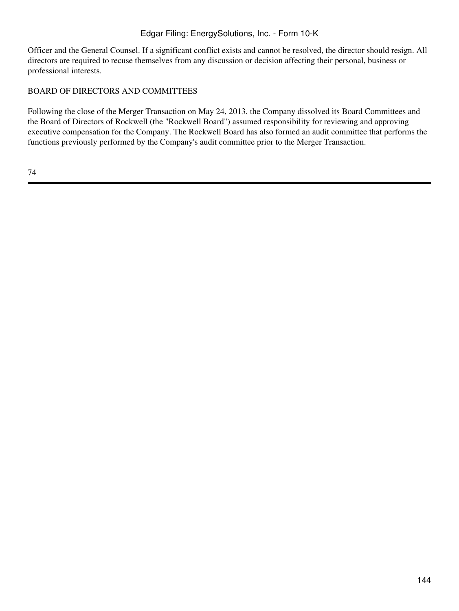Officer and the General Counsel. If a significant conflict exists and cannot be resolved, the director should resign. All directors are required to recuse themselves from any discussion or decision affecting their personal, business or professional interests.

### BOARD OF DIRECTORS AND COMMITTEES

Following the close of the Merger Transaction on May 24, 2013, the Company dissolved its Board Committees and the Board of Directors of Rockwell (the "Rockwell Board") assumed responsibility for reviewing and approving executive compensation for the Company. The Rockwell Board has also formed an audit committee that performs the functions previously performed by the Company's audit committee prior to the Merger Transaction.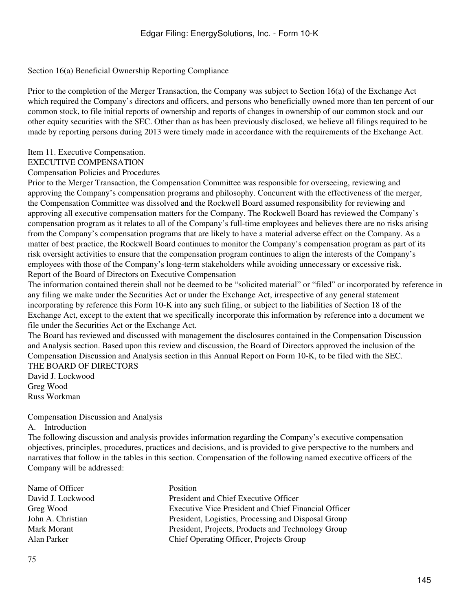### Section 16(a) Beneficial Ownership Reporting Compliance

Prior to the completion of the Merger Transaction, the Company was subject to Section 16(a) of the Exchange Act which required the Company's directors and officers, and persons who beneficially owned more than ten percent of our common stock, to file initial reports of ownership and reports of changes in ownership of our common stock and our other equity securities with the SEC. Other than as has been previously disclosed, we believe all filings required to be made by reporting persons during 2013 were timely made in accordance with the requirements of the Exchange Act.

### Item 11. Executive Compensation.

#### EXECUTIVE COMPENSATION

#### Compensation Policies and Procedures

Prior to the Merger Transaction, the Compensation Committee was responsible for overseeing, reviewing and approving the Company's compensation programs and philosophy. Concurrent with the effectiveness of the merger, the Compensation Committee was dissolved and the Rockwell Board assumed responsibility for reviewing and approving all executive compensation matters for the Company. The Rockwell Board has reviewed the Company's compensation program as it relates to all of the Company's full-time employees and believes there are no risks arising from the Company's compensation programs that are likely to have a material adverse effect on the Company. As a matter of best practice, the Rockwell Board continues to monitor the Company's compensation program as part of its risk oversight activities to ensure that the compensation program continues to align the interests of the Company's employees with those of the Company's long-term stakeholders while avoiding unnecessary or excessive risk. Report of the Board of Directors on Executive Compensation

The information contained therein shall not be deemed to be "solicited material" or "filed" or incorporated by reference in any filing we make under the Securities Act or under the Exchange Act, irrespective of any general statement incorporating by reference this Form 10-K into any such filing, or subject to the liabilities of Section 18 of the Exchange Act, except to the extent that we specifically incorporate this information by reference into a document we file under the Securities Act or the Exchange Act.

The Board has reviewed and discussed with management the disclosures contained in the Compensation Discussion and Analysis section. Based upon this review and discussion, the Board of Directors approved the inclusion of the Compensation Discussion and Analysis section in this Annual Report on Form 10-K, to be filed with the SEC. THE BOARD OF DIRECTORS

David J. Lockwood Greg Wood Russ Workman

#### Compensation Discussion and Analysis

#### A. Introduction

The following discussion and analysis provides information regarding the Company's executive compensation objectives, principles, procedures, practices and decisions, and is provided to give perspective to the numbers and narratives that follow in the tables in this section. Compensation of the following named executive officers of the Company will be addressed:

| Name of Officer   | Position                                                    |
|-------------------|-------------------------------------------------------------|
| David J. Lockwood | President and Chief Executive Officer                       |
| Greg Wood         | <b>Executive Vice President and Chief Financial Officer</b> |
| John A. Christian | President, Logistics, Processing and Disposal Group         |
| Mark Morant       | President, Projects, Products and Technology Group          |
| Alan Parker       | Chief Operating Officer, Projects Group                     |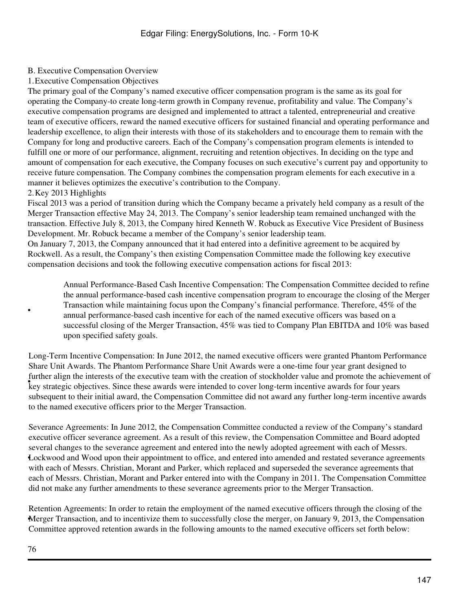### B. Executive Compensation Overview

1.Executive Compensation Objectives

The primary goal of the Company's named executive officer compensation program is the same as its goal for operating the Company-to create long-term growth in Company revenue, profitability and value. The Company's executive compensation programs are designed and implemented to attract a talented, entrepreneurial and creative team of executive officers, reward the named executive officers for sustained financial and operating performance and leadership excellence, to align their interests with those of its stakeholders and to encourage them to remain with the Company for long and productive careers. Each of the Company's compensation program elements is intended to fulfill one or more of our performance, alignment, recruiting and retention objectives. In deciding on the type and amount of compensation for each executive, the Company focuses on such executive's current pay and opportunity to receive future compensation. The Company combines the compensation program elements for each executive in a manner it believes optimizes the executive's contribution to the Company.

### 2.Key 2013 Highlights

Fiscal 2013 was a period of transition during which the Company became a privately held company as a result of the Merger Transaction effective May 24, 2013. The Company's senior leadership team remained unchanged with the transaction. Effective July 8, 2013, the Company hired Kenneth W. Robuck as Executive Vice President of Business Development. Mr. Robuck became a member of the Company's senior leadership team.

On January 7, 2013, the Company announced that it had entered into a definitive agreement to be acquired by Rockwell. As a result, the Company's then existing Compensation Committee made the following key executive compensation decisions and took the following executive compensation actions for fiscal 2013:

Annual Performance-Based Cash Incentive Compensation: The Compensation Committee decided to refine the annual performance-based cash incentive compensation program to encourage the closing of the Merger Transaction while maintaining focus upon the Company's financial performance. Therefore, 45% of the annual performance-based cash incentive for each of the named executive officers was based on a successful closing of the Merger Transaction, 45% was tied to Company Plan EBITDA and 10% was based upon specified safety goals.

For any and the meress of the executive team with the electron of stockholder value and promote the achieved key strategic objectives. Since these awards were intended to cover long-term incentive awards for four years Long-Term Incentive Compensation: In June 2012, the named executive officers were granted Phantom Performance Share Unit Awards. The Phantom Performance Share Unit Awards were a one-time four year grant designed to further align the interests of the executive team with the creation of stockholder value and promote the achievement of subsequent to their initial award, the Compensation Committee did not award any further long-term incentive awards to the named executive officers prior to the Merger Transaction.

• Lockwood and Wood upon their appointment to office, and entered into amended and restated severance agreements Severance Agreements: In June 2012, the Compensation Committee conducted a review of the Company's standard executive officer severance agreement. As a result of this review, the Compensation Committee and Board adopted several changes to the severance agreement and entered into the newly adopted agreement with each of Messrs. with each of Messrs. Christian, Morant and Parker, which replaced and superseded the severance agreements that each of Messrs. Christian, Morant and Parker entered into with the Company in 2011. The Compensation Committee did not make any further amendments to these severance agreements prior to the Merger Transaction.

• Merger Transaction, and to incentivize them to successfully close the merger, on January 9, 2013, the Compensation Retention Agreements: In order to retain the employment of the named executive officers through the closing of the Committee approved retention awards in the following amounts to the named executive officers set forth below:

•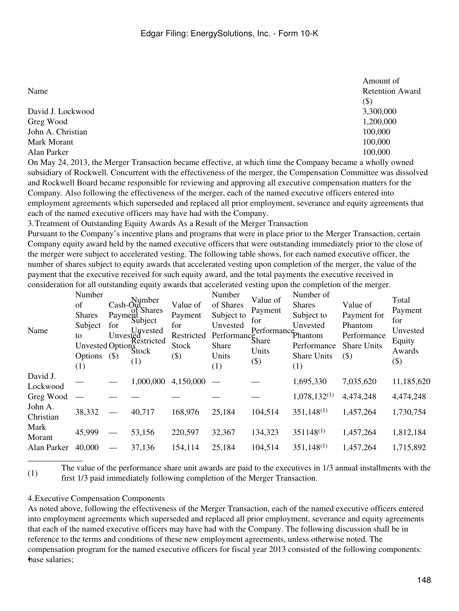|                                                                        | Amount of              |
|------------------------------------------------------------------------|------------------------|
| Name                                                                   | <b>Retention Award</b> |
|                                                                        | $($ \$)                |
| David J. Lockwood                                                      | 3,300,000              |
| Greg Wood                                                              | 1,200,000              |
| John A. Christian                                                      | 100,000                |
| Mark Morant                                                            | 100,000                |
| Alan Parker                                                            | 100,000                |
| $\sim$ $\sim$<br>$\sim$ $\sim$ $\sim$<br>.<br>$\overline{\phantom{a}}$ | .<br>.                 |

On May 24, 2013, the Merger Transaction became effective, at which time the Company became a wholly owned subsidiary of Rockwell. Concurrent with the effectiveness of the merger, the Compensation Committee was dissolved and Rockwell Board became responsible for reviewing and approving all executive compensation matters for the Company. Also following the effectiveness of the merger, each of the named executive officers entered into employment agreements which superseded and replaced all prior employment, severance and equity agreements that each of the named executive officers may have had with the Company.

3.Treatment of Outstanding Equity Awards As a Result of the Merger Transaction

Pursuant to the Company's incentive plans and programs that were in place prior to the Merger Transaction, certain Company equity award held by the named executive officers that were outstanding immediately prior to the close of the merger were subject to accelerated vesting. The following table shows, for each named executive officer, the number of shares subject to equity awards that accelerated vesting upon completion of the merger, the value of the payment that the executive received for such equity award, and the total payments the executive received in consideration for all outstanding equity awards that accelerated vesting upon the completion of the merger.

| Name                 | Number<br>of<br><b>Shares</b><br>Subject<br>to<br>Unvested Options<br>Options<br>(1) | for<br>Unvested<br>$(\$)$     | Number<br>Cash-Out<br>of Shares<br>Payment<br>Subject<br>Unvested<br>Restricted<br>(1) | Value of<br>Payment<br>for<br>Restricted<br>Stock<br>$(\$)$ | Number<br>of Shares<br>Subject to<br>Unvested<br>Performance<br>Share<br>Units<br>(1) | Value of<br>Payment<br>for<br>Performance<br>Phantom<br>Units<br>$(\$)$ | Number of<br><b>Shares</b><br>Subject to<br>Unvested<br>Performance<br><b>Share Units</b><br>(1) | Value of<br>Payment for<br>Phantom<br>Performance<br><b>Share Units</b><br>\$) | Total<br>Payment<br>for<br>Unvested<br>Equity<br>Awards<br>$(\boldsymbol{\$})$ |
|----------------------|--------------------------------------------------------------------------------------|-------------------------------|----------------------------------------------------------------------------------------|-------------------------------------------------------------|---------------------------------------------------------------------------------------|-------------------------------------------------------------------------|--------------------------------------------------------------------------------------------------|--------------------------------------------------------------------------------|--------------------------------------------------------------------------------|
| David J.<br>Lockwood |                                                                                      |                               | 1,000,000                                                                              | 4,150,000                                                   |                                                                                       |                                                                         | 1,695,330                                                                                        | 7,035,620                                                                      | 11,185,620                                                                     |
| Greg Wood            |                                                                                      |                               |                                                                                        |                                                             |                                                                                       |                                                                         | $1,078,132^{(1)}$                                                                                | 4,474,248                                                                      | 4,474,248                                                                      |
| John A.<br>Christian | 38,332                                                                               |                               | 40,717                                                                                 | 168,976                                                     | 25,184                                                                                | 104,514                                                                 | $351,148^{(1)}$                                                                                  | 1,457,264                                                                      | 1,730,754                                                                      |
| Mark<br>Morant       | 45,999                                                                               |                               | 53,156                                                                                 | 220,597                                                     | 32,367                                                                                | 134,323                                                                 | $351148^{(1)}$                                                                                   | 1,457,264                                                                      | 1,812,184                                                                      |
| Alan Parker          | 40,000                                                                               | $\overbrace{\phantom{aaaaa}}$ | 37,136                                                                                 | 154,114                                                     | 25,184                                                                                | 104,514                                                                 | $351,148^{(1)}$                                                                                  | 1,457,264                                                                      | 1,715,892                                                                      |
|                      |                                                                                      |                               |                                                                                        |                                                             |                                                                                       |                                                                         |                                                                                                  |                                                                                |                                                                                |

(1) The value of the performance share unit awards are paid to the executives in 1/3 annual installments with the first 1/3 paid immediately following completion of the Merger Transaction.

### 4.Executive Compensation Components

As noted above, following the effectiveness of the Merger Transaction, each of the named executive officers entered into employment agreements which superseded and replaced all prior employment, severance and equity agreements that each of the named executive officers may have had with the Company. The following discussion shall be in reference to the terms and conditions of these new employment agreements, unless otherwise noted. The compensation program for the named executive officers for fiscal year 2013 consisted of the following components: •base salaries;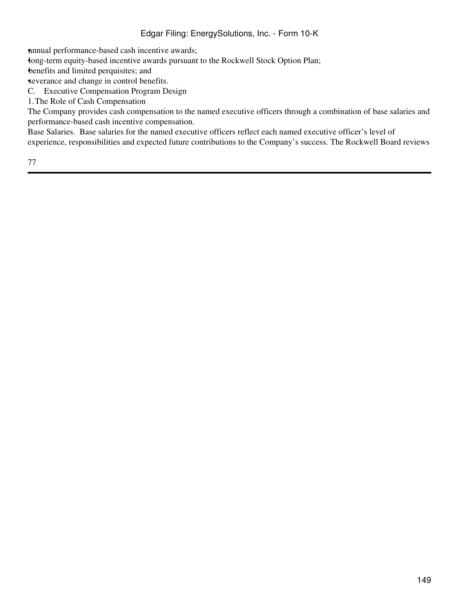•annual performance-based cash incentive awards;

•long-term equity-based incentive awards pursuant to the Rockwell Stock Option Plan;

•benefits and limited perquisites; and

severance and change in control benefits. C. Executive Compensation Program Design

1.The Role of Cash Compensation

The Company provides cash compensation to the named executive officers through a combination of base salaries and performance-based cash incentive compensation.

Base Salaries. Base salaries for the named executive officers reflect each named executive officer's level of experience, responsibilities and expected future contributions to the Company's success. The Rockwell Board reviews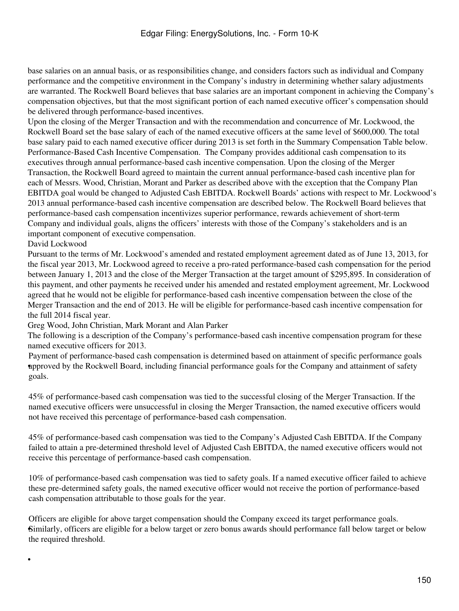base salaries on an annual basis, or as responsibilities change, and considers factors such as individual and Company performance and the competitive environment in the Company's industry in determining whether salary adjustments are warranted. The Rockwell Board believes that base salaries are an important component in achieving the Company's compensation objectives, but that the most significant portion of each named executive officer's compensation should be delivered through performance-based incentives.

Upon the closing of the Merger Transaction and with the recommendation and concurrence of Mr. Lockwood, the Rockwell Board set the base salary of each of the named executive officers at the same level of \$600,000. The total base salary paid to each named executive officer during 2013 is set forth in the Summary Compensation Table below. Performance-Based Cash Incentive Compensation. The Company provides additional cash compensation to its executives through annual performance-based cash incentive compensation. Upon the closing of the Merger Transaction, the Rockwell Board agreed to maintain the current annual performance-based cash incentive plan for each of Messrs. Wood, Christian, Morant and Parker as described above with the exception that the Company Plan EBITDA goal would be changed to Adjusted Cash EBITDA. Rockwell Boards' actions with respect to Mr. Lockwood's 2013 annual performance-based cash incentive compensation are described below. The Rockwell Board believes that performance-based cash compensation incentivizes superior performance, rewards achievement of short-term Company and individual goals, aligns the officers' interests with those of the Company's stakeholders and is an important component of executive compensation.

David Lockwood

•

Pursuant to the terms of Mr. Lockwood's amended and restated employment agreement dated as of June 13, 2013, for the fiscal year 2013, Mr. Lockwood agreed to receive a pro-rated performance-based cash compensation for the period between January 1, 2013 and the close of the Merger Transaction at the target amount of \$295,895. In consideration of this payment, and other payments he received under his amended and restated employment agreement, Mr. Lockwood agreed that he would not be eligible for performance-based cash incentive compensation between the close of the Merger Transaction and the end of 2013. He will be eligible for performance-based cash incentive compensation for the full 2014 fiscal year.

Greg Wood, John Christian, Mark Morant and Alan Parker

The following is a description of the Company's performance-based cash incentive compensation program for these named executive officers for 2013.

• approved by the Rockwell Board, including financial performance goals for the Company and attainment of safety Payment of performance-based cash compensation is determined based on attainment of specific performance goals goals.

45% of performance-based cash compensation was tied to the successful closing of the Merger Transaction. If the named executive officers were unsuccessful in closing the Merger Transaction, the named executive officers would not have received this percentage of performance-based cash compensation.

45% of performance-based cash compensation was tied to the Company's Adjusted Cash EBITDA. If the Company failed to attain a pre-determined threshold level of Adjusted Cash EBITDA, the named executive officers would not receive this percentage of performance-based cash compensation.

10% of performance-based cash compensation was tied to safety goals. If a named executive officer failed to achieve these pre-determined safety goals, the named executive officer would not receive the portion of performance-based cash compensation attributable to those goals for the year.

• Similarly, officers are eligible for a below target or zero bonus awards should performance fall below target or below Officers are eligible for above target compensation should the Company exceed its target performance goals. the required threshold.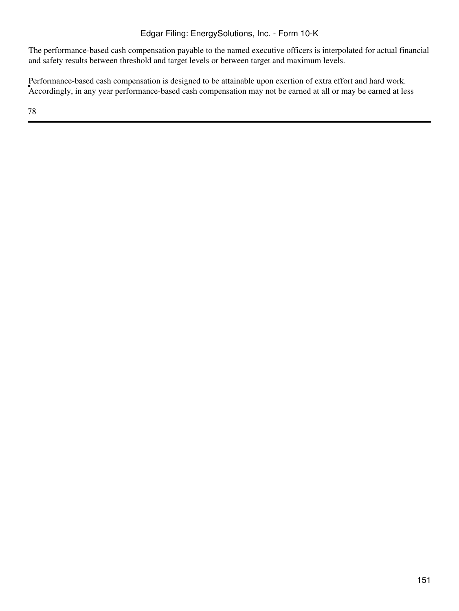The performance-based cash compensation payable to the named executive officers is interpolated for actual financial and safety results between threshold and target levels or between target and maximum levels.

• Criothiance-based cash compensation is designed to be attainable upon exertion of extra crioti and natu work.<br>Accordingly, in any year performance-based cash compensation may not be earned at all or may be earned at less Performance-based cash compensation is designed to be attainable upon exertion of extra effort and hard work.

78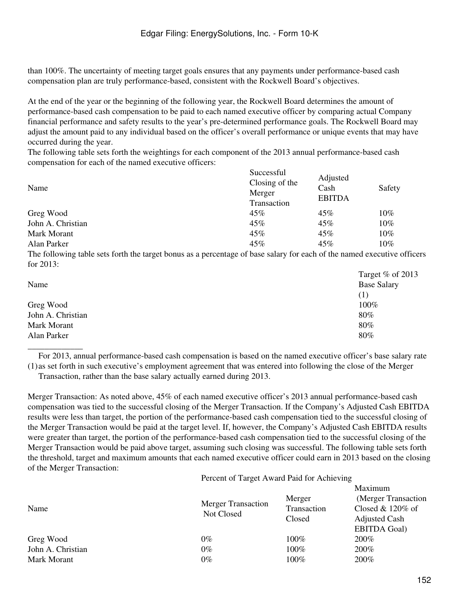than 100%. The uncertainty of meeting target goals ensures that any payments under performance-based cash compensation plan are truly performance-based, consistent with the Rockwell Board's objectives.

At the end of the year or the beginning of the following year, the Rockwell Board determines the amount of performance-based cash compensation to be paid to each named executive officer by comparing actual Company financial performance and safety results to the year's pre-determined performance goals. The Rockwell Board may adjust the amount paid to any individual based on the officer's overall performance or unique events that may have occurred during the year.

The following table sets forth the weightings for each component of the 2013 annual performance-based cash compensation for each of the named executive officers:

| Name              | Successful<br>Closing of the<br>Merger<br>Transaction | Adjusted<br>Cash<br><b>EBITDA</b> | Safety |
|-------------------|-------------------------------------------------------|-----------------------------------|--------|
| Greg Wood         | 45%                                                   | 45%                               | $10\%$ |
| John A. Christian | 45%                                                   | 45%                               | $10\%$ |
| Mark Morant       | 45%                                                   | 45%                               | 10%    |
| Alan Parker       | 45%                                                   | 45%                               | $10\%$ |

The following table sets forth the target bonus as a percentage of base salary for each of the named executive officers for 2013:

| Target $%$ of 2013 |
|--------------------|
| <b>Base Salary</b> |
| (1)                |
| 100%               |
| 80%                |
| 80%                |
| 80%                |
|                    |

(1) as set forth in such executive's employment agreement that was entered into following the close of the Merger For 2013, annual performance-based cash compensation is based on the named executive officer's base salary rate

Transaction, rather than the base salary actually earned during 2013.

\_\_\_\_\_\_\_\_\_\_\_\_\_

Merger Transaction: As noted above, 45% of each named executive officer's 2013 annual performance-based cash compensation was tied to the successful closing of the Merger Transaction. If the Company's Adjusted Cash EBITDA results were less than target, the portion of the performance-based cash compensation tied to the successful closing of the Merger Transaction would be paid at the target level. If, however, the Company's Adjusted Cash EBITDA results were greater than target, the portion of the performance-based cash compensation tied to the successful closing of the Merger Transaction would be paid above target, assuming such closing was successful. The following table sets forth the threshold, target and maximum amounts that each named executive officer could earn in 2013 based on the closing of the Merger Transaction:

#### Percent of Target Award Paid for Achieving

|                   |                           |             | Maximum              |
|-------------------|---------------------------|-------------|----------------------|
|                   | <b>Merger Transaction</b> | Merger      | (Merger Transaction) |
| Name              |                           | Transaction | Closed $& 120\%$ of  |
|                   | Not Closed                | Closed      | <b>Adjusted Cash</b> |
|                   |                           |             | <b>EBITDA Goal)</b>  |
| Greg Wood         | 0%                        | $100\%$     | $200\%$              |
| John A. Christian | $0\%$                     | 100%        | 200%                 |
| Mark Morant       | $0\%$                     | $100\%$     | 200%                 |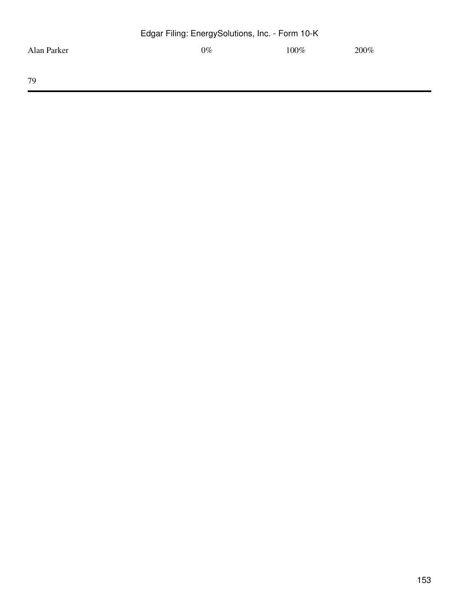| Edgar Filing: EnergySolutions, Inc. - Form 10-K |    |      |      |  |  |
|-------------------------------------------------|----|------|------|--|--|
| Alan Parker                                     | 0% | 100% | 200% |  |  |
| 79                                              |    |      |      |  |  |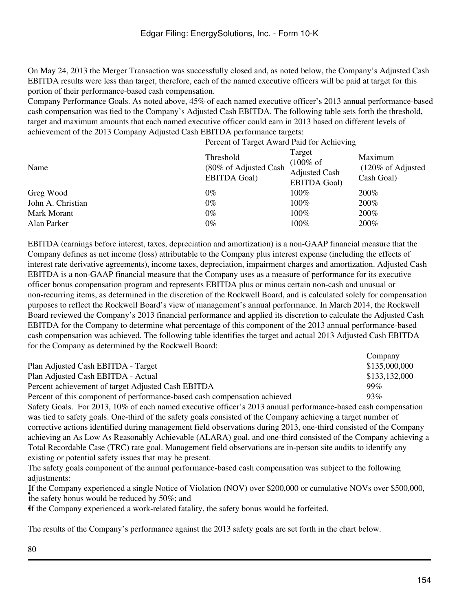On May 24, 2013 the Merger Transaction was successfully closed and, as noted below, the Company's Adjusted Cash EBITDA results were less than target, therefore, each of the named executive officers will be paid at target for this portion of their performance-based cash compensation.

Company Performance Goals. As noted above, 45% of each named executive officer's 2013 annual performance-based cash compensation was tied to the Company's Adjusted Cash EBITDA. The following table sets forth the threshold, target and maximum amounts that each named executive officer could earn in 2013 based on different levels of achievement of the 2013 Company Adjusted Cash EBITDA performance targets:

Percent of Target Award Paid for Achieving

| Name              | Threshold<br>(80% of Adjusted Cash<br><b>EBITDA Goal)</b> | Target<br>$(100\% \text{ of }$<br><b>Adjusted Cash</b><br><b>EBITDA Goal)</b> | Maximum<br>$(120\% \text{ of Adjusted})$<br>Cash Goal) |
|-------------------|-----------------------------------------------------------|-------------------------------------------------------------------------------|--------------------------------------------------------|
| Greg Wood         | $0\%$                                                     | $100\%$                                                                       | $200\%$                                                |
| John A. Christian | $0\%$                                                     | $100\%$                                                                       | $200\%$                                                |
| Mark Morant       | $0\%$                                                     | 100%                                                                          | 200%                                                   |
| Alan Parker       | $0\%$                                                     | 100%                                                                          | 200%                                                   |

EBITDA (earnings before interest, taxes, depreciation and amortization) is a non-GAAP financial measure that the Company defines as net income (loss) attributable to the Company plus interest expense (including the effects of interest rate derivative agreements), income taxes, depreciation, impairment charges and amortization. Adjusted Cash EBITDA is a non-GAAP financial measure that the Company uses as a measure of performance for its executive officer bonus compensation program and represents EBITDA plus or minus certain non-cash and unusual or non-recurring items, as determined in the discretion of the Rockwell Board, and is calculated solely for compensation purposes to reflect the Rockwell Board's view of management's annual performance. In March 2014, the Rockwell Board reviewed the Company's 2013 financial performance and applied its discretion to calculate the Adjusted Cash EBITDA for the Company to determine what percentage of this component of the 2013 annual performance-based cash compensation was achieved. The following table identifies the target and actual 2013 Adjusted Cash EBITDA for the Company as determined by the Rockwell Board:

|                                                                           | Company       |
|---------------------------------------------------------------------------|---------------|
| Plan Adjusted Cash EBITDA - Target                                        | \$135,000,000 |
| Plan Adjusted Cash EBITDA - Actual                                        | \$133,132,000 |
| Percent achievement of target Adjusted Cash EBITDA                        | 99%           |
| Percent of this component of performance-based cash compensation achieved | 93%           |

Safety Goals. For 2013, 10% of each named executive officer's 2013 annual performance-based cash compensation was tied to safety goals. One-third of the safety goals consisted of the Company achieving a target number of corrective actions identified during management field observations during 2013, one-third consisted of the Company achieving an As Low As Reasonably Achievable (ALARA) goal, and one-third consisted of the Company achieving a Total Recordable Case (TRC) rate goal. Management field observations are in-person site audits to identify any existing or potential safety issues that may be present.

The safety goals component of the annual performance-based cash compensation was subject to the following adjustments:

the safety bonus would be reduced by 50%; and If the Company experienced a single Notice of Violation (NOV) over \$200,000 or cumulative NOVs over \$500,000,

•If the Company experienced a work-related fatality, the safety bonus would be forfeited.

The results of the Company's performance against the 2013 safety goals are set forth in the chart below.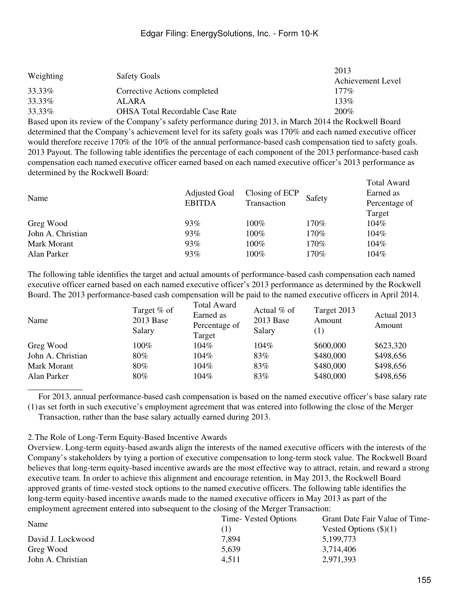| Weighting |                                        | 2013              |
|-----------|----------------------------------------|-------------------|
|           | <b>Safety Goals</b>                    | Achievement Level |
| 33.33%    | Corrective Actions completed           | $177\%$           |
| 33.33%    | ALARA                                  | 133%              |
| 33.33%    | <b>OHSA Total Recordable Case Rate</b> | $200\%$           |

Based upon its review of the Company's safety performance during 2013, in March 2014 the Rockwell Board determined that the Company's achievement level for its safety goals was 170% and each named executive officer would therefore receive 170% of the 10% of the annual performance-based cash compensation tied to safety goals. 2013 Payout. The following table identifies the percentage of each component of the 2013 performance-based cash compensation each named executive officer earned based on each named executive officer's 2013 performance as determined by the Rockwell Board:

| Name              | <b>Adjusted Goal</b><br><b>EBITDA</b> | Closing of ECP<br>Transaction | Safety | <b>Total Award</b><br>Earned as<br>Percentage of<br>Target |
|-------------------|---------------------------------------|-------------------------------|--------|------------------------------------------------------------|
| Greg Wood         | 93%                                   | $100\%$                       | 170\%  | 104%                                                       |
| John A. Christian | 93%                                   | $100\%$                       | 170%   | 104%                                                       |
| Mark Morant       | 93%                                   | 100%                          | 170%   | 104%                                                       |
| Alan Parker       | 93%                                   | $100\%$                       | 170%   | 104%                                                       |

The following table identifies the target and actual amounts of performance-based cash compensation each named executive officer earned based on each named executive officer's 2013 performance as determined by the Rockwell Board. The 2013 performance-based cash compensation will be paid to the named executive officers in April 2014.

| Name              | Target % of<br>$2013$ Base<br>Salary | Total Award<br>Earned as<br>Percentage of<br>Target | Actual $%$ of<br>$2013$ Base<br>Salary | Target 2013<br>Amount<br>$\left(1\right)$ | Actual 2013<br>Amount |
|-------------------|--------------------------------------|-----------------------------------------------------|----------------------------------------|-------------------------------------------|-----------------------|
| Greg Wood         | $100\%$                              | $104\%$                                             | $104\%$                                | \$600,000                                 | \$623,320             |
| John A. Christian | 80%                                  | $104\%$                                             | 83%                                    | \$480,000                                 | \$498,656             |
| Mark Morant       | 80%                                  | $104\%$                                             | 83%                                    | \$480,000                                 | \$498,656             |
| Alan Parker       | 80%                                  | $104\%$                                             | 83%                                    | \$480,000                                 | \$498,656             |

(1) as set forth in such executive's employment agreement that was entered into following the close of the Merger For 2013, annual performance-based cash compensation is based on the named executive officer's base salary rate

Transaction, rather than the base salary actually earned during 2013.

2.The Role of Long-Term Equity-Based Incentive Awards

\_\_\_\_\_\_\_\_\_\_\_\_\_

Overview. Long-term equity-based awards align the interests of the named executive officers with the interests of the Company's stakeholders by tying a portion of executive compensation to long-term stock value. The Rockwell Board believes that long-term equity-based incentive awards are the most effective way to attract, retain, and reward a strong executive team. In order to achieve this alignment and encourage retention, in May 2013, the Rockwell Board approved grants of time-vested stock options to the named executive officers. The following table identifies the long-term equity-based incentive awards made to the named executive officers in May 2013 as part of the employment agreement entered into subsequent to the closing of the Merger Transaction:

| Name              | Time- Vested Options | Grant Date Fair Value of Time- |  |  |
|-------------------|----------------------|--------------------------------|--|--|
|                   |                      | Vested Options $(\$)(1)$       |  |  |
| David J. Lockwood | 7.894                | 5.199.773                      |  |  |
| Greg Wood         | 5,639                | 3,714,406                      |  |  |
| John A. Christian | 4.511                | 2,971,393                      |  |  |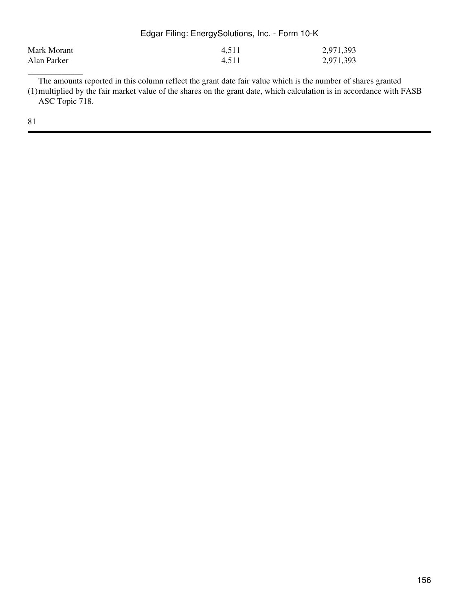| Mark Morant | 4.511 | 2,971,393 |
|-------------|-------|-----------|
| Alan Parker | 4.511 | 2,971,393 |

(1) multiplied by the fair market value of the shares on the grant date, which calculation is in accordance with FASB The amounts reported in this column reflect the grant date fair value which is the number of shares granted ASC Topic 718.

81

 $\overline{\phantom{a}}$  , where  $\overline{\phantom{a}}$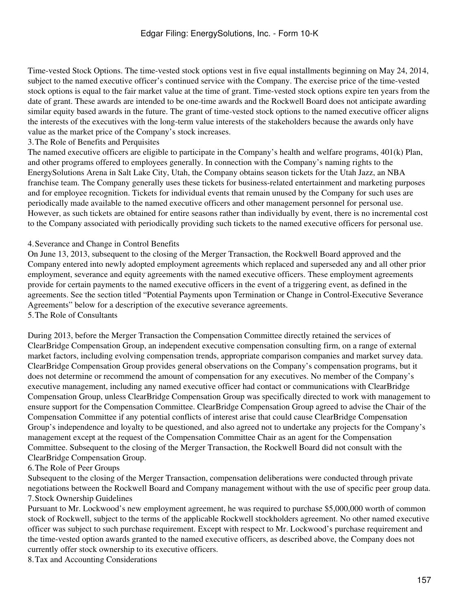Time-vested Stock Options. The time-vested stock options vest in five equal installments beginning on May 24, 2014, subject to the named executive officer's continued service with the Company. The exercise price of the time-vested stock options is equal to the fair market value at the time of grant. Time-vested stock options expire ten years from the date of grant. These awards are intended to be one-time awards and the Rockwell Board does not anticipate awarding similar equity based awards in the future. The grant of time-vested stock options to the named executive officer aligns the interests of the executives with the long-term value interests of the stakeholders because the awards only have value as the market price of the Company's stock increases.

### 3.The Role of Benefits and Perquisites

The named executive officers are eligible to participate in the Company's health and welfare programs, 401(k) Plan, and other programs offered to employees generally. In connection with the Company's naming rights to the EnergySolutions Arena in Salt Lake City, Utah, the Company obtains season tickets for the Utah Jazz, an NBA franchise team. The Company generally uses these tickets for business-related entertainment and marketing purposes and for employee recognition. Tickets for individual events that remain unused by the Company for such uses are periodically made available to the named executive officers and other management personnel for personal use. However, as such tickets are obtained for entire seasons rather than individually by event, there is no incremental cost to the Company associated with periodically providing such tickets to the named executive officers for personal use.

### 4.Severance and Change in Control Benefits

On June 13, 2013, subsequent to the closing of the Merger Transaction, the Rockwell Board approved and the Company entered into newly adopted employment agreements which replaced and superseded any and all other prior employment, severance and equity agreements with the named executive officers. These employment agreements provide for certain payments to the named executive officers in the event of a triggering event, as defined in the agreements. See the section titled "Potential Payments upon Termination or Change in Control-Executive Severance Agreements" below for a description of the executive severance agreements.

5.The Role of Consultants

During 2013, before the Merger Transaction the Compensation Committee directly retained the services of ClearBridge Compensation Group, an independent executive compensation consulting firm, on a range of external market factors, including evolving compensation trends, appropriate comparison companies and market survey data. ClearBridge Compensation Group provides general observations on the Company's compensation programs, but it does not determine or recommend the amount of compensation for any executives. No member of the Company's executive management, including any named executive officer had contact or communications with ClearBridge Compensation Group, unless ClearBridge Compensation Group was specifically directed to work with management to ensure support for the Compensation Committee. ClearBridge Compensation Group agreed to advise the Chair of the Compensation Committee if any potential conflicts of interest arise that could cause ClearBridge Compensation Group's independence and loyalty to be questioned, and also agreed not to undertake any projects for the Company's management except at the request of the Compensation Committee Chair as an agent for the Compensation Committee. Subsequent to the closing of the Merger Transaction, the Rockwell Board did not consult with the ClearBridge Compensation Group.

### 6.The Role of Peer Groups

Subsequent to the closing of the Merger Transaction, compensation deliberations were conducted through private negotiations between the Rockwell Board and Company management without with the use of specific peer group data. 7.Stock Ownership Guidelines

Pursuant to Mr. Lockwood's new employment agreement, he was required to purchase \$5,000,000 worth of common stock of Rockwell, subject to the terms of the applicable Rockwell stockholders agreement. No other named executive officer was subject to such purchase requirement. Except with respect to Mr. Lockwood's purchase requirement and the time-vested option awards granted to the named executive officers, as described above, the Company does not currently offer stock ownership to its executive officers.

8.Tax and Accounting Considerations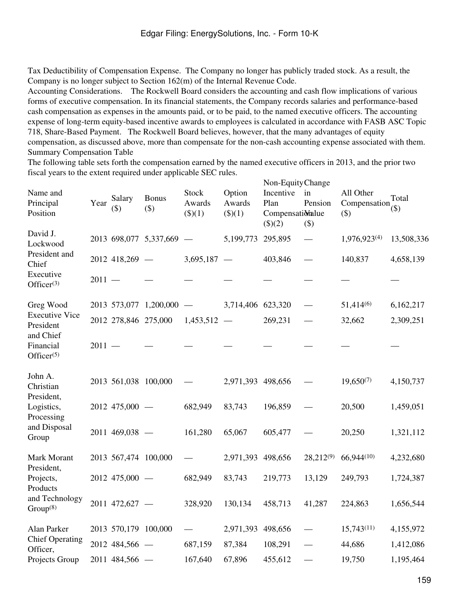Tax Deductibility of Compensation Expense. The Company no longer has publicly traded stock. As a result, the Company is no longer subject to Section 162(m) of the Internal Revenue Code.

Accounting Considerations. The Rockwell Board considers the accounting and cash flow implications of various forms of executive compensation. In its financial statements, the Company records salaries and performance-based cash compensation as expenses in the amounts paid, or to be paid, to the named executive officers. The accounting expense of long-term equity-based incentive awards to employees is calculated in accordance with FASB ASC Topic 718, Share-Based Payment. The Rockwell Board believes, however, that the many advantages of equity compensation, as discussed above, more than compensate for the non-cash accounting expense associated with them. Summary Compensation Table

The following table sets forth the compensation earned by the named executive officers in 2013, and the prior two fiscal years to the extent required under applicable SEC rules.

| Name and<br>Principal<br>Position          | Year     | Salary<br>$(\$)$     | <b>Bonus</b><br>$(\$)$   | <b>Stock</b><br>Awards<br>\$)(1) | Option<br>Awards<br>\$)(1) | Non-Equity Change<br>Incentive<br>Plan<br>Compensationalue<br>\$)(2) | in<br>Pension<br>$(\$)$ | All Other<br>Compensation<br>$(\$)$ | Total<br>$(\$)$ |
|--------------------------------------------|----------|----------------------|--------------------------|----------------------------------|----------------------------|----------------------------------------------------------------------|-------------------------|-------------------------------------|-----------------|
| David J.<br>Lockwood                       |          |                      | 2013 698,077 5,337,669   |                                  | 5,199,773                  | 295,895                                                              |                         | 1,976,923(4)                        | 13,508,336      |
| President and<br>Chief                     |          | 2012 418,269 -       |                          | 3,695,187                        |                            | 403,846                                                              |                         | 140,837                             | 4,658,139       |
| Executive<br>Office $r^{(3)}$              | $2011 -$ |                      |                          |                                  |                            |                                                                      |                         |                                     |                 |
| Greg Wood                                  |          |                      | 2013 573,077 1,200,000 - |                                  | 3,714,406                  | 623,320                                                              |                         | 51,414(6)                           | 6,162,217       |
| <b>Executive Vice</b><br>President         |          | 2012 278,846 275,000 |                          | 1,453,512                        |                            | 269,231                                                              |                         | 32,662                              | 2,309,251       |
| and Chief<br>Financial<br>Office $r^{(5)}$ | $2011 -$ |                      |                          |                                  |                            |                                                                      |                         |                                     |                 |
| John A.<br>Christian                       |          | 2013 561,038 100,000 |                          |                                  | 2,971,393 498,656          |                                                                      |                         | $19,650^{(7)}$                      | 4,150,737       |
| President,<br>Logistics,<br>Processing     |          | 2012 475,000 -       |                          | 682,949                          | 83,743                     | 196,859                                                              |                         | 20,500                              | 1,459,051       |
| and Disposal<br>Group                      |          | 2011 469,038 -       |                          | 161,280                          | 65,067                     | 605,477                                                              |                         | 20,250                              | 1,321,112       |
| Mark Morant<br>President,                  |          | 2013 567,474 100,000 |                          |                                  | 2,971,393                  | 498,656                                                              | 28,212(9)               | $66,944^{(10)}$                     | 4,232,680       |
| Projects,<br>Products                      |          | 2012 475,000 -       |                          | 682,949                          | 83,743                     | 219,773                                                              | 13,129                  | 249,793                             | 1,724,387       |
| and Technology<br>Group <sup>(8)</sup>     |          | 2011 472,627 -       |                          | 328,920                          | 130,134                    | 458,713                                                              | 41,287                  | 224,863                             | 1,656,544       |
| Alan Parker                                |          | 2013 570,179 100,000 |                          |                                  | 2,971,393                  | 498,656                                                              |                         | $15,743^{(11)}$                     | 4,155,972       |
| <b>Chief Operating</b><br>Officer,         |          | 2012 484,566 -       |                          | 687,159                          | 87,384                     | 108,291                                                              |                         | 44,686                              | 1,412,086       |
| Projects Group                             |          | 2011 484,566 -       |                          | 167,640                          | 67,896                     | 455,612                                                              | $\qquad \qquad$         | 19,750                              | 1,195,464       |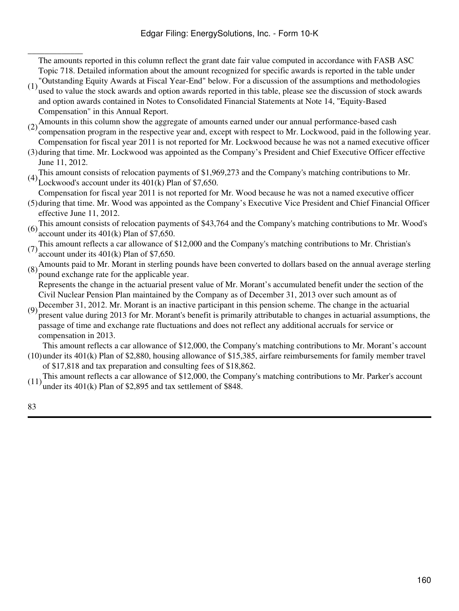The amounts reported in this column reflect the grant date fair value computed in accordance with FASB ASC Topic 718. Detailed information about the amount recognized for specific awards is reported in the table under

- (1) used to value the stock awards and option awards reported in this table, please see the discussion of stock awards "Outstanding Equity Awards at Fiscal Year-End" below. For a discussion of the assumptions and methodologies and option awards contained in Notes to Consolidated Financial Statements at Note 14, "Equity-Based Compensation" in this Annual Report.
- (2) Amounts in this column show the aggregate of amounts earned under our annual performance-based cash
- compensation program in the respective year and, except with respect to Mr. Lockwood, paid in the following year. Compensation for fiscal year 2011 is not reported for Mr. Lockwood because he was not a named executive officer
- (3) during that time. Mr. Lockwood was appointed as the Company's President and Chief Executive Officer effective June 11, 2012.
- (4) This amount consists of relocation payments of \$1,969,273 and the Company's matching contributions to Mr.<br>Lockwood's account under its 401(k) Plan of \$7,650.
	- Compensation for fiscal year 2011 is not reported for Mr. Wood because he was not a named executive officer
- (5) during that time. Mr. Wood was appointed as the Company's Executive Vice President and Chief Financial Officer effective June 11, 2012.
- (6) This amount consists of relocation payments of \$43,764 and the Company's matching contributions to Mr. Wood's account under its 401(k) Plan of \$7,650.
- (7) This amount reflects a car allowance of \$12,000 and the Company's matching contributions to Mr. Christian's account under its 401(k) Plan of \$7,650.
- (8)<sup>Amounts</sup> paid to Mr. Morant in sterling pounds have been converted to dollars based on the annual average sterling pound exchange rate for the applicable year. Represents the change in the actuarial present value of Mr. Morant's accumulated benefit under the section of the Civil Nuclear Pension Plan maintained by the Company as of December 31, 2013 over such amount as of
- (9) December 31, 2012. Mr. Morant is an inactive participant in this pension scheme. The change in the actuarial  $(9)$  are cannot using  $2012$  for Mr. Morant's hangfit is primarily ettributed at a change in actuarial assu present value during 2013 for Mr. Morant's benefit is primarily attributable to changes in actuarial assumptions, the passage of time and exchange rate fluctuations and does not reflect any additional accruals for service or compensation in 2013.

(10) under its 401(k) Plan of \$2,880, housing allowance of \$15,385, airfare reimbursements for family member travel This amount reflects a car allowance of \$12,000, the Company's matching contributions to Mr. Morant's account

of \$17,818 and tax preparation and consulting fees of \$18,862.

(11) This amount reflects a car allowance of \$12,000, the Company's matching contributions to Mr. Parker's account under its 401(k) Plan of \$2,895 and tax settlement of \$848.

83

 $\overline{\phantom{a}}$  , where  $\overline{\phantom{a}}$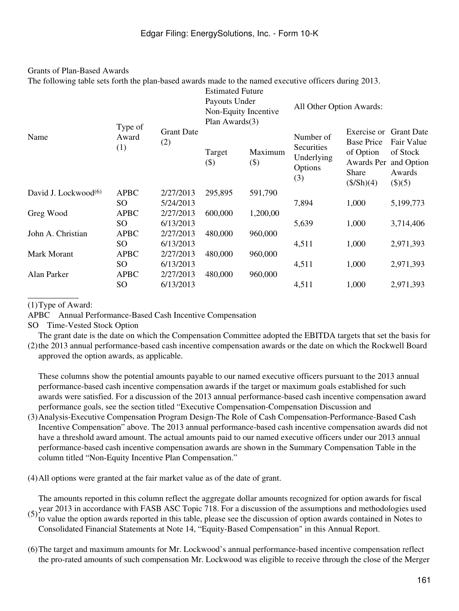#### Grants of Plan-Based Awards

The following table sets forth the plan-based awards made to the named executive officers during 2013.

|                 |                          |                  |                   | All Other Option Awards:                                                              |                                                                      |                                                                                |  |  |
|-----------------|--------------------------|------------------|-------------------|---------------------------------------------------------------------------------------|----------------------------------------------------------------------|--------------------------------------------------------------------------------|--|--|
| Award<br>(1)    | <b>Grant Date</b><br>(2) | Target<br>$(\$)$ | Maximum<br>$(\$)$ | Number of<br><b>Securities</b><br>Underlying<br>Options<br>(3)                        | Exercise or<br><b>Base Price</b><br>of Option<br>Share<br>(\$/Sh)(4) | <b>Grant Date</b><br>Fair Value<br>of Stock<br>and Option<br>Awards<br>(\$)(5) |  |  |
| <b>APBC</b>     | 2/27/2013                | 295,895          | 591,790           |                                                                                       |                                                                      |                                                                                |  |  |
| SO              | 5/24/2013                |                  |                   | 7,894                                                                                 | 1,000                                                                | 5,199,773                                                                      |  |  |
| <b>APBC</b>     | 2/27/2013                | 600,000          | 1,200,00          |                                                                                       |                                                                      |                                                                                |  |  |
| <b>SO</b>       | 6/13/2013                |                  |                   | 5,639                                                                                 | 1,000                                                                | 3,714,406                                                                      |  |  |
| <b>APBC</b>     | 2/27/2013                | 480,000          | 960,000           |                                                                                       |                                                                      |                                                                                |  |  |
| SO.             | 6/13/2013                |                  |                   | 4,511                                                                                 | 1,000                                                                | 2,971,393                                                                      |  |  |
| <b>APBC</b>     | 2/27/2013                | 480,000          | 960,000           |                                                                                       |                                                                      |                                                                                |  |  |
| <b>SO</b>       | 6/13/2013                |                  |                   | 4,511                                                                                 | 1,000                                                                | 2,971,393                                                                      |  |  |
| <b>APBC</b>     | 2/27/2013                | 480,000          | 960,000           |                                                                                       |                                                                      |                                                                                |  |  |
| SO <sub>1</sub> | 6/13/2013                |                  |                   | 4,511                                                                                 | 1,000                                                                | 2,971,393                                                                      |  |  |
|                 | Type of                  |                  |                   | <b>Estimated Future</b><br>Payouts Under<br>Non-Equity Incentive<br>Plan Awards $(3)$ |                                                                      | Awards Per                                                                     |  |  |

(1)Type of Award:

\_\_\_\_\_\_\_\_\_\_\_\_

APBC Annual Performance-Based Cash Incentive Compensation

SO Time-Vested Stock Option

(2) the 2013 annual performance-based cash incentive compensation awards or the date on which the Rockwell Board The grant date is the date on which the Compensation Committee adopted the EBITDA targets that set the basis for approved the option awards, as applicable.

These columns show the potential amounts payable to our named executive officers pursuant to the 2013 annual performance-based cash incentive compensation awards if the target or maximum goals established for such awards were satisfied. For a discussion of the 2013 annual performance-based cash incentive compensation award performance goals, see the section titled "Executive Compensation-Compensation Discussion and

(3) Analysis-Executive Compensation Program Design-The Role of Cash Compensation-Performance-Based Cash Incentive Compensation" above. The 2013 annual performance-based cash incentive compensation awards did not have a threshold award amount. The actual amounts paid to our named executive officers under our 2013 annual performance-based cash incentive compensation awards are shown in the Summary Compensation Table in the column titled "Non-Equity Incentive Plan Compensation."

(4)All options were granted at the fair market value as of the date of grant.

 $(5)$  year 2013 in accordance with FASB ASC Topic 718. For a discussion of the assumptions and methodologies used<br>the velve the ordinal symptom cover in this table, places are the discussion of ortion symptom contained in The amounts reported in this column reflect the aggregate dollar amounts recognized for option awards for fiscal to value the option awards reported in this table, please see the discussion of option awards contained in Notes to Consolidated Financial Statements at Note 14, "Equity-Based Compensation" in this Annual Report.

(6)The target and maximum amounts for Mr. Lockwood's annual performance-based incentive compensation reflect the pro-rated amounts of such compensation Mr. Lockwood was eligible to receive through the close of the Merger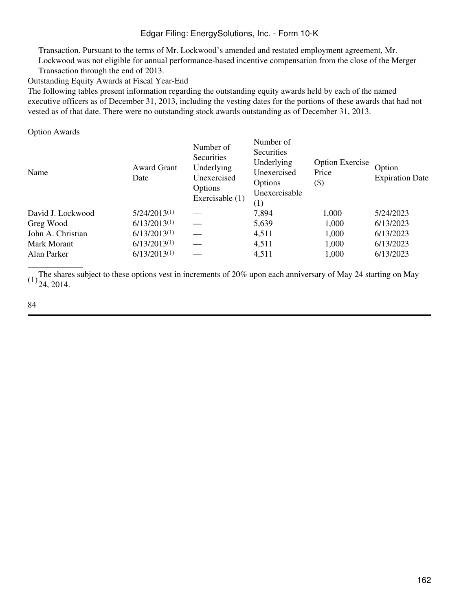Transaction. Pursuant to the terms of Mr. Lockwood's amended and restated employment agreement, Mr. Lockwood was not eligible for annual performance-based incentive compensation from the close of the Merger Transaction through the end of 2013.

Outstanding Equity Awards at Fiscal Year-End

The following tables present information regarding the outstanding equity awards held by each of the named executive officers as of December 31, 2013, including the vesting dates for the portions of these awards that had not vested as of that date. There were no outstanding stock awards outstanding as of December 31, 2013.

Option Awards

| Name              | <b>Award Grant</b><br>Date | Number of<br>Securities<br>Underlying<br>Unexercised<br>Options<br>Exercisable $(1)$ | Number of<br><b>Securities</b><br>Underlying<br>Unexercised<br>Options<br>Unexercisable<br>(1) | <b>Option Exercise</b><br>Price<br>$(\$)$ | Option<br><b>Expiration Date</b> |
|-------------------|----------------------------|--------------------------------------------------------------------------------------|------------------------------------------------------------------------------------------------|-------------------------------------------|----------------------------------|
| David J. Lockwood | $5/24/2013^{(1)}$          |                                                                                      | 7,894                                                                                          | 1,000                                     | 5/24/2023                        |
| Greg Wood         | $6/13/2013^{(1)}$          |                                                                                      | 5,639                                                                                          | 1,000                                     | 6/13/2023                        |
| John A. Christian | $6/13/2013^{(1)}$          |                                                                                      | 4,511                                                                                          | 1,000                                     | 6/13/2023                        |
| Mark Morant       | $6/13/2013^{(1)}$          |                                                                                      | 4,511                                                                                          | 1,000                                     | 6/13/2023                        |
| Alan Parker       | $6/13/2013^{(1)}$          |                                                                                      | 4,511                                                                                          | 1,000                                     | 6/13/2023                        |
|                   |                            |                                                                                      |                                                                                                |                                           |                                  |

(1) The shares subject to these options vest in increments of 20% upon each anniversary of May 24 starting on May  $(1)$  24, 2014.

84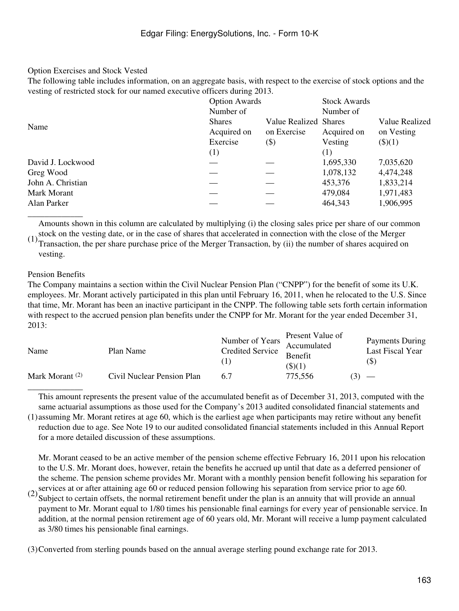### Option Exercises and Stock Vested

The following table includes information, on an aggregate basis, with respect to the exercise of stock options and the vesting of restricted stock for our named executive officers during 2013.

|                   | <b>Stock Awards</b><br><b>Option Awards</b> |                       |             |                |  |
|-------------------|---------------------------------------------|-----------------------|-------------|----------------|--|
|                   | Number of                                   |                       | Number of   |                |  |
| Name              | <b>Shares</b>                               | Value Realized Shares |             | Value Realized |  |
|                   | Acquired on                                 | on Exercise           | Acquired on | on Vesting     |  |
|                   | Exercise<br>$($ \$)                         |                       | Vesting     | $($ \$ $)(1)$  |  |
|                   | (1)                                         |                       | (1)         |                |  |
| David J. Lockwood |                                             |                       | 1,695,330   | 7,035,620      |  |
| Greg Wood         |                                             |                       | 1,078,132   | 4,474,248      |  |
| John A. Christian |                                             |                       | 453,376     | 1,833,214      |  |
| Mark Morant       |                                             |                       | 479,084     | 1,971,483      |  |
| Alan Parker       |                                             |                       | 464,343     | 1,906,995      |  |
|                   |                                             |                       |             |                |  |

Amounts shown in this column are calculated by multiplying (i) the closing sales price per share of our common stock on the vesting date, or in the case of shares that accelerated in connection with the close of the Merger

(1) Transaction, the per share purchase price of the Merger Transaction, by (ii) the number of shares acquired on vesting.

### Pension Benefits

The Company maintains a section within the Civil Nuclear Pension Plan ("CNPP") for the benefit of some its U.K. employees. Mr. Morant actively participated in this plan until February 16, 2011, when he relocated to the U.S. Since that time, Mr. Morant has been an inactive participant in the CNPP. The following table sets forth certain information with respect to the accrued pension plan benefits under the CNPP for Mr. Morant for the year ended December 31, 2013:

| Name              | Plan Name                  | Number of Years<br><b>Credited Service</b> | Present Value of<br>Accumulated<br>Benefit<br>\$)(1) |         | <b>Payments During</b><br>Last Fiscal Year<br>(S) |
|-------------------|----------------------------|--------------------------------------------|------------------------------------------------------|---------|---------------------------------------------------|
| Mark Morant $(2)$ | Civil Nuclear Pension Plan | 6.7                                        | 775,556                                              | $(3)$ — |                                                   |
|                   |                            |                                            |                                                      |         |                                                   |

This amount represents the present value of the accumulated benefit as of December 31, 2013, computed with the same actuarial assumptions as those used for the Company's 2013 audited consolidated financial statements and

(1) assuming Mr. Morant retires at age 60, which is the earliest age when participants may retire without any benefit reduction due to age. See Note 19 to our audited consolidated financial statements included in this Annual Report for a more detailed discussion of these assumptions.

Mr. Morant ceased to be an active member of the pension scheme effective February 16, 2011 upon his relocation to the U.S. Mr. Morant does, however, retain the benefits he accrued up until that date as a deferred pensioner of the scheme. The pension scheme provides Mr. Morant with a monthly pension benefit following his separation for services at or after attaining age 60 or reduced pension following his separation from service prior to age 60.

(2) Subject to certain offsets, the normal retirement benefit under the plan is an annuity that will provide an annual payment to Mr. Morant equal to 1/80 times his pensionable final earnings for every year of pensionable service. In addition, at the normal pension retirement age of 60 years old, Mr. Morant will receive a lump payment calculated as 3/80 times his pensionable final earnings.

(3)Converted from sterling pounds based on the annual average sterling pound exchange rate for 2013.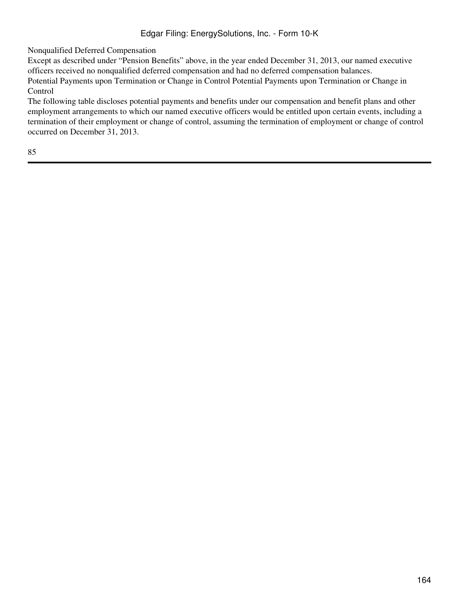Nonqualified Deferred Compensation

Except as described under "Pension Benefits" above, in the year ended December 31, 2013, our named executive officers received no nonqualified deferred compensation and had no deferred compensation balances.

Potential Payments upon Termination or Change in Control Potential Payments upon Termination or Change in Control

The following table discloses potential payments and benefits under our compensation and benefit plans and other employment arrangements to which our named executive officers would be entitled upon certain events, including a termination of their employment or change of control, assuming the termination of employment or change of control occurred on December 31, 2013.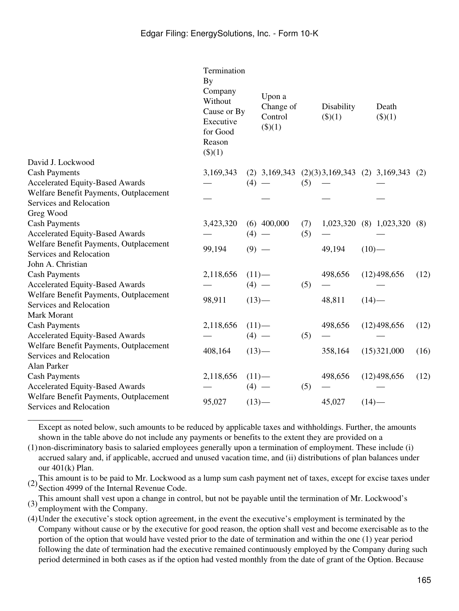|                                                                   | Termination<br>By<br>Company<br>Without<br>Cause or By<br>Executive<br>for Good<br>Reason<br>(\$)(1) |          | Upon a<br>Change of<br>Control<br>\$)(1) |     | Disability<br>(\$)(1)                              |          | Death<br>(\$)(1)            |      |
|-------------------------------------------------------------------|------------------------------------------------------------------------------------------------------|----------|------------------------------------------|-----|----------------------------------------------------|----------|-----------------------------|------|
| David J. Lockwood                                                 |                                                                                                      |          |                                          |     |                                                    |          |                             |      |
| <b>Cash Payments</b>                                              | 3,169,343                                                                                            |          |                                          |     | $(2)$ 3,169,343 $(2)(3)$ 3,169,343 $(2)$ 3,169,343 |          |                             | (2)  |
| <b>Accelerated Equity-Based Awards</b>                            |                                                                                                      | $(4)$ —  |                                          | (5) |                                                    |          |                             |      |
| Welfare Benefit Payments, Outplacement<br>Services and Relocation |                                                                                                      |          |                                          |     |                                                    |          |                             |      |
| Greg Wood                                                         |                                                                                                      |          |                                          |     |                                                    |          |                             |      |
| <b>Cash Payments</b>                                              | 3,423,320                                                                                            |          | $(6)$ 400,000                            | (7) |                                                    |          | 1,023,320 (8) 1,023,320 (8) |      |
| <b>Accelerated Equity-Based Awards</b>                            |                                                                                                      | $(4)$ —  |                                          | (5) |                                                    |          |                             |      |
| Welfare Benefit Payments, Outplacement                            |                                                                                                      |          |                                          |     |                                                    |          |                             |      |
| Services and Relocation                                           | 99,194                                                                                               | $(9)$ —  |                                          |     | 49,194                                             | $(10)$ — |                             |      |
| John A. Christian                                                 |                                                                                                      |          |                                          |     |                                                    |          |                             |      |
| <b>Cash Payments</b>                                              | 2,118,656                                                                                            | $(11)$ — |                                          |     | 498,656                                            |          | (12)498,656                 | (12) |
| <b>Accelerated Equity-Based Awards</b>                            |                                                                                                      | $(4)$ —  |                                          | (5) |                                                    |          |                             |      |
| Welfare Benefit Payments, Outplacement                            |                                                                                                      |          |                                          |     |                                                    |          |                             |      |
| Services and Relocation                                           | 98,911                                                                                               | $(13)$ — |                                          |     | 48,811                                             | $(14)$ — |                             |      |
| Mark Morant                                                       |                                                                                                      |          |                                          |     |                                                    |          |                             |      |
| <b>Cash Payments</b>                                              | 2,118,656                                                                                            | $(11)$ — |                                          |     | 498,656                                            |          | (12)498,656                 | (12) |
| <b>Accelerated Equity-Based Awards</b>                            |                                                                                                      | $(4)$ —  |                                          | (5) |                                                    |          |                             |      |
| Welfare Benefit Payments, Outplacement                            | 408,164                                                                                              | $(13)$ — |                                          |     | 358,164                                            |          | (15)321,000                 | (16) |
| Services and Relocation                                           |                                                                                                      |          |                                          |     |                                                    |          |                             |      |
| Alan Parker                                                       |                                                                                                      |          |                                          |     |                                                    |          |                             |      |
| <b>Cash Payments</b>                                              | 2,118,656                                                                                            | $(11)$ — |                                          |     | 498,656                                            |          | (12)498,656                 | (12) |
| <b>Accelerated Equity-Based Awards</b>                            |                                                                                                      | $(4)$ —  |                                          | (5) |                                                    |          |                             |      |
| Welfare Benefit Payments, Outplacement<br>Services and Relocation | 95,027                                                                                               | $(13)$ — |                                          |     | 45,027                                             | $(14)$ — |                             |      |

Except as noted below, such amounts to be reduced by applicable taxes and withholdings. Further, the amounts shown in the table above do not include any payments or benefits to the extent they are provided on a

 $\overline{\phantom{a}}$  , where  $\overline{\phantom{a}}$ 

(1) non-discriminatory basis to salaried employees generally upon a termination of employment. These include (i) accrued salary and, if applicable, accrued and unused vacation time, and (ii) distributions of plan balances under our 401(k) Plan.

(2)This amount is to be paid to Mr. Lockwood as a lump sum cash payment net of taxes, except for excise taxes under Section 4999 of the Internal Revenue Code.

(3)This amount shall vest upon a change in control, but not be payable until the termination of Mr. Lockwood's employment with the Company.

(4)Under the executive's stock option agreement, in the event the executive's employment is terminated by the Company without cause or by the executive for good reason, the option shall vest and become exercisable as to the portion of the option that would have vested prior to the date of termination and within the one (1) year period following the date of termination had the executive remained continuously employed by the Company during such period determined in both cases as if the option had vested monthly from the date of grant of the Option. Because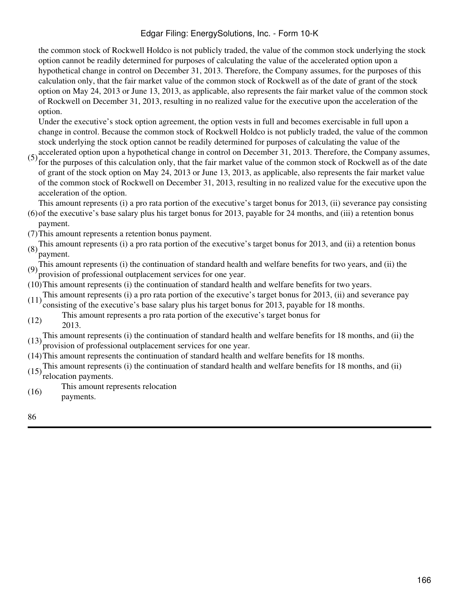the common stock of Rockwell Holdco is not publicly traded, the value of the common stock underlying the stock option cannot be readily determined for purposes of calculating the value of the accelerated option upon a hypothetical change in control on December 31, 2013. Therefore, the Company assumes, for the purposes of this calculation only, that the fair market value of the common stock of Rockwell as of the date of grant of the stock option on May 24, 2013 or June 13, 2013, as applicable, also represents the fair market value of the common stock of Rockwell on December 31, 2013, resulting in no realized value for the executive upon the acceleration of the option.

Under the executive's stock option agreement, the option vests in full and becomes exercisable in full upon a change in control. Because the common stock of Rockwell Holdco is not publicly traded, the value of the common stock underlying the stock option cannot be readily determined for purposes of calculating the value of the

(5) accelerated option upon a hypothetical change in control on December 31, 2013. Therefore, the Company assumes,<br> $\frac{1}{2}$  for the numerical of this calculation only that the four method value of the common steak of Boo for the purposes of this calculation only, that the fair market value of the common stock of Rockwell as of the date of grant of the stock option on May 24, 2013 or June 13, 2013, as applicable, also represents the fair market value of the common stock of Rockwell on December 31, 2013, resulting in no realized value for the executive upon the acceleration of the option.

This amount represents (i) a pro rata portion of the executive's target bonus for 2013, (ii) severance pay consisting

- (6) of the executive's base salary plus his target bonus for 2013, payable for 24 months, and (iii) a retention bonus payment.
- (7)This amount represents a retention bonus payment.
- (8) This amount represents (i) a pro rata portion of the executive's target bonus for 2013, and (ii) a retention bonus payment.
- (9) This amount represents (i) the continuation of standard health and welfare benefits for two years, and (ii) the  $(9)$ provision of professional outplacement services for one year.
- (10)This amount represents (i) the continuation of standard health and welfare benefits for two years.
- (11) This amount represents (i) a pro rata portion of the executive's target bonus for 2013, (ii) and severance pay
- consisting of the executive's base salary plus his target bonus for 2013, payable for 18 months.
- (12) This amount represents a pro rata portion of the executive's target bonus for 2013.
- $(13)$ This amount represents (i) the continuation of standard health and welfare benefits for 18 months, and (ii) the provision of professional outplacement services for one year.
- (14)This amount represents the continuation of standard health and welfare benefits for 18 months.
- $(15)$ This amount represents (i) the continuation of standard health and welfare benefits for 18 months, and (ii) relocation payments.
- (16) This amount represents relocation
- payments.
- 86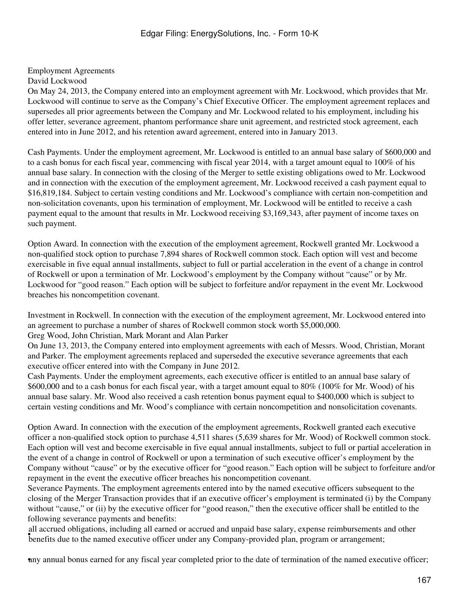Employment Agreements

David Lockwood

On May 24, 2013, the Company entered into an employment agreement with Mr. Lockwood, which provides that Mr. Lockwood will continue to serve as the Company's Chief Executive Officer. The employment agreement replaces and supersedes all prior agreements between the Company and Mr. Lockwood related to his employment, including his offer letter, severance agreement, phantom performance share unit agreement, and restricted stock agreement, each entered into in June 2012, and his retention award agreement, entered into in January 2013.

Cash Payments. Under the employment agreement, Mr. Lockwood is entitled to an annual base salary of \$600,000 and to a cash bonus for each fiscal year, commencing with fiscal year 2014, with a target amount equal to 100% of his annual base salary. In connection with the closing of the Merger to settle existing obligations owed to Mr. Lockwood and in connection with the execution of the employment agreement, Mr. Lockwood received a cash payment equal to \$16,819,184. Subject to certain vesting conditions and Mr. Lockwood's compliance with certain non-competition and non-solicitation covenants, upon his termination of employment, Mr. Lockwood will be entitled to receive a cash payment equal to the amount that results in Mr. Lockwood receiving \$3,169,343, after payment of income taxes on such payment.

Option Award. In connection with the execution of the employment agreement, Rockwell granted Mr. Lockwood a non-qualified stock option to purchase 7,894 shares of Rockwell common stock. Each option will vest and become exercisable in five equal annual installments, subject to full or partial acceleration in the event of a change in control of Rockwell or upon a termination of Mr. Lockwood's employment by the Company without "cause" or by Mr. Lockwood for "good reason." Each option will be subject to forfeiture and/or repayment in the event Mr. Lockwood breaches his noncompetition covenant.

Investment in Rockwell. In connection with the execution of the employment agreement, Mr. Lockwood entered into an agreement to purchase a number of shares of Rockwell common stock worth \$5,000,000.

Greg Wood, John Christian, Mark Morant and Alan Parker

On June 13, 2013, the Company entered into employment agreements with each of Messrs. Wood, Christian, Morant and Parker. The employment agreements replaced and superseded the executive severance agreements that each executive officer entered into with the Company in June 2012.

Cash Payments. Under the employment agreements, each executive officer is entitled to an annual base salary of \$600,000 and to a cash bonus for each fiscal year, with a target amount equal to 80% (100% for Mr. Wood) of his annual base salary. Mr. Wood also received a cash retention bonus payment equal to \$400,000 which is subject to certain vesting conditions and Mr. Wood's compliance with certain noncompetition and nonsolicitation covenants.

Option Award. In connection with the execution of the employment agreements, Rockwell granted each executive officer a non-qualified stock option to purchase 4,511 shares (5,639 shares for Mr. Wood) of Rockwell common stock. Each option will vest and become exercisable in five equal annual installments, subject to full or partial acceleration in the event of a change in control of Rockwell or upon a termination of such executive officer's employment by the Company without "cause" or by the executive officer for "good reason." Each option will be subject to forfeiture and/or repayment in the event the executive officer breaches his noncompetition covenant.

Severance Payments. The employment agreements entered into by the named executive officers subsequent to the closing of the Merger Transaction provides that if an executive officer's employment is terminated (i) by the Company without "cause," or (ii) by the executive officer for "good reason," then the executive officer shall be entitled to the following severance payments and benefits:

**For a certical conguinons**, increasing an earlied or accrued and anpara base sailary, expense reinfoursements of benefits due to the named executive officer under any Company-provided plan, program or arrangement; all accrued obligations, including all earned or accrued and unpaid base salary, expense reimbursements and other

•any annual bonus earned for any fiscal year completed prior to the date of termination of the named executive officer;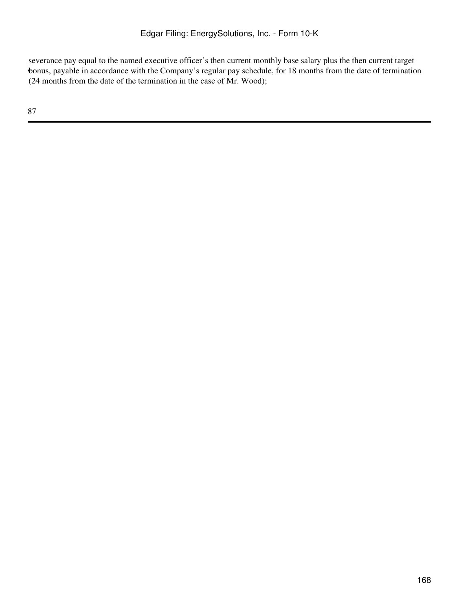• bonus, payable in accordance with the Company's regular pay schedule, for 18 months from the date of termination severance pay equal to the named executive officer's then current monthly base salary plus the then current target (24 months from the date of the termination in the case of Mr. Wood);

87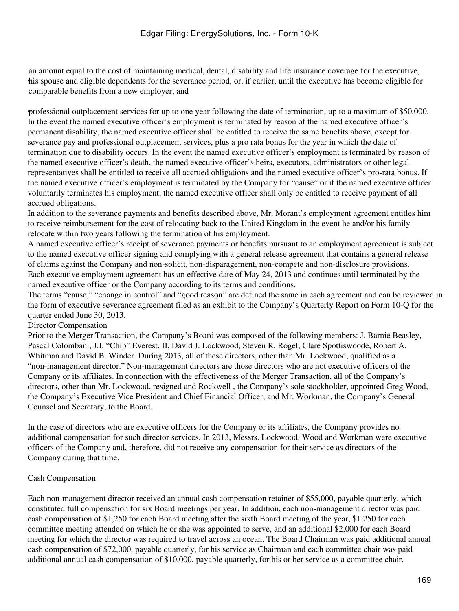• his spouse and eligible dependents for the severance period, or, if earlier, until the executive has become eligible for an amount equal to the cost of maintaining medical, dental, disability and life insurance coverage for the executive, comparable benefits from a new employer; and

•professional outplacement services for up to one year following the date of termination, up to a maximum of \$50,000. In the event the named executive officer's employment is terminated by reason of the named executive officer's permanent disability, the named executive officer shall be entitled to receive the same benefits above, except for severance pay and professional outplacement services, plus a pro rata bonus for the year in which the date of termination due to disability occurs. In the event the named executive officer's employment is terminated by reason of the named executive officer's death, the named executive officer's heirs, executors, administrators or other legal representatives shall be entitled to receive all accrued obligations and the named executive officer's pro-rata bonus. If the named executive officer's employment is terminated by the Company for "cause" or if the named executive officer voluntarily terminates his employment, the named executive officer shall only be entitled to receive payment of all accrued obligations.

In addition to the severance payments and benefits described above, Mr. Morant's employment agreement entitles him to receive reimbursement for the cost of relocating back to the United Kingdom in the event he and/or his family relocate within two years following the termination of his employment.

A named executive officer's receipt of severance payments or benefits pursuant to an employment agreement is subject to the named executive officer signing and complying with a general release agreement that contains a general release of claims against the Company and non-solicit, non-disparagement, non-compete and non-disclosure provisions. Each executive employment agreement has an effective date of May 24, 2013 and continues until terminated by the named executive officer or the Company according to its terms and conditions.

The terms "cause," "change in control" and "good reason" are defined the same in each agreement and can be reviewed in the form of executive severance agreement filed as an exhibit to the Company's Quarterly Report on Form 10-Q for the quarter ended June 30, 2013.

### Director Compensation

Prior to the Merger Transaction, the Company's Board was composed of the following members: J. Barnie Beasley, Pascal Colombani, J.I. "Chip" Everest, II, David J. Lockwood, Steven R. Rogel, Clare Spottiswoode, Robert A. Whitman and David B. Winder. During 2013, all of these directors, other than Mr. Lockwood, qualified as a "non-management director." Non-management directors are those directors who are not executive officers of the Company or its affiliates. In connection with the effectiveness of the Merger Transaction, all of the Company's directors, other than Mr. Lockwood, resigned and Rockwell , the Company's sole stockholder, appointed Greg Wood, the Company's Executive Vice President and Chief Financial Officer, and Mr. Workman, the Company's General Counsel and Secretary, to the Board.

In the case of directors who are executive officers for the Company or its affiliates, the Company provides no additional compensation for such director services. In 2013, Messrs. Lockwood, Wood and Workman were executive officers of the Company and, therefore, did not receive any compensation for their service as directors of the Company during that time.

### Cash Compensation

Each non-management director received an annual cash compensation retainer of \$55,000, payable quarterly, which constituted full compensation for six Board meetings per year. In addition, each non-management director was paid cash compensation of \$1,250 for each Board meeting after the sixth Board meeting of the year, \$1,250 for each committee meeting attended on which he or she was appointed to serve, and an additional \$2,000 for each Board meeting for which the director was required to travel across an ocean. The Board Chairman was paid additional annual cash compensation of \$72,000, payable quarterly, for his service as Chairman and each committee chair was paid additional annual cash compensation of \$10,000, payable quarterly, for his or her service as a committee chair.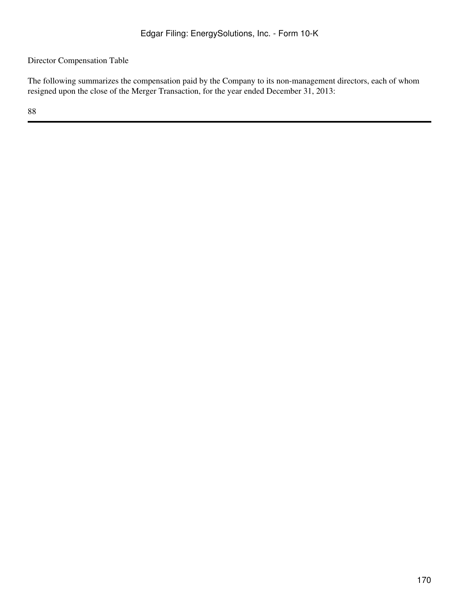Director Compensation Table

The following summarizes the compensation paid by the Company to its non-management directors, each of whom resigned upon the close of the Merger Transaction, for the year ended December 31, 2013:

88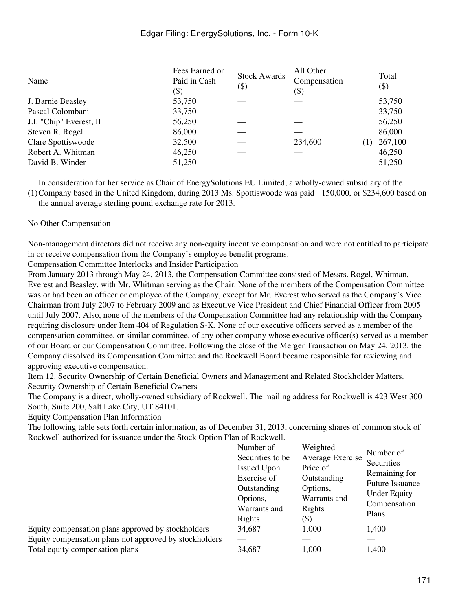| Name                    | Fees Earned or<br>Paid in Cash<br>$(\$)$ | <b>Stock Awards</b><br>$(\$)$ | All Other<br>Compensation<br>$(\$)$ | Total<br>$(\$)$ |
|-------------------------|------------------------------------------|-------------------------------|-------------------------------------|-----------------|
| J. Barnie Beasley       | 53,750                                   |                               |                                     | 53,750          |
| Pascal Colombani        | 33,750                                   |                               |                                     | 33,750          |
| J.I. "Chip" Everest, II | 56,250                                   |                               |                                     | 56,250          |
| Steven R. Rogel         | 86,000                                   |                               |                                     | 86,000          |
| Clare Spottiswoode      | 32,500                                   |                               | 234,600                             | 267,100         |
| Robert A. Whitman       | 46,250                                   |                               |                                     | 46,250          |
| David B. Winder         | 51,250                                   |                               |                                     | 51,250          |

In consideration for her service as Chair of EnergySolutions EU Limited, a wholly-owned subsidiary of the

(1) Company based in the United Kingdom, during 2013 Ms. Spottiswoode was paid ₤150,000, or \$234,600 based on the annual average sterling pound exchange rate for 2013.

### No Other Compensation

 $\overline{\phantom{a}}$  , where  $\overline{\phantom{a}}$ 

Non-management directors did not receive any non-equity incentive compensation and were not entitled to participate in or receive compensation from the Company's employee benefit programs.

Compensation Committee Interlocks and Insider Participation

From January 2013 through May 24, 2013, the Compensation Committee consisted of Messrs. Rogel, Whitman, Everest and Beasley, with Mr. Whitman serving as the Chair. None of the members of the Compensation Committee was or had been an officer or employee of the Company, except for Mr. Everest who served as the Company's Vice Chairman from July 2007 to February 2009 and as Executive Vice President and Chief Financial Officer from 2005 until July 2007. Also, none of the members of the Compensation Committee had any relationship with the Company requiring disclosure under Item 404 of Regulation S-K. None of our executive officers served as a member of the compensation committee, or similar committee, of any other company whose executive officer(s) served as a member of our Board or our Compensation Committee. Following the close of the Merger Transaction on May 24, 2013, the Company dissolved its Compensation Committee and the Rockwell Board became responsible for reviewing and approving executive compensation.

Item 12. Security Ownership of Certain Beneficial Owners and Management and Related Stockholder Matters. Security Ownership of Certain Beneficial Owners

The Company is a direct, wholly-owned subsidiary of Rockwell. The mailing address for Rockwell is 423 West 300 South, Suite 200, Salt Lake City, UT 84101.

Equity Compensation Plan Information

The following table sets forth certain information, as of December 31, 2013, concerning shares of common stock of Rockwell authorized for issuance under the Stock Option Plan of Rockwell.

|                    |                    |              | Securities             |
|--------------------|--------------------|--------------|------------------------|
|                    | <b>Issued Upon</b> | Price of     | Remaining for          |
|                    | Exercise of        | Outstanding  |                        |
|                    | Outstanding        | Options,     | <b>Future Issuance</b> |
|                    | Options,           | Warrants and | <b>Under Equity</b>    |
|                    | Warrants and       | Rights       | Compensation           |
|                    | Rights             | $(\$)$       | Plans                  |
| y stockholders     | 34,687             | 1,000        | 1,400                  |
| ed by stockholders |                    |              |                        |
|                    | 34,687             | 1,000        | 1,400                  |
|                    |                    |              |                        |

Weighted

Average Exercise

Number of **Securities** 

Number of Securities to be Issued Upon

Equity compensation plans approved by Equity compensation plans not approve Total equity compensation plans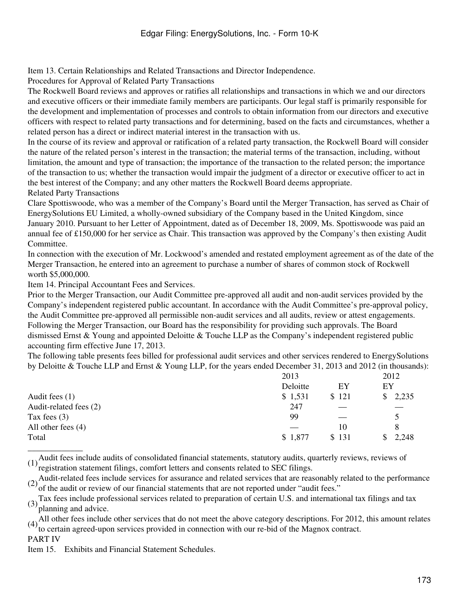Item 13. Certain Relationships and Related Transactions and Director Independence.

Procedures for Approval of Related Party Transactions

The Rockwell Board reviews and approves or ratifies all relationships and transactions in which we and our directors and executive officers or their immediate family members are participants. Our legal staff is primarily responsible for the development and implementation of processes and controls to obtain information from our directors and executive officers with respect to related party transactions and for determining, based on the facts and circumstances, whether a related person has a direct or indirect material interest in the transaction with us.

In the course of its review and approval or ratification of a related party transaction, the Rockwell Board will consider the nature of the related person's interest in the transaction; the material terms of the transaction, including, without limitation, the amount and type of transaction; the importance of the transaction to the related person; the importance of the transaction to us; whether the transaction would impair the judgment of a director or executive officer to act in the best interest of the Company; and any other matters the Rockwell Board deems appropriate. Related Party Transactions

Clare Spottiswoode, who was a member of the Company's Board until the Merger Transaction, has served as Chair of EnergySolutions EU Limited, a wholly-owned subsidiary of the Company based in the United Kingdom, since January 2010. Pursuant to her Letter of Appointment, dated as of December 18, 2009, Ms. Spottiswoode was paid an annual fee of £150,000 for her service as Chair. This transaction was approved by the Company's then existing Audit **Committee** 

In connection with the execution of Mr. Lockwood's amended and restated employment agreement as of the date of the Merger Transaction, he entered into an agreement to purchase a number of shares of common stock of Rockwell worth \$5,000,000.

Item 14. Principal Accountant Fees and Services.

Prior to the Merger Transaction, our Audit Committee pre-approved all audit and non-audit services provided by the Company's independent registered public accountant. In accordance with the Audit Committee's pre-approval policy, the Audit Committee pre-approved all permissible non-audit services and all audits, review or attest engagements. Following the Merger Transaction, our Board has the responsibility for providing such approvals. The Board dismissed Ernst & Young and appointed Deloitte & Touche LLP as the Company's independent registered public accounting firm effective June 17, 2013.

The following table presents fees billed for professional audit services and other services rendered to EnergySolutions by Deloitte & Touche LLP and Ernst & Young LLP, for the years ended December 31, 2013 and 2012 (in thousands):

|                        | 2013     |       |               |
|------------------------|----------|-------|---------------|
|                        | Deloitte | EY    | EY            |
| Audit fees $(1)$       | \$1,531  | \$121 | \$<br>2,235   |
| Audit-related fees (2) | 247      |       |               |
| Tax fees $(3)$         | 99       |       | $\mathcal{L}$ |
| All other fees $(4)$   |          | 10    | 8             |
| Total                  | \$1,877  | \$131 | 2,248         |

(1)Audit fees include audits of consolidated financial statements, statutory audits, quarterly reviews, reviews of registration statement filings, comfort letters and consents related to SEC filings.

PART IV

\_\_\_\_\_\_\_\_\_\_\_\_\_

Item 15. Exhibits and Financial Statement Schedules.

 $(2)$ Audit-related fees include services for assurance and related services that are reasonably related to the performance of the audit or review of our financial statements that are not reported under "audit fees."

Tax fees include professional services related to preparation of certain U.S. and international tax filings and tax (3) planning and a tax planning and advice.

<sup>(4)</sup> All other fees include other services that do not meet the above category descriptions. For 2012, this amount relates to certain agreed-upon services provided in connection with our re-bid of the Magnox contract.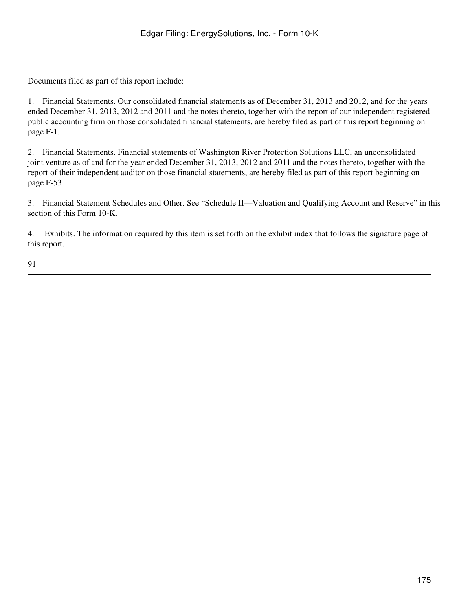Documents filed as part of this report include:

1. Financial Statements. Our consolidated financial statements as of December 31, 2013 and 2012, and for the years ended December 31, 2013, 2012 and 2011 and the notes thereto, together with the report of our independent registered public accounting firm on those consolidated financial statements, are hereby filed as part of this report beginning on page F-1.

2. Financial Statements. Financial statements of Washington River Protection Solutions LLC, an unconsolidated joint venture as of and for the year ended December 31, 2013, 2012 and 2011 and the notes thereto, together with the report of their independent auditor on those financial statements, are hereby filed as part of this report beginning on page F-53.

3. Financial Statement Schedules and Other. See "Schedule II—Valuation and Qualifying Account and Reserve" in this section of this Form 10-K.

4. Exhibits. The information required by this item is set forth on the exhibit index that follows the signature page of this report.

91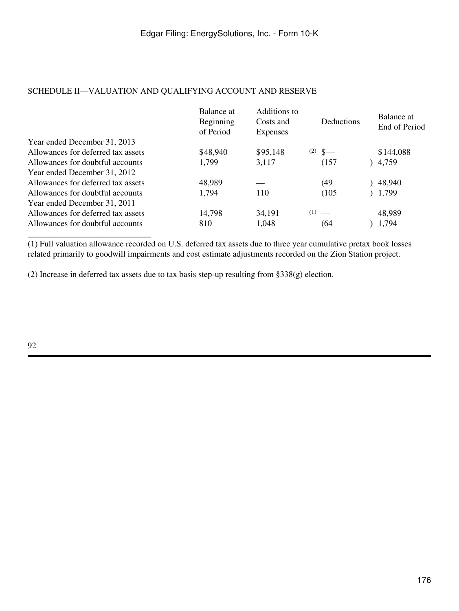## SCHEDULE II—VALUATION AND QUALIFYING ACCOUNT AND RESERVE

|                                    | Balance at<br><b>Beginning</b><br>of Period | Additions to<br>Costs and<br><b>Expenses</b> | Deductions | Balance at<br>End of Period |
|------------------------------------|---------------------------------------------|----------------------------------------------|------------|-----------------------------|
| Year ended December 31, 2013       |                                             |                                              |            |                             |
| Allowances for deferred tax assets | \$48,940                                    | \$95,148                                     | $(2)$ \$   | \$144,088                   |
| Allowances for doubtful accounts   | 1,799                                       | 3,117                                        | (157)      | 4,759                       |
| Year ended December 31, 2012       |                                             |                                              |            |                             |
| Allowances for deferred tax assets | 48,989                                      |                                              | (49)       | 48,940                      |
| Allowances for doubtful accounts   | 1,794                                       | 110                                          | (105)      | 1,799                       |
| Year ended December 31, 2011       |                                             |                                              |            |                             |
| Allowances for deferred tax assets | 14,798                                      | 34,191                                       | $(1)$ —    | 48,989                      |
| Allowances for doubtful accounts   | 810                                         | 1,048                                        | (64)       | 1,794                       |
|                                    |                                             |                                              |            |                             |

(1) Full valuation allowance recorded on U.S. deferred tax assets due to three year cumulative pretax book losses related primarily to goodwill impairments and cost estimate adjustments recorded on the Zion Station project.

(2) Increase in deferred tax assets due to tax basis step-up resulting from §338(g) election.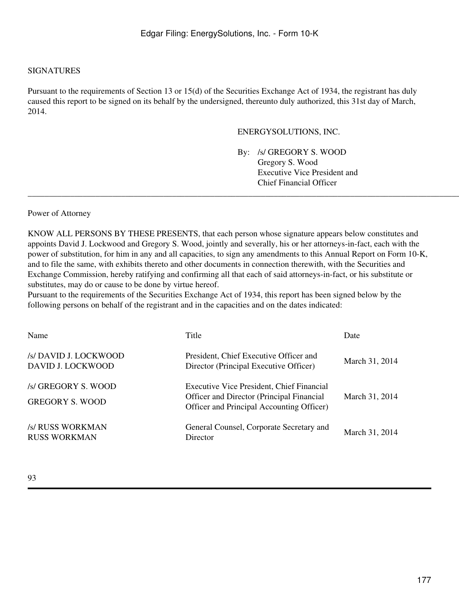### SIGNATURES

Pursuant to the requirements of Section 13 or 15(d) of the Securities Exchange Act of 1934, the registrant has duly caused this report to be signed on its behalf by the undersigned, thereunto duly authorized, this 31st day of March, 2014.

#### ENERGYSOLUTIONS, INC.

\_\_\_\_\_\_\_\_\_\_\_\_\_\_\_\_\_\_\_\_\_\_\_\_\_\_\_\_\_\_\_\_\_\_\_\_\_\_\_\_\_\_\_\_\_\_\_\_\_\_\_\_\_\_\_\_\_\_\_\_\_\_\_\_\_\_\_\_\_\_\_\_\_\_\_\_\_\_\_\_\_\_\_\_\_\_\_\_\_\_\_\_\_\_\_\_\_\_\_\_\_\_\_\_\_\_\_\_\_\_\_\_\_\_\_\_\_\_\_\_

By: /s/ GREGORY S. WOOD Gregory S. Wood Executive Vice President and Chief Financial Officer

Power of Attorney

KNOW ALL PERSONS BY THESE PRESENTS, that each person whose signature appears below constitutes and appoints David J. Lockwood and Gregory S. Wood, jointly and severally, his or her attorneys-in-fact, each with the power of substitution, for him in any and all capacities, to sign any amendments to this Annual Report on Form 10-K, and to file the same, with exhibits thereto and other documents in connection therewith, with the Securities and Exchange Commission, hereby ratifying and confirming all that each of said attorneys-in-fact, or his substitute or substitutes, may do or cause to be done by virtue hereof.

Pursuant to the requirements of the Securities Exchange Act of 1934, this report has been signed below by the following persons on behalf of the registrant and in the capacities and on the dates indicated:

| Name                                          | Title                                                                                                                                      | Date           |
|-----------------------------------------------|--------------------------------------------------------------------------------------------------------------------------------------------|----------------|
| /s/ DAVID J. LOCKWOOD<br>DAVID J. LOCKWOOD    | President, Chief Executive Officer and<br>Director (Principal Executive Officer)                                                           | March 31, 2014 |
| /s/ GREGORY S. WOOD<br><b>GREGORY S. WOOD</b> | <b>Executive Vice President, Chief Financial</b><br>Officer and Director (Principal Financial<br>Officer and Principal Accounting Officer) | March 31, 2014 |
| /s/ RUSS WORKMAN<br><b>RUSS WORKMAN</b>       | General Counsel, Corporate Secretary and<br>Director                                                                                       | March 31, 2014 |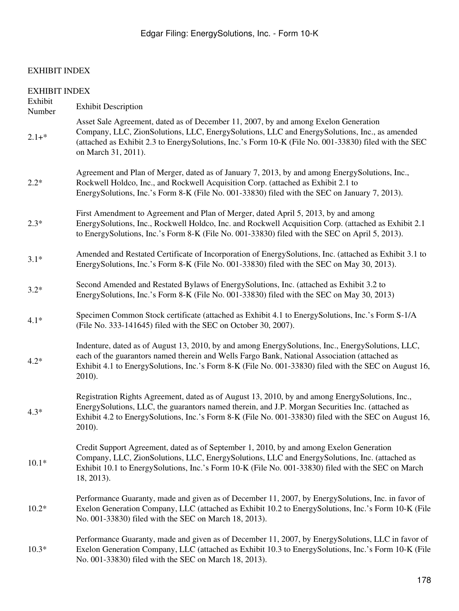# EXHIBIT INDEX

|                   | <b>EXHIBIT INDEX</b>                                                                                                                                                                                                                                                                                                   |  |  |
|-------------------|------------------------------------------------------------------------------------------------------------------------------------------------------------------------------------------------------------------------------------------------------------------------------------------------------------------------|--|--|
| Exhibit<br>Number | <b>Exhibit Description</b>                                                                                                                                                                                                                                                                                             |  |  |
| $2.1+*$           | Asset Sale Agreement, dated as of December 11, 2007, by and among Exelon Generation<br>Company, LLC, ZionSolutions, LLC, EnergySolutions, LLC and EnergySolutions, Inc., as amended<br>(attached as Exhibit 2.3 to EnergySolutions, Inc.'s Form 10-K (File No. 001-33830) filed with the SEC<br>on March 31, 2011).    |  |  |
| $2.2*$            | Agreement and Plan of Merger, dated as of January 7, 2013, by and among EnergySolutions, Inc.,<br>Rockwell Holdco, Inc., and Rockwell Acquisition Corp. (attached as Exhibit 2.1 to<br>EnergySolutions, Inc.'s Form 8-K (File No. 001-33830) filed with the SEC on January 7, 2013).                                   |  |  |
| $2.3*$            | First Amendment to Agreement and Plan of Merger, dated April 5, 2013, by and among<br>EnergySolutions, Inc., Rockwell Holdco, Inc. and Rockwell Acquisition Corp. (attached as Exhibit 2.1<br>to EnergySolutions, Inc.'s Form 8-K (File No. 001-33830) filed with the SEC on April 5, 2013).                           |  |  |
| $3.1*$            | Amended and Restated Certificate of Incorporation of EnergySolutions, Inc. (attached as Exhibit 3.1 to<br>EnergySolutions, Inc.'s Form 8-K (File No. 001-33830) filed with the SEC on May 30, 2013).                                                                                                                   |  |  |
| $3.2*$            | Second Amended and Restated Bylaws of EnergySolutions, Inc. (attached as Exhibit 3.2 to<br>EnergySolutions, Inc.'s Form 8-K (File No. 001-33830) filed with the SEC on May 30, 2013)                                                                                                                                   |  |  |
| $4.1*$            | Specimen Common Stock certificate (attached as Exhibit 4.1 to Energy Solutions, Inc.'s Form S-1/A<br>(File No. 333-141645) filed with the SEC on October 30, 2007).                                                                                                                                                    |  |  |
| $4.2*$            | Indenture, dated as of August 13, 2010, by and among EnergySolutions, Inc., EnergySolutions, LLC,<br>each of the guarantors named therein and Wells Fargo Bank, National Association (attached as<br>Exhibit 4.1 to EnergySolutions, Inc.'s Form 8-K (File No. 001-33830) filed with the SEC on August 16,<br>2010).   |  |  |
| $4.3*$            | Registration Rights Agreement, dated as of August 13, 2010, by and among EnergySolutions, Inc.,<br>EnergySolutions, LLC, the guarantors named therein, and J.P. Morgan Securities Inc. (attached as<br>Exhibit 4.2 to EnergySolutions, Inc.'s Form 8-K (File No. 001-33830) filed with the SEC on August 16,<br>2010). |  |  |
| $10.1*$           | Credit Support Agreement, dated as of September 1, 2010, by and among Exelon Generation<br>Company, LLC, ZionSolutions, LLC, EnergySolutions, LLC and EnergySolutions, Inc. (attached as<br>Exhibit 10.1 to EnergySolutions, Inc.'s Form 10-K (File No. 001-33830) filed with the SEC on March<br>18, 2013).           |  |  |
| $10.2*$           | Performance Guaranty, made and given as of December 11, 2007, by EnergySolutions, Inc. in favor of<br>Exelon Generation Company, LLC (attached as Exhibit 10.2 to EnergySolutions, Inc.'s Form 10-K (File<br>No. 001-33830) filed with the SEC on March 18, 2013).                                                     |  |  |
| $10.3*$           | Performance Guaranty, made and given as of December 11, 2007, by Energy Solutions, LLC in favor of<br>Exelon Generation Company, LLC (attached as Exhibit 10.3 to EnergySolutions, Inc.'s Form 10-K (File<br>No. 001-33830) filed with the SEC on March 18, 2013).                                                     |  |  |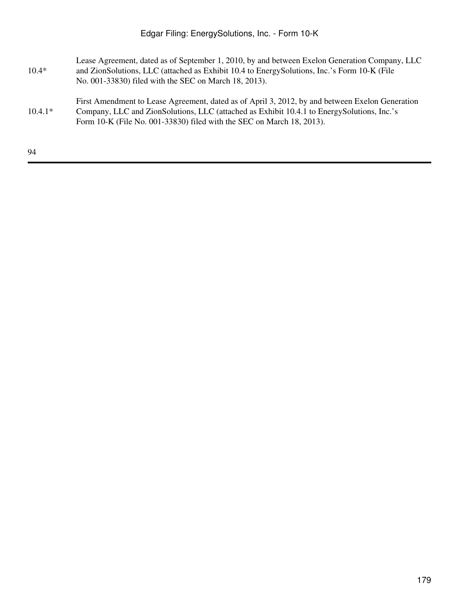| $10.4*$   | Lease Agreement, dated as of September 1, 2010, by and between Exelon Generation Company, LLC<br>and ZionSolutions, LLC (attached as Exhibit 10.4 to Energy Solutions, Inc.'s Form 10-K (File<br>No. 001-33830) filed with the SEC on March 18, 2013).                  |
|-----------|-------------------------------------------------------------------------------------------------------------------------------------------------------------------------------------------------------------------------------------------------------------------------|
| $10.4.1*$ | First Amendment to Lease Agreement, dated as of April 3, 2012, by and between Exelon Generation<br>Company, LLC and ZionSolutions, LLC (attached as Exhibit 10.4.1 to Energy Solutions, Inc.'s<br>Form 10-K (File No. 001-33830) filed with the SEC on March 18, 2013). |
| 94        |                                                                                                                                                                                                                                                                         |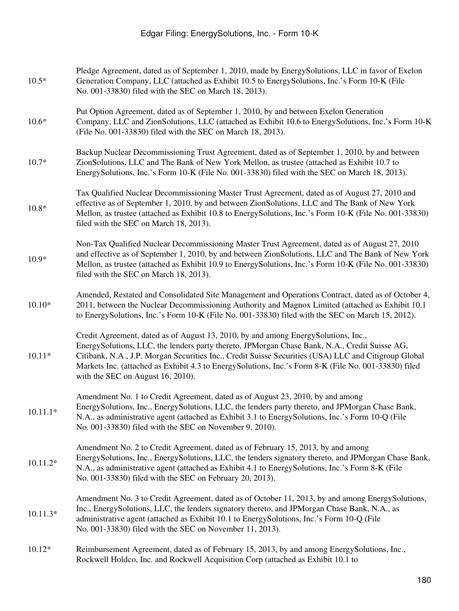| $10.5*$    | Pledge Agreement, dated as of September 1, 2010, made by EnergySolutions, LLC in favor of Exelon<br>Generation Company, LLC (attached as Exhibit 10.5 to EnergySolutions, Inc.'s Form 10-K (File<br>No. 001-33830) filed with the SEC on March 18, 2013).                                                                                                                                                                                |
|------------|------------------------------------------------------------------------------------------------------------------------------------------------------------------------------------------------------------------------------------------------------------------------------------------------------------------------------------------------------------------------------------------------------------------------------------------|
| $10.6*$    | Put Option Agreement, dated as of September 1, 2010, by and between Exelon Generation<br>Company, LLC and ZionSolutions, LLC (attached as Exhibit 10.6 to EnergySolutions, Inc.'s Form 10-K<br>(File No. 001-33830) filed with the SEC on March 18, 2013).                                                                                                                                                                               |
| $10.7*$    | Backup Nuclear Decommissioning Trust Agreement, dated as of September 1, 2010, by and between<br>ZionSolutions, LLC and The Bank of New York Mellon, as trustee (attached as Exhibit 10.7 to<br>EnergySolutions, Inc.'s Form 10-K (File No. 001-33830) filed with the SEC on March 18, 2013).                                                                                                                                            |
| $10.8*$    | Tax Qualified Nuclear Decommissioning Master Trust Agreement, dated as of August 27, 2010 and<br>effective as of September 1, 2010, by and between ZionSolutions, LLC and The Bank of New York<br>Mellon, as trustee (attached as Exhibit 10.8 to EnergySolutions, Inc.'s Form 10-K (File No. 001-33830)<br>filed with the SEC on March 18, 2013).                                                                                       |
| $10.9*$    | Non-Tax Qualified Nuclear Decommissioning Master Trust Agreement, dated as of August 27, 2010<br>and effective as of September 1, 2010, by and between ZionSolutions, LLC and The Bank of New York<br>Mellon, as trustee (attached as Exhibit 10.9 to Energy Solutions, Inc.'s Form 10-K (File No. 001-33830)<br>filed with the SEC on March 18, 2013).                                                                                  |
| $10.10*$   | Amended, Restated and Consolidated Site Management and Operations Contract, dated as of October 4,<br>2011, between the Nuclear Decommissioning Authority and Magnox Limited (attached as Exhibit 10.1)<br>to EnergySolutions, Inc.'s Form 10-K (File No. 001-33830) filed with the SEC on March 15, 2012).                                                                                                                              |
| $10.11*$   | Credit Agreement, dated as of August 13, 2010, by and among EnergySolutions, Inc.,<br>EnergySolutions, LLC, the lenders party thereto, JPMorgan Chase Bank, N.A., Credit Suisse AG,<br>Citibank, N.A., J.P. Morgan Securities Inc., Credit Suisse Securities (USA) LLC and Citigroup Global<br>Markets Inc. (attached as Exhibit 4.3 to EnergySolutions, Inc.'s Form 8-K (File No. 001-33830) filed<br>with the SEC on August 16, 2010). |
| $10.11.1*$ | Amendment No. 1 to Credit Agreement, dated as of August 23, 2010, by and among<br>EnergySolutions, Inc., EnergySolutions, LLC, the lenders party thereto, and JPM organ Chase Bank,<br>N.A., as administrative agent (attached as Exhibit 3.1 to Energy Solutions, Inc.'s Form 10-Q (File<br>No. 001-33830) filed with the SEC on November 9, 2010).                                                                                     |
| $10.11.2*$ | Amendment No. 2 to Credit Agreement, dated as of February 15, 2013, by and among<br>EnergySolutions, Inc., EnergySolutions, LLC, the lenders signatory thereto, and JPMorgan Chase Bank,<br>N.A., as administrative agent (attached as Exhibit 4.1 to Energy Solutions, Inc.'s Form 8-K (File<br>No. 001-33830) filed with the SEC on February 20, 2013).                                                                                |
| $10.11.3*$ | Amendment No. 3 to Credit Agreement, dated as of October 11, 2013, by and among EnergySolutions,<br>Inc., EnergySolutions, LLC, the lenders signatory thereto, and JPMorgan Chase Bank, N.A., as<br>administrative agent (attached as Exhibit 10.1 to Energy Solutions, Inc.'s Form 10-Q (File<br>No. 001-33830) filed with the SEC on November 11, 2013).                                                                               |
| $10.12*$   | Reimbursement Agreement, dated as of February 15, 2013, by and among EnergySolutions, Inc.,<br>Rockwell Holdco, Inc. and Rockwell Acquisition Corp (attached as Exhibit 10.1 to                                                                                                                                                                                                                                                          |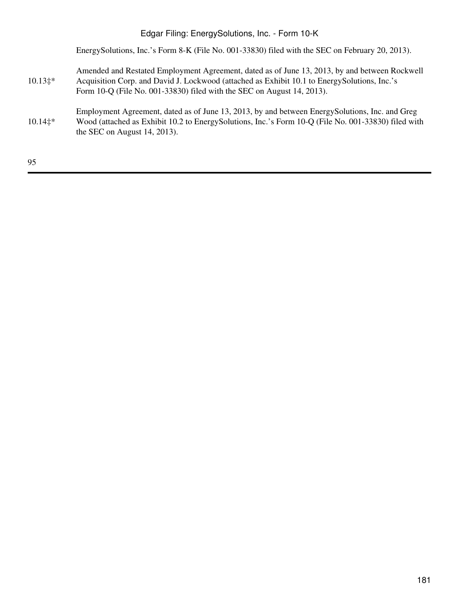|                      | EnergySolutions, Inc.'s Form 8-K (File No. 001-33830) filed with the SEC on February 20, 2013).                                                                                                                                                                          |
|----------------------|--------------------------------------------------------------------------------------------------------------------------------------------------------------------------------------------------------------------------------------------------------------------------|
| $10.13\ddagger*$     | Amended and Restated Employment Agreement, dated as of June 13, 2013, by and between Rockwell<br>Acquisition Corp. and David J. Lockwood (attached as Exhibit 10.1 to Energy Solutions, Inc.'s<br>Form 10-Q (File No. 001-33830) filed with the SEC on August 14, 2013). |
| $10.14$ $\ddagger$ * | Employment Agreement, dated as of June 13, 2013, by and between EnergySolutions, Inc. and Greg<br>Wood (attached as Exhibit 10.2 to EnergySolutions, Inc.'s Form 10-Q (File No. 001-33830) filed with<br>the SEC on August 14, 2013).                                    |

95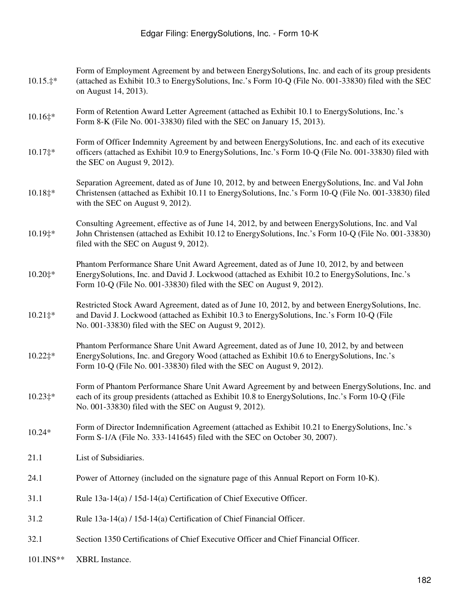| $10.15.*$  | Form of Employment Agreement by and between Energy Solutions, Inc. and each of its group presidents<br>(attached as Exhibit 10.3 to Energy Solutions, Inc.'s Form 10-Q (File No. 001-33830) filed with the SEC<br>on August 14, 2013).                                 |
|------------|------------------------------------------------------------------------------------------------------------------------------------------------------------------------------------------------------------------------------------------------------------------------|
| $10.16$ ‡* | Form of Retention Award Letter Agreement (attached as Exhibit 10.1 to EnergySolutions, Inc.'s<br>Form 8-K (File No. 001-33830) filed with the SEC on January 15, 2013).                                                                                                |
| $10.17$ ‡* | Form of Officer Indemnity Agreement by and between EnergySolutions, Inc. and each of its executive<br>officers (attached as Exhibit 10.9 to EnergySolutions, Inc.'s Form 10-Q (File No. 001-33830) filed with<br>the SEC on August 9, 2012).                           |
| $10.18$ ‡* | Separation Agreement, dated as of June 10, 2012, by and between EnergySolutions, Inc. and Val John<br>Christensen (attached as Exhibit 10.11 to Energy Solutions, Inc.'s Form 10-Q (File No. 001-33830) filed<br>with the SEC on August 9, 2012).                      |
| $10.19$ ‡* | Consulting Agreement, effective as of June 14, 2012, by and between EnergySolutions, Inc. and Val<br>John Christensen (attached as Exhibit 10.12 to EnergySolutions, Inc.'s Form 10-Q (File No. 001-33830)<br>filed with the SEC on August 9, 2012).                   |
| $10.20$ ‡* | Phantom Performance Share Unit Award Agreement, dated as of June 10, 2012, by and between<br>EnergySolutions, Inc. and David J. Lockwood (attached as Exhibit 10.2 to EnergySolutions, Inc.'s<br>Form 10-Q (File No. 001-33830) filed with the SEC on August 9, 2012). |
| $10.21$ ‡* | Restricted Stock Award Agreement, dated as of June 10, 2012, by and between EnergySolutions, Inc.<br>and David J. Lockwood (attached as Exhibit 10.3 to Energy Solutions, Inc.'s Form 10-Q (File<br>No. 001-33830) filed with the SEC on August 9, 2012).              |
| $10.22$ ‡* | Phantom Performance Share Unit Award Agreement, dated as of June 10, 2012, by and between<br>EnergySolutions, Inc. and Gregory Wood (attached as Exhibit 10.6 to EnergySolutions, Inc.'s<br>Form 10-Q (File No. 001-33830) filed with the SEC on August 9, 2012).      |
| $10.23$ ‡* | Form of Phantom Performance Share Unit Award Agreement by and between Energy Solutions, Inc. and<br>each of its group presidents (attached as Exhibit 10.8 to EnergySolutions, Inc.'s Form 10-Q (File<br>No. 001-33830) filed with the SEC on August 9, 2012).         |
| $10.24*$   | Form of Director Indemnification Agreement (attached as Exhibit 10.21 to EnergySolutions, Inc.'s<br>Form S-1/A (File No. 333-141645) filed with the SEC on October 30, 2007).                                                                                          |
| 21.1       | List of Subsidiaries.                                                                                                                                                                                                                                                  |
| 24.1       | Power of Attorney (included on the signature page of this Annual Report on Form 10-K).                                                                                                                                                                                 |
| 31.1       | Rule 13a-14(a) / 15d-14(a) Certification of Chief Executive Officer.                                                                                                                                                                                                   |
| 31.2       | Rule 13a-14(a) / 15d-14(a) Certification of Chief Financial Officer.                                                                                                                                                                                                   |
| 32.1       | Section 1350 Certifications of Chief Executive Officer and Chief Financial Officer.                                                                                                                                                                                    |
| 101.INS**  | XBRL Instance.                                                                                                                                                                                                                                                         |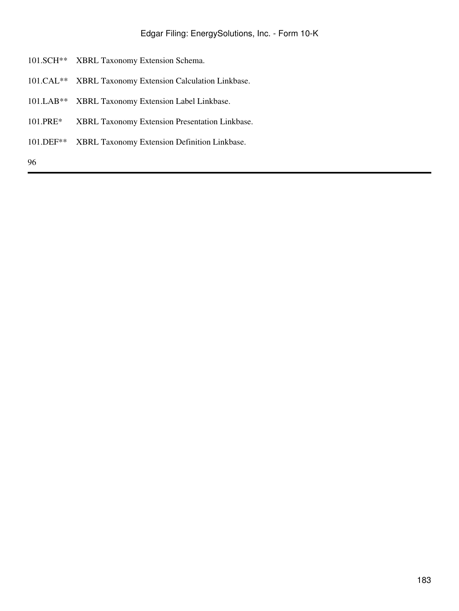- 101.SCH\*\* XBRL Taxonomy Extension Schema.
- 101.CAL\*\* XBRL Taxonomy Extension Calculation Linkbase.
- 101.LAB\*\* XBRL Taxonomy Extension Label Linkbase.
- 101.PRE\* XBRL Taxonomy Extension Presentation Linkbase.
- 101.DEF\*\* XBRL Taxonomy Extension Definition Linkbase.

96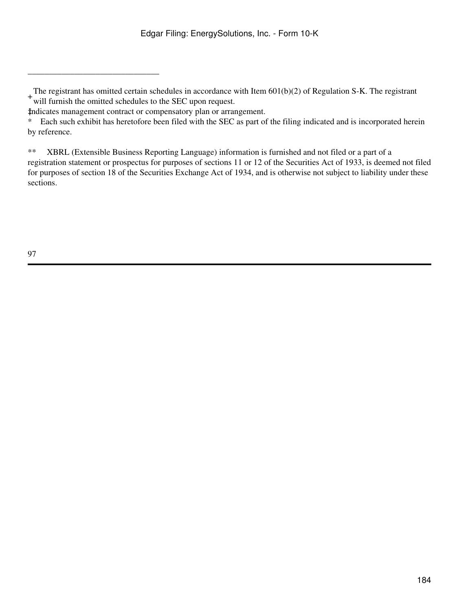\_\_\_\_\_\_\_\_\_\_\_\_\_\_\_\_\_\_\_\_\_\_\_\_\_\_\_\_\_\_\_

The registrant has omitted certain schedules in accordance with Item  $601(b)(2)$  of Regulation S-K. The registrant  $+$  will famish the emitted schedules to the SEG was request will furnish the omitted schedules to the SEC upon request.

<sup>‡</sup>Indicates management contract or compensatory plan or arrangement.

<sup>\*</sup> Each such exhibit has heretofore been filed with the SEC as part of the filing indicated and is incorporated herein by reference.

<sup>\*\*</sup> XBRL (Extensible Business Reporting Language) information is furnished and not filed or a part of a registration statement or prospectus for purposes of sections 11 or 12 of the Securities Act of 1933, is deemed not filed for purposes of section 18 of the Securities Exchange Act of 1934, and is otherwise not subject to liability under these sections.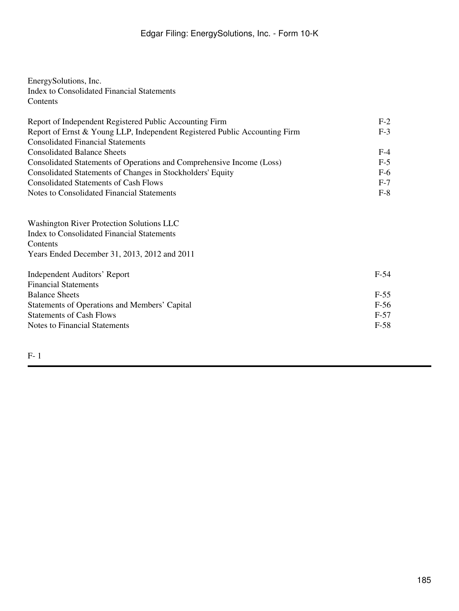| <b>Index to Consolidated Financial Statements</b>                          |        |
|----------------------------------------------------------------------------|--------|
| Contents                                                                   |        |
| Report of Independent Registered Public Accounting Firm                    | $F-2$  |
| Report of Ernst & Young LLP, Independent Registered Public Accounting Firm | $F-3$  |
| <b>Consolidated Financial Statements</b>                                   |        |
| <b>Consolidated Balance Sheets</b>                                         | $F-4$  |
| Consolidated Statements of Operations and Comprehensive Income (Loss)      | $F-5$  |
| Consolidated Statements of Changes in Stockholders' Equity                 | $F-6$  |
| <b>Consolidated Statements of Cash Flows</b>                               | $F-7$  |
| Notes to Consolidated Financial Statements                                 | $F-8$  |
| Washington River Protection Solutions LLC                                  |        |
| <b>Index to Consolidated Financial Statements</b>                          |        |
| Contents                                                                   |        |
| Years Ended December 31, 2013, 2012 and 2011                               |        |
| Independent Auditors' Report                                               | $F-54$ |
| <b>Financial Statements</b>                                                |        |
| <b>Balance Sheets</b>                                                      | $F-55$ |
| Statements of Operations and Members' Capital                              | $F-56$ |
| <b>Statements of Cash Flows</b>                                            | $F-57$ |
| <b>Notes to Financial Statements</b>                                       | $F-58$ |

F- 1

EnergySolutions, Inc.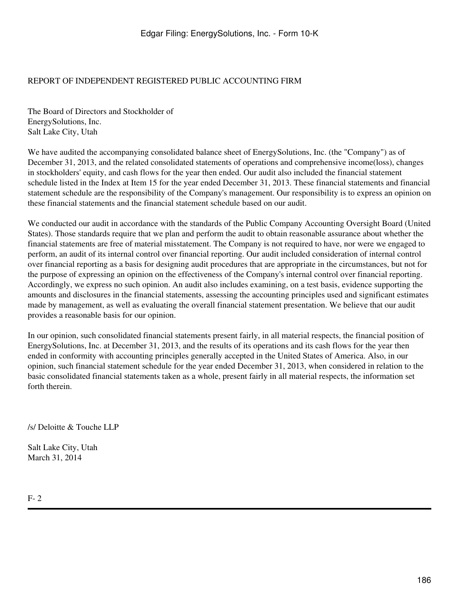#### REPORT OF INDEPENDENT REGISTERED PUBLIC ACCOUNTING FIRM

The Board of Directors and Stockholder of EnergySolutions, Inc. Salt Lake City, Utah

We have audited the accompanying consolidated balance sheet of EnergySolutions, Inc. (the "Company") as of December 31, 2013, and the related consolidated statements of operations and comprehensive income(loss), changes in stockholders' equity, and cash flows for the year then ended. Our audit also included the financial statement schedule listed in the Index at Item 15 for the year ended December 31, 2013. These financial statements and financial statement schedule are the responsibility of the Company's management. Our responsibility is to express an opinion on these financial statements and the financial statement schedule based on our audit.

We conducted our audit in accordance with the standards of the Public Company Accounting Oversight Board (United States). Those standards require that we plan and perform the audit to obtain reasonable assurance about whether the financial statements are free of material misstatement. The Company is not required to have, nor were we engaged to perform, an audit of its internal control over financial reporting. Our audit included consideration of internal control over financial reporting as a basis for designing audit procedures that are appropriate in the circumstances, but not for the purpose of expressing an opinion on the effectiveness of the Company's internal control over financial reporting. Accordingly, we express no such opinion. An audit also includes examining, on a test basis, evidence supporting the amounts and disclosures in the financial statements, assessing the accounting principles used and significant estimates made by management, as well as evaluating the overall financial statement presentation. We believe that our audit provides a reasonable basis for our opinion.

In our opinion, such consolidated financial statements present fairly, in all material respects, the financial position of EnergySolutions, Inc. at December 31, 2013, and the results of its operations and its cash flows for the year then ended in conformity with accounting principles generally accepted in the United States of America. Also, in our opinion, such financial statement schedule for the year ended December 31, 2013, when considered in relation to the basic consolidated financial statements taken as a whole, present fairly in all material respects, the information set forth therein.

/s/ Deloitte & Touche LLP

Salt Lake City, Utah March 31, 2014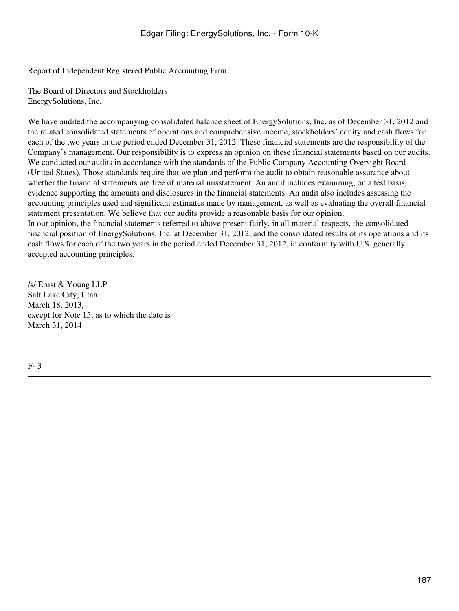Report of Independent Registered Public Accounting Firm

The Board of Directors and Stockholders EnergySolutions, Inc.

We have audited the accompanying consolidated balance sheet of EnergySolutions, Inc. as of December 31, 2012 and the related consolidated statements of operations and comprehensive income, stockholders' equity and cash flows for each of the two years in the period ended December 31, 2012. These financial statements are the responsibility of the Company's management. Our responsibility is to express an opinion on these financial statements based on our audits. We conducted our audits in accordance with the standards of the Public Company Accounting Oversight Board (United States). Those standards require that we plan and perform the audit to obtain reasonable assurance about whether the financial statements are free of material misstatement. An audit includes examining, on a test basis, evidence supporting the amounts and disclosures in the financial statements. An audit also includes assessing the accounting principles used and significant estimates made by management, as well as evaluating the overall financial statement presentation. We believe that our audits provide a reasonable basis for our opinion. In our opinion, the financial statements referred to above present fairly, in all material respects, the consolidated financial position of EnergySolutions, Inc. at December 31, 2012, and the consolidated results of its operations and its cash flows for each of the two years in the period ended December 31, 2012, in conformity with U.S. generally accepted accounting principles.

/s/ Ernst & Young LLP Salt Lake City, Utah March 18, 2013, except for Note 15, as to which the date is March 31, 2014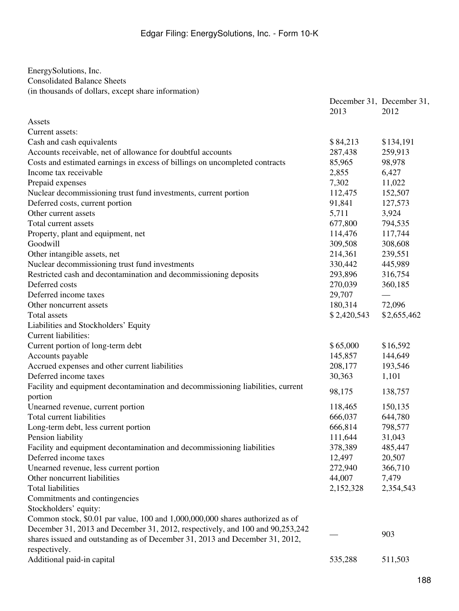### EnergySolutions, Inc. Consolidated Balance Sheets (in thousands of dollars, except share information)

|                                                                                 | December 31, December 31,<br>2013 | 2012        |
|---------------------------------------------------------------------------------|-----------------------------------|-------------|
| Assets                                                                          |                                   |             |
| Current assets:                                                                 |                                   |             |
| Cash and cash equivalents                                                       | \$84,213                          | \$134,191   |
| Accounts receivable, net of allowance for doubtful accounts                     | 287,438                           | 259,913     |
| Costs and estimated earnings in excess of billings on uncompleted contracts     | 85,965                            | 98,978      |
| Income tax receivable                                                           | 2,855                             | 6,427       |
| Prepaid expenses                                                                | 7,302                             | 11,022      |
| Nuclear decommissioning trust fund investments, current portion                 | 112,475                           | 152,507     |
| Deferred costs, current portion                                                 | 91,841                            | 127,573     |
| Other current assets                                                            | 5,711                             | 3,924       |
| Total current assets                                                            | 677,800                           | 794,535     |
| Property, plant and equipment, net                                              | 114,476                           | 117,744     |
| Goodwill                                                                        | 309,508                           | 308,608     |
| Other intangible assets, net                                                    | 214,361                           | 239,551     |
| Nuclear decommissioning trust fund investments                                  | 330,442                           | 445,989     |
| Restricted cash and decontamination and decommissioning deposits                | 293,896                           | 316,754     |
| Deferred costs                                                                  | 270,039                           | 360,185     |
| Deferred income taxes                                                           | 29,707                            |             |
| Other noncurrent assets                                                         | 180,314                           | 72,096      |
| Total assets                                                                    | \$2,420,543                       | \$2,655,462 |
| Liabilities and Stockholders' Equity                                            |                                   |             |
| Current liabilities:                                                            |                                   |             |
| Current portion of long-term debt                                               | \$65,000                          | \$16,592    |
| Accounts payable                                                                | 145,857                           | 144,649     |
| Accrued expenses and other current liabilities                                  | 208,177                           | 193,546     |
| Deferred income taxes                                                           | 30,363                            | 1,101       |
| Facility and equipment decontamination and decommissioning liabilities, current |                                   |             |
| portion                                                                         | 98,175                            | 138,757     |
| Unearned revenue, current portion                                               | 118,465                           | 150,135     |
| Total current liabilities                                                       | 666,037                           | 644,780     |
| Long-term debt, less current portion                                            | 666,814                           | 798,577     |
| Pension liability                                                               | 111,644                           | 31,043      |
| Facility and equipment decontamination and decommissioning liabilities          | 378,389                           | 485,447     |
| Deferred income taxes                                                           | 12,497                            | 20,507      |
| Unearned revenue, less current portion                                          | 272,940                           | 366,710     |
| Other noncurrent liabilities                                                    | 44,007                            | 7,479       |
| <b>Total liabilities</b>                                                        | 2,152,328                         | 2,354,543   |
| Commitments and contingencies                                                   |                                   |             |
| Stockholders' equity:                                                           |                                   |             |
| Common stock, \$0.01 par value, 100 and 1,000,000,000 shares authorized as of   |                                   |             |
| December 31, 2013 and December 31, 2012, respectively, and 100 and 90,253,242   |                                   |             |
| shares issued and outstanding as of December 31, 2013 and December 31, 2012,    |                                   | 903         |
| respectively.                                                                   |                                   |             |
| Additional paid-in capital                                                      | 535,288                           | 511,503     |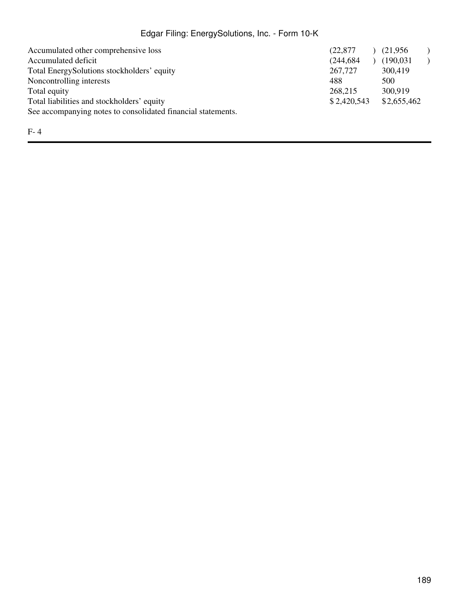| Accumulated other comprehensive loss                         | (22, 877)   | (21,956)    |
|--------------------------------------------------------------|-------------|-------------|
| Accumulated deficit                                          | (244, 684)  | (190, 031)  |
| Total EnergySolutions stockholders' equity                   | 267,727     | 300,419     |
| Noncontrolling interests                                     | 488         | 500         |
| Total equity                                                 | 268,215     | 300,919     |
| Total liabilities and stockholders' equity                   | \$2,420,543 | \$2,655,462 |
| See accompanying notes to consolidated financial statements. |             |             |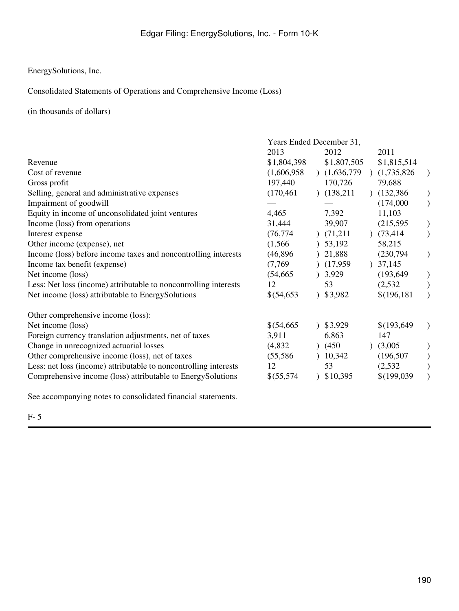## EnergySolutions, Inc.

## Consolidated Statements of Operations and Comprehensive Income (Loss)

## (in thousands of dollars)

|                                                                  | Years Ended December 31, |                     |                             |
|------------------------------------------------------------------|--------------------------|---------------------|-----------------------------|
| Revenue                                                          | 2013<br>\$1,804,398      | 2012<br>\$1,807,505 | 2011<br>\$1,815,514         |
| Cost of revenue                                                  | (1,606,958)              | (1,636,779)         | (1,735,826)<br>$\lambda$    |
| Gross profit                                                     | 197,440                  | 170,726             | 79,688                      |
| Selling, general and administrative expenses                     | (170, 461)               | (138,211)           | (132, 386)<br>$\mathcal{E}$ |
| Impairment of goodwill                                           |                          |                     | (174,000)                   |
| Equity in income of unconsolidated joint ventures                | 4,465                    | 7,392               | 11,103                      |
| Income (loss) from operations                                    | 31,444                   | 39,907              | (215,595)<br>$\mathcal{E}$  |
| Interest expense                                                 | (76, 774)                | (71,211)            | (73, 414)<br>$\mathcal{E}$  |
| Other income (expense), net                                      | (1, 566)                 | 53,192              | 58,215                      |
| Income (loss) before income taxes and noncontrolling interests   | (46, 896)                | 21,888              | (230,794)<br>$\mathcal{E}$  |
| Income tax benefit (expense)                                     | (7,769)                  | (17,959)            | 37,145                      |
| Net income (loss)                                                | (54, 665)                | 3,929               | (193, 649)                  |
| Less: Net loss (income) attributable to noncontrolling interests | 12                       | 53                  | (2,532)                     |
| Net income (loss) attributable to EnergySolutions                | \$ (54,653)              | 3,982               | \$(196, 181)                |
| Other comprehensive income (loss):                               |                          |                     |                             |
| Net income (loss)                                                | \$ (54,665)              | \$3,929             | \$(193, 649)                |
| Foreign currency translation adjustments, net of taxes           | 3,911                    | 6,863               | 147                         |
| Change in unrecognized actuarial losses                          | (4,832)                  | (450)               | (3,005)                     |
| Other comprehensive income (loss), net of taxes                  | (55, 586)                | 10,342              | (196, 507)                  |
| Less: net loss (income) attributable to noncontrolling interests | 12                       | 53                  | (2,532)                     |
| Comprehensive income (loss) attributable to EnergySolutions      | \$ (55,574)              | \$10,395            | \$(199,039)                 |

See accompanying notes to consolidated financial statements.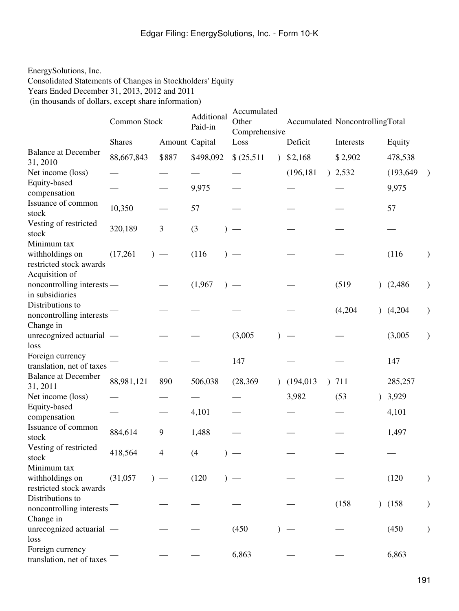EnergySolutions, Inc.

Consolidated Statements of Changes in Stockholders' Equity

Years Ended December 31, 2013, 2012 and 2011

(in thousands of dollars, except share information)

|                                                                             | Common Stock  |                | Additional<br>Paid-in | Accumulated<br>Other<br>Comprehensive |           |            | Accumulated NoncontrollingTotal |               |            |               |
|-----------------------------------------------------------------------------|---------------|----------------|-----------------------|---------------------------------------|-----------|------------|---------------------------------|---------------|------------|---------------|
|                                                                             | <b>Shares</b> | Amount Capital |                       | Loss                                  |           | Deficit    | Interests                       |               | Equity     |               |
| <b>Balance at December</b><br>31, 2010                                      | 88,667,843    | \$887          | \$498,092             | \$(25,511)                            | $\lambda$ | \$2,168    | \$2,902                         |               | 478,538    |               |
| Net income (loss)                                                           |               |                |                       |                                       |           | (196, 181) | ) 2,532                         |               | (193, 649) | $\lambda$     |
| Equity-based<br>compensation                                                |               |                | 9,975                 |                                       |           |            |                                 |               | 9,975      |               |
| Issuance of common<br>stock                                                 | 10,350        |                | 57                    |                                       |           |            |                                 |               | 57         |               |
| Vesting of restricted<br>stock                                              | 320,189       | 3              | (3)                   |                                       |           |            |                                 |               |            |               |
| Minimum tax<br>withholdings on<br>restricted stock awards<br>Acquisition of | (17,261)      |                | (116)                 |                                       |           |            |                                 |               | (116)      |               |
| noncontrolling interests —<br>in subsidiaries                               |               |                | (1,967)               |                                       |           |            | (519)                           |               | (2,486)    | $\mathcal{E}$ |
| Distributions to<br>noncontrolling interests<br>Change in                   |               |                |                       |                                       |           |            | (4,204)                         | $\mathcal{L}$ | (4,204)    | $\mathcal{E}$ |
| unrecognized actuarial -<br>loss                                            |               |                |                       | (3,005)                               |           |            |                                 |               | (3,005)    | $\mathcal{E}$ |
| Foreign currency<br>translation, net of taxes                               |               |                |                       | 147                                   |           |            |                                 |               | 147        |               |
| <b>Balance at December</b><br>31, 2011                                      | 88,981,121    | 890            | 506,038               | (28, 369)                             |           | (194, 013) | 711                             |               | 285,257    |               |
| Net income (loss)<br>Equity-based                                           |               |                |                       |                                       |           | 3,982      | (53)                            |               | 3,929      |               |
| compensation                                                                |               |                | 4,101                 |                                       |           |            |                                 |               | 4,101      |               |
| Issuance of common<br>stock                                                 | 884,614       | 9              | 1,488                 |                                       |           |            |                                 |               | 1,497      |               |
| Vesting of restricted<br>stock                                              | 418,564       | 4              | (4)                   |                                       |           |            |                                 |               |            |               |
| Minimum tax<br>withholdings on<br>restricted stock awards                   | (31,057)      |                | (120)                 |                                       |           |            |                                 |               | (120)      |               |
| Distributions to<br>noncontrolling interests                                |               |                |                       |                                       |           |            | (158)                           | $\mathcal{L}$ | (158)      |               |
| Change in<br>unrecognized actuarial -<br>loss                               |               |                |                       | (450)                                 |           |            |                                 |               | (450)      |               |
| Foreign currency<br>translation, net of taxes                               |               |                |                       | 6,863                                 |           |            |                                 |               | 6,863      |               |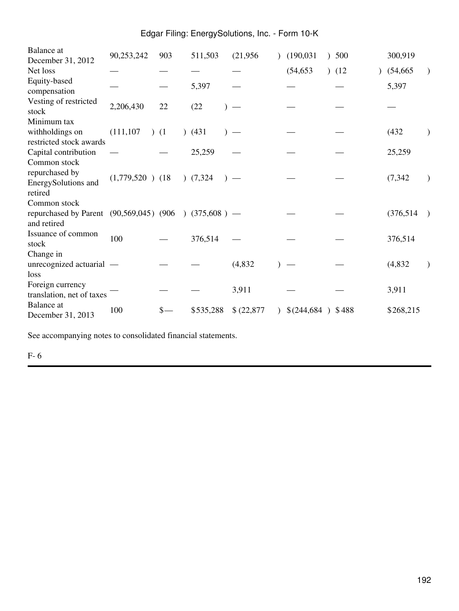| Balance at<br>December 31, 2012                        | 90,253,242         | 903 | 511,503       | (21,956)    | (190, 031)               | 0.500 | 300,919    |  |
|--------------------------------------------------------|--------------------|-----|---------------|-------------|--------------------------|-------|------------|--|
| Net loss                                               |                    |     |               |             | (54, 653)                | (12)  | (54, 665)  |  |
| Equity-based<br>compensation                           |                    |     | 5,397         |             |                          |       | 5,397      |  |
| Vesting of restricted<br>stock                         | 2,206,430          | 22  | (22)          |             |                          |       |            |  |
| Minimum tax                                            |                    |     |               |             |                          |       |            |  |
| withholdings on<br>restricted stock awards             | (111, 107)         | (1) | (431)         |             |                          |       | (432)      |  |
| Capital contribution                                   |                    |     | 25,259        |             |                          |       | 25,259     |  |
| Common stock                                           |                    |     |               |             |                          |       |            |  |
| repurchased by                                         | $(1,779,520)$ (18) |     | (7,324)       |             |                          |       | (7, 342)   |  |
| EnergySolutions and<br>retired                         |                    |     |               |             |                          |       |            |  |
| Common stock                                           |                    |     |               |             |                          |       |            |  |
| repurchased by Parent (90,569,045) (906<br>and retired |                    |     | $(375,608)$ — |             |                          |       | (376, 514) |  |
| Issuance of common<br>stock                            | 100                |     | 376,514       |             |                          |       | 376,514    |  |
| Change in                                              |                    |     |               |             |                          |       |            |  |
| unrecognized actuarial -                               |                    |     |               | (4,832)     |                          |       | (4,832)    |  |
| loss                                                   |                    |     |               |             |                          |       |            |  |
| Foreign currency<br>translation, net of taxes          |                    |     |               | 3,911       |                          |       | 3,911      |  |
| <b>Balance</b> at<br>December 31, 2013                 | 100                |     | \$535,288     | \$ (22,877) | \$(244,684)<br>$\lambda$ | \$488 | \$268,215  |  |
|                                                        |                    |     |               |             |                          |       |            |  |

See accompanying notes to consolidated financial statements.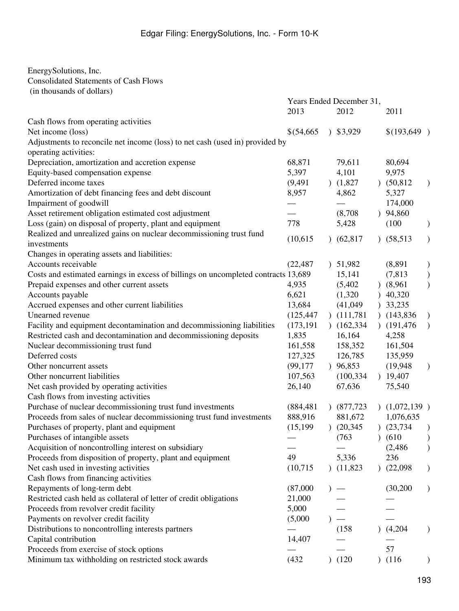#### EnergySolutions, Inc. Consolidated Statements of Cash Flows (in thousands of dollars)

|                                                                                    | Years Ended December 31, |  |              |               |             |               |
|------------------------------------------------------------------------------------|--------------------------|--|--------------|---------------|-------------|---------------|
|                                                                                    | 2013                     |  | 2012         |               | 2011        |               |
| Cash flows from operating activities                                               |                          |  |              |               |             |               |
| Net income (loss)                                                                  | \$ (54,665)              |  | 3,929        |               | \$(193,649) |               |
| Adjustments to reconcile net income (loss) to net cash (used in) provided by       |                          |  |              |               |             |               |
| operating activities:                                                              |                          |  |              |               |             |               |
| Depreciation, amortization and accretion expense                                   | 68,871                   |  | 79,611       |               | 80,694      |               |
| Equity-based compensation expense                                                  | 5,397                    |  | 4,101        |               | 9,975       |               |
| Deferred income taxes                                                              | (9, 491)                 |  | (1,827)      |               | (50, 812)   | $\lambda$     |
| Amortization of debt financing fees and debt discount                              | 8,957                    |  | 4,862        |               | 5,327       |               |
| Impairment of goodwill                                                             |                          |  |              |               | 174,000     |               |
| Asset retirement obligation estimated cost adjustment                              |                          |  | (8,708)      |               | 94,860      |               |
| Loss (gain) on disposal of property, plant and equipment                           | 778                      |  | 5,428        |               | (100)       | $\mathcal{E}$ |
| Realized and unrealized gains on nuclear decommissioning trust fund                | (10,615)                 |  | (62, 817)    |               | (58,513)    |               |
| investments                                                                        |                          |  |              |               |             | $\mathcal{E}$ |
| Changes in operating assets and liabilities:                                       |                          |  |              |               |             |               |
| Accounts receivable                                                                | (22, 487)                |  | ) 51,982     |               | (8,891)     | $\mathcal{Y}$ |
| Costs and estimated earnings in excess of billings on uncompleted contracts 13,689 |                          |  | 15,141       |               | (7,813)     | $\mathcal{E}$ |
| Prepaid expenses and other current assets                                          | 4,935                    |  | (5,402)      |               | (8,961)     | $\mathcal{E}$ |
| Accounts payable                                                                   | 6,621                    |  | (1,320)      |               | ) 40,320    |               |
| Accrued expenses and other current liabilities                                     | 13,684                   |  | (41,049)     |               | 33,235      |               |
| Unearned revenue                                                                   | (125, 447)               |  | (111,781)    |               | (143, 836)  | $\mathcal{E}$ |
| Facility and equipment decontamination and decommissioning liabilities             | (173, 191)               |  | (162, 334)   |               | (191, 476)  | $\mathcal{E}$ |
| Restricted cash and decontamination and decommissioning deposits                   | 1,835                    |  | 16,164       |               | 4,258       |               |
| Nuclear decommissioning trust fund                                                 | 161,558                  |  | 158,352      |               | 161,504     |               |
| Deferred costs                                                                     | 127,325                  |  | 126,785      |               | 135,959     |               |
| Other noncurrent assets                                                            | (99, 177)                |  | 96,853       |               | (19,948)    | $\mathcal{Y}$ |
| Other noncurrent liabilities                                                       | 107,563                  |  | (100, 334)   |               | 19,407      |               |
| Net cash provided by operating activities                                          | 26,140                   |  | 67,636       |               | 75,540      |               |
| Cash flows from investing activities                                               |                          |  |              |               |             |               |
| Purchase of nuclear decommissioning trust fund investments                         | (884, 481)               |  | (877, 723)   |               | (1,072,139) |               |
| Proceeds from sales of nuclear decommissioning trust fund investments              | 888,916                  |  | 881,672      |               | 1,076,635   |               |
| Purchases of property, plant and equipment                                         | (15, 199)                |  | $)$ (20,345) |               | (23, 734)   |               |
| Purchases of intangible assets                                                     |                          |  | (763)        |               | $)$ (610)   | $\mathcal{E}$ |
| Acquisition of noncontrolling interest on subsidiary                               |                          |  |              |               | (2, 486)    | $\lambda$     |
| Proceeds from disposition of property, plant and equipment                         | 49                       |  | 5,336        |               | 236         |               |
| Net cash used in investing activities                                              | (10,715)                 |  | (11,823)     | $\mathcal{L}$ | (22,098)    | $\lambda$     |
| Cash flows from financing activities                                               |                          |  |              |               |             |               |
| Repayments of long-term debt                                                       | (87,000)                 |  |              |               | (30,200)    | $\mathcal{L}$ |
| Restricted cash held as collateral of letter of credit obligations                 | 21,000                   |  |              |               |             |               |
| Proceeds from revolver credit facility                                             | 5,000                    |  |              |               |             |               |
| Payments on revolver credit facility                                               | (5,000)                  |  |              |               |             |               |
| Distributions to noncontrolling interests partners                                 |                          |  | (158)        |               | (4,204)     |               |
| Capital contribution                                                               | 14,407                   |  |              |               |             |               |
| Proceeds from exercise of stock options                                            |                          |  |              |               | 57          |               |
| Minimum tax withholding on restricted stock awards                                 | (432)                    |  | (120)        | $\mathcal{L}$ | (116)       |               |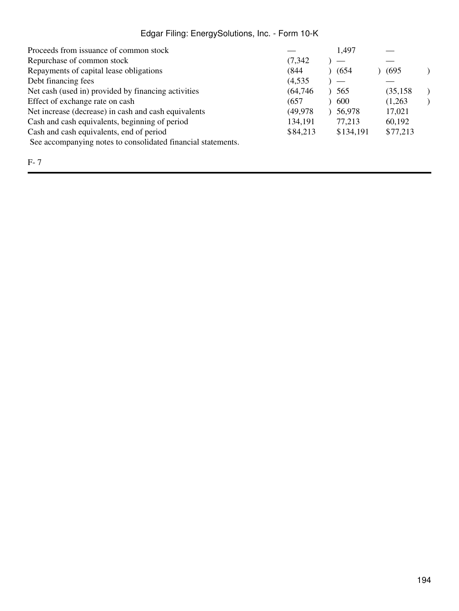| Proceeds from issuance of common stock                       |           | 1,497     |           |  |
|--------------------------------------------------------------|-----------|-----------|-----------|--|
| Repurchase of common stock                                   | (7,342)   |           |           |  |
| Repayments of capital lease obligations                      | (844)     | (654)     | (695)     |  |
| Debt financing fees                                          | (4,535)   |           |           |  |
| Net cash (used in) provided by financing activities          | (64, 746) | - 565     | (35, 158) |  |
| Effect of exchange rate on cash                              | (657)     | 600       | (1,263)   |  |
| Net increase (decrease) in cash and cash equivalents         | (49, 978) | 56,978    | 17,021    |  |
| Cash and cash equivalents, beginning of period               | 134,191   | 77,213    | 60,192    |  |
| Cash and cash equivalents, end of period                     | \$84,213  | \$134,191 | \$77,213  |  |
| See accompanying notes to consolidated financial statements. |           |           |           |  |
|                                                              |           |           |           |  |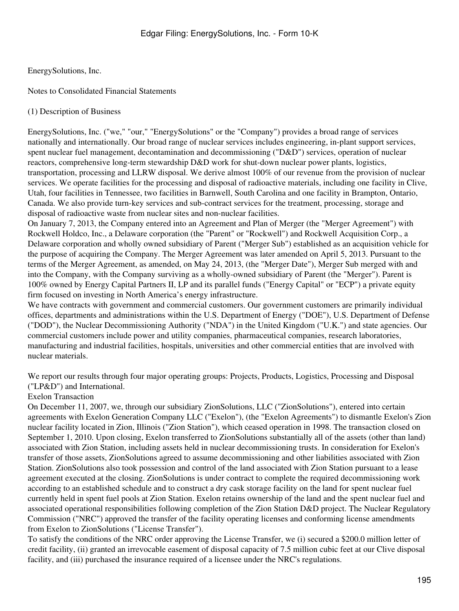EnergySolutions, Inc.

Notes to Consolidated Financial Statements

#### (1) Description of Business

EnergySolutions, Inc. ("we," "our," "EnergySolutions" or the "Company") provides a broad range of services nationally and internationally. Our broad range of nuclear services includes engineering, in-plant support services, spent nuclear fuel management, decontamination and decommissioning ("D&D") services, operation of nuclear reactors, comprehensive long-term stewardship D&D work for shut-down nuclear power plants, logistics, transportation, processing and LLRW disposal. We derive almost 100% of our revenue from the provision of nuclear services. We operate facilities for the processing and disposal of radioactive materials, including one facility in Clive, Utah, four facilities in Tennessee, two facilities in Barnwell, South Carolina and one facility in Brampton, Ontario, Canada. We also provide turn-key services and sub-contract services for the treatment, processing, storage and disposal of radioactive waste from nuclear sites and non-nuclear facilities.

On January 7, 2013, the Company entered into an Agreement and Plan of Merger (the "Merger Agreement") with Rockwell Holdco, Inc., a Delaware corporation (the "Parent" or "Rockwell") and Rockwell Acquisition Corp., a Delaware corporation and wholly owned subsidiary of Parent ("Merger Sub") established as an acquisition vehicle for the purpose of acquiring the Company. The Merger Agreement was later amended on April 5, 2013. Pursuant to the terms of the Merger Agreement, as amended, on May 24, 2013, (the "Merger Date"), Merger Sub merged with and into the Company, with the Company surviving as a wholly-owned subsidiary of Parent (the "Merger"). Parent is 100% owned by Energy Capital Partners II, LP and its parallel funds ("Energy Capital" or "ECP") a private equity firm focused on investing in North America's energy infrastructure.

We have contracts with government and commercial customers. Our government customers are primarily individual offices, departments and administrations within the U.S. Department of Energy ("DOE"), U.S. Department of Defense ("DOD"), the Nuclear Decommissioning Authority ("NDA") in the United Kingdom ("U.K.") and state agencies. Our commercial customers include power and utility companies, pharmaceutical companies, research laboratories, manufacturing and industrial facilities, hospitals, universities and other commercial entities that are involved with nuclear materials.

We report our results through four major operating groups: Projects, Products, Logistics, Processing and Disposal ("LP&D") and International.

#### Exelon Transaction

On December 11, 2007, we, through our subsidiary ZionSolutions, LLC ("ZionSolutions"), entered into certain agreements with Exelon Generation Company LLC ("Exelon"), (the "Exelon Agreements") to dismantle Exelon's Zion nuclear facility located in Zion, Illinois ("Zion Station"), which ceased operation in 1998. The transaction closed on September 1, 2010. Upon closing, Exelon transferred to ZionSolutions substantially all of the assets (other than land) associated with Zion Station, including assets held in nuclear decommissioning trusts. In consideration for Exelon's transfer of those assets, ZionSolutions agreed to assume decommissioning and other liabilities associated with Zion Station. ZionSolutions also took possession and control of the land associated with Zion Station pursuant to a lease agreement executed at the closing. ZionSolutions is under contract to complete the required decommissioning work according to an established schedule and to construct a dry cask storage facility on the land for spent nuclear fuel currently held in spent fuel pools at Zion Station. Exelon retains ownership of the land and the spent nuclear fuel and associated operational responsibilities following completion of the Zion Station D&D project. The Nuclear Regulatory Commission ("NRC") approved the transfer of the facility operating licenses and conforming license amendments from Exelon to ZionSolutions ("License Transfer").

To satisfy the conditions of the NRC order approving the License Transfer, we (i) secured a \$200.0 million letter of credit facility, (ii) granted an irrevocable easement of disposal capacity of 7.5 million cubic feet at our Clive disposal facility, and (iii) purchased the insurance required of a licensee under the NRC's regulations.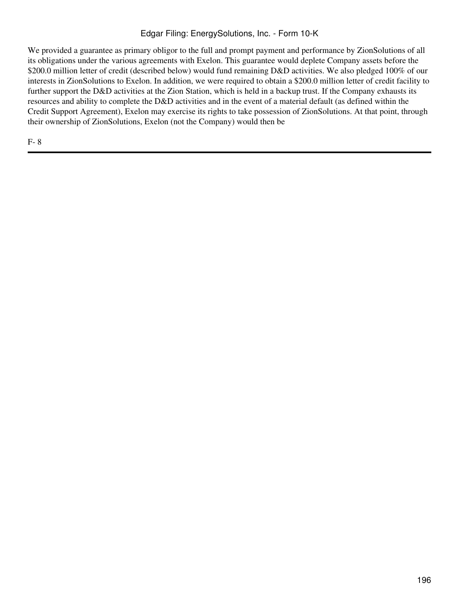We provided a guarantee as primary obligor to the full and prompt payment and performance by ZionSolutions of all its obligations under the various agreements with Exelon. This guarantee would deplete Company assets before the \$200.0 million letter of credit (described below) would fund remaining D&D activities. We also pledged 100% of our interests in ZionSolutions to Exelon. In addition, we were required to obtain a \$200.0 million letter of credit facility to further support the D&D activities at the Zion Station, which is held in a backup trust. If the Company exhausts its resources and ability to complete the D&D activities and in the event of a material default (as defined within the Credit Support Agreement), Exelon may exercise its rights to take possession of ZionSolutions. At that point, through their ownership of ZionSolutions, Exelon (not the Company) would then be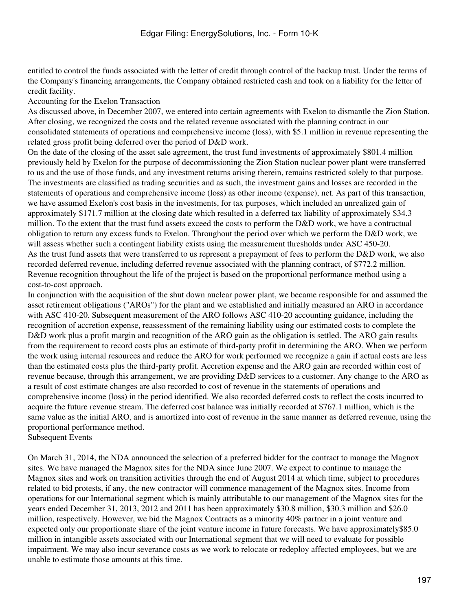entitled to control the funds associated with the letter of credit through control of the backup trust. Under the terms of the Company's financing arrangements, the Company obtained restricted cash and took on a liability for the letter of credit facility.

Accounting for the Exelon Transaction

As discussed above, in December 2007, we entered into certain agreements with Exelon to dismantle the Zion Station. After closing, we recognized the costs and the related revenue associated with the planning contract in our consolidated statements of operations and comprehensive income (loss), with \$5.1 million in revenue representing the related gross profit being deferred over the period of D&D work.

On the date of the closing of the asset sale agreement, the trust fund investments of approximately \$801.4 million previously held by Exelon for the purpose of decommissioning the Zion Station nuclear power plant were transferred to us and the use of those funds, and any investment returns arising therein, remains restricted solely to that purpose. The investments are classified as trading securities and as such, the investment gains and losses are recorded in the statements of operations and comprehensive income (loss) as other income (expense), net. As part of this transaction, we have assumed Exelon's cost basis in the investments, for tax purposes, which included an unrealized gain of approximately \$171.7 million at the closing date which resulted in a deferred tax liability of approximately \$34.3 million. To the extent that the trust fund assets exceed the costs to perform the D&D work, we have a contractual obligation to return any excess funds to Exelon. Throughout the period over which we perform the D&D work, we will assess whether such a contingent liability exists using the measurement thresholds under ASC 450-20. As the trust fund assets that were transferred to us represent a prepayment of fees to perform the D&D work, we also recorded deferred revenue, including deferred revenue associated with the planning contract, of \$772.2 million. Revenue recognition throughout the life of the project is based on the proportional performance method using a cost-to-cost approach.

In conjunction with the acquisition of the shut down nuclear power plant, we became responsible for and assumed the asset retirement obligations ("AROs") for the plant and we established and initially measured an ARO in accordance with ASC 410-20. Subsequent measurement of the ARO follows ASC 410-20 accounting guidance, including the recognition of accretion expense, reassessment of the remaining liability using our estimated costs to complete the D&D work plus a profit margin and recognition of the ARO gain as the obligation is settled. The ARO gain results from the requirement to record costs plus an estimate of third-party profit in determining the ARO. When we perform the work using internal resources and reduce the ARO for work performed we recognize a gain if actual costs are less than the estimated costs plus the third-party profit. Accretion expense and the ARO gain are recorded within cost of revenue because, through this arrangement, we are providing D&D services to a customer. Any change to the ARO as a result of cost estimate changes are also recorded to cost of revenue in the statements of operations and comprehensive income (loss) in the period identified. We also recorded deferred costs to reflect the costs incurred to acquire the future revenue stream. The deferred cost balance was initially recorded at \$767.1 million, which is the same value as the initial ARO, and is amortized into cost of revenue in the same manner as deferred revenue, using the proportional performance method.

Subsequent Events

On March 31, 2014, the NDA announced the selection of a preferred bidder for the contract to manage the Magnox sites. We have managed the Magnox sites for the NDA since June 2007. We expect to continue to manage the Magnox sites and work on transition activities through the end of August 2014 at which time, subject to procedures related to bid protests, if any, the new contractor will commence management of the Magnox sites. Income from operations for our International segment which is mainly attributable to our management of the Magnox sites for the years ended December 31, 2013, 2012 and 2011 has been approximately \$30.8 million, \$30.3 million and \$26.0 million, respectively. However, we bid the Magnox Contracts as a minority 40% partner in a joint venture and expected only our proportionate share of the joint venture income in future forecasts. We have approximately\$85.0 million in intangible assets associated with our International segment that we will need to evaluate for possible impairment. We may also incur severance costs as we work to relocate or redeploy affected employees, but we are unable to estimate those amounts at this time.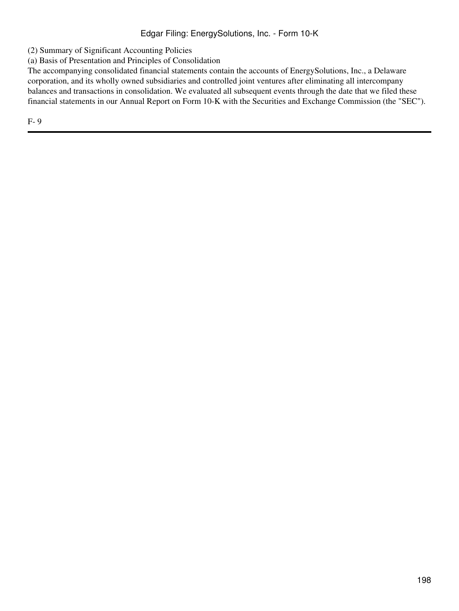(2) Summary of Significant Accounting Policies

(a) Basis of Presentation and Principles of Consolidation

The accompanying consolidated financial statements contain the accounts of EnergySolutions, Inc., a Delaware corporation, and its wholly owned subsidiaries and controlled joint ventures after eliminating all intercompany balances and transactions in consolidation. We evaluated all subsequent events through the date that we filed these financial statements in our Annual Report on Form 10-K with the Securities and Exchange Commission (the "SEC").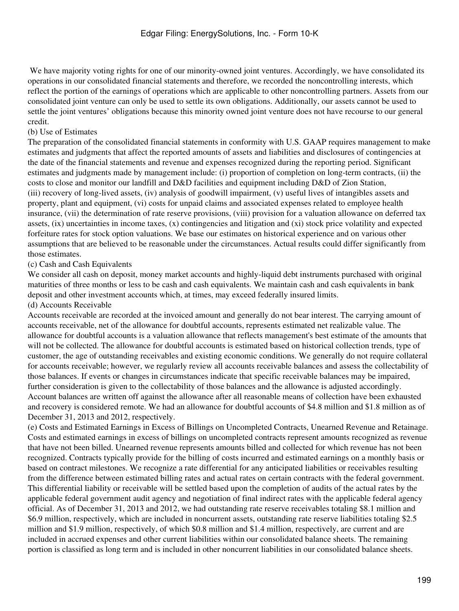We have majority voting rights for one of our minority-owned joint ventures. Accordingly, we have consolidated its operations in our consolidated financial statements and therefore, we recorded the noncontrolling interests, which reflect the portion of the earnings of operations which are applicable to other noncontrolling partners. Assets from our consolidated joint venture can only be used to settle its own obligations. Additionally, our assets cannot be used to settle the joint ventures' obligations because this minority owned joint venture does not have recourse to our general credit.

#### (b) Use of Estimates

The preparation of the consolidated financial statements in conformity with U.S. GAAP requires management to make estimates and judgments that affect the reported amounts of assets and liabilities and disclosures of contingencies at the date of the financial statements and revenue and expenses recognized during the reporting period. Significant estimates and judgments made by management include: (i) proportion of completion on long-term contracts, (ii) the costs to close and monitor our landfill and D&D facilities and equipment including D&D of Zion Station, (iii) recovery of long-lived assets, (iv) analysis of goodwill impairment, (v) useful lives of intangibles assets and property, plant and equipment, (vi) costs for unpaid claims and associated expenses related to employee health insurance, (vii) the determination of rate reserve provisions, (viii) provision for a valuation allowance on deferred tax assets, (ix) uncertainties in income taxes, (x) contingencies and litigation and (xi) stock price volatility and expected forfeiture rates for stock option valuations. We base our estimates on historical experience and on various other assumptions that are believed to be reasonable under the circumstances. Actual results could differ significantly from those estimates.

#### (c) Cash and Cash Equivalents

We consider all cash on deposit, money market accounts and highly-liquid debt instruments purchased with original maturities of three months or less to be cash and cash equivalents. We maintain cash and cash equivalents in bank deposit and other investment accounts which, at times, may exceed federally insured limits.

#### (d) Accounts Receivable

Accounts receivable are recorded at the invoiced amount and generally do not bear interest. The carrying amount of accounts receivable, net of the allowance for doubtful accounts, represents estimated net realizable value. The allowance for doubtful accounts is a valuation allowance that reflects management's best estimate of the amounts that will not be collected. The allowance for doubtful accounts is estimated based on historical collection trends, type of customer, the age of outstanding receivables and existing economic conditions. We generally do not require collateral for accounts receivable; however, we regularly review all accounts receivable balances and assess the collectability of those balances. If events or changes in circumstances indicate that specific receivable balances may be impaired, further consideration is given to the collectability of those balances and the allowance is adjusted accordingly. Account balances are written off against the allowance after all reasonable means of collection have been exhausted and recovery is considered remote. We had an allowance for doubtful accounts of \$4.8 million and \$1.8 million as of December 31, 2013 and 2012, respectively.

(e) Costs and Estimated Earnings in Excess of Billings on Uncompleted Contracts, Unearned Revenue and Retainage. Costs and estimated earnings in excess of billings on uncompleted contracts represent amounts recognized as revenue that have not been billed. Unearned revenue represents amounts billed and collected for which revenue has not been recognized. Contracts typically provide for the billing of costs incurred and estimated earnings on a monthly basis or based on contract milestones. We recognize a rate differential for any anticipated liabilities or receivables resulting from the difference between estimated billing rates and actual rates on certain contracts with the federal government. This differential liability or receivable will be settled based upon the completion of audits of the actual rates by the applicable federal government audit agency and negotiation of final indirect rates with the applicable federal agency official. As of December 31, 2013 and 2012, we had outstanding rate reserve receivables totaling \$8.1 million and \$6.9 million, respectively, which are included in noncurrent assets, outstanding rate reserve liabilities totaling \$2.5 million and \$1.9 million, respectively, of which \$0.8 million and \$1.4 million, respectively, are current and are included in accrued expenses and other current liabilities within our consolidated balance sheets. The remaining portion is classified as long term and is included in other noncurrent liabilities in our consolidated balance sheets.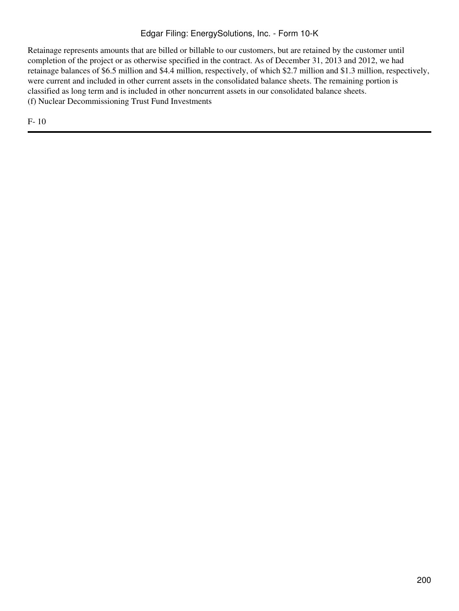Retainage represents amounts that are billed or billable to our customers, but are retained by the customer until completion of the project or as otherwise specified in the contract. As of December 31, 2013 and 2012, we had retainage balances of \$6.5 million and \$4.4 million, respectively, of which \$2.7 million and \$1.3 million, respectively, were current and included in other current assets in the consolidated balance sheets. The remaining portion is classified as long term and is included in other noncurrent assets in our consolidated balance sheets. (f) Nuclear Decommissioning Trust Fund Investments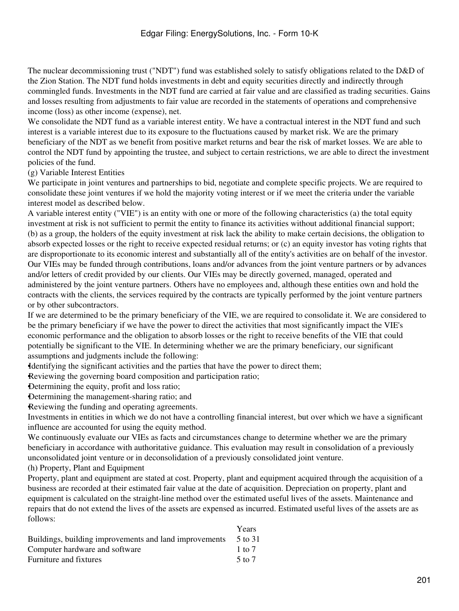The nuclear decommissioning trust ("NDT") fund was established solely to satisfy obligations related to the D&D of the Zion Station. The NDT fund holds investments in debt and equity securities directly and indirectly through commingled funds. Investments in the NDT fund are carried at fair value and are classified as trading securities. Gains and losses resulting from adjustments to fair value are recorded in the statements of operations and comprehensive income (loss) as other income (expense), net.

We consolidate the NDT fund as a variable interest entity. We have a contractual interest in the NDT fund and such interest is a variable interest due to its exposure to the fluctuations caused by market risk. We are the primary beneficiary of the NDT as we benefit from positive market returns and bear the risk of market losses. We are able to control the NDT fund by appointing the trustee, and subject to certain restrictions, we are able to direct the investment policies of the fund.

(g) Variable Interest Entities

We participate in joint ventures and partnerships to bid, negotiate and complete specific projects. We are required to consolidate these joint ventures if we hold the majority voting interest or if we meet the criteria under the variable interest model as described below.

A variable interest entity ("VIE") is an entity with one or more of the following characteristics (a) the total equity investment at risk is not sufficient to permit the entity to finance its activities without additional financial support; (b) as a group, the holders of the equity investment at risk lack the ability to make certain decisions, the obligation to absorb expected losses or the right to receive expected residual returns; or (c) an equity investor has voting rights that are disproportionate to its economic interest and substantially all of the entity's activities are on behalf of the investor. Our VIEs may be funded through contributions, loans and/or advances from the joint venture partners or by advances and/or letters of credit provided by our clients. Our VIEs may be directly governed, managed, operated and administered by the joint venture partners. Others have no employees and, although these entities own and hold the contracts with the clients, the services required by the contracts are typically performed by the joint venture partners or by other subcontractors.

If we are determined to be the primary beneficiary of the VIE, we are required to consolidate it. We are considered to be the primary beneficiary if we have the power to direct the activities that most significantly impact the VIE's economic performance and the obligation to absorb losses or the right to receive benefits of the VIE that could potentially be significant to the VIE. In determining whether we are the primary beneficiary, our significant assumptions and judgments include the following:

•Identifying the significant activities and the parties that have the power to direct them;

Reviewing the governing board composition and participation ratio;

•Determining the equity, profit and loss ratio;

•Determining the management-sharing ratio; and

Reviewing the funding and operating agreements.

Investments in entities in which we do not have a controlling financial interest, but over which we have a significant influence are accounted for using the equity method.

We continuously evaluate our VIEs as facts and circumstances change to determine whether we are the primary beneficiary in accordance with authoritative guidance. This evaluation may result in consolidation of a previously unconsolidated joint venture or in deconsolidation of a previously consolidated joint venture.

(h) Property, Plant and Equipment

Property, plant and equipment are stated at cost. Property, plant and equipment acquired through the acquisition of a business are recorded at their estimated fair value at the date of acquisition. Depreciation on property, plant and equipment is calculated on the straight-line method over the estimated useful lives of the assets. Maintenance and repairs that do not extend the lives of the assets are expensed as incurred. Estimated useful lives of the assets are as follows:

|                                                        | Years      |
|--------------------------------------------------------|------------|
| Buildings, building improvements and land improvements | 5 to 31    |
| Computer hardware and software                         | 1 to $7$   |
| Furniture and fixtures                                 | $5$ to $7$ |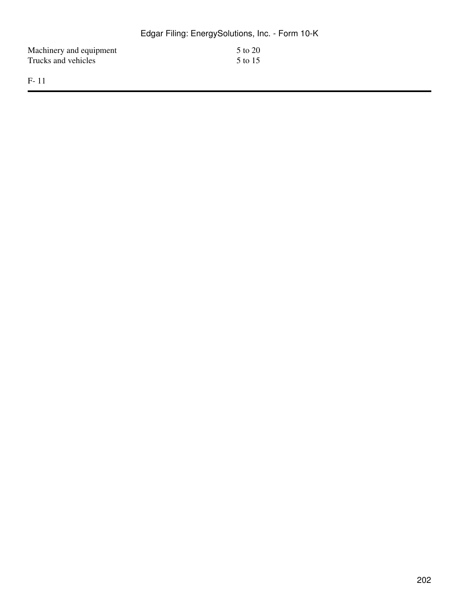| Machinery and equipment | 5 to 20 |  |
|-------------------------|---------|--|
| Trucks and vehicles     | 5 to 15 |  |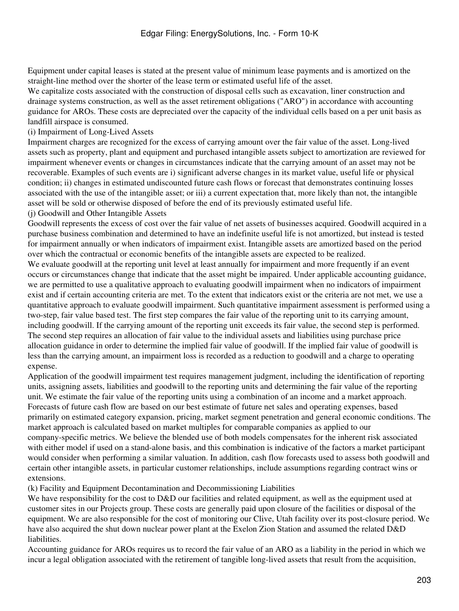Equipment under capital leases is stated at the present value of minimum lease payments and is amortized on the straight-line method over the shorter of the lease term or estimated useful life of the asset.

We capitalize costs associated with the construction of disposal cells such as excavation, liner construction and drainage systems construction, as well as the asset retirement obligations ("ARO") in accordance with accounting guidance for AROs. These costs are depreciated over the capacity of the individual cells based on a per unit basis as landfill airspace is consumed.

(i) Impairment of Long-Lived Assets

Impairment charges are recognized for the excess of carrying amount over the fair value of the asset. Long-lived assets such as property, plant and equipment and purchased intangible assets subject to amortization are reviewed for impairment whenever events or changes in circumstances indicate that the carrying amount of an asset may not be recoverable. Examples of such events are i) significant adverse changes in its market value, useful life or physical condition; ii) changes in estimated undiscounted future cash flows or forecast that demonstrates continuing losses associated with the use of the intangible asset; or iii) a current expectation that, more likely than not, the intangible asset will be sold or otherwise disposed of before the end of its previously estimated useful life.

(j) Goodwill and Other Intangible Assets

Goodwill represents the excess of cost over the fair value of net assets of businesses acquired. Goodwill acquired in a purchase business combination and determined to have an indefinite useful life is not amortized, but instead is tested for impairment annually or when indicators of impairment exist. Intangible assets are amortized based on the period over which the contractual or economic benefits of the intangible assets are expected to be realized.

We evaluate goodwill at the reporting unit level at least annually for impairment and more frequently if an event occurs or circumstances change that indicate that the asset might be impaired. Under applicable accounting guidance, we are permitted to use a qualitative approach to evaluating goodwill impairment when no indicators of impairment exist and if certain accounting criteria are met. To the extent that indicators exist or the criteria are not met, we use a quantitative approach to evaluate goodwill impairment. Such quantitative impairment assessment is performed using a two-step, fair value based test. The first step compares the fair value of the reporting unit to its carrying amount, including goodwill. If the carrying amount of the reporting unit exceeds its fair value, the second step is performed. The second step requires an allocation of fair value to the individual assets and liabilities using purchase price allocation guidance in order to determine the implied fair value of goodwill. If the implied fair value of goodwill is less than the carrying amount, an impairment loss is recorded as a reduction to goodwill and a charge to operating expense.

Application of the goodwill impairment test requires management judgment, including the identification of reporting units, assigning assets, liabilities and goodwill to the reporting units and determining the fair value of the reporting unit. We estimate the fair value of the reporting units using a combination of an income and a market approach. Forecasts of future cash flow are based on our best estimate of future net sales and operating expenses, based primarily on estimated category expansion, pricing, market segment penetration and general economic conditions. The market approach is calculated based on market multiples for comparable companies as applied to our company-specific metrics. We believe the blended use of both models compensates for the inherent risk associated with either model if used on a stand-alone basis, and this combination is indicative of the factors a market participant would consider when performing a similar valuation. In addition, cash flow forecasts used to assess both goodwill and certain other intangible assets, in particular customer relationships, include assumptions regarding contract wins or extensions.

(k) Facility and Equipment Decontamination and Decommissioning Liabilities

We have responsibility for the cost to D&D our facilities and related equipment, as well as the equipment used at customer sites in our Projects group. These costs are generally paid upon closure of the facilities or disposal of the equipment. We are also responsible for the cost of monitoring our Clive, Utah facility over its post-closure period. We have also acquired the shut down nuclear power plant at the Exelon Zion Station and assumed the related D&D liabilities.

Accounting guidance for AROs requires us to record the fair value of an ARO as a liability in the period in which we incur a legal obligation associated with the retirement of tangible long-lived assets that result from the acquisition,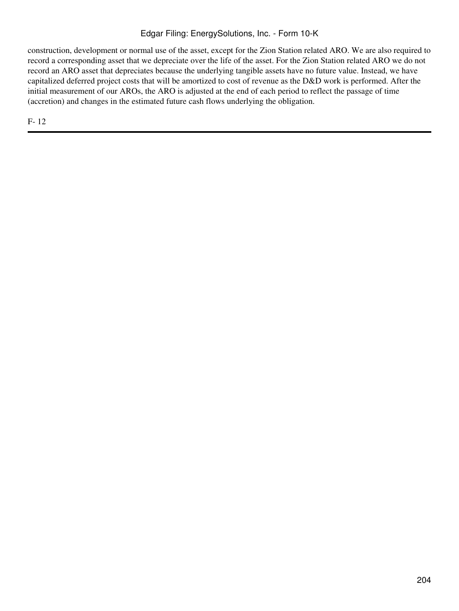construction, development or normal use of the asset, except for the Zion Station related ARO. We are also required to record a corresponding asset that we depreciate over the life of the asset. For the Zion Station related ARO we do not record an ARO asset that depreciates because the underlying tangible assets have no future value. Instead, we have capitalized deferred project costs that will be amortized to cost of revenue as the D&D work is performed. After the initial measurement of our AROs, the ARO is adjusted at the end of each period to reflect the passage of time (accretion) and changes in the estimated future cash flows underlying the obligation.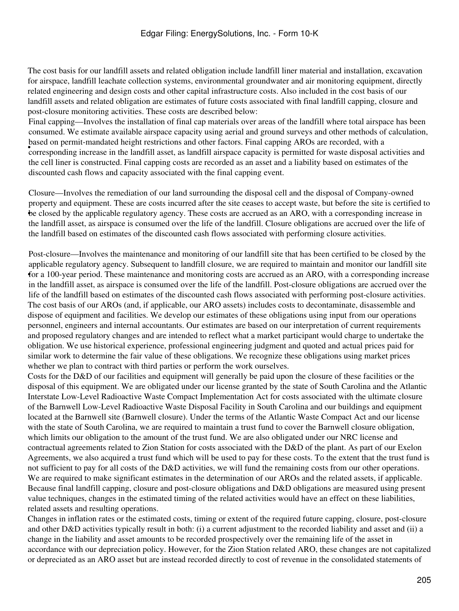The cost basis for our landfill assets and related obligation include landfill liner material and installation, excavation for airspace, landfill leachate collection systems, environmental groundwater and air monitoring equipment, directly related engineering and design costs and other capital infrastructure costs. Also included in the cost basis of our landfill assets and related obligation are estimates of future costs associated with final landfill capping, closure and post-closure monitoring activities. These costs are described below:

eased on permit mandated neight restrictions and other factors. I may capping *rives* are recorded, while a corresponding increase in the landfill asset, as landfill airspace capacity is permitted for waste disposal activi Final capping—Involves the installation of final cap materials over areas of the landfill where total airspace has been consumed. We estimate available airspace capacity using aerial and ground surveys and other methods of calculation, based on permit-mandated height restrictions and other factors. Final capping AROs are recorded, with a the cell liner is constructed. Final capping costs are recorded as an asset and a liability based on estimates of the discounted cash flows and capacity associated with the final capping event.

• be closed by the applicable regulatory agency. These costs are accrued as an ARO, with a corresponding increase in Closure—Involves the remediation of our land surrounding the disposal cell and the disposal of Company-owned property and equipment. These are costs incurred after the site ceases to accept waste, but before the site is certified to the landfill asset, as airspace is consumed over the life of the landfill. Closure obligations are accrued over the life of the landfill based on estimates of the discounted cash flows associated with performing closure activities.

• for a 100-year period. These maintenance and monitoring costs are accrued as an ARO, with a corresponding increase Post-closure—Involves the maintenance and monitoring of our landfill site that has been certified to be closed by the applicable regulatory agency. Subsequent to landfill closure, we are required to maintain and monitor our landfill site in the landfill asset, as airspace is consumed over the life of the landfill. Post-closure obligations are accrued over the life of the landfill based on estimates of the discounted cash flows associated with performing post-closure activities. The cost basis of our AROs (and, if applicable, our ARO assets) includes costs to decontaminate, disassemble and dispose of equipment and facilities. We develop our estimates of these obligations using input from our operations personnel, engineers and internal accountants. Our estimates are based on our interpretation of current requirements and proposed regulatory changes and are intended to reflect what a market participant would charge to undertake the obligation. We use historical experience, professional engineering judgment and quoted and actual prices paid for similar work to determine the fair value of these obligations. We recognize these obligations using market prices whether we plan to contract with third parties or perform the work ourselves.

Costs for the D&D of our facilities and equipment will generally be paid upon the closure of these facilities or the disposal of this equipment. We are obligated under our license granted by the state of South Carolina and the Atlantic Interstate Low-Level Radioactive Waste Compact Implementation Act for costs associated with the ultimate closure of the Barnwell Low-Level Radioactive Waste Disposal Facility in South Carolina and our buildings and equipment located at the Barnwell site (Barnwell closure). Under the terms of the Atlantic Waste Compact Act and our license with the state of South Carolina, we are required to maintain a trust fund to cover the Barnwell closure obligation, which limits our obligation to the amount of the trust fund. We are also obligated under our NRC license and contractual agreements related to Zion Station for costs associated with the D&D of the plant. As part of our Exelon Agreements, we also acquired a trust fund which will be used to pay for these costs. To the extent that the trust fund is not sufficient to pay for all costs of the D&D activities, we will fund the remaining costs from our other operations. We are required to make significant estimates in the determination of our AROs and the related assets, if applicable. Because final landfill capping, closure and post-closure obligations and D&D obligations are measured using present value techniques, changes in the estimated timing of the related activities would have an effect on these liabilities, related assets and resulting operations.

Changes in inflation rates or the estimated costs, timing or extent of the required future capping, closure, post-closure and other D&D activities typically result in both: (i) a current adjustment to the recorded liability and asset and (ii) a change in the liability and asset amounts to be recorded prospectively over the remaining life of the asset in accordance with our depreciation policy. However, for the Zion Station related ARO, these changes are not capitalized or depreciated as an ARO asset but are instead recorded directly to cost of revenue in the consolidated statements of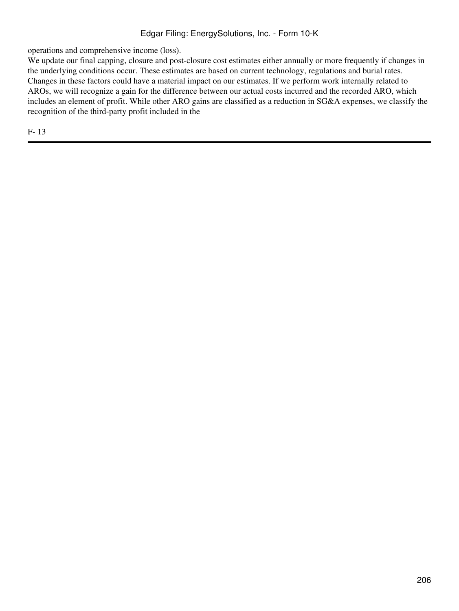operations and comprehensive income (loss).

We update our final capping, closure and post-closure cost estimates either annually or more frequently if changes in the underlying conditions occur. These estimates are based on current technology, regulations and burial rates. Changes in these factors could have a material impact on our estimates. If we perform work internally related to AROs, we will recognize a gain for the difference between our actual costs incurred and the recorded ARO, which includes an element of profit. While other ARO gains are classified as a reduction in SG&A expenses, we classify the recognition of the third-party profit included in the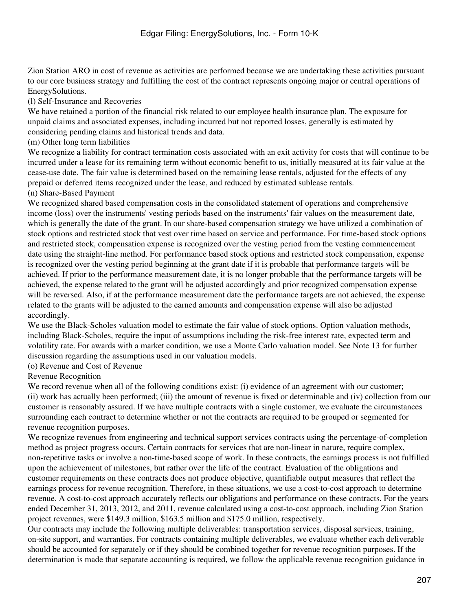Zion Station ARO in cost of revenue as activities are performed because we are undertaking these activities pursuant to our core business strategy and fulfilling the cost of the contract represents ongoing major or central operations of EnergySolutions.

(l) Self-Insurance and Recoveries

We have retained a portion of the financial risk related to our employee health insurance plan. The exposure for unpaid claims and associated expenses, including incurred but not reported losses, generally is estimated by considering pending claims and historical trends and data.

(m) Other long term liabilities

We recognize a liability for contract termination costs associated with an exit activity for costs that will continue to be incurred under a lease for its remaining term without economic benefit to us, initially measured at its fair value at the cease-use date. The fair value is determined based on the remaining lease rentals, adjusted for the effects of any prepaid or deferred items recognized under the lease, and reduced by estimated sublease rentals. (n) Share-Based Payment

We recognized shared based compensation costs in the consolidated statement of operations and comprehensive income (loss) over the instruments' vesting periods based on the instruments' fair values on the measurement date, which is generally the date of the grant. In our share-based compensation strategy we have utilized a combination of stock options and restricted stock that vest over time based on service and performance. For time-based stock options and restricted stock, compensation expense is recognized over the vesting period from the vesting commencement date using the straight-line method. For performance based stock options and restricted stock compensation, expense is recognized over the vesting period beginning at the grant date if it is probable that performance targets will be achieved. If prior to the performance measurement date, it is no longer probable that the performance targets will be achieved, the expense related to the grant will be adjusted accordingly and prior recognized compensation expense will be reversed. Also, if at the performance measurement date the performance targets are not achieved, the expense related to the grants will be adjusted to the earned amounts and compensation expense will also be adjusted accordingly.

We use the Black-Scholes valuation model to estimate the fair value of stock options. Option valuation methods, including Black-Scholes, require the input of assumptions including the risk-free interest rate, expected term and volatility rate. For awards with a market condition, we use a Monte Carlo valuation model. See Note 13 for further discussion regarding the assumptions used in our valuation models.

(o) Revenue and Cost of Revenue

Revenue Recognition

We record revenue when all of the following conditions exist: (i) evidence of an agreement with our customer; (ii) work has actually been performed; (iii) the amount of revenue is fixed or determinable and (iv) collection from our customer is reasonably assured. If we have multiple contracts with a single customer, we evaluate the circumstances surrounding each contract to determine whether or not the contracts are required to be grouped or segmented for revenue recognition purposes.

We recognize revenues from engineering and technical support services contracts using the percentage-of-completion method as project progress occurs. Certain contracts for services that are non-linear in nature, require complex, non-repetitive tasks or involve a non-time-based scope of work. In these contracts, the earnings process is not fulfilled upon the achievement of milestones, but rather over the life of the contract. Evaluation of the obligations and customer requirements on these contracts does not produce objective, quantifiable output measures that reflect the earnings process for revenue recognition. Therefore, in these situations, we use a cost-to-cost approach to determine revenue. A cost-to-cost approach accurately reflects our obligations and performance on these contracts. For the years ended December 31, 2013, 2012, and 2011, revenue calculated using a cost-to-cost approach, including Zion Station project revenues, were \$149.3 million, \$163.5 million and \$175.0 million, respectively.

Our contracts may include the following multiple deliverables: transportation services, disposal services, training, on-site support, and warranties. For contracts containing multiple deliverables, we evaluate whether each deliverable should be accounted for separately or if they should be combined together for revenue recognition purposes. If the determination is made that separate accounting is required, we follow the applicable revenue recognition guidance in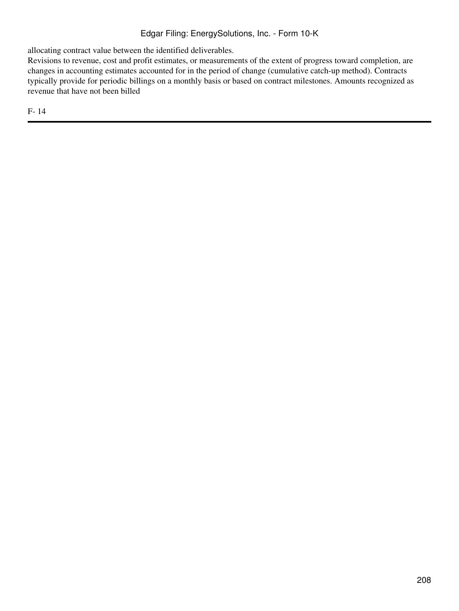allocating contract value between the identified deliverables.

Revisions to revenue, cost and profit estimates, or measurements of the extent of progress toward completion, are changes in accounting estimates accounted for in the period of change (cumulative catch-up method). Contracts typically provide for periodic billings on a monthly basis or based on contract milestones. Amounts recognized as revenue that have not been billed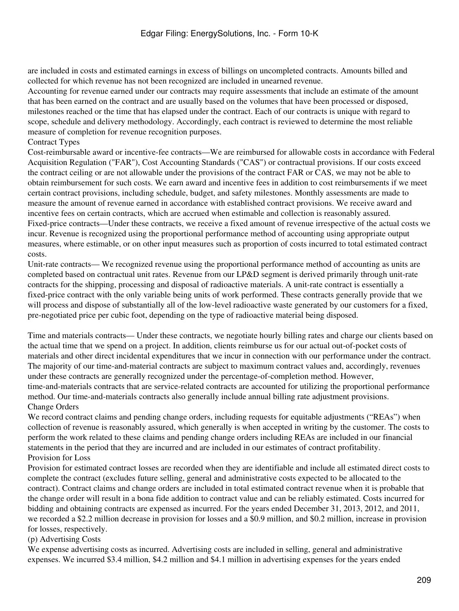are included in costs and estimated earnings in excess of billings on uncompleted contracts. Amounts billed and collected for which revenue has not been recognized are included in unearned revenue.

Accounting for revenue earned under our contracts may require assessments that include an estimate of the amount that has been earned on the contract and are usually based on the volumes that have been processed or disposed, milestones reached or the time that has elapsed under the contract. Each of our contracts is unique with regard to scope, schedule and delivery methodology. Accordingly, each contract is reviewed to determine the most reliable measure of completion for revenue recognition purposes.

#### Contract Types

Cost-reimbursable award or incentive-fee contracts—We are reimbursed for allowable costs in accordance with Federal Acquisition Regulation ("FAR"), Cost Accounting Standards ("CAS") or contractual provisions. If our costs exceed the contract ceiling or are not allowable under the provisions of the contract FAR or CAS, we may not be able to obtain reimbursement for such costs. We earn award and incentive fees in addition to cost reimbursements if we meet certain contract provisions, including schedule, budget, and safety milestones. Monthly assessments are made to measure the amount of revenue earned in accordance with established contract provisions. We receive award and incentive fees on certain contracts, which are accrued when estimable and collection is reasonably assured. Fixed-price contracts—Under these contracts, we receive a fixed amount of revenue irrespective of the actual costs we incur. Revenue is recognized using the proportional performance method of accounting using appropriate output measures, where estimable, or on other input measures such as proportion of costs incurred to total estimated contract costs.

Unit-rate contracts— We recognized revenue using the proportional performance method of accounting as units are completed based on contractual unit rates. Revenue from our LP&D segment is derived primarily through unit-rate contracts for the shipping, processing and disposal of radioactive materials. A unit-rate contract is essentially a fixed-price contract with the only variable being units of work performed. These contracts generally provide that we will process and dispose of substantially all of the low-level radioactive waste generated by our customers for a fixed, pre-negotiated price per cubic foot, depending on the type of radioactive material being disposed.

Time and materials contracts— Under these contracts, we negotiate hourly billing rates and charge our clients based on the actual time that we spend on a project. In addition, clients reimburse us for our actual out-of-pocket costs of materials and other direct incidental expenditures that we incur in connection with our performance under the contract. The majority of our time-and-material contracts are subject to maximum contract values and, accordingly, revenues under these contracts are generally recognized under the percentage-of-completion method. However, time-and-materials contracts that are service-related contracts are accounted for utilizing the proportional performance method. Our time-and-materials contracts also generally include annual billing rate adjustment provisions. Change Orders

We record contract claims and pending change orders, including requests for equitable adjustments ("REAs") when collection of revenue is reasonably assured, which generally is when accepted in writing by the customer. The costs to perform the work related to these claims and pending change orders including REAs are included in our financial statements in the period that they are incurred and are included in our estimates of contract profitability. Provision for Loss

Provision for estimated contract losses are recorded when they are identifiable and include all estimated direct costs to complete the contract (excludes future selling, general and administrative costs expected to be allocated to the contract). Contract claims and change orders are included in total estimated contract revenue when it is probable that the change order will result in a bona fide addition to contract value and can be reliably estimated. Costs incurred for bidding and obtaining contracts are expensed as incurred. For the years ended December 31, 2013, 2012, and 2011, we recorded a \$2.2 million decrease in provision for losses and a \$0.9 million, and \$0.2 million, increase in provision for losses, respectively.

#### (p) Advertising Costs

We expense advertising costs as incurred. Advertising costs are included in selling, general and administrative expenses. We incurred \$3.4 million, \$4.2 million and \$4.1 million in advertising expenses for the years ended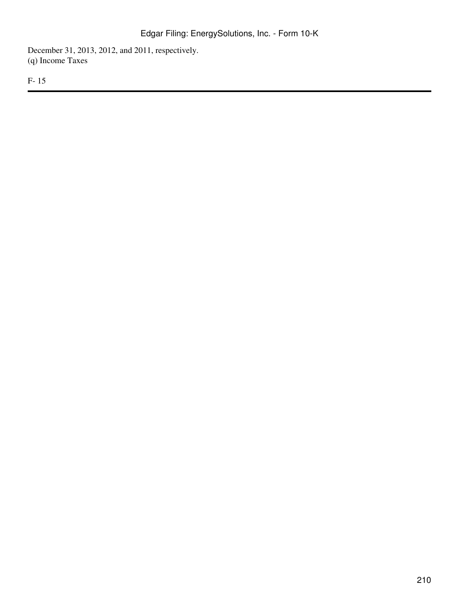December 31, 2013, 2012, and 2011, respectively. (q) Income Taxes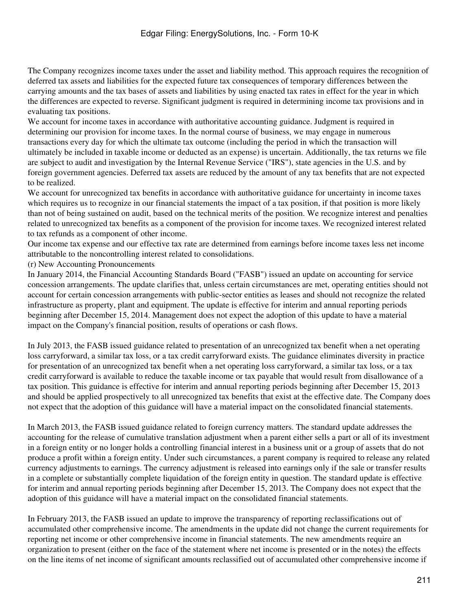The Company recognizes income taxes under the asset and liability method. This approach requires the recognition of deferred tax assets and liabilities for the expected future tax consequences of temporary differences between the carrying amounts and the tax bases of assets and liabilities by using enacted tax rates in effect for the year in which the differences are expected to reverse. Significant judgment is required in determining income tax provisions and in evaluating tax positions.

We account for income taxes in accordance with authoritative accounting guidance. Judgment is required in determining our provision for income taxes. In the normal course of business, we may engage in numerous transactions every day for which the ultimate tax outcome (including the period in which the transaction will ultimately be included in taxable income or deducted as an expense) is uncertain. Additionally, the tax returns we file are subject to audit and investigation by the Internal Revenue Service ("IRS"), state agencies in the U.S. and by foreign government agencies. Deferred tax assets are reduced by the amount of any tax benefits that are not expected to be realized.

We account for unrecognized tax benefits in accordance with authoritative guidance for uncertainty in income taxes which requires us to recognize in our financial statements the impact of a tax position, if that position is more likely than not of being sustained on audit, based on the technical merits of the position. We recognize interest and penalties related to unrecognized tax benefits as a component of the provision for income taxes. We recognized interest related to tax refunds as a component of other income.

Our income tax expense and our effective tax rate are determined from earnings before income taxes less net income attributable to the noncontrolling interest related to consolidations.

(r) New Accounting Pronouncements

In January 2014, the Financial Accounting Standards Board ("FASB") issued an update on accounting for service concession arrangements. The update clarifies that, unless certain circumstances are met, operating entities should not account for certain concession arrangements with public-sector entities as leases and should not recognize the related infrastructure as property, plant and equipment. The update is effective for interim and annual reporting periods beginning after December 15, 2014. Management does not expect the adoption of this update to have a material impact on the Company's financial position, results of operations or cash flows.

In July 2013, the FASB issued guidance related to presentation of an unrecognized tax benefit when a net operating loss carryforward, a similar tax loss, or a tax credit carryforward exists. The guidance eliminates diversity in practice for presentation of an unrecognized tax benefit when a net operating loss carryforward, a similar tax loss, or a tax credit carryforward is available to reduce the taxable income or tax payable that would result from disallowance of a tax position. This guidance is effective for interim and annual reporting periods beginning after December 15, 2013 and should be applied prospectively to all unrecognized tax benefits that exist at the effective date. The Company does not expect that the adoption of this guidance will have a material impact on the consolidated financial statements.

In March 2013, the FASB issued guidance related to foreign currency matters. The standard update addresses the accounting for the release of cumulative translation adjustment when a parent either sells a part or all of its investment in a foreign entity or no longer holds a controlling financial interest in a business unit or a group of assets that do not produce a profit within a foreign entity. Under such circumstances, a parent company is required to release any related currency adjustments to earnings. The currency adjustment is released into earnings only if the sale or transfer results in a complete or substantially complete liquidation of the foreign entity in question. The standard update is effective for interim and annual reporting periods beginning after December 15, 2013. The Company does not expect that the adoption of this guidance will have a material impact on the consolidated financial statements.

In February 2013, the FASB issued an update to improve the transparency of reporting reclassifications out of accumulated other comprehensive income. The amendments in the update did not change the current requirements for reporting net income or other comprehensive income in financial statements. The new amendments require an organization to present (either on the face of the statement where net income is presented or in the notes) the effects on the line items of net income of significant amounts reclassified out of accumulated other comprehensive income if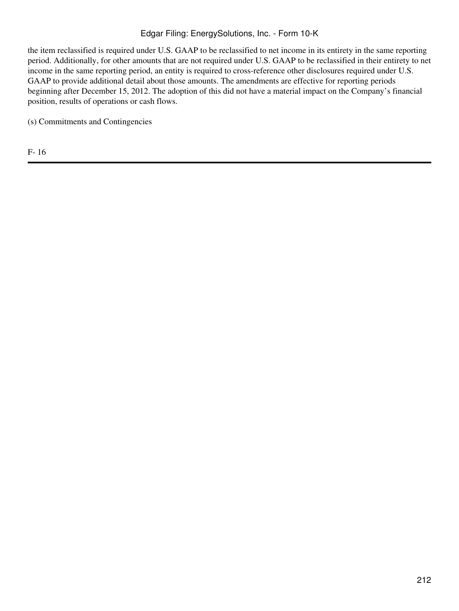the item reclassified is required under U.S. GAAP to be reclassified to net income in its entirety in the same reporting period. Additionally, for other amounts that are not required under U.S. GAAP to be reclassified in their entirety to net income in the same reporting period, an entity is required to cross-reference other disclosures required under U.S. GAAP to provide additional detail about those amounts. The amendments are effective for reporting periods beginning after December 15, 2012. The adoption of this did not have a material impact on the Company's financial position, results of operations or cash flows.

(s) Commitments and Contingencies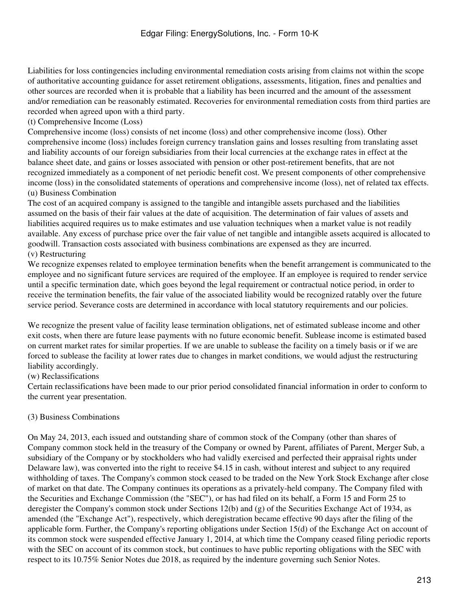Liabilities for loss contingencies including environmental remediation costs arising from claims not within the scope of authoritative accounting guidance for asset retirement obligations, assessments, litigation, fines and penalties and other sources are recorded when it is probable that a liability has been incurred and the amount of the assessment and/or remediation can be reasonably estimated. Recoveries for environmental remediation costs from third parties are recorded when agreed upon with a third party.

(t) Comprehensive Income (Loss)

Comprehensive income (loss) consists of net income (loss) and other comprehensive income (loss). Other comprehensive income (loss) includes foreign currency translation gains and losses resulting from translating asset and liability accounts of our foreign subsidiaries from their local currencies at the exchange rates in effect at the balance sheet date, and gains or losses associated with pension or other post-retirement benefits, that are not recognized immediately as a component of net periodic benefit cost. We present components of other comprehensive income (loss) in the consolidated statements of operations and comprehensive income (loss), net of related tax effects. (u) Business Combination

The cost of an acquired company is assigned to the tangible and intangible assets purchased and the liabilities assumed on the basis of their fair values at the date of acquisition. The determination of fair values of assets and liabilities acquired requires us to make estimates and use valuation techniques when a market value is not readily available. Any excess of purchase price over the fair value of net tangible and intangible assets acquired is allocated to goodwill. Transaction costs associated with business combinations are expensed as they are incurred. (v) Restructuring

We recognize expenses related to employee termination benefits when the benefit arrangement is communicated to the employee and no significant future services are required of the employee. If an employee is required to render service until a specific termination date, which goes beyond the legal requirement or contractual notice period, in order to receive the termination benefits, the fair value of the associated liability would be recognized ratably over the future service period. Severance costs are determined in accordance with local statutory requirements and our policies.

We recognize the present value of facility lease termination obligations, net of estimated sublease income and other exit costs, when there are future lease payments with no future economic benefit. Sublease income is estimated based on current market rates for similar properties. If we are unable to sublease the facility on a timely basis or if we are forced to sublease the facility at lower rates due to changes in market conditions, we would adjust the restructuring liability accordingly.

#### (w) Reclassifications

Certain reclassifications have been made to our prior period consolidated financial information in order to conform to the current year presentation.

#### (3) Business Combinations

On May 24, 2013, each issued and outstanding share of common stock of the Company (other than shares of Company common stock held in the treasury of the Company or owned by Parent, affiliates of Parent, Merger Sub, a subsidiary of the Company or by stockholders who had validly exercised and perfected their appraisal rights under Delaware law), was converted into the right to receive \$4.15 in cash, without interest and subject to any required withholding of taxes. The Company's common stock ceased to be traded on the New York Stock Exchange after close of market on that date. The Company continues its operations as a privately-held company. The Company filed with the Securities and Exchange Commission (the "SEC"), or has had filed on its behalf, a Form 15 and Form 25 to deregister the Company's common stock under Sections 12(b) and (g) of the Securities Exchange Act of 1934, as amended (the "Exchange Act"), respectively, which deregistration became effective 90 days after the filing of the applicable form. Further, the Company's reporting obligations under Section 15(d) of the Exchange Act on account of its common stock were suspended effective January 1, 2014, at which time the Company ceased filing periodic reports with the SEC on account of its common stock, but continues to have public reporting obligations with the SEC with respect to its 10.75% Senior Notes due 2018, as required by the indenture governing such Senior Notes.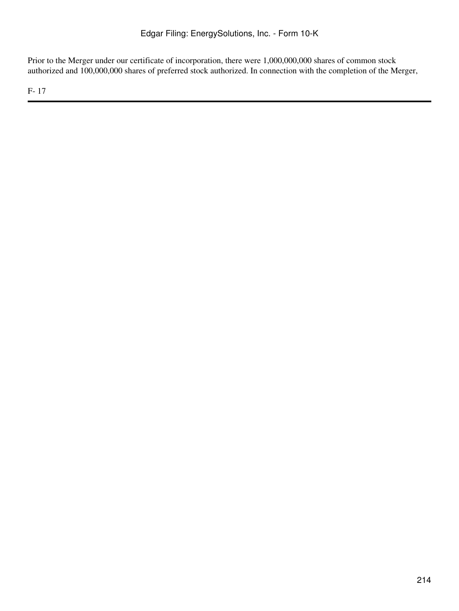Prior to the Merger under our certificate of incorporation, there were 1,000,000,000 shares of common stock authorized and 100,000,000 shares of preferred stock authorized. In connection with the completion of the Merger,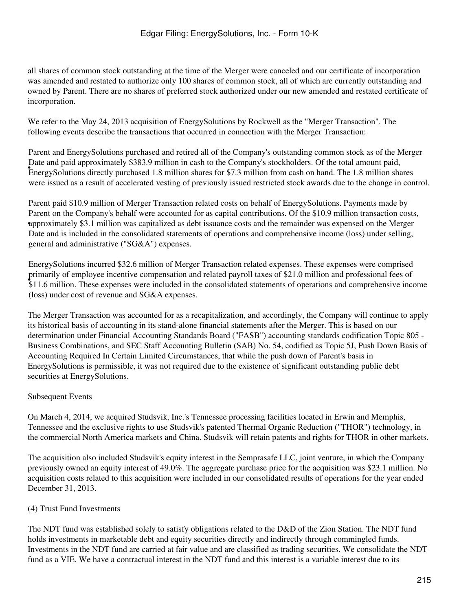all shares of common stock outstanding at the time of the Merger were canceled and our certificate of incorporation was amended and restated to authorize only 100 shares of common stock, all of which are currently outstanding and owned by Parent. There are no shares of preferred stock authorized under our new amended and restated certificate of incorporation.

We refer to the May 24, 2013 acquisition of EnergySolutions by Rockwell as the "Merger Transaction". The following events describe the transactions that occurred in connection with the Merger Transaction:

• EnergySolutions directly purchased 1.8 million shares for \$7.3 million from cash on hand. The 1.8 million shares Parent and EnergySolutions purchased and retired all of the Company's outstanding common stock as of the Merger Date and paid approximately \$383.9 million in cash to the Company's stockholders. Of the total amount paid, were issued as a result of accelerated vesting of previously issued restricted stock awards due to the change in control.

• approximately \$3.1 million was capitalized as debt issuance costs and the remainder was expensed on the Merger Parent paid \$10.9 million of Merger Transaction related costs on behalf of EnergySolutions. Payments made by Parent on the Company's behalf were accounted for as capital contributions. Of the \$10.9 million transaction costs, Date and is included in the consolidated statements of operations and comprehensive income (loss) under selling, general and administrative ("SG&A") expenses.

• \$11.6 million. These expenses were included in the consolidated statements of operations and comprehensive income EnergySolutions incurred \$32.6 million of Merger Transaction related expenses. These expenses were comprised primarily of employee incentive compensation and related payroll taxes of \$21.0 million and professional fees of (loss) under cost of revenue and SG&A expenses.

The Merger Transaction was accounted for as a recapitalization, and accordingly, the Company will continue to apply its historical basis of accounting in its stand-alone financial statements after the Merger. This is based on our determination under Financial Accounting Standards Board ("FASB") accounting standards codification Topic 805 - Business Combinations, and SEC Staff Accounting Bulletin (SAB) No. 54, codified as Topic 5J, Push Down Basis of Accounting Required In Certain Limited Circumstances, that while the push down of Parent's basis in EnergySolutions is permissible, it was not required due to the existence of significant outstanding public debt securities at EnergySolutions.

#### Subsequent Events

On March 4, 2014, we acquired Studsvik, Inc.'s Tennessee processing facilities located in Erwin and Memphis, Tennessee and the exclusive rights to use Studsvik's patented Thermal Organic Reduction ("THOR") technology, in the commercial North America markets and China. Studsvik will retain patents and rights for THOR in other markets.

The acquisition also included Studsvik's equity interest in the Semprasafe LLC, joint venture, in which the Company previously owned an equity interest of 49.0%. The aggregate purchase price for the acquisition was \$23.1 million. No acquisition costs related to this acquisition were included in our consolidated results of operations for the year ended December 31, 2013.

#### (4) Trust Fund Investments

The NDT fund was established solely to satisfy obligations related to the D&D of the Zion Station. The NDT fund holds investments in marketable debt and equity securities directly and indirectly through commingled funds. Investments in the NDT fund are carried at fair value and are classified as trading securities. We consolidate the NDT fund as a VIE. We have a contractual interest in the NDT fund and this interest is a variable interest due to its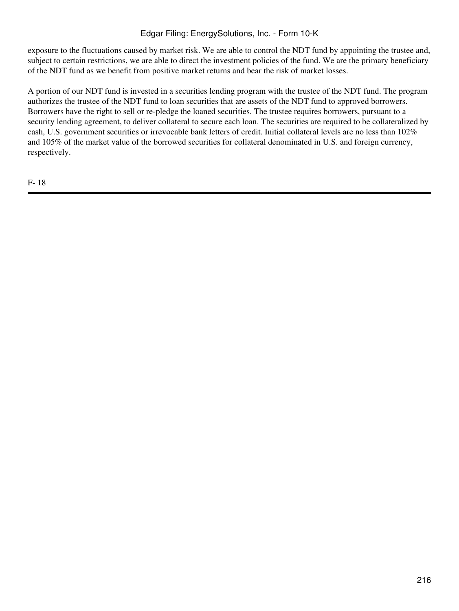exposure to the fluctuations caused by market risk. We are able to control the NDT fund by appointing the trustee and, subject to certain restrictions, we are able to direct the investment policies of the fund. We are the primary beneficiary of the NDT fund as we benefit from positive market returns and bear the risk of market losses.

A portion of our NDT fund is invested in a securities lending program with the trustee of the NDT fund. The program authorizes the trustee of the NDT fund to loan securities that are assets of the NDT fund to approved borrowers. Borrowers have the right to sell or re-pledge the loaned securities. The trustee requires borrowers, pursuant to a security lending agreement, to deliver collateral to secure each loan. The securities are required to be collateralized by cash, U.S. government securities or irrevocable bank letters of credit. Initial collateral levels are no less than 102% and 105% of the market value of the borrowed securities for collateral denominated in U.S. and foreign currency, respectively.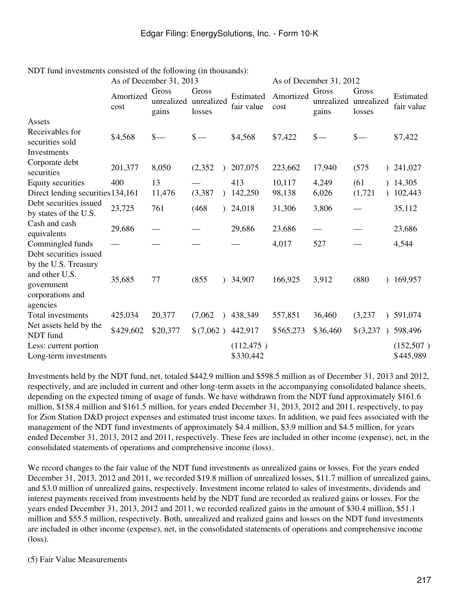|                                                                                                                | As of December 31, 2013 |                              |                               |           | As of December 31, 2012 |                   |                              |                               |  |                         |
|----------------------------------------------------------------------------------------------------------------|-------------------------|------------------------------|-------------------------------|-----------|-------------------------|-------------------|------------------------------|-------------------------------|--|-------------------------|
|                                                                                                                | Amortized<br>cost       | Gross<br>unrealized<br>gains | Gross<br>unrealized<br>losses |           | Estimated<br>fair value | Amortized<br>cost | Gross<br>unrealized<br>gains | Gross<br>unrealized<br>losses |  | Estimated<br>fair value |
| Assets                                                                                                         |                         |                              |                               |           |                         |                   |                              |                               |  |                         |
| Receivables for<br>securities sold                                                                             | \$4,568                 | $\frac{\ }{s-}$              | $\frac{\S}{\S}$               |           | \$4,568                 | \$7,422           | $\frac{\ }{s-}$              | $\frac{\ }{s-}$               |  | \$7,422                 |
| Investments                                                                                                    |                         |                              |                               |           |                         |                   |                              |                               |  |                         |
| Corporate debt<br>securities                                                                                   | 201,377                 | 8,050                        | (2, 352)                      |           | 207,075                 | 223,662           | 17,940                       | (575)                         |  | ) 241,027               |
| <b>Equity securities</b><br>Direct lending securities 134,161                                                  | 400                     | 13<br>11,476                 | (3, 387)                      | $\lambda$ | 413<br>142,250          | 10,117<br>98,138  | 4,249<br>6,026               | (61)<br>(1,721)               |  | 14,305<br>102,443       |
| Debt securities issued<br>by states of the U.S.                                                                | 23,725                  | 761                          | (468)                         |           | 24,018                  | 31,306            | 3,806                        |                               |  | 35,112                  |
| Cash and cash<br>equivalents                                                                                   | 29,686                  |                              |                               |           | 29,686                  | 23,686            |                              |                               |  | 23,686                  |
| Commingled funds                                                                                               |                         |                              |                               |           |                         | 4,017             | 527                          |                               |  | 4,544                   |
| Debt securities issued<br>by the U.S. Treasury<br>and other U.S.<br>government<br>corporations and<br>agencies | 35,685                  | 77                           | (855)                         |           | 34,907                  | 166,925           | 3,912                        | (880)                         |  | 169,957                 |
| Total investments                                                                                              | 425,034                 | 20,377                       | (7,062)                       |           | 438,349                 | 557,851           | 36,460                       | (3,237)                       |  | 591,074                 |
| Net assets held by the<br>NDT fund                                                                             | \$429,602               | \$20,377                     | \$(7,062)                     |           | 442,917                 | \$565,273         | \$36,460                     | \$(3,237)                     |  | 598,496                 |
| Less: current portion<br>Long-term investments                                                                 |                         |                              |                               |           | (112, 475)<br>\$330,442 |                   |                              |                               |  | (152, 507)<br>\$445,989 |

NDT fund investments consisted of the following (in thousands):

Investments held by the NDT fund, net, totaled \$442.9 million and \$598.5 million as of December 31, 2013 and 2012, respectively, and are included in current and other long-term assets in the accompanying consolidated balance sheets, depending on the expected timing of usage of funds. We have withdrawn from the NDT fund approximately \$161.6 million, \$158.4 million and \$161.5 million, for years ended December 31, 2013, 2012 and 2011, respectively, to pay for Zion Station D&D project expenses and estimated trust income taxes. In addition, we paid fees associated with the management of the NDT fund investments of approximately \$4.4 million, \$3.9 million and \$4.5 million, for years ended December 31, 2013, 2012 and 2011, respectively. These fees are included in other income (expense), net, in the consolidated statements of operations and comprehensive income (loss).

We record changes to the fair value of the NDT fund investments as unrealized gains or losses. For the years ended December 31, 2013, 2012 and 2011, we recorded \$19.8 million of unrealized losses, \$11.7 million of unrealized gains, and \$3.0 million of unrealized gains, respectively. Investment income related to sales of investments, dividends and interest payments received from investments held by the NDT fund are recorded as realized gains or losses. For the years ended December 31, 2013, 2012 and 2011, we recorded realized gains in the amount of \$30.4 million, \$51.1 million and \$55.5 million, respectively. Both, unrealized and realized gains and losses on the NDT fund investments are included in other income (expense), net, in the consolidated statements of operations and comprehensive income (loss).

## (5) Fair Value Measurements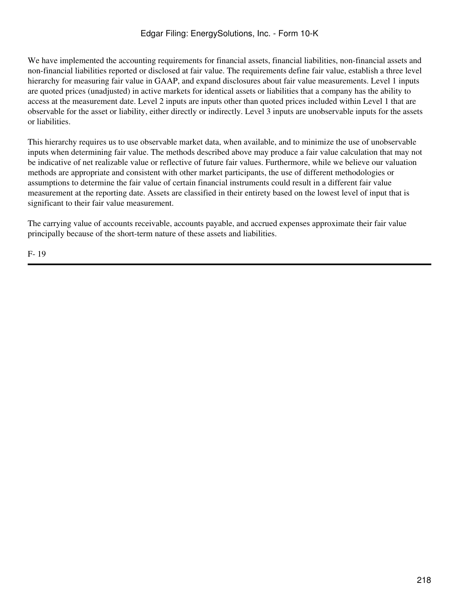We have implemented the accounting requirements for financial assets, financial liabilities, non-financial assets and non-financial liabilities reported or disclosed at fair value. The requirements define fair value, establish a three level hierarchy for measuring fair value in GAAP, and expand disclosures about fair value measurements. Level 1 inputs are quoted prices (unadjusted) in active markets for identical assets or liabilities that a company has the ability to access at the measurement date. Level 2 inputs are inputs other than quoted prices included within Level 1 that are observable for the asset or liability, either directly or indirectly. Level 3 inputs are unobservable inputs for the assets or liabilities.

This hierarchy requires us to use observable market data, when available, and to minimize the use of unobservable inputs when determining fair value. The methods described above may produce a fair value calculation that may not be indicative of net realizable value or reflective of future fair values. Furthermore, while we believe our valuation methods are appropriate and consistent with other market participants, the use of different methodologies or assumptions to determine the fair value of certain financial instruments could result in a different fair value measurement at the reporting date. Assets are classified in their entirety based on the lowest level of input that is significant to their fair value measurement.

The carrying value of accounts receivable, accounts payable, and accrued expenses approximate their fair value principally because of the short-term nature of these assets and liabilities.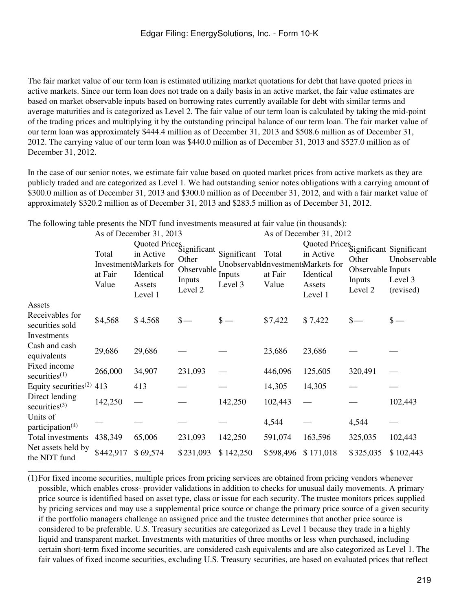The fair market value of our term loan is estimated utilizing market quotations for debt that have quoted prices in active markets. Since our term loan does not trade on a daily basis in an active market, the fair value estimates are based on market observable inputs based on borrowing rates currently available for debt with similar terms and average maturities and is categorized as Level 2. The fair value of our term loan is calculated by taking the mid-point of the trading prices and multiplying it by the outstanding principal balance of our term loan. The fair market value of our term loan was approximately \$444.4 million as of December 31, 2013 and \$508.6 million as of December 31, 2012. The carrying value of our term loan was \$440.0 million as of December 31, 2013 and \$527.0 million as of December 31, 2012.

In the case of our senior notes, we estimate fair value based on quoted market prices from active markets as they are publicly traded and are categorized as Level 1. We had outstanding senior notes obligations with a carrying amount of \$300.0 million as of December 31, 2013 and \$300.0 million as of December 31, 2012, and with a fair market value of approximately \$320.2 million as of December 31, 2013 and \$283.5 million as of December 31, 2012.

|                                          | As of December 31, 2013   |                                                                                                              |                                                     |                                  | As of December 31, 2012   |                                                                                                                                     |                                                 |                                      |
|------------------------------------------|---------------------------|--------------------------------------------------------------------------------------------------------------|-----------------------------------------------------|----------------------------------|---------------------------|-------------------------------------------------------------------------------------------------------------------------------------|-------------------------------------------------|--------------------------------------|
|                                          | Total<br>at Fair<br>Value | Quoted Price <sub>Significant</sub><br>in Active<br>InvestmentsMarkets for<br>Identical<br>Assets<br>Level 1 | Other<br>Observable<br>Inputs<br>Level <sub>2</sub> | Significant<br>Inputs<br>Level 3 | Total<br>at Fair<br>Value | Quoted Price <sub>Significant Significant</sub><br>in Active<br>UnobservablenvestmentsMarkets for<br>Identical<br>Assets<br>Level 1 | Other<br>Observable Inputs<br>Inputs<br>Level 2 | Unobservable<br>Level 3<br>(revised) |
| Assets                                   |                           |                                                                                                              |                                                     |                                  |                           |                                                                                                                                     |                                                 |                                      |
| Receivables for<br>securities sold       | \$4,568                   | \$4,568                                                                                                      | $\frac{\ }{s-}$                                     | $\mathbb{S}$ -                   | \$7,422                   | \$7,422                                                                                                                             | $\frac{\ }{s-}$                                 | $\mathbf{s}$ —                       |
| Investments                              |                           |                                                                                                              |                                                     |                                  |                           |                                                                                                                                     |                                                 |                                      |
| Cash and cash<br>equivalents             | 29,686                    | 29,686                                                                                                       |                                                     |                                  | 23,686                    | 23,686                                                                                                                              |                                                 |                                      |
| Fixed income<br>securities $(1)$         | 266,000                   | 34,907                                                                                                       | 231,093                                             |                                  | 446,096                   | 125,605                                                                                                                             | 320,491                                         |                                      |
| Equity securities <sup>(2)</sup> 413     |                           | 413                                                                                                          |                                                     |                                  | 14,305                    | 14,305                                                                                                                              |                                                 |                                      |
| Direct lending<br>securities $(3)$       | 142,250                   |                                                                                                              |                                                     | 142,250                          | 102,443                   |                                                                                                                                     |                                                 | 102,443                              |
| Units of<br>participation <sup>(4)</sup> |                           |                                                                                                              |                                                     |                                  | 4,544                     |                                                                                                                                     | 4,544                                           |                                      |
| Total investments                        | 438,349                   | 65,006                                                                                                       | 231,093                                             | 142,250                          | 591,074                   | 163,596                                                                                                                             | 325,035                                         | 102,443                              |
| Net assets held by<br>the NDT fund       | \$442,917                 | \$69,574                                                                                                     | \$231,093                                           | \$142,250                        | \$598,496                 | \$171,018                                                                                                                           | \$325,035                                       | \$102,443                            |

The following table presents the NDT fund investments measured at fair value (in thousands):

\_\_\_\_\_\_\_\_\_\_\_\_\_\_\_\_\_\_\_\_\_\_\_\_\_\_\_\_\_

(1)For fixed income securities, multiple prices from pricing services are obtained from pricing vendors whenever possible, which enables cross- provider validations in addition to checks for unusual daily movements. A primary price source is identified based on asset type, class or issue for each security. The trustee monitors prices supplied by pricing services and may use a supplemental price source or change the primary price source of a given security if the portfolio managers challenge an assigned price and the trustee determines that another price source is considered to be preferable. U.S. Treasury securities are categorized as Level 1 because they trade in a highly liquid and transparent market. Investments with maturities of three months or less when purchased, including certain short-term fixed income securities, are considered cash equivalents and are also categorized as Level 1. The fair values of fixed income securities, excluding U.S. Treasury securities, are based on evaluated prices that reflect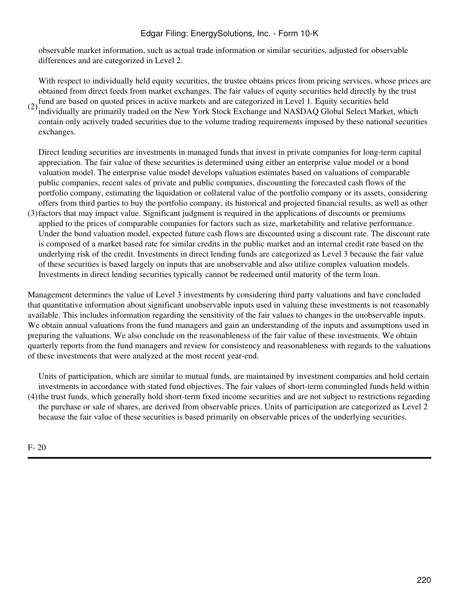observable market information, such as actual trade information or similar securities, adjusted for observable differences and are categorized in Level 2.

(2) With respect to individually held equity securities, the trustee obtains prices from pricing services, whose prices are obtained from direct feeds from market exchanges. The fair values of equity securities held directly by the trust fund are based on quoted prices in active markets and are categorized in Level 1. Equity securities held individually are primarily traded on the New York Stock Exchange and NASDAQ Global Select Market, which

contain only actively traded securities due to the volume trading requirements imposed by these national securities exchanges.

Direct lending securities are investments in managed funds that invest in private companies for long-term capital appreciation. The fair value of these securities is determined using either an enterprise value model or a bond valuation model. The enterprise value model develops valuation estimates based on valuations of comparable public companies, recent sales of private and public companies, discounting the forecasted cash flows of the portfolio company, estimating the liquidation or collateral value of the portfolio company or its assets, considering offers from third parties to buy the portfolio company, its historical and projected financial results, as well as other

(3) factors that may impact value. Significant judgment is required in the applications of discounts or premiums applied to the prices of comparable companies for factors such as size, marketability and relative performance. Under the bond valuation model, expected future cash flows are discounted using a discount rate. The discount rate is composed of a market based rate for similar credits in the public market and an internal credit rate based on the underlying risk of the credit. Investments in direct lending funds are categorized as Level 3 because the fair value of these securities is based largely on inputs that are unobservable and also utilize complex valuation models. Investments in direct lending securities typically cannot be redeemed until maturity of the term loan.

Management determines the value of Level 3 investments by considering third party valuations and have concluded that quantitative information about significant unobservable inputs used in valuing these investments is not reasonably available. This includes information regarding the sensitivity of the fair values to changes in the unobservable inputs. We obtain annual valuations from the fund managers and gain an understanding of the inputs and assumptions used in preparing the valuations. We also conclude on the reasonableness of the fair value of these investments. We obtain quarterly reports from the fund managers and review for consistency and reasonableness with regards to the valuations of these investments that were analyzed at the most recent year-end.

(4) the trust funds, which generally hold short-term fixed income securities and are not subject to restrictions regarding Units of participation, which are similar to mutual funds, are maintained by investment companies and hold certain investments in accordance with stated fund objectives. The fair values of short-term commingled funds held within the purchase or sale of shares, are derived from observable prices. Units of participation are categorized as Level 2 because the fair value of these securities is based primarily on observable prices of the underlying securities.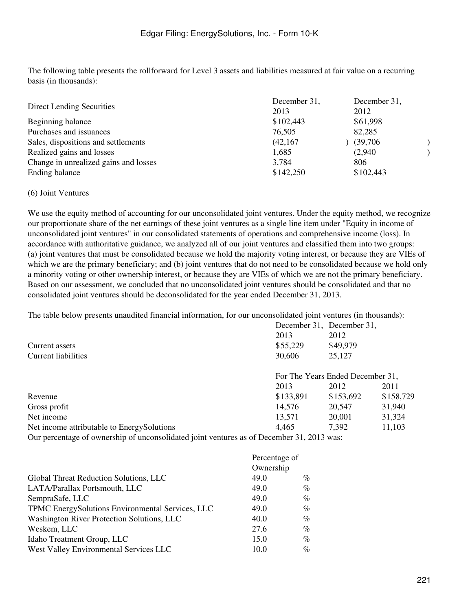The following table presents the rollforward for Level 3 assets and liabilities measured at fair value on a recurring basis (in thousands):

| Direct Lending Securities             | December 31,<br>2013 | December 31,<br>2012 |
|---------------------------------------|----------------------|----------------------|
| Beginning balance                     | \$102,443            | \$61,998             |
| Purchases and issuances               | 76,505               | 82,285               |
| Sales, dispositions and settlements   | (42, 167)            | (39,706)             |
| Realized gains and losses             | 1,685                | (2,940)              |
| Change in unrealized gains and losses | 3,784                | 806                  |
| Ending balance                        | \$142,250            | \$102,443            |

#### (6) Joint Ventures

We use the equity method of accounting for our unconsolidated joint ventures. Under the equity method, we recognize our proportionate share of the net earnings of these joint ventures as a single line item under "Equity in income of unconsolidated joint ventures" in our consolidated statements of operations and comprehensive income (loss). In accordance with authoritative guidance, we analyzed all of our joint ventures and classified them into two groups: (a) joint ventures that must be consolidated because we hold the majority voting interest, or because they are VIEs of which we are the primary beneficiary; and (b) joint ventures that do not need to be consolidated because we hold only a minority voting or other ownership interest, or because they are VIEs of which we are not the primary beneficiary. Based on our assessment, we concluded that no unconsolidated joint ventures should be consolidated and that no consolidated joint ventures should be deconsolidated for the year ended December 31, 2013.

The table below presents unaudited financial information, for our unconsolidated joint ventures (in thousands):

|                                            |                             | December 31, December 31,        |           |
|--------------------------------------------|-----------------------------|----------------------------------|-----------|
|                                            | 2013                        | 2012                             |           |
| Current assets                             | \$55,229                    | \$49,979                         |           |
| <b>Current liabilities</b>                 | 30,606                      | 25,127                           |           |
|                                            |                             | For The Years Ended December 31, |           |
|                                            | 2013                        | 2012                             | 2011      |
| Revenue                                    | \$133,891                   | \$153,692                        | \$158,729 |
| Gross profit                               | 14,576                      | 20,547                           | 31,940    |
| Net income                                 | 13,571                      | 20,001                           | 31,324    |
| Net income attributable to EnergySolutions | 4,465                       | 7,392                            | 11,103    |
|                                            | $\sim$ $\sim$ $\sim$ $\sim$ |                                  |           |

Our percentage of ownership of unconsolidated joint ventures as of December 31, 2013 was:

|                                                  | Percentage of |      |
|--------------------------------------------------|---------------|------|
|                                                  | Ownership     |      |
| Global Threat Reduction Solutions, LLC           | 49.0          | $\%$ |
| LATA/Parallax Portsmouth, LLC                    | 49.0          | $\%$ |
| SempraSafe, LLC                                  | 49.0          | $\%$ |
| TPMC EnergySolutions Environmental Services, LLC | 49.0          | $\%$ |
| Washington River Protection Solutions, LLC       | 40.0          | $\%$ |
| Weskem, LLC                                      | 27.6          | $\%$ |
| Idaho Treatment Group, LLC                       | 15.0          | $\%$ |
| West Valley Environmental Services LLC           | 10.0          | $\%$ |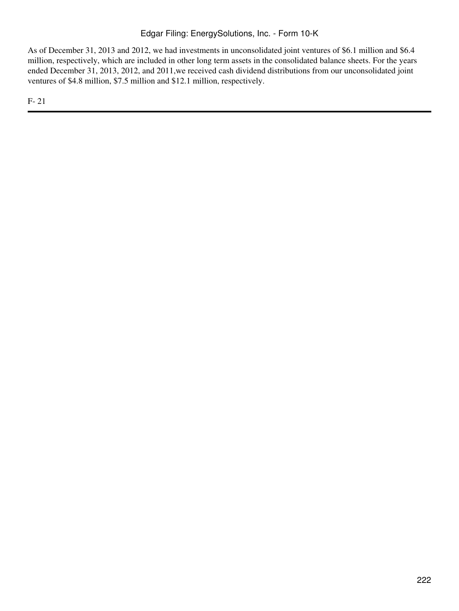As of December 31, 2013 and 2012, we had investments in unconsolidated joint ventures of \$6.1 million and \$6.4 million, respectively, which are included in other long term assets in the consolidated balance sheets. For the years ended December 31, 2013, 2012, and 2011,we received cash dividend distributions from our unconsolidated joint ventures of \$4.8 million, \$7.5 million and \$12.1 million, respectively.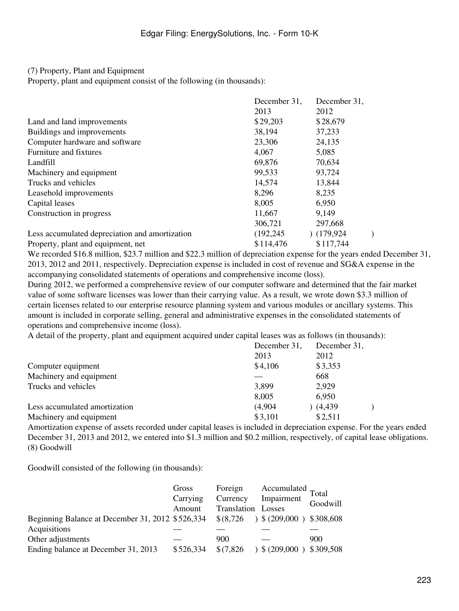### (7) Property, Plant and Equipment

Property, plant and equipment consist of the following (in thousands):

|                                                | December 31, | December 31, |  |
|------------------------------------------------|--------------|--------------|--|
|                                                | 2013         | 2012         |  |
| Land and land improvements                     | \$29,203     | \$28,679     |  |
| Buildings and improvements                     | 38,194       | 37,233       |  |
| Computer hardware and software                 | 23,306       | 24,135       |  |
| Furniture and fixtures                         | 4,067        | 5,085        |  |
| Landfill                                       | 69,876       | 70,634       |  |
| Machinery and equipment                        | 99,533       | 93,724       |  |
| Trucks and vehicles                            | 14,574       | 13,844       |  |
| Leasehold improvements                         | 8,296        | 8,235        |  |
| Capital leases                                 | 8,005        | 6,950        |  |
| Construction in progress                       | 11,667       | 9,149        |  |
|                                                | 306,721      | 297,668      |  |
| Less accumulated depreciation and amortization | (192, 245)   | (179, 924)   |  |
| Property, plant and equipment, net             | \$114,476    | \$117,744    |  |

We recorded \$16.8 million, \$23.7 million and \$22.3 million of depreciation expense for the years ended December 31, 2013, 2012 and 2011, respectively. Depreciation expense is included in cost of revenue and SG&A expense in the accompanying consolidated statements of operations and comprehensive income (loss).

During 2012, we performed a comprehensive review of our computer software and determined that the fair market value of some software licenses was lower than their carrying value. As a result, we wrote down \$3.3 million of certain licenses related to our enterprise resource planning system and various modules or ancillary systems. This amount is included in corporate selling, general and administrative expenses in the consolidated statements of operations and comprehensive income (loss).

A detail of the property, plant and equipment acquired under capital leases was as follows (in thousands):

| December 31, | December 31, |          |
|--------------|--------------|----------|
| 2013         | 2012         |          |
| \$4,106      | \$3,353      |          |
|              | 668          |          |
| 3,899        | 2,929        |          |
| 8,005        | 6,950        |          |
| (4,904)      |              |          |
| \$3,101      | \$2,511      |          |
|              |              | (4, 439) |

Amortization expense of assets recorded under capital leases is included in depreciation expense. For the years ended December 31, 2013 and 2012, we entered into \$1.3 million and \$0.2 million, respectively, of capital lease obligations. (8) Goodwill

Goodwill consisted of the following (in thousands):

|                                                  | Gross<br>Carrying<br>Amount | Foreign<br>Currency<br>Translation | Accumulated Total<br>Impairment<br>Losses | Goodwill  |
|--------------------------------------------------|-----------------------------|------------------------------------|-------------------------------------------|-----------|
| Beginning Balance at December 31, 2012 \$526,334 |                             | \$ (8,726)                         | $\frac{1}{2}$ \$ (209,000) \$ 308,608     |           |
| Acquisitions                                     |                             |                                    |                                           |           |
| Other adjustments                                |                             | 900                                |                                           | 900       |
| Ending balance at December 31, 2013              | \$526,334                   | \$(7,826)                          | \$ (209,000)                              | \$309,508 |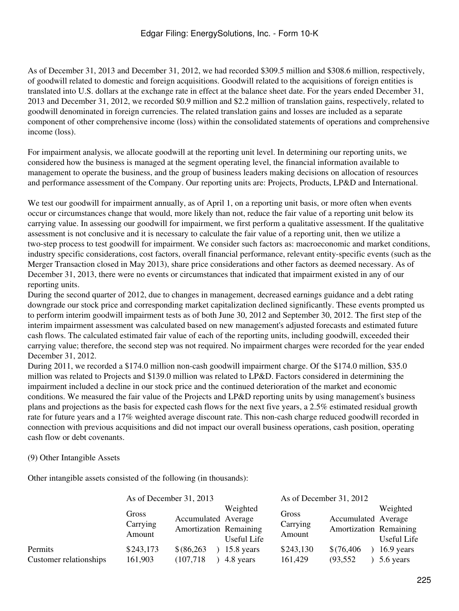As of December 31, 2013 and December 31, 2012, we had recorded \$309.5 million and \$308.6 million, respectively, of goodwill related to domestic and foreign acquisitions. Goodwill related to the acquisitions of foreign entities is translated into U.S. dollars at the exchange rate in effect at the balance sheet date. For the years ended December 31, 2013 and December 31, 2012, we recorded \$0.9 million and \$2.2 million of translation gains, respectively, related to goodwill denominated in foreign currencies. The related translation gains and losses are included as a separate component of other comprehensive income (loss) within the consolidated statements of operations and comprehensive income (loss).

For impairment analysis, we allocate goodwill at the reporting unit level. In determining our reporting units, we considered how the business is managed at the segment operating level, the financial information available to management to operate the business, and the group of business leaders making decisions on allocation of resources and performance assessment of the Company. Our reporting units are: Projects, Products, LP&D and International.

We test our goodwill for impairment annually, as of April 1, on a reporting unit basis, or more often when events occur or circumstances change that would, more likely than not, reduce the fair value of a reporting unit below its carrying value. In assessing our goodwill for impairment, we first perform a qualitative assessment. If the qualitative assessment is not conclusive and it is necessary to calculate the fair value of a reporting unit, then we utilize a two-step process to test goodwill for impairment. We consider such factors as: macroeconomic and market conditions, industry specific considerations, cost factors, overall financial performance, relevant entity-specific events (such as the Merger Transaction closed in May 2013), share price considerations and other factors as deemed necessary. As of December 31, 2013, there were no events or circumstances that indicated that impairment existed in any of our reporting units.

During the second quarter of 2012, due to changes in management, decreased earnings guidance and a debt rating downgrade our stock price and corresponding market capitalization declined significantly. These events prompted us to perform interim goodwill impairment tests as of both June 30, 2012 and September 30, 2012. The first step of the interim impairment assessment was calculated based on new management's adjusted forecasts and estimated future cash flows. The calculated estimated fair value of each of the reporting units, including goodwill, exceeded their carrying value; therefore, the second step was not required. No impairment charges were recorded for the year ended December 31, 2012.

During 2011, we recorded a \$174.0 million non-cash goodwill impairment charge. Of the \$174.0 million, \$35.0 million was related to Projects and \$139.0 million was related to LP&D. Factors considered in determining the impairment included a decline in our stock price and the continued deterioration of the market and economic conditions. We measured the fair value of the Projects and LP&D reporting units by using management's business plans and projections as the basis for expected cash flows for the next five years, a 2.5% estimated residual growth rate for future years and a 17% weighted average discount rate. This non-cash charge reduced goodwill recorded in connection with previous acquisitions and did not impact our overall business operations, cash position, operating cash flow or debt covenants.

#### (9) Other Intangible Assets

Other intangible assets consisted of the following (in thousands):

|                        | As of December 31, 2013     |                                               |                         | As of December 31, 2012     |                                                             |                         |
|------------------------|-----------------------------|-----------------------------------------------|-------------------------|-----------------------------|-------------------------------------------------------------|-------------------------|
|                        | Gross<br>Carrying<br>Amount | Accumulated Average<br>Amortization Remaining | Weighted<br>Useful Life | Gross<br>Carrying<br>Amount | <b>Accumulated Average</b><br><b>Amortization Remaining</b> | Weighted<br>Useful Life |
| Permits                | \$243,173                   | \$ (86, 263)                                  | 15.8 years              | \$243,130                   | \$(76, 406)                                                 | $16.9$ years            |
| Customer relationships | 161,903                     | (107, 718)                                    | 4.8 years               | 161,429                     | (93, 552)                                                   | 5.6 years               |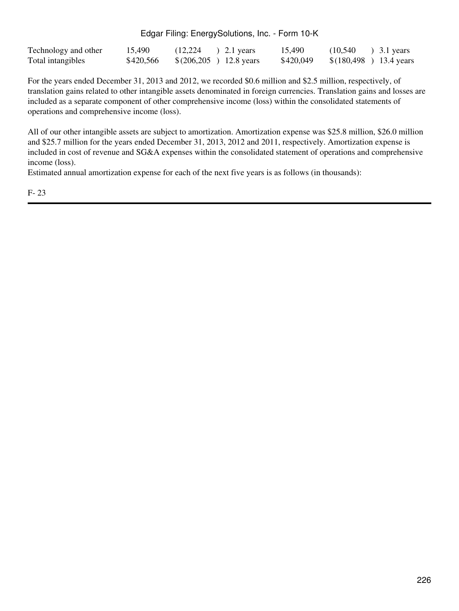| Technology and other | 15,490                             | $(12,224)$ 2.1 years | 15,490    | $(10,540)$ 3.1 years    |  |
|----------------------|------------------------------------|----------------------|-----------|-------------------------|--|
| Total intangibles    | $$420,566$ $$(206,205)$ 12.8 years |                      | \$420,049 | $$(180,498)$ 13.4 years |  |

For the years ended December 31, 2013 and 2012, we recorded \$0.6 million and \$2.5 million, respectively, of translation gains related to other intangible assets denominated in foreign currencies. Translation gains and losses are included as a separate component of other comprehensive income (loss) within the consolidated statements of operations and comprehensive income (loss).

All of our other intangible assets are subject to amortization. Amortization expense was \$25.8 million, \$26.0 million and \$25.7 million for the years ended December 31, 2013, 2012 and 2011, respectively. Amortization expense is included in cost of revenue and SG&A expenses within the consolidated statement of operations and comprehensive income (loss).

Estimated annual amortization expense for each of the next five years is as follows (in thousands):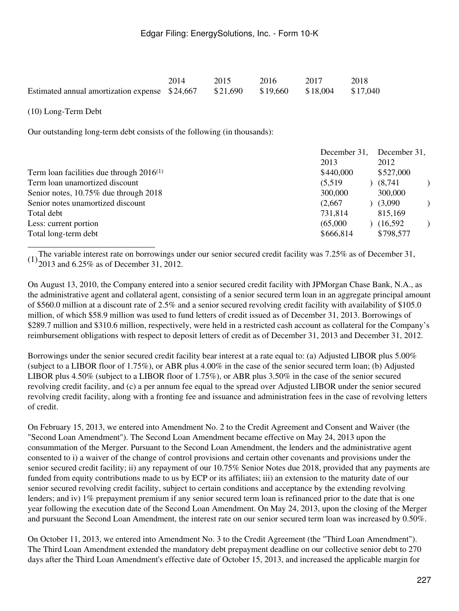|                                                                                    | 2014 | 2015 | 2016 | 2017 | 2018 |
|------------------------------------------------------------------------------------|------|------|------|------|------|
| Estimated annual amortization expense \$24,667 \$21,690 \$19,660 \$18,004 \$17,040 |      |      |      |      |      |

(10) Long-Term Debt

Our outstanding long-term debt consists of the following (in thousands):

|                                               | December 31, | December 31, |
|-----------------------------------------------|--------------|--------------|
|                                               | 2013         | 2012         |
| Term loan facilities due through $2016^{(1)}$ | \$440,000    | \$527,000    |
| Term loan unamortized discount                | (5,519)      | (8,741)      |
| Senior notes, 10.75% due through 2018         | 300,000      | 300,000      |
| Senior notes unamortized discount             | (2,667)      | (3,090)      |
| Total debt                                    | 731,814      | 815,169      |
| Less: current portion                         | (65,000)     | (16,592)     |
| Total long-term debt                          | \$666,814    | \$798,577    |
|                                               |              |              |

(1)The variable interest rate on borrowings under our senior secured credit facility was 7.25% as of December 31, 2013 and 6.25% as of December 31, 2012.

On August 13, 2010, the Company entered into a senior secured credit facility with JPMorgan Chase Bank, N.A., as the administrative agent and collateral agent, consisting of a senior secured term loan in an aggregate principal amount of \$560.0 million at a discount rate of 2.5% and a senior secured revolving credit facility with availability of \$105.0 million, of which \$58.9 million was used to fund letters of credit issued as of December 31, 2013. Borrowings of \$289.7 million and \$310.6 million, respectively, were held in a restricted cash account as collateral for the Company's reimbursement obligations with respect to deposit letters of credit as of December 31, 2013 and December 31, 2012.

Borrowings under the senior secured credit facility bear interest at a rate equal to: (a) Adjusted LIBOR plus 5.00% (subject to a LIBOR floor of 1.75%), or ABR plus 4.00% in the case of the senior secured term loan; (b) Adjusted LIBOR plus 4.50% (subject to a LIBOR floor of 1.75%), or ABR plus 3.50% in the case of the senior secured revolving credit facility, and (c) a per annum fee equal to the spread over Adjusted LIBOR under the senior secured revolving credit facility, along with a fronting fee and issuance and administration fees in the case of revolving letters of credit.

On February 15, 2013, we entered into Amendment No. 2 to the Credit Agreement and Consent and Waiver (the "Second Loan Amendment"). The Second Loan Amendment became effective on May 24, 2013 upon the consummation of the Merger. Pursuant to the Second Loan Amendment, the lenders and the administrative agent consented to i) a waiver of the change of control provisions and certain other covenants and provisions under the senior secured credit facility; ii) any repayment of our 10.75% Senior Notes due 2018, provided that any payments are funded from equity contributions made to us by ECP or its affiliates; iii) an extension to the maturity date of our senior secured revolving credit facility, subject to certain conditions and acceptance by the extending revolving lenders; and iv) 1% prepayment premium if any senior secured term loan is refinanced prior to the date that is one year following the execution date of the Second Loan Amendment. On May 24, 2013, upon the closing of the Merger and pursuant the Second Loan Amendment, the interest rate on our senior secured term loan was increased by 0.50%.

On October 11, 2013, we entered into Amendment No. 3 to the Credit Agreement (the "Third Loan Amendment"). The Third Loan Amendment extended the mandatory debt prepayment deadline on our collective senior debt to 270 days after the Third Loan Amendment's effective date of October 15, 2013, and increased the applicable margin for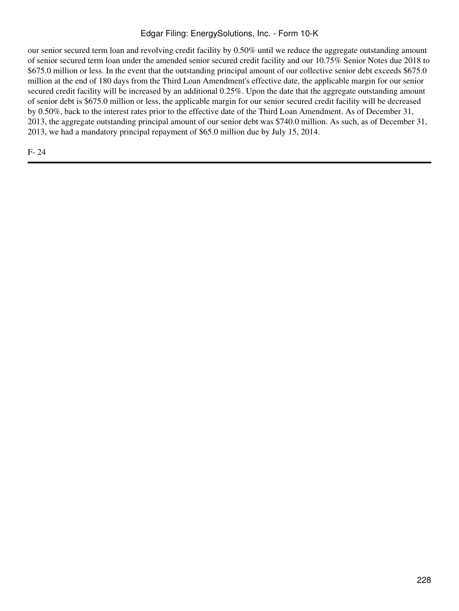our senior secured term loan and revolving credit facility by 0.50% until we reduce the aggregate outstanding amount of senior secured term loan under the amended senior secured credit facility and our 10.75% Senior Notes due 2018 to \$675.0 million or less. In the event that the outstanding principal amount of our collective senior debt exceeds \$675.0 million at the end of 180 days from the Third Loan Amendment's effective date, the applicable margin for our senior secured credit facility will be increased by an additional 0.25%. Upon the date that the aggregate outstanding amount of senior debt is \$675.0 million or less, the applicable margin for our senior secured credit facility will be decreased by 0.50%, back to the interest rates prior to the effective date of the Third Loan Amendment. As of December 31, 2013, the aggregate outstanding principal amount of our senior debt was \$740.0 million. As such, as of December 31, 2013, we had a mandatory principal repayment of \$65.0 million due by July 15, 2014.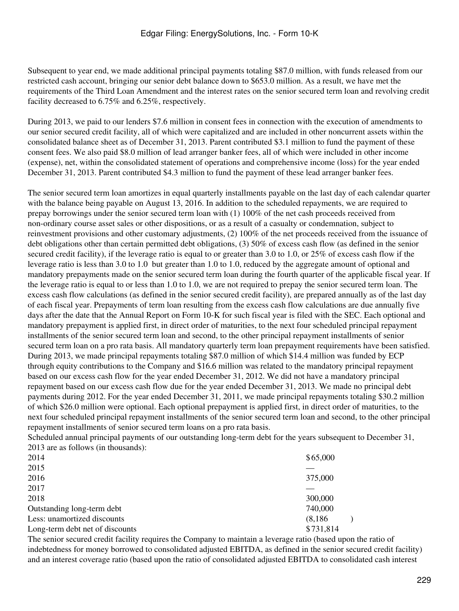Subsequent to year end, we made additional principal payments totaling \$87.0 million, with funds released from our restricted cash account, bringing our senior debt balance down to \$653.0 million. As a result, we have met the requirements of the Third Loan Amendment and the interest rates on the senior secured term loan and revolving credit facility decreased to 6.75% and 6.25%, respectively.

During 2013, we paid to our lenders \$7.6 million in consent fees in connection with the execution of amendments to our senior secured credit facility, all of which were capitalized and are included in other noncurrent assets within the consolidated balance sheet as of December 31, 2013. Parent contributed \$3.1 million to fund the payment of these consent fees. We also paid \$8.0 million of lead arranger banker fees, all of which were included in other income (expense), net, within the consolidated statement of operations and comprehensive income (loss) for the year ended December 31, 2013. Parent contributed \$4.3 million to fund the payment of these lead arranger banker fees.

The senior secured term loan amortizes in equal quarterly installments payable on the last day of each calendar quarter with the balance being payable on August 13, 2016. In addition to the scheduled repayments, we are required to prepay borrowings under the senior secured term loan with (1) 100% of the net cash proceeds received from non-ordinary course asset sales or other dispositions, or as a result of a casualty or condemnation, subject to reinvestment provisions and other customary adjustments, (2) 100% of the net proceeds received from the issuance of debt obligations other than certain permitted debt obligations, (3) 50% of excess cash flow (as defined in the senior secured credit facility), if the leverage ratio is equal to or greater than 3.0 to 1.0, or 25% of excess cash flow if the leverage ratio is less than 3.0 to 1.0 but greater than 1.0 to 1.0, reduced by the aggregate amount of optional and mandatory prepayments made on the senior secured term loan during the fourth quarter of the applicable fiscal year. If the leverage ratio is equal to or less than 1.0 to 1.0, we are not required to prepay the senior secured term loan. The excess cash flow calculations (as defined in the senior secured credit facility), are prepared annually as of the last day of each fiscal year. Prepayments of term loan resulting from the excess cash flow calculations are due annually five days after the date that the Annual Report on Form 10-K for such fiscal year is filed with the SEC. Each optional and mandatory prepayment is applied first, in direct order of maturities, to the next four scheduled principal repayment installments of the senior secured term loan and second, to the other principal repayment installments of senior secured term loan on a pro rata basis. All mandatory quarterly term loan prepayment requirements have been satisfied. During 2013, we made principal repayments totaling \$87.0 million of which \$14.4 million was funded by ECP through equity contributions to the Company and \$16.6 million was related to the mandatory principal repayment based on our excess cash flow for the year ended December 31, 2012. We did not have a mandatory principal repayment based on our excess cash flow due for the year ended December 31, 2013. We made no principal debt payments during 2012. For the year ended December 31, 2011, we made principal repayments totaling \$30.2 million of which \$26.0 million were optional. Each optional prepayment is applied first, in direct order of maturities, to the next four scheduled principal repayment installments of the senior secured term loan and second, to the other principal repayment installments of senior secured term loans on a pro rata basis.

Scheduled annual principal payments of our outstanding long-term debt for the years subsequent to December 31, 2013 are as follows (in thousands):

| 2014                            | \$65,000  |
|---------------------------------|-----------|
| 2015                            |           |
| 2016                            | 375,000   |
| 2017                            |           |
| 2018                            | 300,000   |
| Outstanding long-term debt      | 740,000   |
| Less: unamortized discounts     | (8,186)   |
| Long-term debt net of discounts | \$731,814 |

The senior secured credit facility requires the Company to maintain a leverage ratio (based upon the ratio of indebtedness for money borrowed to consolidated adjusted EBITDA, as defined in the senior secured credit facility) and an interest coverage ratio (based upon the ratio of consolidated adjusted EBITDA to consolidated cash interest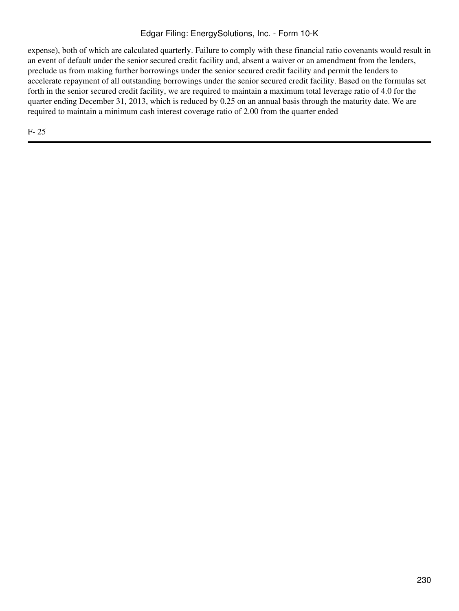expense), both of which are calculated quarterly. Failure to comply with these financial ratio covenants would result in an event of default under the senior secured credit facility and, absent a waiver or an amendment from the lenders, preclude us from making further borrowings under the senior secured credit facility and permit the lenders to accelerate repayment of all outstanding borrowings under the senior secured credit facility. Based on the formulas set forth in the senior secured credit facility, we are required to maintain a maximum total leverage ratio of 4.0 for the quarter ending December 31, 2013, which is reduced by 0.25 on an annual basis through the maturity date. We are required to maintain a minimum cash interest coverage ratio of 2.00 from the quarter ended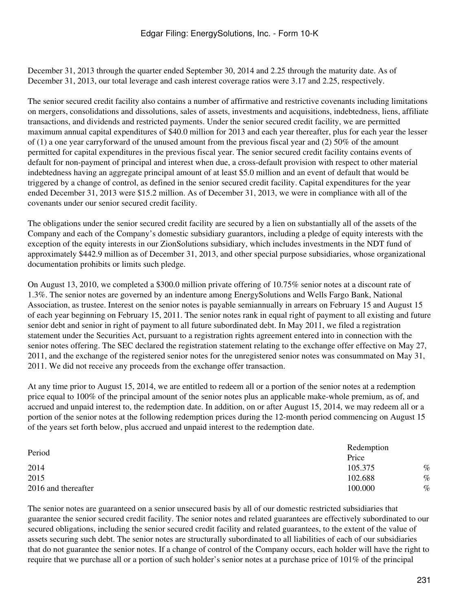December 31, 2013 through the quarter ended September 30, 2014 and 2.25 through the maturity date. As of December 31, 2013, our total leverage and cash interest coverage ratios were 3.17 and 2.25, respectively.

The senior secured credit facility also contains a number of affirmative and restrictive covenants including limitations on mergers, consolidations and dissolutions, sales of assets, investments and acquisitions, indebtedness, liens, affiliate transactions, and dividends and restricted payments. Under the senior secured credit facility, we are permitted maximum annual capital expenditures of \$40.0 million for 2013 and each year thereafter, plus for each year the lesser of (1) a one year carryforward of the unused amount from the previous fiscal year and (2) 50% of the amount permitted for capital expenditures in the previous fiscal year. The senior secured credit facility contains events of default for non-payment of principal and interest when due, a cross-default provision with respect to other material indebtedness having an aggregate principal amount of at least \$5.0 million and an event of default that would be triggered by a change of control, as defined in the senior secured credit facility. Capital expenditures for the year ended December 31, 2013 were \$15.2 million. As of December 31, 2013, we were in compliance with all of the covenants under our senior secured credit facility.

The obligations under the senior secured credit facility are secured by a lien on substantially all of the assets of the Company and each of the Company's domestic subsidiary guarantors, including a pledge of equity interests with the exception of the equity interests in our ZionSolutions subsidiary, which includes investments in the NDT fund of approximately \$442.9 million as of December 31, 2013, and other special purpose subsidiaries, whose organizational documentation prohibits or limits such pledge.

On August 13, 2010, we completed a \$300.0 million private offering of 10.75% senior notes at a discount rate of 1.3%. The senior notes are governed by an indenture among EnergySolutions and Wells Fargo Bank, National Association, as trustee. Interest on the senior notes is payable semiannually in arrears on February 15 and August 15 of each year beginning on February 15, 2011. The senior notes rank in equal right of payment to all existing and future senior debt and senior in right of payment to all future subordinated debt. In May 2011, we filed a registration statement under the Securities Act, pursuant to a registration rights agreement entered into in connection with the senior notes offering. The SEC declared the registration statement relating to the exchange offer effective on May 27, 2011, and the exchange of the registered senior notes for the unregistered senior notes was consummated on May 31, 2011. We did not receive any proceeds from the exchange offer transaction.

At any time prior to August 15, 2014, we are entitled to redeem all or a portion of the senior notes at a redemption price equal to 100% of the principal amount of the senior notes plus an applicable make-whole premium, as of, and accrued and unpaid interest to, the redemption date. In addition, on or after August 15, 2014, we may redeem all or a portion of the senior notes at the following redemption prices during the 12-month period commencing on August 15 of the years set forth below, plus accrued and unpaid interest to the redemption date.

| Period              | Redemption |      |  |  |
|---------------------|------------|------|--|--|
|                     | Price      |      |  |  |
| 2014                | 105.375    | $\%$ |  |  |
| 2015                | 102.688    | $\%$ |  |  |
| 2016 and thereafter | 100.000    | $\%$ |  |  |

The senior notes are guaranteed on a senior unsecured basis by all of our domestic restricted subsidiaries that guarantee the senior secured credit facility. The senior notes and related guarantees are effectively subordinated to our secured obligations, including the senior secured credit facility and related guarantees, to the extent of the value of assets securing such debt. The senior notes are structurally subordinated to all liabilities of each of our subsidiaries that do not guarantee the senior notes. If a change of control of the Company occurs, each holder will have the right to require that we purchase all or a portion of such holder's senior notes at a purchase price of 101% of the principal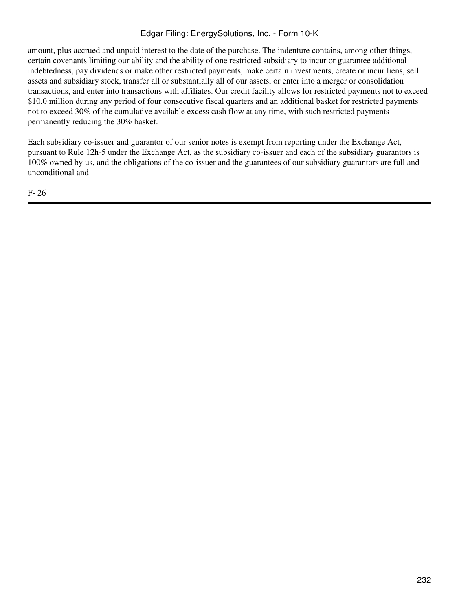amount, plus accrued and unpaid interest to the date of the purchase. The indenture contains, among other things, certain covenants limiting our ability and the ability of one restricted subsidiary to incur or guarantee additional indebtedness, pay dividends or make other restricted payments, make certain investments, create or incur liens, sell assets and subsidiary stock, transfer all or substantially all of our assets, or enter into a merger or consolidation transactions, and enter into transactions with affiliates. Our credit facility allows for restricted payments not to exceed \$10.0 million during any period of four consecutive fiscal quarters and an additional basket for restricted payments not to exceed 30% of the cumulative available excess cash flow at any time, with such restricted payments permanently reducing the 30% basket.

Each subsidiary co-issuer and guarantor of our senior notes is exempt from reporting under the Exchange Act, pursuant to Rule 12h-5 under the Exchange Act, as the subsidiary co-issuer and each of the subsidiary guarantors is 100% owned by us, and the obligations of the co-issuer and the guarantees of our subsidiary guarantors are full and unconditional and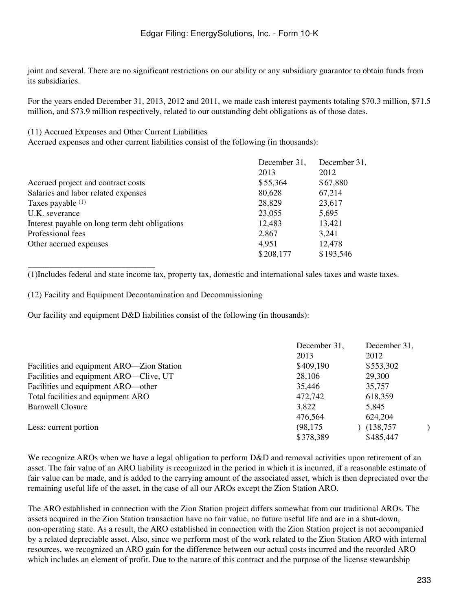joint and several. There are no significant restrictions on our ability or any subsidiary guarantor to obtain funds from its subsidiaries.

For the years ended December 31, 2013, 2012 and 2011, we made cash interest payments totaling \$70.3 million, \$71.5 million, and \$73.9 million respectively, related to our outstanding debt obligations as of those dates.

#### (11) Accrued Expenses and Other Current Liabilities

\_\_\_\_\_\_\_\_\_\_\_\_\_\_\_\_\_\_\_\_\_\_\_\_\_\_\_\_\_\_

Accrued expenses and other current liabilities consist of the following (in thousands):

|                                                | December 31, | December 31, |
|------------------------------------------------|--------------|--------------|
|                                                | 2013         | 2012         |
| Accrued project and contract costs             | \$55,364     | \$67,880     |
| Salaries and labor related expenses            | 80,628       | 67,214       |
| Taxes payable $(1)$                            | 28,829       | 23,617       |
| U.K. severance                                 | 23,055       | 5,695        |
| Interest payable on long term debt obligations | 12,483       | 13,421       |
| Professional fees                              | 2,867        | 3,241        |
| Other accrued expenses                         | 4,951        | 12,478       |
|                                                | \$208,177    | \$193,546    |

(1)Includes federal and state income tax, property tax, domestic and international sales taxes and waste taxes.

(12) Facility and Equipment Decontamination and Decommissioning

Our facility and equipment D&D liabilities consist of the following (in thousands):

|                                           | December 31, | December 31, |
|-------------------------------------------|--------------|--------------|
|                                           | 2013         | 2012         |
| Facilities and equipment ARO—Zion Station | \$409,190    | \$553,302    |
| Facilities and equipment ARO—Clive, UT    | 28,106       | 29,300       |
| Facilities and equipment ARO—other        | 35,446       | 35,757       |
| Total facilities and equipment ARO        | 472,742      | 618,359      |
| <b>Barnwell Closure</b>                   | 3,822        | 5,845        |
|                                           | 476,564      | 624,204      |
| Less: current portion                     | (98, 175)    | (138, 757)   |
|                                           | \$378,389    | \$485,447    |

We recognize AROs when we have a legal obligation to perform D&D and removal activities upon retirement of an asset. The fair value of an ARO liability is recognized in the period in which it is incurred, if a reasonable estimate of fair value can be made, and is added to the carrying amount of the associated asset, which is then depreciated over the remaining useful life of the asset, in the case of all our AROs except the Zion Station ARO.

The ARO established in connection with the Zion Station project differs somewhat from our traditional AROs. The assets acquired in the Zion Station transaction have no fair value, no future useful life and are in a shut-down, non-operating state. As a result, the ARO established in connection with the Zion Station project is not accompanied by a related depreciable asset. Also, since we perform most of the work related to the Zion Station ARO with internal resources, we recognized an ARO gain for the difference between our actual costs incurred and the recorded ARO which includes an element of profit. Due to the nature of this contract and the purpose of the license stewardship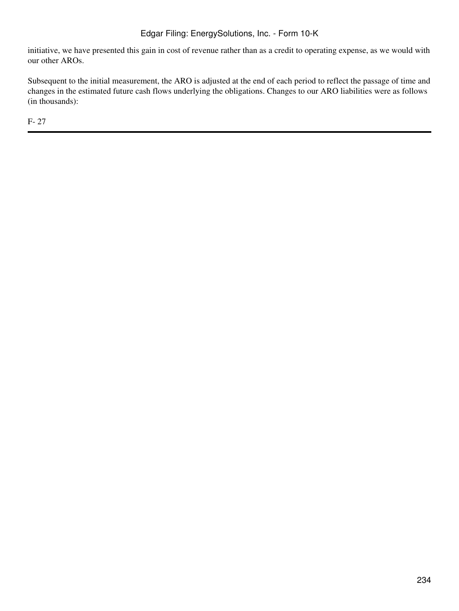initiative, we have presented this gain in cost of revenue rather than as a credit to operating expense, as we would with our other AROs.

Subsequent to the initial measurement, the ARO is adjusted at the end of each period to reflect the passage of time and changes in the estimated future cash flows underlying the obligations. Changes to our ARO liabilities were as follows (in thousands):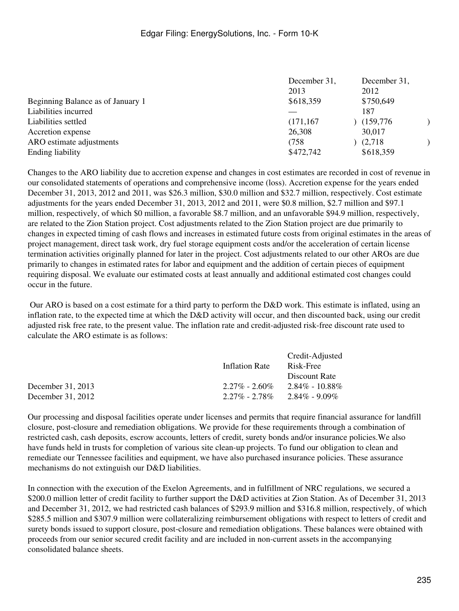|                                   | December 31, | December 31, |  |
|-----------------------------------|--------------|--------------|--|
|                                   | 2013         | 2012         |  |
| Beginning Balance as of January 1 | \$618,359    | \$750,649    |  |
| Liabilities incurred              |              | 187          |  |
| Liabilities settled               | (171, 167)   | (159,776)    |  |
| Accretion expense                 | 26,308       | 30,017       |  |
| ARO estimate adjustments          | (758)        | (2,718)      |  |
| Ending liability                  | \$472,742    | \$618,359    |  |

Changes to the ARO liability due to accretion expense and changes in cost estimates are recorded in cost of revenue in our consolidated statements of operations and comprehensive income (loss). Accretion expense for the years ended December 31, 2013, 2012 and 2011, was \$26.3 million, \$30.0 million and \$32.7 million, respectively. Cost estimate adjustments for the years ended December 31, 2013, 2012 and 2011, were \$0.8 million, \$2.7 million and \$97.1 million, respectively, of which \$0 million, a favorable \$8.7 million, and an unfavorable \$94.9 million, respectively, are related to the Zion Station project. Cost adjustments related to the Zion Station project are due primarily to changes in expected timing of cash flows and increases in estimated future costs from original estimates in the areas of project management, direct task work, dry fuel storage equipment costs and/or the acceleration of certain license termination activities originally planned for later in the project. Cost adjustments related to our other AROs are due primarily to changes in estimated rates for labor and equipment and the addition of certain pieces of equipment requiring disposal. We evaluate our estimated costs at least annually and additional estimated cost changes could occur in the future.

 Our ARO is based on a cost estimate for a third party to perform the D&D work. This estimate is inflated, using an inflation rate, to the expected time at which the D&D activity will occur, and then discounted back, using our credit adjusted risk free rate, to the present value. The inflation rate and credit-adjusted risk-free discount rate used to calculate the ARO estimate is as follows:

|                   | Inflation Rate    | Credit-Adjusted<br>Risk-Free<br>Discount Rate |
|-------------------|-------------------|-----------------------------------------------|
| December 31, 2013 | $2.27\% - 2.60\%$ | $2.84\% - 10.88\%$                            |
| December 31, 2012 | $2.27\%$ - 2.78%  | $2.84\%$ - 9.09%                              |

Our processing and disposal facilities operate under licenses and permits that require financial assurance for landfill closure, post-closure and remediation obligations. We provide for these requirements through a combination of restricted cash, cash deposits, escrow accounts, letters of credit, surety bonds and/or insurance policies.We also have funds held in trusts for completion of various site clean-up projects. To fund our obligation to clean and remediate our Tennessee facilities and equipment, we have also purchased insurance policies. These assurance mechanisms do not extinguish our D&D liabilities.

In connection with the execution of the Exelon Agreements, and in fulfillment of NRC regulations, we secured a \$200.0 million letter of credit facility to further support the D&D activities at Zion Station. As of December 31, 2013 and December 31, 2012, we had restricted cash balances of \$293.9 million and \$316.8 million, respectively, of which \$285.5 million and \$307.9 million were collateralizing reimbursement obligations with respect to letters of credit and surety bonds issued to support closure, post-closure and remediation obligations. These balances were obtained with proceeds from our senior secured credit facility and are included in non-current assets in the accompanying consolidated balance sheets.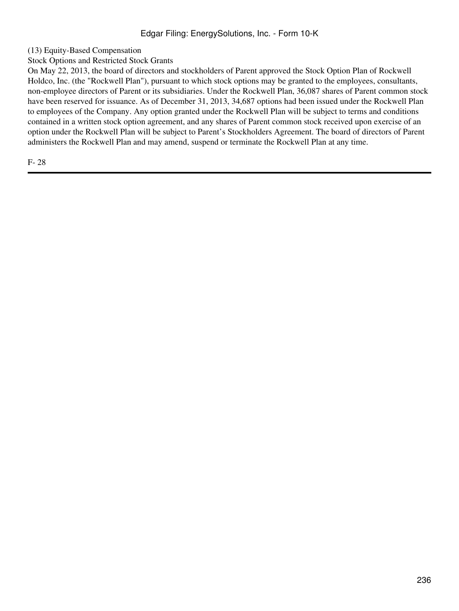(13) Equity-Based Compensation

Stock Options and Restricted Stock Grants

On May 22, 2013, the board of directors and stockholders of Parent approved the Stock Option Plan of Rockwell Holdco, Inc. (the "Rockwell Plan"), pursuant to which stock options may be granted to the employees, consultants, non-employee directors of Parent or its subsidiaries. Under the Rockwell Plan, 36,087 shares of Parent common stock have been reserved for issuance. As of December 31, 2013, 34,687 options had been issued under the Rockwell Plan to employees of the Company. Any option granted under the Rockwell Plan will be subject to terms and conditions contained in a written stock option agreement, and any shares of Parent common stock received upon exercise of an option under the Rockwell Plan will be subject to Parent's Stockholders Agreement. The board of directors of Parent administers the Rockwell Plan and may amend, suspend or terminate the Rockwell Plan at any time.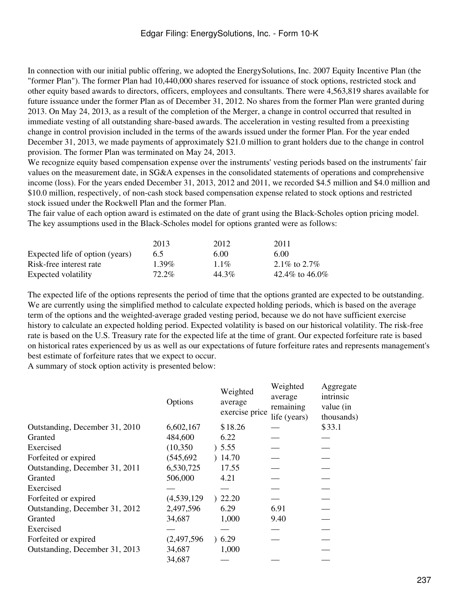In connection with our initial public offering, we adopted the EnergySolutions, Inc. 2007 Equity Incentive Plan (the "former Plan"). The former Plan had 10,440,000 shares reserved for issuance of stock options, restricted stock and other equity based awards to directors, officers, employees and consultants. There were 4,563,819 shares available for future issuance under the former Plan as of December 31, 2012. No shares from the former Plan were granted during 2013. On May 24, 2013, as a result of the completion of the Merger, a change in control occurred that resulted in immediate vesting of all outstanding share-based awards. The acceleration in vesting resulted from a preexisting change in control provision included in the terms of the awards issued under the former Plan. For the year ended December 31, 2013, we made payments of approximately \$21.0 million to grant holders due to the change in control provision. The former Plan was terminated on May 24, 2013.

We recognize equity based compensation expense over the instruments' vesting periods based on the instruments' fair values on the measurement date, in SG&A expenses in the consolidated statements of operations and comprehensive income (loss). For the years ended December 31, 2013, 2012 and 2011, we recorded \$4.5 million and \$4.0 million and \$10.0 million, respectively, of non-cash stock based compensation expense related to stock options and restricted stock issued under the Rockwell Plan and the former Plan.

The fair value of each option award is estimated on the date of grant using the Black-Scholes option pricing model. The key assumptions used in the Black-Scholes model for options granted were as follows:

|                                 | 2013     | 2012  | 2011             |
|---------------------------------|----------|-------|------------------|
| Expected life of option (years) | 6.5      | 6.00  | 6.00             |
| Risk-free interest rate         | $1.39\%$ | 1 1%  | 2.1\% to 2.7\%   |
| Expected volatility             | 72.2%    | 44.3% | 42.4\% to 46.0\% |

The expected life of the options represents the period of time that the options granted are expected to be outstanding. We are currently using the simplified method to calculate expected holding periods, which is based on the average term of the options and the weighted-average graded vesting period, because we do not have sufficient exercise history to calculate an expected holding period. Expected volatility is based on our historical volatility. The risk-free rate is based on the U.S. Treasury rate for the expected life at the time of grant. Our expected forfeiture rate is based on historical rates experienced by us as well as our expectations of future forfeiture rates and represents management's best estimate of forfeiture rates that we expect to occur.

A summary of stock option activity is presented below:

|                                | Options     | Weighted<br>average<br>exercise price | Weighted<br>average<br>remaining<br>life (years) | Aggregate<br>intrinsic<br>value (in<br>thousands) |
|--------------------------------|-------------|---------------------------------------|--------------------------------------------------|---------------------------------------------------|
| Outstanding, December 31, 2010 | 6,602,167   | \$18.26                               |                                                  | \$33.1                                            |
| Granted                        | 484,600     | 6.22                                  |                                                  |                                                   |
| Exercised                      | (10, 350)   | ) 5.55                                |                                                  |                                                   |
| Forfeited or expired           | (545, 692)  | 14.70                                 |                                                  |                                                   |
| Outstanding, December 31, 2011 | 6,530,725   | 17.55                                 |                                                  |                                                   |
| Granted                        | 506,000     | 4.21                                  |                                                  |                                                   |
| Exercised                      |             |                                       |                                                  |                                                   |
| Forfeited or expired           | (4,539,129) | 22.20                                 |                                                  |                                                   |
| Outstanding, December 31, 2012 | 2,497,596   | 6.29                                  | 6.91                                             |                                                   |
| Granted                        | 34,687      | 1,000                                 | 9.40                                             |                                                   |
| Exercised                      |             |                                       |                                                  |                                                   |
| Forfeited or expired           | (2,497,596) | 6.29                                  |                                                  |                                                   |
| Outstanding, December 31, 2013 | 34,687      | 1,000                                 |                                                  |                                                   |
|                                | 34,687      |                                       |                                                  |                                                   |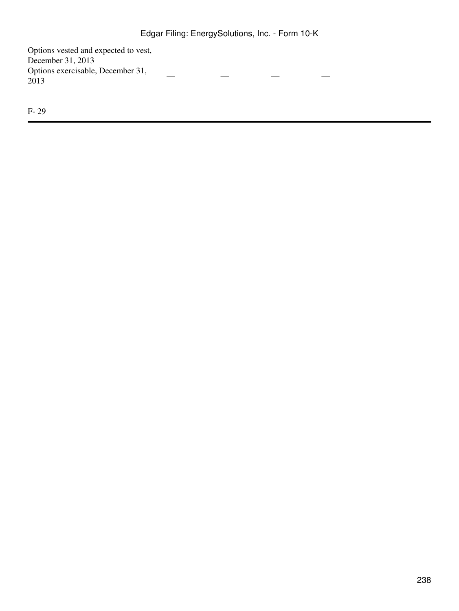Options vested and expected to vest, December 31, 2013 Options exercisable, December 31,  $\qquad$  \_  $\qquad$  \_  $\qquad$  \_  $\qquad$  \_  $\qquad$  \_  $\qquad$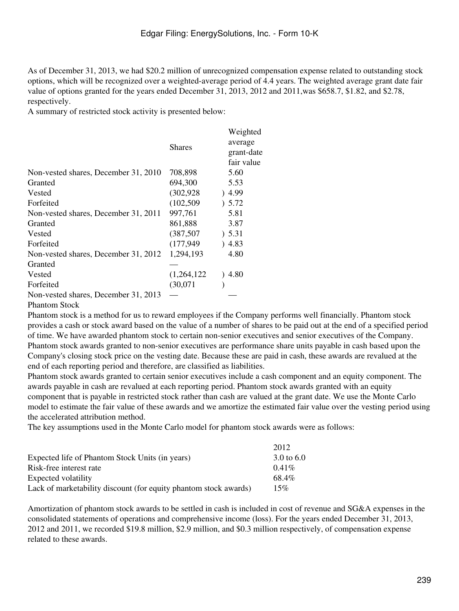As of December 31, 2013, we had \$20.2 million of unrecognized compensation expense related to outstanding stock options, which will be recognized over a weighted-average period of 4.4 years. The weighted average grant date fair value of options granted for the years ended December 31, 2013, 2012 and 2011,was \$658.7, \$1.82, and \$2.78, respectively.

A summary of restricted stock activity is presented below:

|                                      |               | Weighted   |
|--------------------------------------|---------------|------------|
|                                      | <b>Shares</b> | average    |
|                                      |               | grant-date |
|                                      |               | fair value |
| Non-vested shares, December 31, 2010 | 708,898       | 5.60       |
| Granted                              | 694,300       | 5.53       |
| Vested                               | (302, 928)    | 4.99       |
| Forfeited                            | (102, 509)    | 5.72       |
| Non-vested shares, December 31, 2011 | 997,761       | 5.81       |
| Granted                              | 861,888       | 3.87       |
| Vested                               | (387, 507)    | ) 5.31     |
| Forfeited                            | (177, 949)    | 4.83       |
| Non-vested shares, December 31, 2012 | 1,294,193     | 4.80       |
| Granted                              |               |            |
| Vested                               | (1,264,122)   | 4.80       |
| Forfeited                            | (30,071)      |            |
| Non-vested shares, December 31, 2013 |               |            |

Phantom Stock

Phantom stock is a method for us to reward employees if the Company performs well financially. Phantom stock provides a cash or stock award based on the value of a number of shares to be paid out at the end of a specified period of time. We have awarded phantom stock to certain non-senior executives and senior executives of the Company. Phantom stock awards granted to non-senior executives are performance share units payable in cash based upon the Company's closing stock price on the vesting date. Because these are paid in cash, these awards are revalued at the end of each reporting period and therefore, are classified as liabilities.

Phantom stock awards granted to certain senior executives include a cash component and an equity component. The awards payable in cash are revalued at each reporting period. Phantom stock awards granted with an equity component that is payable in restricted stock rather than cash are valued at the grant date. We use the Monte Carlo model to estimate the fair value of these awards and we amortize the estimated fair value over the vesting period using the accelerated attribution method.

The key assumptions used in the Monte Carlo model for phantom stock awards were as follows:

|                                                                  | 2012       |
|------------------------------------------------------------------|------------|
| Expected life of Phantom Stock Units (in years)                  | 3.0 to 6.0 |
| Risk-free interest rate                                          | $0.41\%$   |
| Expected volatility                                              | 68.4%      |
| Lack of marketability discount (for equity phantom stock awards) | 15%        |

Amortization of phantom stock awards to be settled in cash is included in cost of revenue and SG&A expenses in the consolidated statements of operations and comprehensive income (loss). For the years ended December 31, 2013, 2012 and 2011, we recorded \$19.8 million, \$2.9 million, and \$0.3 million respectively, of compensation expense related to these awards.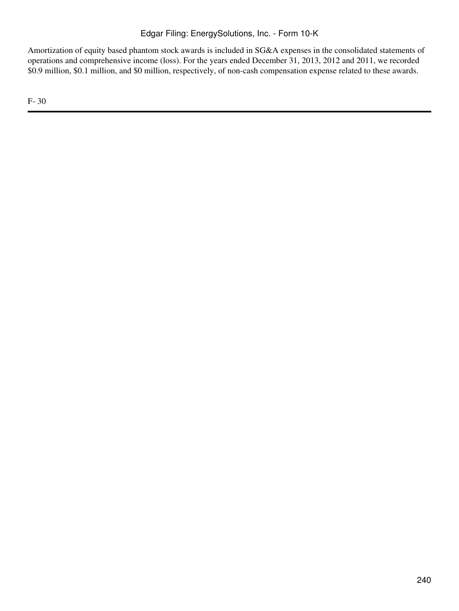Amortization of equity based phantom stock awards is included in SG&A expenses in the consolidated statements of operations and comprehensive income (loss). For the years ended December 31, 2013, 2012 and 2011, we recorded \$0.9 million, \$0.1 million, and \$0 million, respectively, of non-cash compensation expense related to these awards.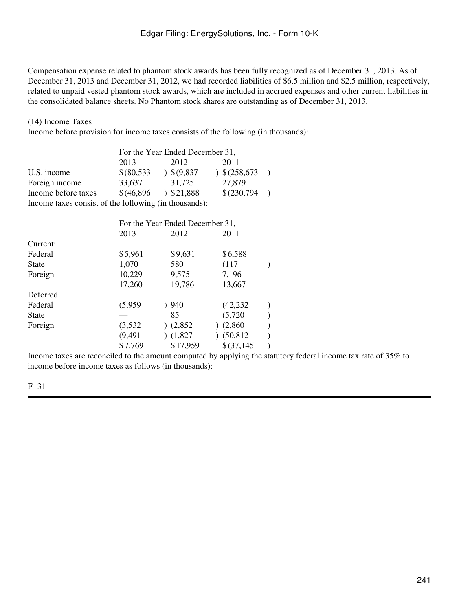Compensation expense related to phantom stock awards has been fully recognized as of December 31, 2013. As of December 31, 2013 and December 31, 2012, we had recorded liabilities of \$6.5 million and \$2.5 million, respectively, related to unpaid vested phantom stock awards, which are included in accrued expenses and other current liabilities in the consolidated balance sheets. No Phantom stock shares are outstanding as of December 31, 2013.

#### (14) Income Taxes

Income before provision for income taxes consists of the following (in thousands):

|                                                       | For the Year Ended December 31, |         |             |               |
|-------------------------------------------------------|---------------------------------|---------|-------------|---------------|
|                                                       | 2013                            | 2012    | 2011        |               |
| U.S. income                                           | \$ (80,533)                     | 9,837   | (258, 673)  |               |
| Foreign income                                        | 33,637                          | 31,725  | 27,879      |               |
| Income before taxes                                   | \$ (46,896)                     | 321,888 | \$(230,794) | $\rightarrow$ |
| Income taxes consist of the following (in thousands): |                                 |         |             |               |

|              |          | For the Year Ended December 31, |            |  |
|--------------|----------|---------------------------------|------------|--|
|              | 2013     | 2012                            | 2011       |  |
| Current:     |          |                                 |            |  |
| Federal      | \$5,961  | \$9,631                         | \$6,588    |  |
| <b>State</b> | 1,070    | 580                             | (117)      |  |
| Foreign      | 10,229   | 9,575                           | 7,196      |  |
|              | 17,260   | 19,786                          | 13,667     |  |
| Deferred     |          |                                 |            |  |
| Federal      | (5,959)  | 940                             | (42, 232)  |  |
| <b>State</b> |          | 85                              | (5,720)    |  |
| Foreign      | (3,532)  | (2,852)                         | (2,860)    |  |
|              | (9, 491) | (1,827)                         | (50, 812)  |  |
|              | \$7,769  | \$17,959                        | \$(37,145) |  |

Income taxes are reconciled to the amount computed by applying the statutory federal income tax rate of 35% to income before income taxes as follows (in thousands):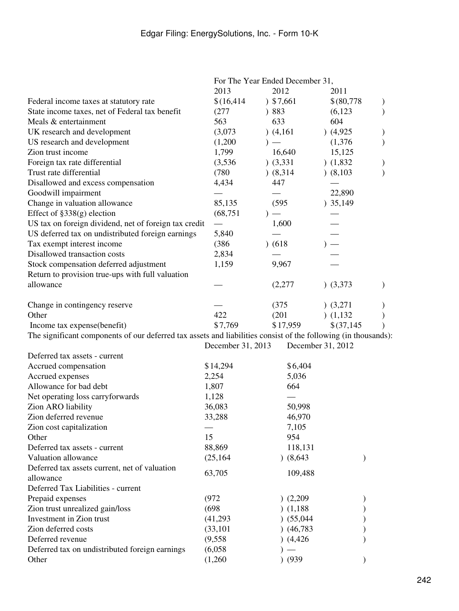|                                                                                                                |                   | For The Year Ended December 31, |                   |  |
|----------------------------------------------------------------------------------------------------------------|-------------------|---------------------------------|-------------------|--|
|                                                                                                                | 2013              | 2012                            | 2011              |  |
| Federal income taxes at statutory rate                                                                         | \$(16, 414)       | 37,661                          | \$ (80,778)       |  |
| State income taxes, net of Federal tax benefit                                                                 | (277)             | )883                            | (6, 123)          |  |
| Meals & entertainment                                                                                          | 563               | 633                             | 604               |  |
| UK research and development                                                                                    | (3,073)           | (4,161)                         | (4,925)           |  |
| US research and development                                                                                    | (1,200)           |                                 | (1,376)           |  |
| Zion trust income                                                                                              | 1,799             | 16,640                          | 15,125            |  |
| Foreign tax rate differential                                                                                  | (3,536)           | (3,331)                         | (1,832)           |  |
| Trust rate differential                                                                                        | (780)             | (8,314)                         | (8,103)           |  |
| Disallowed and excess compensation                                                                             | 4,434             | 447                             |                   |  |
| Goodwill impairment                                                                                            |                   |                                 | 22,890            |  |
| Change in valuation allowance                                                                                  | 85,135            | (595)                           | ) 35,149          |  |
| Effect of $\S 338(g)$ election                                                                                 | (68, 751)         |                                 |                   |  |
| US tax on foreign dividend, net of foreign tax credit                                                          |                   | 1,600                           |                   |  |
| US deferred tax on undistributed foreign earnings                                                              | 5,840             |                                 |                   |  |
| Tax exempt interest income                                                                                     | (386)             | (618)                           |                   |  |
| Disallowed transaction costs                                                                                   | 2,834             |                                 |                   |  |
| Stock compensation deferred adjustment                                                                         | 1,159             | 9,967                           |                   |  |
| Return to provision true-ups with full valuation                                                               |                   |                                 |                   |  |
| allowance                                                                                                      |                   | (2,277)                         | (3,373)           |  |
|                                                                                                                |                   |                                 |                   |  |
| Change in contingency reserve                                                                                  |                   | (375)                           | (3,271)           |  |
| Other                                                                                                          | 422               | (201)                           | (1,132)           |  |
| Income tax expense(benefit)                                                                                    | \$7,769           | \$17,959                        | \$(37,145)        |  |
| The significant components of our deferred tax assets and liabilities consist of the following (in thousands): |                   |                                 |                   |  |
|                                                                                                                | December 31, 2013 |                                 | December 31, 2012 |  |
| Deferred tax assets - current                                                                                  |                   |                                 |                   |  |
| Accrued compensation                                                                                           | \$14,294          | \$6,404                         |                   |  |
| Accrued expenses                                                                                               | 2,254             | 5,036                           |                   |  |
| Allowance for bad debt                                                                                         | 1,807             | 664                             |                   |  |
| Net operating loss carryforwards                                                                               | 1,128             |                                 |                   |  |
| Zion ARO liability                                                                                             | 36,083            | 50,998                          |                   |  |
| Zion deferred revenue                                                                                          | 33,288            | 46,970                          |                   |  |
| Zion cost capitalization                                                                                       |                   | 7,105                           |                   |  |
| Other                                                                                                          | 15                | 954                             |                   |  |
| Deferred tax assets - current                                                                                  | 88,869            | 118,131                         |                   |  |
| Valuation allowance                                                                                            | (25, 164)         | (8, 643)                        |                   |  |
| Deferred tax assets current, net of valuation                                                                  |                   |                                 |                   |  |
| allowance                                                                                                      | 63,705            | 109,488                         |                   |  |
| Deferred Tax Liabilities - current                                                                             |                   |                                 |                   |  |
| Prepaid expenses                                                                                               | (972)             | (2,209)                         |                   |  |
| Zion trust unrealized gain/loss                                                                                | (698)             | (1,188)                         |                   |  |
| Investment in Zion trust                                                                                       | (41,293)          | (55,044)                        |                   |  |
| Zion deferred costs                                                                                            | (33, 101)         | (46, 783)                       |                   |  |
| Deferred revenue                                                                                               | (9, 558)          | (4, 426)                        |                   |  |
| Deferred tax on undistributed foreign earnings                                                                 | (6,058)           |                                 |                   |  |
| Other                                                                                                          | (1,260)           | (939)                           |                   |  |
|                                                                                                                |                   |                                 |                   |  |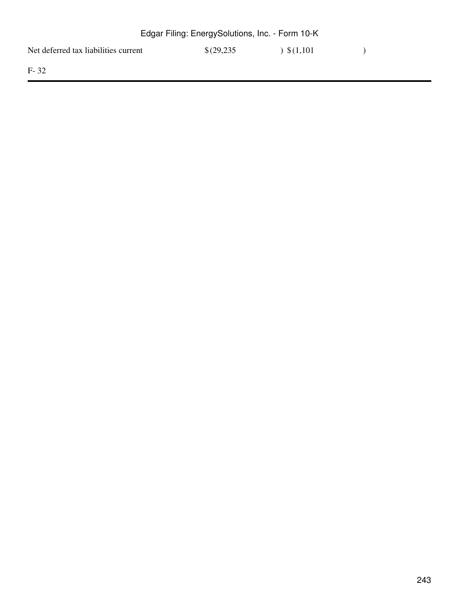| Edgar Filing: EnergySolutions, Inc. - Form 10-K |            |                         |  |  |  |
|-------------------------------------------------|------------|-------------------------|--|--|--|
| Net deferred tax liabilities current            | \$(29,235) | $\frac{1}{2}$ \$(1,101) |  |  |  |
| $F - 32$                                        |            |                         |  |  |  |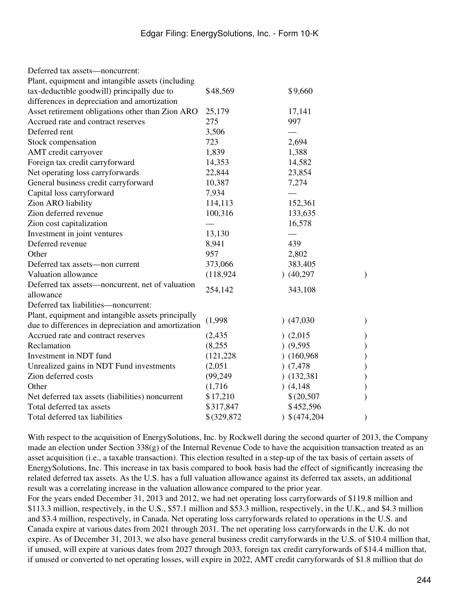| Deferred tax assets-noncurrent:                               |              |                        |               |
|---------------------------------------------------------------|--------------|------------------------|---------------|
| Plant, equipment and intangible assets (including             |              |                        |               |
| tax-deductible goodwill) principally due to                   | \$48,569     | \$9,660                |               |
| differences in depreciation and amortization                  |              |                        |               |
| Asset retirement obligations other than Zion ARO              | 25,179       | 17,141                 |               |
| Accrued rate and contract reserves                            | 275          | 997                    |               |
| Deferred rent                                                 | 3,506        |                        |               |
| Stock compensation                                            | 723          | 2,694                  |               |
| AMT credit carryover                                          | 1,839        | 1,388                  |               |
| Foreign tax credit carryforward                               | 14,353       | 14,582                 |               |
| Net operating loss carryforwards                              | 22,844       | 23,854                 |               |
| General business credit carryforward                          | 10,387       | 7,274                  |               |
| Capital loss carryforward                                     | 7,934        |                        |               |
| Zion ARO liability                                            | 114,113      | 152,361                |               |
| Zion deferred revenue                                         | 100,316      | 133,635                |               |
| Zion cost capitalization                                      |              | 16,578                 |               |
| Investment in joint ventures                                  | 13,130       |                        |               |
| Deferred revenue                                              | 8,941        | 439                    |               |
| Other                                                         | 957          | 2,802                  |               |
| Deferred tax assets-non current                               | 373,066      | 383,405                |               |
| Valuation allowance                                           | (118, 924)   | (40,297)               | $\mathcal{E}$ |
| Deferred tax assets—noncurrent, net of valuation<br>allowance | 254,142      | 343,108                |               |
| Deferred tax liabilities-noncurrent:                          |              |                        |               |
| Plant, equipment and intangible assets principally            |              |                        |               |
| due to differences in depreciation and amortization           | (1,998)      | (47,030)               | $\mathcal{E}$ |
| Accrued rate and contract reserves                            | (2, 435)     | (2,015)                |               |
| Reclamation                                                   | (8,255)      | (9,595)                |               |
| Investment in NDT fund                                        | (121, 228)   | (160, 968)             |               |
| Unrealized gains in NDT Fund investments                      | (2,051)      | )(7,478)               |               |
| Zion deferred costs                                           | (99,249)     | (132, 381)             |               |
| Other                                                         | (1,716)      | (4,148)                |               |
| Net deferred tax assets (liabilities) noncurrent              | \$17,210     | \$(20,507              |               |
| Total deferred tax assets                                     | \$317,847    | \$452,596              |               |
| Total deferred tax liabilities                                | \$(329, 872) | $\frac{1}{2}(474,204)$ |               |
|                                                               |              |                        |               |

With respect to the acquisition of EnergySolutions, Inc. by Rockwell during the second quarter of 2013, the Company made an election under Section  $338(g)$  of the Internal Revenue Code to have the acquisition transaction treated as an asset acquisition (i.e., a taxable transaction). This election resulted in a step-up of the tax basis of certain assets of EnergySolutions, Inc. This increase in tax basis compared to book basis had the effect of significantly increasing the related deferred tax assets. As the U.S. has a full valuation allowance against its deferred tax assets, an additional result was a correlating increase in the valuation allowance compared to the prior year.

For the years ended December 31, 2013 and 2012, we had net operating loss carryforwards of \$119.8 million and \$113.3 million, respectively, in the U.S., \$57.1 million and \$53.3 million, respectively, in the U.K., and \$4.3 million and \$3.4 million, respectively, in Canada. Net operating loss carryforwards related to operations in the U.S. and Canada expire at various dates from 2021 through 2031. The net operating loss carryforwards in the U.K. do not expire. As of December 31, 2013, we also have general business credit carryforwards in the U.S. of \$10.4 million that, if unused, will expire at various dates from 2027 through 2033, foreign tax credit carryforwards of \$14.4 million that, if unused or converted to net operating losses, will expire in 2022, AMT credit carryforwards of \$1.8 million that do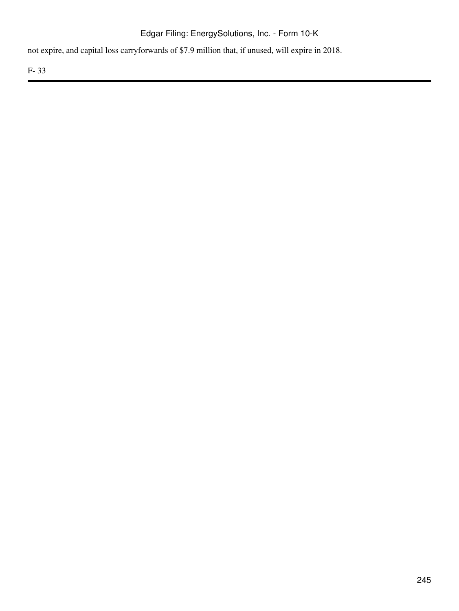not expire, and capital loss carryforwards of \$7.9 million that, if unused, will expire in 2018.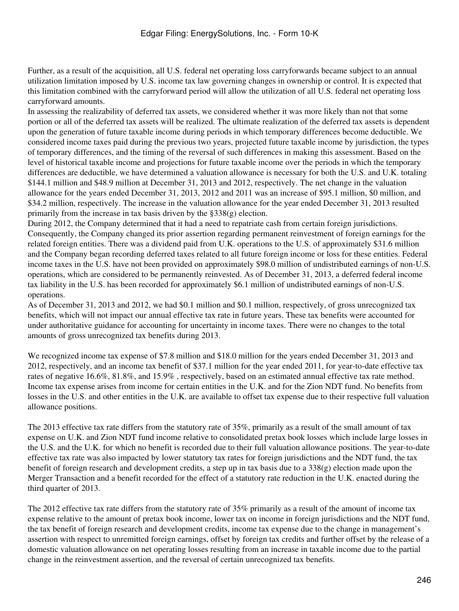Further, as a result of the acquisition, all U.S. federal net operating loss carryforwards became subject to an annual utilization limitation imposed by U.S. income tax law governing changes in ownership or control. It is expected that this limitation combined with the carryforward period will allow the utilization of all U.S. federal net operating loss carryforward amounts.

In assessing the realizability of deferred tax assets, we considered whether it was more likely than not that some portion or all of the deferred tax assets will be realized. The ultimate realization of the deferred tax assets is dependent upon the generation of future taxable income during periods in which temporary differences become deductible. We considered income taxes paid during the previous two years, projected future taxable income by jurisdiction, the types of temporary differences, and the timing of the reversal of such differences in making this assessment. Based on the level of historical taxable income and projections for future taxable income over the periods in which the temporary differences are deductible, we have determined a valuation allowance is necessary for both the U.S. and U.K. totaling \$144.1 million and \$48.9 million at December 31, 2013 and 2012, respectively. The net change in the valuation allowance for the years ended December 31, 2013, 2012 and 2011 was an increase of \$95.1 million, \$0 million, and \$34.2 million, respectively. The increase in the valuation allowance for the year ended December 31, 2013 resulted primarily from the increase in tax basis driven by the §338(g) election.

During 2012, the Company determined that it had a need to repatriate cash from certain foreign jurisdictions. Consequently, the Company changed its prior assertion regarding permanent reinvestment of foreign earnings for the related foreign entities. There was a dividend paid from U.K. operations to the U.S. of approximately \$31.6 million and the Company began recording deferred taxes related to all future foreign income or loss for these entities. Federal income taxes in the U.S. have not been provided on approximately \$98.0 million of undistributed earnings of non-U.S. operations, which are considered to be permanently reinvested. As of December 31, 2013, a deferred federal income tax liability in the U.S. has been recorded for approximately \$6.1 million of undistributed earnings of non-U.S. operations.

As of December 31, 2013 and 2012, we had \$0.1 million and \$0.1 million, respectively, of gross unrecognized tax benefits, which will not impact our annual effective tax rate in future years. These tax benefits were accounted for under authoritative guidance for accounting for uncertainty in income taxes. There were no changes to the total amounts of gross unrecognized tax benefits during 2013.

We recognized income tax expense of \$7.8 million and \$18.0 million for the years ended December 31, 2013 and 2012, respectively, and an income tax benefit of \$37.1 million for the year ended 2011, for year-to-date effective tax rates of negative 16.6%, 81.8%, and 15.9% , respectively, based on an estimated annual effective tax rate method. Income tax expense arises from income for certain entities in the U.K. and for the Zion NDT fund. No benefits from losses in the U.S. and other entities in the U.K. are available to offset tax expense due to their respective full valuation allowance positions.

The 2013 effective tax rate differs from the statutory rate of 35%, primarily as a result of the small amount of tax expense on U.K. and Zion NDT fund income relative to consolidated pretax book losses which include large losses in the U.S. and the U.K. for which no benefit is recorded due to their full valuation allowance positions. The year-to-date effective tax rate was also impacted by lower statutory tax rates for foreign jurisdictions and the NDT fund, the tax benefit of foreign research and development credits, a step up in tax basis due to a 338(g) election made upon the Merger Transaction and a benefit recorded for the effect of a statutory rate reduction in the U.K. enacted during the third quarter of 2013.

The 2012 effective tax rate differs from the statutory rate of 35% primarily as a result of the amount of income tax expense relative to the amount of pretax book income, lower tax on income in foreign jurisdictions and the NDT fund, the tax benefit of foreign research and development credits, income tax expense due to the change in management's assertion with respect to unremitted foreign earnings, offset by foreign tax credits and further offset by the release of a domestic valuation allowance on net operating losses resulting from an increase in taxable income due to the partial change in the reinvestment assertion, and the reversal of certain unrecognized tax benefits.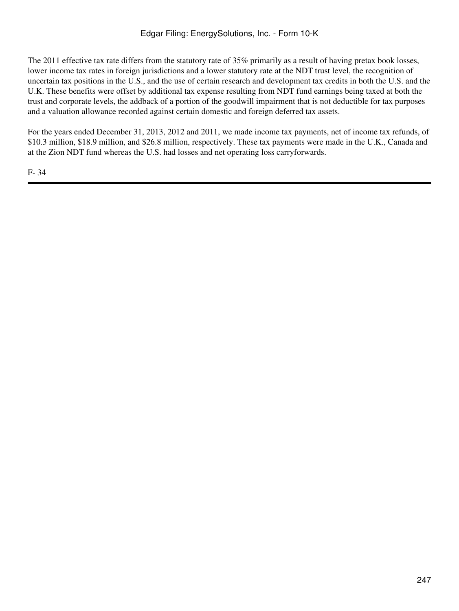The 2011 effective tax rate differs from the statutory rate of 35% primarily as a result of having pretax book losses, lower income tax rates in foreign jurisdictions and a lower statutory rate at the NDT trust level, the recognition of uncertain tax positions in the U.S., and the use of certain research and development tax credits in both the U.S. and the U.K. These benefits were offset by additional tax expense resulting from NDT fund earnings being taxed at both the trust and corporate levels, the addback of a portion of the goodwill impairment that is not deductible for tax purposes and a valuation allowance recorded against certain domestic and foreign deferred tax assets.

For the years ended December 31, 2013, 2012 and 2011, we made income tax payments, net of income tax refunds, of \$10.3 million, \$18.9 million, and \$26.8 million, respectively. These tax payments were made in the U.K., Canada and at the Zion NDT fund whereas the U.S. had losses and net operating loss carryforwards.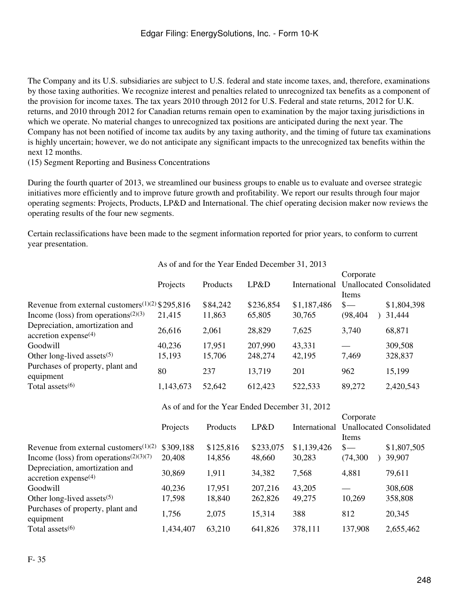The Company and its U.S. subsidiaries are subject to U.S. federal and state income taxes, and, therefore, examinations by those taxing authorities. We recognize interest and penalties related to unrecognized tax benefits as a component of the provision for income taxes. The tax years 2010 through 2012 for U.S. Federal and state returns, 2012 for U.K. returns, and 2010 through 2012 for Canadian returns remain open to examination by the major taxing jurisdictions in which we operate. No material changes to unrecognized tax positions are anticipated during the next year. The Company has not been notified of income tax audits by any taxing authority, and the timing of future tax examinations is highly uncertain; however, we do not anticipate any significant impacts to the unrecognized tax benefits within the next 12 months.

(15) Segment Reporting and Business Concentrations

During the fourth quarter of 2013, we streamlined our business groups to enable us to evaluate and oversee strategic initiatives more efficiently and to improve future growth and profitability. We report our results through four major operating segments: Projects, Products, LP&D and International. The chief operating decision maker now reviews the operating results of the four new segments.

Certain reclassifications have been made to the segment information reported for prior years, to conform to current year presentation.

| As of and for the Year Ended December 31, 2013 |  |
|------------------------------------------------|--|
|                                                |  |

|                                                                                   |           |          |           |               | Corporate     |                                 |
|-----------------------------------------------------------------------------------|-----------|----------|-----------|---------------|---------------|---------------------------------|
|                                                                                   | Projects  | Products | LP&D      | International |               | <b>Unallocated Consolidated</b> |
| Revenue from external customers <sup>(1)(2)</sup> \$295,816                       |           | \$84,242 | \$236,854 | \$1,187,486   | Items<br>$S-$ | \$1,804,398                     |
| Income (loss) from operations <sup><math>(2)(3)</math></sup>                      | 21,415    | 11,863   | 65,805    | 30,765        | (98, 404)     | 31,444                          |
| Depreciation, amortization and<br>$accretion$ expense <sup><math>(4)</math></sup> | 26,616    | 2,061    | 28,829    | 7,625         | 3,740         | 68,871                          |
| Goodwill                                                                          | 40,236    | 17,951   | 207,990   | 43,331        |               | 309,508                         |
| Other long-lived assets $(5)$                                                     | 15,193    | 15,706   | 248,274   | 42,195        | 7,469         | 328,837                         |
| Purchases of property, plant and<br>equipment                                     | 80        | 237      | 13,719    | 201           | 962           | 15,199                          |
| Total assets $(6)$                                                                | 1,143,673 | 52,642   | 612,423   | 522,533       | 89,272        | 2,420,543                       |
|                                                                                   |           |          |           |               |               |                                 |

As of and for the Year Ended December 31, 2012

|                                                                                   |           |           |           |                                        | Corporate     |             |
|-----------------------------------------------------------------------------------|-----------|-----------|-----------|----------------------------------------|---------------|-------------|
|                                                                                   | Projects  | Products  | LP&D      | International Unallocated Consolidated |               |             |
|                                                                                   |           |           |           |                                        | Items         |             |
| Revenue from external customers $(1)(2)$                                          | \$309,188 | \$125,816 | \$233,075 | \$1,139,426                            | $\frac{1}{2}$ | \$1,807,505 |
| Income (loss) from operations <sup><math>(2)(3)(7)</math></sup>                   | 20,408    | 14,856    | 48,660    | 30,283                                 | (74,300)      | 39,907      |
| Depreciation, amortization and<br>$accretion$ expense <sup><math>(4)</math></sup> | 30,869    | 1,911     | 34,382    | 7,568                                  | 4,881         | 79,611      |
| Goodwill                                                                          | 40,236    | 17,951    | 207,216   | 43,205                                 |               | 308,608     |
| Other long-lived assets $(5)$                                                     | 17,598    | 18,840    | 262,826   | 49,275                                 | 10,269        | 358,808     |
| Purchases of property, plant and<br>equipment                                     | 1,756     | 2,075     | 15,314    | 388                                    | 812           | 20,345      |
| Total assets $(6)$                                                                | 1,434,407 | 63,210    | 641,826   | 378,111                                | 137,908       | 2,655,462   |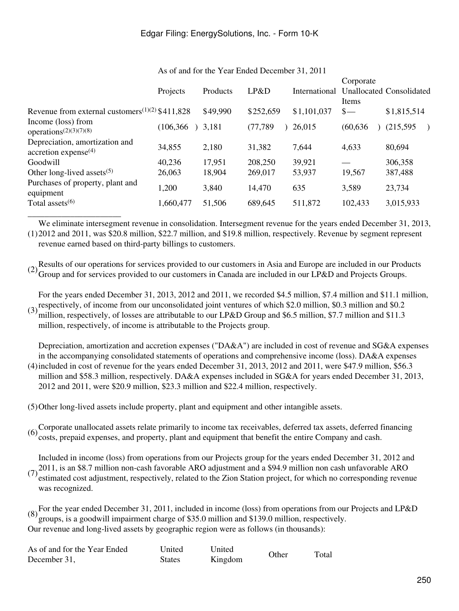|                                                                                   |            |          |           |               | Corporate    |                                 |
|-----------------------------------------------------------------------------------|------------|----------|-----------|---------------|--------------|---------------------------------|
|                                                                                   | Projects   | Products | LP&D      | International | <b>Items</b> | <b>Unallocated Consolidated</b> |
| Revenue from external customers <sup>(1)(2)</sup> \$411,828                       |            | \$49,990 | \$252,659 | \$1,101,037   | $s-$         | \$1,815,514                     |
| Income (loss) from<br>operations <sup><math>(2)(3)(7)(8)</math></sup>             | (106, 366) | 3,181    | (77, 789) | 26,015        | (60, 636)    | (215,595)                       |
| Depreciation, amortization and<br>$accretion$ expense <sup><math>(4)</math></sup> | 34,855     | 2,180    | 31,382    | 7,644         | 4,633        | 80,694                          |
| Goodwill                                                                          | 40,236     | 17,951   | 208,250   | 39,921        |              | 306,358                         |
| Other long-lived assets <sup>(5)</sup>                                            | 26,063     | 18,904   | 269,017   | 53,937        | 19,567       | 387,488                         |
| Purchases of property, plant and<br>equipment                                     | 1,200      | 3,840    | 14,470    | 635           | 3,589        | 23,734                          |
| Total assets $(6)$                                                                | 1,660,477  | 51,506   | 689,645   | 511,872       | 102,433      | 3,015,933                       |
|                                                                                   |            |          |           |               |              |                                 |

As of and for the Year Ended December 31, 2011

(1) 2012 and 2011, was \$20.8 million, \$22.7 million, and \$19.8 million, respectively. Revenue by segment represent We eliminate intersegment revenue in consolidation. Intersegment revenue for the years ended December 31, 2013, revenue earned based on third-party billings to customers.

(2) Results of our operations for services provided to our customers in Asia and Europe are included in our Products Group and for services provided to our customers in Canada are included in our LP&D and Projects Groups.

(3) respectively, of income from our unconsolidated joint ventures of which \$2.0 million, \$0.3 million and \$0.2<br>(3) million geographically of locate are ettributed at a our LB&D Group and \$6.5 million, \$7.7 million and \$1 For the years ended December 31, 2013, 2012 and 2011, we recorded \$4.5 million, \$7.4 million and \$11.1 million, million, respectively, of losses are attributable to our LP&D Group and \$6.5 million, \$7.7 million and \$11.3 million, respectively, of income is attributable to the Projects group.

(4) included in cost of revenue for the years ended December 31, 2013, 2012 and 2011, were \$47.9 million, \$56.3 Depreciation, amortization and accretion expenses ("DA&A") are included in cost of revenue and SG&A expenses in the accompanying consolidated statements of operations and comprehensive income (loss). DA&A expenses

million and \$58.3 million, respectively. DA&A expenses included in SG&A for years ended December 31, 2013, 2012 and 2011, were \$20.9 million, \$23.3 million and \$22.4 million, respectively.

(5)Other long-lived assets include property, plant and equipment and other intangible assets.

(6)Corporate unallocated assets relate primarily to income tax receivables, deferred tax assets, deferred financing costs, prepaid expenses, and property, plant and equipment that benefit the entire Company and cash.

 $(7)$  2011, is an \$8.7 million non-cash favorable ARO adjustment and a \$94.9 million non cash unfavorable ARO Included in income (loss) from operations from our Projects group for the years ended December 31, 2012 and estimated cost adjustment, respectively, related to the Zion Station project, for which no corresponding revenue was recognized.

(8) For the year ended December 31, 2011, included in income (loss) from operations from our Projects and LP&D groups, is a goodwill impairment charge of \$35.0 million and \$139.0 million, respectively. Our revenue and long-lived assets by geographic region were as follows (in thousands):

| As of and for the Year Ended | United        | United  | Other |       |
|------------------------------|---------------|---------|-------|-------|
| December 31,                 | <b>States</b> | Kingdom |       | Total |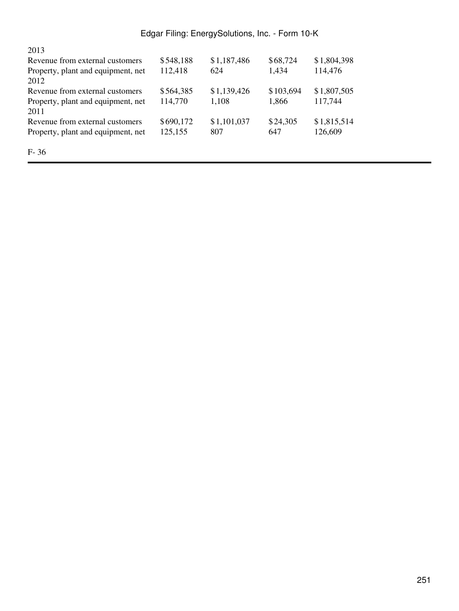| 2013                               |           |             |           |             |
|------------------------------------|-----------|-------------|-----------|-------------|
| Revenue from external customers    | \$548,188 | \$1,187,486 | \$68,724  | \$1,804,398 |
| Property, plant and equipment, net | 112,418   | 624         | 1,434     | 114,476     |
| 2012                               |           |             |           |             |
| Revenue from external customers    | \$564,385 | \$1,139,426 | \$103,694 | \$1,807,505 |
| Property, plant and equipment, net | 114,770   | 1,108       | 1,866     | 117,744     |
| 2011                               |           |             |           |             |
| Revenue from external customers    | \$690,172 | \$1,101,037 | \$24,305  | \$1,815,514 |
| Property, plant and equipment, net | 125,155   | 807         | 647       | 126,609     |
|                                    |           |             |           |             |
| $F - 36$                           |           |             |           |             |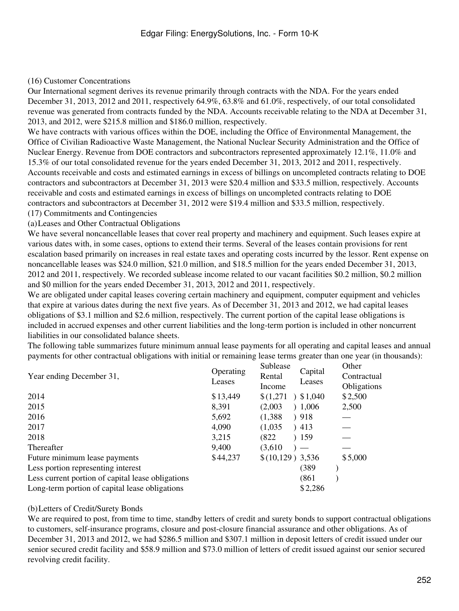## (16) Customer Concentrations

Our International segment derives its revenue primarily through contracts with the NDA. For the years ended December 31, 2013, 2012 and 2011, respectively 64.9%, 63.8% and 61.0%, respectively, of our total consolidated revenue was generated from contracts funded by the NDA. Accounts receivable relating to the NDA at December 31, 2013, and 2012, were \$215.8 million and \$186.0 million, respectively.

We have contracts with various offices within the DOE, including the Office of Environmental Management, the Office of Civilian Radioactive Waste Management, the National Nuclear Security Administration and the Office of Nuclear Energy. Revenue from DOE contractors and subcontractors represented approximately 12.1%, 11.0% and 15.3% of our total consolidated revenue for the years ended December 31, 2013, 2012 and 2011, respectively. Accounts receivable and costs and estimated earnings in excess of billings on uncompleted contracts relating to DOE contractors and subcontractors at December 31, 2013 were \$20.4 million and \$33.5 million, respectively. Accounts receivable and costs and estimated earnings in excess of billings on uncompleted contracts relating to DOE contractors and subcontractors at December 31, 2012 were \$19.4 million and \$33.5 million, respectively.

#### (17) Commitments and Contingencies

#### (a)Leases and Other Contractual Obligations

We have several noncancellable leases that cover real property and machinery and equipment. Such leases expire at various dates with, in some cases, options to extend their terms. Several of the leases contain provisions for rent escalation based primarily on increases in real estate taxes and operating costs incurred by the lessor. Rent expense on noncancellable leases was \$24.0 million, \$21.0 million, and \$18.5 million for the years ended December 31, 2013, 2012 and 2011, respectively. We recorded sublease income related to our vacant facilities \$0.2 million, \$0.2 million and \$0 million for the years ended December 31, 2013, 2012 and 2011, respectively.

We are obligated under capital leases covering certain machinery and equipment, computer equipment and vehicles that expire at various dates during the next five years. As of December 31, 2013 and 2012, we had capital leases obligations of \$3.1 million and \$2.6 million, respectively. The current portion of the capital lease obligations is included in accrued expenses and other current liabilities and the long-term portion is included in other noncurrent liabilities in our consolidated balance sheets.

The following table summarizes future minimum annual lease payments for all operating and capital leases and annual payments for other contractual obligations with initial or remaining lease terms greater than one year (in thousands):

| Year ending December 31,                          | Operating<br>Leases | Sublease<br>Rental<br>Income | Capital<br>Leases                | Other<br>Contractual<br>Obligations |
|---------------------------------------------------|---------------------|------------------------------|----------------------------------|-------------------------------------|
| 2014                                              | \$13,449            | \$(1,271)                    | \$1,040                          | \$2,500                             |
| 2015                                              | 8,391               | (2,003)                      | 1,006                            | 2,500                               |
| 2016                                              | 5,692               | (1,388)                      | )918                             |                                     |
| 2017                                              | 4,090               | (1,035)                      | )413                             |                                     |
| 2018                                              | 3,215               | (822)                        | 159                              |                                     |
| Thereafter                                        | 9,400               | (3,610)                      | $\overbrace{\phantom{12322111}}$ |                                     |
| Future minimum lease payments                     | \$44,237            | $$(10,129)$ 3,536            |                                  | \$5,000                             |
| Less portion representing interest                |                     |                              | (389)                            |                                     |
| Less current portion of capital lease obligations |                     |                              | (861)                            |                                     |
| Long-term portion of capital lease obligations    |                     |                              | \$2,286                          |                                     |

#### (b)Letters of Credit/Surety Bonds

We are required to post, from time to time, standby letters of credit and surety bonds to support contractual obligations to customers, self-insurance programs, closure and post-closure financial assurance and other obligations. As of December 31, 2013 and 2012, we had \$286.5 million and \$307.1 million in deposit letters of credit issued under our senior secured credit facility and \$58.9 million and \$73.0 million of letters of credit issued against our senior secured revolving credit facility.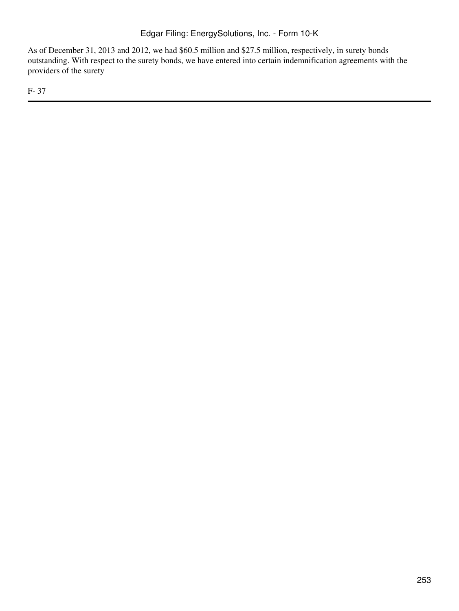As of December 31, 2013 and 2012, we had \$60.5 million and \$27.5 million, respectively, in surety bonds outstanding. With respect to the surety bonds, we have entered into certain indemnification agreements with the providers of the surety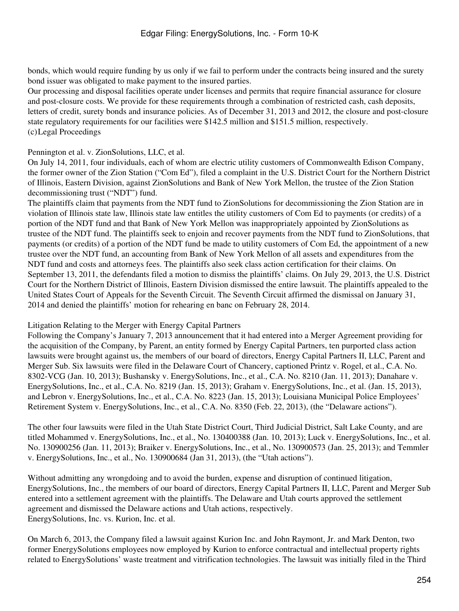bonds, which would require funding by us only if we fail to perform under the contracts being insured and the surety bond issuer was obligated to make payment to the insured parties.

Our processing and disposal facilities operate under licenses and permits that require financial assurance for closure and post-closure costs. We provide for these requirements through a combination of restricted cash, cash deposits, letters of credit, surety bonds and insurance policies. As of December 31, 2013 and 2012, the closure and post-closure state regulatory requirements for our facilities were \$142.5 million and \$151.5 million, respectively. (c)Legal Proceedings

#### Pennington et al. v. ZionSolutions, LLC, et al.

On July 14, 2011, four individuals, each of whom are electric utility customers of Commonwealth Edison Company, the former owner of the Zion Station ("Com Ed"), filed a complaint in the U.S. District Court for the Northern District of Illinois, Eastern Division, against ZionSolutions and Bank of New York Mellon, the trustee of the Zion Station decommissioning trust ("NDT") fund.

The plaintiffs claim that payments from the NDT fund to ZionSolutions for decommissioning the Zion Station are in violation of Illinois state law, Illinois state law entitles the utility customers of Com Ed to payments (or credits) of a portion of the NDT fund and that Bank of New York Mellon was inappropriately appointed by ZionSolutions as trustee of the NDT fund. The plaintiffs seek to enjoin and recover payments from the NDT fund to ZionSolutions, that payments (or credits) of a portion of the NDT fund be made to utility customers of Com Ed, the appointment of a new trustee over the NDT fund, an accounting from Bank of New York Mellon of all assets and expenditures from the NDT fund and costs and attorneys fees. The plaintiffs also seek class action certification for their claims. On September 13, 2011, the defendants filed a motion to dismiss the plaintiffs' claims. On July 29, 2013, the U.S. District Court for the Northern District of Illinois, Eastern Division dismissed the entire lawsuit. The plaintiffs appealed to the United States Court of Appeals for the Seventh Circuit. The Seventh Circuit affirmed the dismissal on January 31, 2014 and denied the plaintiffs' motion for rehearing en banc on February 28, 2014.

Litigation Relating to the Merger with Energy Capital Partners

Following the Company's January 7, 2013 announcement that it had entered into a Merger Agreement providing for the acquisition of the Company, by Parent, an entity formed by Energy Capital Partners, ten purported class action lawsuits were brought against us, the members of our board of directors, Energy Capital Partners II, LLC, Parent and Merger Sub. Six lawsuits were filed in the Delaware Court of Chancery, captioned Printz v. Rogel, et al., C.A. No. 8302-VCG (Jan. 10, 2013); Bushansky v. EnergySolutions, Inc., et al., C.A. No. 8210 (Jan. 11, 2013); Danahare v. EnergySolutions, Inc., et al., C.A. No. 8219 (Jan. 15, 2013); Graham v. EnergySolutions, Inc., et al. (Jan. 15, 2013), and Lebron v. EnergySolutions, Inc., et al., C.A. No. 8223 (Jan. 15, 2013); Louisiana Municipal Police Employees' Retirement System v. EnergySolutions, Inc., et al., C.A. No. 8350 (Feb. 22, 2013), (the "Delaware actions").

The other four lawsuits were filed in the Utah State District Court, Third Judicial District, Salt Lake County, and are titled Mohammed v. EnergySolutions, Inc., et al., No. 130400388 (Jan. 10, 2013); Luck v. EnergySolutions, Inc., et al. No. 130900256 (Jan. 11, 2013); Braiker v. EnergySolutions, Inc., et al., No. 130900573 (Jan. 25, 2013); and Temmler v. EnergySolutions, Inc., et al., No. 130900684 (Jan 31, 2013), (the "Utah actions").

Without admitting any wrongdoing and to avoid the burden, expense and disruption of continued litigation, EnergySolutions, Inc., the members of our board of directors, Energy Capital Partners II, LLC, Parent and Merger Sub entered into a settlement agreement with the plaintiffs. The Delaware and Utah courts approved the settlement agreement and dismissed the Delaware actions and Utah actions, respectively. EnergySolutions, Inc. vs. Kurion, Inc. et al.

On March 6, 2013, the Company filed a lawsuit against Kurion Inc. and John Raymont, Jr. and Mark Denton, two former EnergySolutions employees now employed by Kurion to enforce contractual and intellectual property rights related to EnergySolutions' waste treatment and vitrification technologies. The lawsuit was initially filed in the Third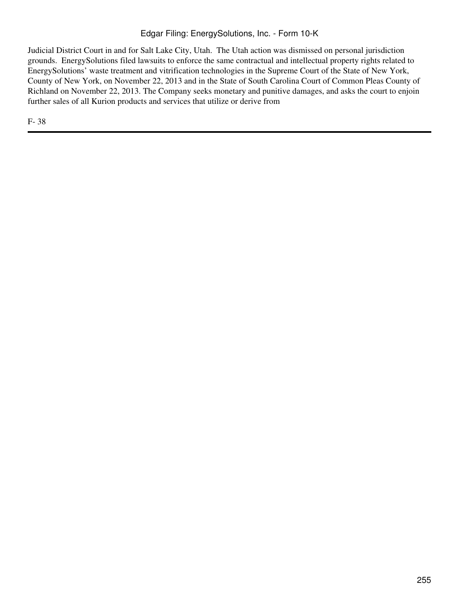# Edgar Filing: EnergySolutions, Inc. - Form 10-K

Judicial District Court in and for Salt Lake City, Utah. The Utah action was dismissed on personal jurisdiction grounds. EnergySolutions filed lawsuits to enforce the same contractual and intellectual property rights related to EnergySolutions' waste treatment and vitrification technologies in the Supreme Court of the State of New York, County of New York, on November 22, 2013 and in the State of South Carolina Court of Common Pleas County of Richland on November 22, 2013. The Company seeks monetary and punitive damages, and asks the court to enjoin further sales of all Kurion products and services that utilize or derive from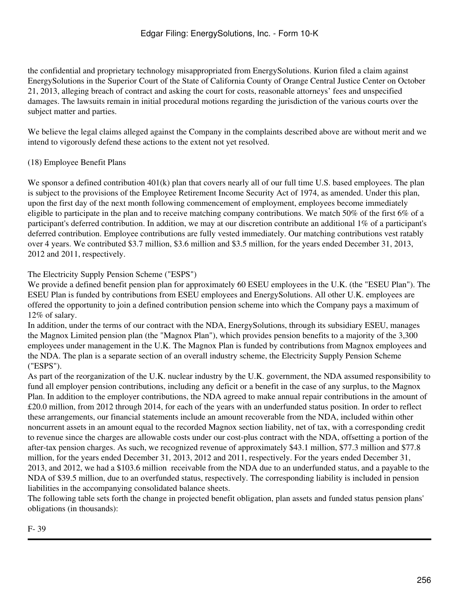the confidential and proprietary technology misappropriated from EnergySolutions. Kurion filed a claim against EnergySolutions in the Superior Court of the State of California County of Orange Central Justice Center on October 21, 2013, alleging breach of contract and asking the court for costs, reasonable attorneys' fees and unspecified damages. The lawsuits remain in initial procedural motions regarding the jurisdiction of the various courts over the subject matter and parties.

We believe the legal claims alleged against the Company in the complaints described above are without merit and we intend to vigorously defend these actions to the extent not yet resolved.

### (18) Employee Benefit Plans

We sponsor a defined contribution 401(k) plan that covers nearly all of our full time U.S. based employees. The plan is subject to the provisions of the Employee Retirement Income Security Act of 1974, as amended. Under this plan, upon the first day of the next month following commencement of employment, employees become immediately eligible to participate in the plan and to receive matching company contributions. We match 50% of the first 6% of a participant's deferred contribution. In addition, we may at our discretion contribute an additional 1% of a participant's deferred contribution. Employee contributions are fully vested immediately. Our matching contributions vest ratably over 4 years. We contributed \$3.7 million, \$3.6 million and \$3.5 million, for the years ended December 31, 2013, 2012 and 2011, respectively.

### The Electricity Supply Pension Scheme ("ESPS")

We provide a defined benefit pension plan for approximately 60 ESEU employees in the U.K. (the "ESEU Plan"). The ESEU Plan is funded by contributions from ESEU employees and EnergySolutions. All other U.K. employees are offered the opportunity to join a defined contribution pension scheme into which the Company pays a maximum of 12% of salary.

In addition, under the terms of our contract with the NDA, EnergySolutions, through its subsidiary ESEU, manages the Magnox Limited pension plan (the "Magnox Plan"), which provides pension benefits to a majority of the 3,300 employees under management in the U.K. The Magnox Plan is funded by contributions from Magnox employees and the NDA. The plan is a separate section of an overall industry scheme, the Electricity Supply Pension Scheme ("ESPS").

As part of the reorganization of the U.K. nuclear industry by the U.K. government, the NDA assumed responsibility to fund all employer pension contributions, including any deficit or a benefit in the case of any surplus, to the Magnox Plan. In addition to the employer contributions, the NDA agreed to make annual repair contributions in the amount of £20.0 million, from 2012 through 2014, for each of the years with an underfunded status position. In order to reflect these arrangements, our financial statements include an amount recoverable from the NDA, included within other noncurrent assets in an amount equal to the recorded Magnox section liability, net of tax, with a corresponding credit to revenue since the charges are allowable costs under our cost-plus contract with the NDA, offsetting a portion of the after-tax pension charges. As such, we recognized revenue of approximately \$43.1 million, \$77.3 million and \$77.8 million, for the years ended December 31, 2013, 2012 and 2011, respectively. For the years ended December 31, 2013, and 2012, we had a \$103.6 million receivable from the NDA due to an underfunded status, and a payable to the NDA of \$39.5 million, due to an overfunded status, respectively. The corresponding liability is included in pension liabilities in the accompanying consolidated balance sheets.

The following table sets forth the change in projected benefit obligation, plan assets and funded status pension plans' obligations (in thousands):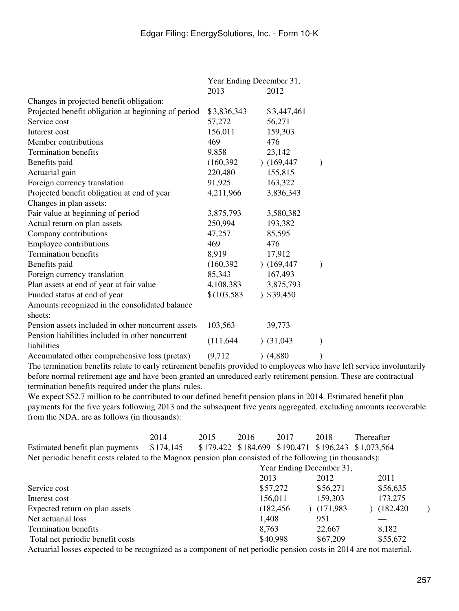|                                                     | Year Ending December 31, |             |  |
|-----------------------------------------------------|--------------------------|-------------|--|
|                                                     | 2013                     | 2012        |  |
| Changes in projected benefit obligation:            |                          |             |  |
| Projected benefit obligation at beginning of period | \$3,836,343              | \$3,447,461 |  |
| Service cost                                        | 57,272                   | 56,271      |  |
| Interest cost                                       | 156,011                  | 159,303     |  |
| Member contributions                                | 469                      | 476         |  |
| <b>Termination benefits</b>                         | 9,858                    | 23,142      |  |
| Benefits paid                                       | (160, 392)               | (169, 447)  |  |
| Actuarial gain                                      | 220,480                  | 155,815     |  |
| Foreign currency translation                        | 91,925                   | 163,322     |  |
| Projected benefit obligation at end of year         | 4,211,966                | 3,836,343   |  |
| Changes in plan assets:                             |                          |             |  |
| Fair value at beginning of period                   | 3,875,793                | 3,580,382   |  |
| Actual return on plan assets                        | 250,994                  | 193,382     |  |
| Company contributions                               | 47,257                   | 85,595      |  |
| Employee contributions                              | 469                      | 476         |  |
| <b>Termination benefits</b>                         | 8,919                    | 17,912      |  |
| Benefits paid                                       | (160, 392)               | (169, 447)  |  |
| Foreign currency translation                        | 85,343                   | 167,493     |  |
| Plan assets at end of year at fair value            | 4,108,383                | 3,875,793   |  |
| Funded status at end of year                        | \$(103,583)              | 39,450      |  |
| Amounts recognized in the consolidated balance      |                          |             |  |
| sheets:                                             |                          |             |  |
| Pension assets included in other noncurrent assets  | 103,563                  | 39,773      |  |
| Pension liabilities included in other noncurrent    | (111, 644)               | (31,043)    |  |
| liabilities                                         |                          |             |  |
| Accumulated other comprehensive loss (pretax)       | (9, 712)                 | (4,880)     |  |

The termination benefits relate to early retirement benefits provided to employees who have left service involuntarily before normal retirement age and have been granted an unreduced early retirement pension. These are contractual termination benefits required under the plans' rules.

We expect \$52.7 million to be contributed to our defined benefit pension plans in 2014. Estimated benefit plan payments for the five years following 2013 and the subsequent five years aggregated, excluding amounts recoverable from the NDA, are as follows (in thousands):

|                                                                                                          | 2014                     | 2015 | 2016     | 2017       | 2018      | Thereafter                                               |  |
|----------------------------------------------------------------------------------------------------------|--------------------------|------|----------|------------|-----------|----------------------------------------------------------|--|
| Estimated benefit plan payments                                                                          | \$174,145                |      |          |            |           | $$179,422$ $$184,699$ $$190,471$ $$196,243$ $$1,073,564$ |  |
| Net periodic benefit costs related to the Magnox pension plan consisted of the following (in thousands): |                          |      |          |            |           |                                                          |  |
|                                                                                                          | Year Ending December 31, |      |          |            |           |                                                          |  |
|                                                                                                          |                          |      | 2013     |            | 2012      | 2011                                                     |  |
| Service cost                                                                                             |                          |      | \$57,272 |            | \$56,271  | \$56,635                                                 |  |
| Interest cost                                                                                            |                          |      | 156,011  |            | 159,303   | 173,275                                                  |  |
| Expected return on plan assets                                                                           |                          |      |          | (182, 456) | (171,983) | (182, 420)                                               |  |

Net actuarial loss and the set of the set of the set of the set of the set of the set of the set of the set of the set of the set of the set of the set of the set of the set of the set of the set of the set of the set of t Termination benefits 8,763 22,667 8,182 Total net periodic benefit costs  $$40,998$   $$67,209$   $$55,672$ 

Actuarial losses expected to be recognized as a component of net periodic pension costs in 2014 are not material.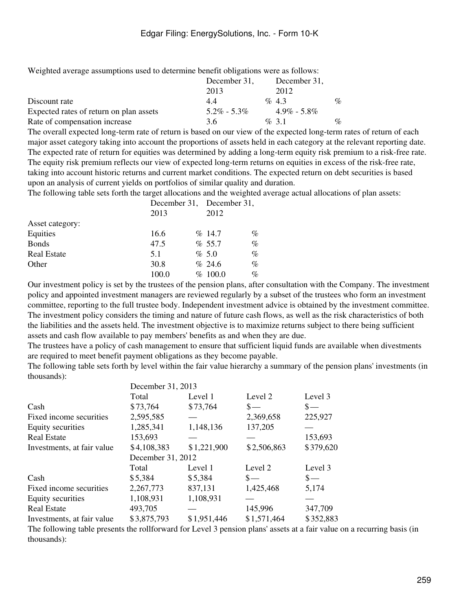Weighted average assumptions used to determine benefit obligations were as follows:

|                                         | December 31,    | December 31,    |                 |
|-----------------------------------------|-----------------|-----------------|-----------------|
|                                         | 2013            | 2012            |                 |
| Discount rate                           | 4.4             | $\%$ 43         | $\mathcal{O}_0$ |
| Expected rates of return on plan assets | $5.2\% - 5.3\%$ | $4.9\% - 5.8\%$ |                 |
| Rate of compensation increase           | 3.6             | $\%$ 3.1        | $\mathcal{O}_0$ |

The overall expected long-term rate of return is based on our view of the expected long-term rates of return of each major asset category taking into account the proportions of assets held in each category at the relevant reporting date. The expected rate of return for equities was determined by adding a long-term equity risk premium to a risk-free rate. The equity risk premium reflects our view of expected long-term returns on equities in excess of the risk-free rate, taking into account historic returns and current market conditions. The expected return on debt securities is based upon an analysis of current yields on portfolios of similar quality and duration.

The following table sets forth the target allocations and the weighted average actual allocations of plan assets:

|                    | December 31, December 31, |  |           |      |
|--------------------|---------------------------|--|-----------|------|
|                    | 2013                      |  | 2012      |      |
| Asset category:    |                           |  |           |      |
| Equities           | 16.6                      |  | $\%$ 14.7 | $\%$ |
| <b>Bonds</b>       | 47.5                      |  | % 55.7    | $\%$ |
| <b>Real Estate</b> | 5.1                       |  | $\% 5.0$  | $\%$ |
| Other              | 30.8                      |  | $\%$ 24.6 | $\%$ |
|                    | 100.0                     |  | %100.0    | $\%$ |

Our investment policy is set by the trustees of the pension plans, after consultation with the Company. The investment policy and appointed investment managers are reviewed regularly by a subset of the trustees who form an investment committee, reporting to the full trustee body. Independent investment advice is obtained by the investment committee. The investment policy considers the timing and nature of future cash flows, as well as the risk characteristics of both the liabilities and the assets held. The investment objective is to maximize returns subject to there being sufficient assets and cash flow available to pay members' benefits as and when they are due.

The trustees have a policy of cash management to ensure that sufficient liquid funds are available when divestments are required to meet benefit payment obligations as they become payable.

The following table sets forth by level within the fair value hierarchy a summary of the pension plans' investments (in thousands):

|                            | December 31, 2013 |             |             |                |
|----------------------------|-------------------|-------------|-------------|----------------|
|                            | Total             | Level 1     | Level 2     | Level 3        |
| Cash                       | \$73,764          | \$73,764    | $s-$        | $\mathbf{s}$ — |
| Fixed income securities    | 2,595,585         |             | 2,369,658   | 225,927        |
| Equity securities          | 1,285,341         | 1,148,136   | 137,205     |                |
| <b>Real Estate</b>         | 153,693           |             |             | 153,693        |
| Investments, at fair value | \$4,108,383       | \$1,221,900 | \$2,506,863 | \$379,620      |
|                            | December 31, 2012 |             |             |                |
|                            | Total             | Level 1     | Level 2     | Level 3        |
| Cash                       | \$5,384           | \$5,384     | $S-$        | $\mathbf{s}$ — |
| Fixed income securities    | 2,267,773         | 837,131     | 1,425,468   | 5,174          |
| Equity securities          | 1,108,931         | 1,108,931   |             |                |
| <b>Real Estate</b>         | 493,705           |             | 145,996     | 347,709        |
| Investments, at fair value | \$3,875,793       | \$1,951,446 | \$1,571,464 | \$352,883      |

The following table presents the rollforward for Level 3 pension plans' assets at a fair value on a recurring basis (in thousands):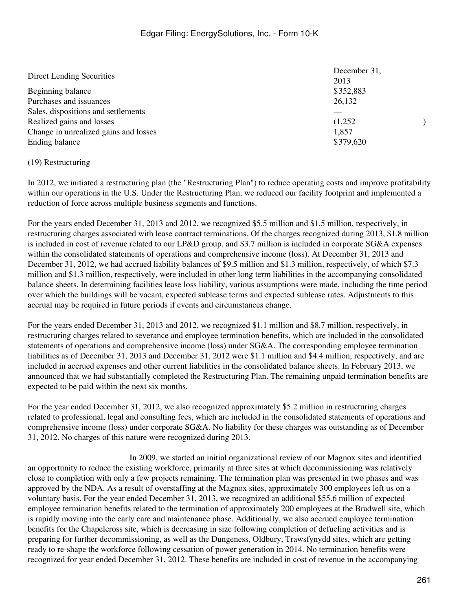| Direct Lending Securities             | December 31,<br>2013 |  |
|---------------------------------------|----------------------|--|
| Beginning balance                     | \$352,883            |  |
| Purchases and issuances               | 26,132               |  |
| Sales, dispositions and settlements   |                      |  |
| Realized gains and losses             | (1,252)              |  |
| Change in unrealized gains and losses | 1,857                |  |
| Ending balance                        | \$379,620            |  |
|                                       |                      |  |

#### (19) Restructuring

In 2012, we initiated a restructuring plan (the "Restructuring Plan") to reduce operating costs and improve profitability within our operations in the U.S. Under the Restructuring Plan, we reduced our facility footprint and implemented a reduction of force across multiple business segments and functions.

For the years ended December 31, 2013 and 2012, we recognized \$5.5 million and \$1.5 million, respectively, in restructuring charges associated with lease contract terminations. Of the charges recognized during 2013, \$1.8 million is included in cost of revenue related to our LP&D group, and \$3.7 million is included in corporate SG&A expenses within the consolidated statements of operations and comprehensive income (loss). At December 31, 2013 and December 31, 2012, we had accrued liability balances of \$9.5 million and \$1.3 million, respectively, of which \$7.3 million and \$1.3 million, respectively, were included in other long term liabilities in the accompanying consolidated balance sheets. In determining facilities lease loss liability, various assumptions were made, including the time period over which the buildings will be vacant, expected sublease terms and expected sublease rates. Adjustments to this accrual may be required in future periods if events and circumstances change.

For the years ended December 31, 2013 and 2012, we recognized \$1.1 million and \$8.7 million, respectively, in restructuring charges related to severance and employee termination benefits, which are included in the consolidated statements of operations and comprehensive income (loss) under SG&A. The corresponding employee termination liabilities as of December 31, 2013 and December 31, 2012 were \$1.1 million and \$4.4 million, respectively, and are included in accrued expenses and other current liabilities in the consolidated balance sheets. In February 2013, we announced that we had substantially completed the Restructuring Plan. The remaining unpaid termination benefits are expected to be paid within the next six months.

For the year ended December 31, 2012, we also recognized approximately \$5.2 million in restructuring charges related to professional, legal and consulting fees, which are included in the consolidated statements of operations and comprehensive income (loss) under corporate SG&A. No liability for these charges was outstanding as of December 31, 2012. No charges of this nature were recognized during 2013.

 In 2009, we started an initial organizational review of our Magnox sites and identified an opportunity to reduce the existing workforce, primarily at three sites at which decommissioning was relatively close to completion with only a few projects remaining. The termination plan was presented in two phases and was approved by the NDA. As a result of overstaffing at the Magnox sites, approximately 300 employees left us on a voluntary basis. For the year ended December 31, 2013, we recognized an additional \$55.6 million of expected employee termination benefits related to the termination of approximately 200 employees at the Bradwell site, which is rapidly moving into the early care and maintenance phase. Additionally, we also accrued employee termination benefits for the Chapelcross site, which is decreasing in size following completion of defueling activities and is preparing for further decommissioning, as well as the Dungeness, Oldbury, Trawsfynydd sites, which are getting ready to re-shape the workforce following cessation of power generation in 2014. No termination benefits were recognized for year ended December 31, 2012. These benefits are included in cost of revenue in the accompanying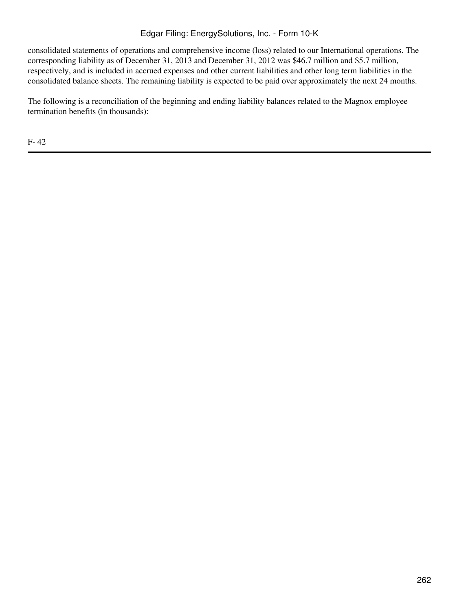# Edgar Filing: EnergySolutions, Inc. - Form 10-K

consolidated statements of operations and comprehensive income (loss) related to our International operations. The corresponding liability as of December 31, 2013 and December 31, 2012 was \$46.7 million and \$5.7 million, respectively, and is included in accrued expenses and other current liabilities and other long term liabilities in the consolidated balance sheets. The remaining liability is expected to be paid over approximately the next 24 months.

The following is a reconciliation of the beginning and ending liability balances related to the Magnox employee termination benefits (in thousands):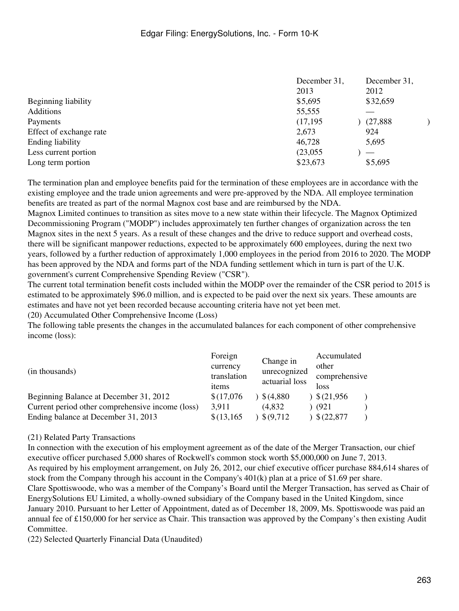|                         | December 31, | December 31,      |  |
|-------------------------|--------------|-------------------|--|
|                         | 2013         | 2012              |  |
| Beginning liability     | \$5,695      | \$32,659          |  |
| Additions               | 55,555       |                   |  |
| Payments                | (17, 195)    | (27, 888)         |  |
| Effect of exchange rate | 2,673        | 924               |  |
| Ending liability        | 46,728       | 5,695             |  |
| Less current portion    | (23,055)     | $\hspace{0.05cm}$ |  |
| Long term portion       | \$23,673     | \$5,695           |  |

The termination plan and employee benefits paid for the termination of these employees are in accordance with the existing employee and the trade union agreements and were pre-approved by the NDA. All employee termination benefits are treated as part of the normal Magnox cost base and are reimbursed by the NDA.

Magnox Limited continues to transition as sites move to a new state within their lifecycle. The Magnox Optimized Decommissioning Program ("MODP") includes approximately ten further changes of organization across the ten Magnox sites in the next 5 years. As a result of these changes and the drive to reduce support and overhead costs, there will be significant manpower reductions, expected to be approximately 600 employees, during the next two years, followed by a further reduction of approximately 1,000 employees in the period from 2016 to 2020. The MODP has been approved by the NDA and forms part of the NDA funding settlement which in turn is part of the U.K. government's current Comprehensive Spending Review ("CSR").

The current total termination benefit costs included within the MODP over the remainder of the CSR period to 2015 is estimated to be approximately \$96.0 million, and is expected to be paid over the next six years. These amounts are estimates and have not yet been recorded because accounting criteria have not yet been met.

(20) Accumulated Other Comprehensive Income (Loss)

The following table presents the changes in the accumulated balances for each component of other comprehensive income (loss):

|                                                  | Foreign     | Change in      | Accumulated   |  |
|--------------------------------------------------|-------------|----------------|---------------|--|
| (in thousands)                                   | currency    | unrecognized   | other         |  |
|                                                  | translation | actuarial loss | comprehensive |  |
|                                                  | items       |                | <b>loss</b>   |  |
| Beginning Balance at December 31, 2012           | \$(17,076)  | \$ (4,880)     | 3(21,956)     |  |
| Current period other comprehensive income (loss) | 3.911       | (4.832)        | (921)         |  |
| Ending balance at December 31, 2013              | \$(13,165)  | \$(9,712)      | \$(22,877)    |  |

#### (21) Related Party Transactions

In connection with the execution of his employment agreement as of the date of the Merger Transaction, our chief executive officer purchased 5,000 shares of Rockwell's common stock worth \$5,000,000 on June 7, 2013. As required by his employment arrangement, on July 26, 2012, our chief executive officer purchase 884,614 shares of stock from the Company through his account in the Company's 401(k) plan at a price of \$1.69 per share. Clare Spottiswoode, who was a member of the Company's Board until the Merger Transaction, has served as Chair of EnergySolutions EU Limited, a wholly-owned subsidiary of the Company based in the United Kingdom, since January 2010. Pursuant to her Letter of Appointment, dated as of December 18, 2009, Ms. Spottiswoode was paid an annual fee of £150,000 for her service as Chair. This transaction was approved by the Company's then existing Audit Committee.

(22) Selected Quarterly Financial Data (Unaudited)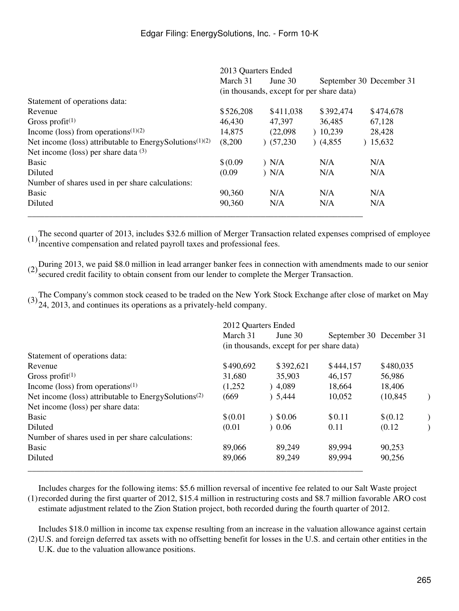|                                                                     | 2013 Quarters Ended                       |           |           |                          |  |  |  |
|---------------------------------------------------------------------|-------------------------------------------|-----------|-----------|--------------------------|--|--|--|
|                                                                     | March 31                                  | June $30$ |           | September 30 December 31 |  |  |  |
|                                                                     | (in thousands, except for per share data) |           |           |                          |  |  |  |
| Statement of operations data:                                       |                                           |           |           |                          |  |  |  |
| Revenue                                                             | \$526,208                                 | \$411,038 | \$392,474 | \$474,678                |  |  |  |
| Gross profit $(1)$                                                  | 46,430                                    | 47,397    | 36,485    | 67,128                   |  |  |  |
| Income (loss) from operations <sup><math>(1)(2)</math></sup>        | 14,875                                    | (22,098)  | 10,239    | 28,428                   |  |  |  |
| Net income (loss) attributable to EnergySolutions <sup>(1)(2)</sup> | (8,200)                                   | (57,230)  | (4,855)   | 15,632                   |  |  |  |
| Net income (loss) per share data $(3)$                              |                                           |           |           |                          |  |  |  |
| <b>Basic</b>                                                        | \$0.09                                    | $)$ N/A   | N/A       | N/A                      |  |  |  |
| Diluted                                                             | (0.09)                                    | $)$ N/A   | N/A       | N/A                      |  |  |  |
| Number of shares used in per share calculations:                    |                                           |           |           |                          |  |  |  |
| <b>Basic</b>                                                        | 90,360                                    | N/A       | N/A       | N/A                      |  |  |  |
| Diluted                                                             | 90,360                                    | N/A       | N/A       | N/A                      |  |  |  |
|                                                                     |                                           |           |           |                          |  |  |  |

(1)The second quarter of 2013, includes \$32.6 million of Merger Transaction related expenses comprised of employee incentive compensation and related payroll taxes and professional fees.

(2) During 2013, we paid \$8.0 million in lead arranger banker fees in connection with amendments made to our senior secured credit facility to obtain consent from our lender to complete the Merger Transaction.

(3)The Company's common stock ceased to be traded on the New York Stock Exchange after close of market on May 24, 2013, and continues its operations as a privately-held company.

|                                                                  | 2012 Quarters Ended                       |            |                          |           |  |  |  |
|------------------------------------------------------------------|-------------------------------------------|------------|--------------------------|-----------|--|--|--|
|                                                                  | March 31                                  | June $30$  | September 30 December 31 |           |  |  |  |
|                                                                  | (in thousands, except for per share data) |            |                          |           |  |  |  |
| Statement of operations data:                                    |                                           |            |                          |           |  |  |  |
| Revenue                                                          | \$490,692                                 | \$392,621  | \$444,157                | \$480,035 |  |  |  |
| Gross profit $(1)$                                               | 31,680                                    | 35,903     | 46,157                   | 56,986    |  |  |  |
| Income (loss) from operations <sup>(1)</sup>                     | (1,252)                                   | $+4,089$   | 18,664                   | 18,406    |  |  |  |
| Net income (loss) attributable to EnergySolutions <sup>(2)</sup> | (669)                                     | ) 5,444    | 10,052                   | (10, 845) |  |  |  |
| Net income (loss) per share data:                                |                                           |            |                          |           |  |  |  |
| <b>Basic</b>                                                     | \$(0.01)                                  | $)$ \$0.06 | \$0.11                   | \$(0.12)  |  |  |  |
| Diluted                                                          | (0.01)                                    | 0.06       | 0.11                     | (0.12)    |  |  |  |
| Number of shares used in per share calculations:                 |                                           |            |                          |           |  |  |  |
| Basic                                                            | 89,066                                    | 89,249     | 89,994                   | 90,253    |  |  |  |
| Diluted                                                          | 89,066                                    | 89,249     | 89,994                   | 90,256    |  |  |  |
|                                                                  |                                           |            |                          |           |  |  |  |

(1) recorded during the first quarter of 2012, \$15.4 million in restructuring costs and \$8.7 million favorable ARO cost Includes charges for the following items: \$5.6 million reversal of incentive fee related to our Salt Waste project estimate adjustment related to the Zion Station project, both recorded during the fourth quarter of 2012.

(2) U.S. and foreign deferred tax assets with no offsetting benefit for losses in the U.S. and certain other entities in the Includes \$18.0 million in income tax expense resulting from an increase in the valuation allowance against certain U.K. due to the valuation allowance positions.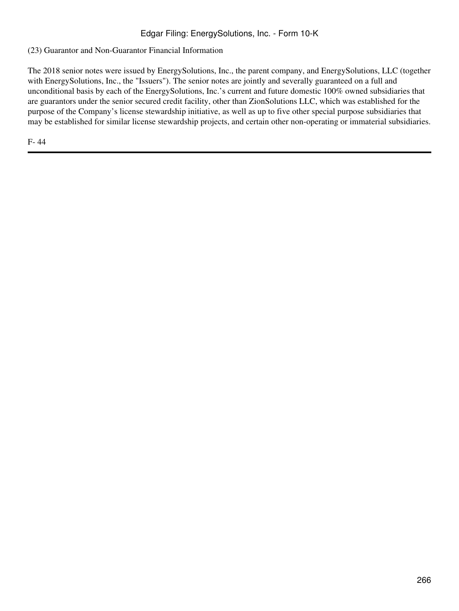# Edgar Filing: EnergySolutions, Inc. - Form 10-K

(23) Guarantor and Non-Guarantor Financial Information

The 2018 senior notes were issued by EnergySolutions, Inc., the parent company, and EnergySolutions, LLC (together with EnergySolutions, Inc., the "Issuers"). The senior notes are jointly and severally guaranteed on a full and unconditional basis by each of the EnergySolutions, Inc.'s current and future domestic 100% owned subsidiaries that are guarantors under the senior secured credit facility, other than ZionSolutions LLC, which was established for the purpose of the Company's license stewardship initiative, as well as up to five other special purpose subsidiaries that may be established for similar license stewardship projects, and certain other non-operating or immaterial subsidiaries.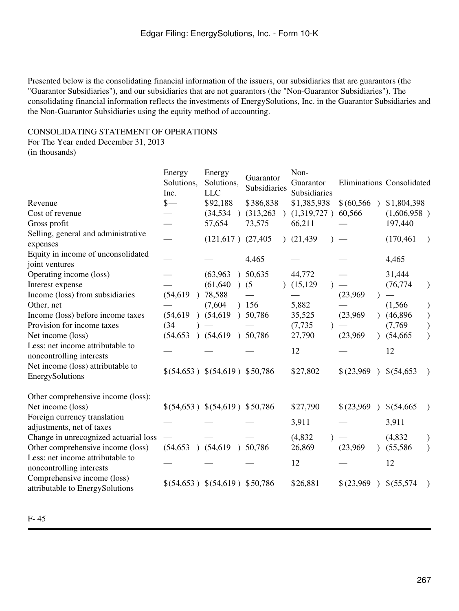Presented below is the consolidating financial information of the issuers, our subsidiaries that are guarantors (the "Guarantor Subsidiaries"), and our subsidiaries that are not guarantors (the "Non-Guarantor Subsidiaries"). The consolidating financial information reflects the investments of EnergySolutions, Inc. in the Guarantor Subsidiaries and the Non-Guarantor Subsidiaries using the equity method of accounting.

### CONSOLIDATING STATEMENT OF OPERATIONS

For The Year ended December 31, 2013

(in thousands)

|                                                                | Energy<br>Solutions,<br>Inc. | Energy<br>Solutions,<br><b>LLC</b> | Guarantor<br>Subsidiaries | Non-<br>Guarantor<br>Subsidiaries |                          | Eliminations Consolidated  |
|----------------------------------------------------------------|------------------------------|------------------------------------|---------------------------|-----------------------------------|--------------------------|----------------------------|
| Revenue                                                        | $\frac{\S}{\S}$              | \$92,188                           | \$386,838                 | \$1,385,938                       | \$(60,566)               | \$1,804,398                |
| Cost of revenue                                                |                              | (34, 534)                          | (313, 263)                | (1,319,727)                       | 60,566                   | (1,606,958)                |
| Gross profit                                                   |                              | 57,654                             | 73,575                    | 66,211                            |                          | 197,440                    |
| Selling, general and administrative<br>expenses                |                              | (121, 617)                         | (27, 405)                 | (21, 439)                         |                          | (170, 461)<br>$\lambda$    |
| Equity in income of unconsolidated<br>joint ventures           |                              |                                    | 4,465                     |                                   |                          | 4,465                      |
| Operating income (loss)                                        |                              | (63,963)<br>$\lambda$              | 50,635                    | 44,772                            |                          | 31,444                     |
| Interest expense                                               |                              | (61, 640)                          | (5)                       | (15, 129)                         |                          | (76, 774)<br>$\mathcal{L}$ |
| Income (loss) from subsidiaries                                | (54, 619)                    | 78,588                             |                           |                                   | (23,969)                 |                            |
| Other, net                                                     |                              | (7,604)                            | 156                       | 5,882                             |                          | (1,566)<br>$\mathcal{E}$   |
| Income (loss) before income taxes                              | (54, 619)                    | (54, 619)                          | 50,786                    | 35,525                            | (23,969)                 | (46,896)<br>$\mathcal{E}$  |
| Provision for income taxes                                     | (34)                         |                                    |                           | (7, 735)                          |                          | (7,769)                    |
| Net income (loss)                                              | (54, 653)                    | (54, 619)<br>$\lambda$             | 50,786                    | 27,790                            | (23,969)                 | (54, 665)<br>$\lambda$     |
| Less: net income attributable to<br>noncontrolling interests   |                              |                                    |                           | 12                                |                          | 12                         |
| Net income (loss) attributable to<br>EnergySolutions           |                              | \$(54,653) \$(54,619) \$50,786     |                           | \$27,802                          | \$ (23,969)<br>$\lambda$ | \$(54,653)                 |
| Other comprehensive income (loss):                             |                              |                                    |                           |                                   |                          |                            |
| Net income (loss)                                              |                              | \$(54,653) \$(54,619) \$50,786     |                           | \$27,790                          | \$(23,969)<br>$\lambda$  | \$ (54,665)                |
| Foreign currency translation<br>adjustments, net of taxes      |                              |                                    |                           | 3,911                             |                          | 3,911                      |
| Change in unrecognized actuarial loss                          |                              |                                    |                           | (4,832)                           |                          | (4,832)<br>$\mathcal{E}$   |
| Other comprehensive income (loss)                              | (54, 653)<br>$\lambda$       | (54, 619)<br>$\lambda$             | 50,786                    | 26,869                            | (23,969)                 | (55, 586)<br>$\mathcal{E}$ |
| Less: net income attributable to<br>noncontrolling interests   |                              |                                    |                           | 12                                |                          | 12                         |
| Comprehensive income (loss)<br>attributable to EnergySolutions |                              | \$(54,653) \$(54,619) \$50,786     |                           | \$26,881                          | \$ (23,969)              | \$ (55,574)                |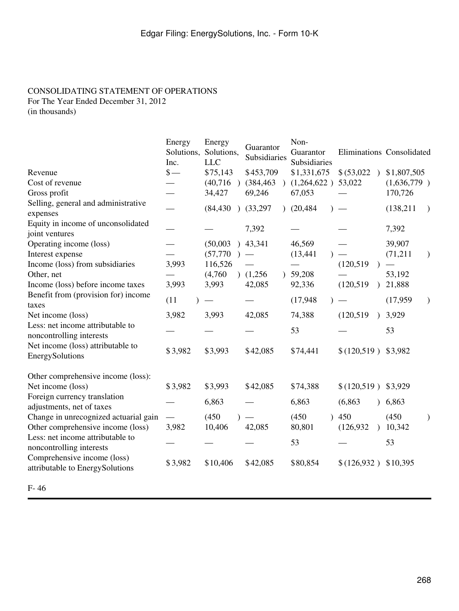# CONSOLIDATING STATEMENT OF OPERATIONS For The Year Ended December 31, 2012

(in thousands)

|                                                                | Energy<br>Solutions,<br>Inc. | Energy<br>Solutions,<br><b>LLC</b> | Guarantor<br>Subsidiaries | Non-<br>Guarantor<br>Subsidiaries |                             | Eliminations Consolidated |
|----------------------------------------------------------------|------------------------------|------------------------------------|---------------------------|-----------------------------------|-----------------------------|---------------------------|
| Revenue                                                        | $\frac{\epsilon}{2}$         | \$75,143                           | \$453,709                 | \$1,331,675                       | \$ (53,022)                 | \$1,807,505               |
| Cost of revenue                                                |                              | (40, 716)                          | $)$ (384,463)             | (1,264,622)                       | 53,022                      | (1,636,779)               |
| Gross profit                                                   |                              | 34,427                             | 69,246                    | 67,053                            |                             | 170,726                   |
| Selling, general and administrative<br>expenses                |                              | (84, 430)<br>$\lambda$             | (33,297)                  | (20, 484)                         |                             | (138, 211)<br>$\lambda$   |
| Equity in income of unconsolidated<br>joint ventures           |                              |                                    | 7,392                     |                                   |                             | 7,392                     |
| Operating income (loss)                                        |                              | (50,003)<br>$\mathcal{L}$          | 43,341                    | 46,569                            |                             | 39,907                    |
| Interest expense                                               |                              | (57, 770)                          | $\overline{\phantom{0}}$  | (13, 441)                         |                             | (71,211)                  |
| Income (loss) from subsidiaries                                | 3,993                        | 116,526                            |                           |                                   | (120, 519)                  |                           |
| Other, net                                                     |                              | (4,760)                            | (1,256)                   | 59,208                            |                             | 53,192                    |
| Income (loss) before income taxes                              | 3,993                        | 3,993                              | 42,085                    | 92,336                            | (120, 519)<br>$\mathcal{L}$ | 21,888                    |
| Benefit from (provision for) income<br>taxes                   | (11)                         |                                    |                           | (17,948)                          |                             | (17,959)                  |
| Net income (loss)                                              | 3,982                        | 3,993                              | 42,085                    | 74,388                            | (120, 519)<br>$\mathcal{L}$ | 3,929                     |
| Less: net income attributable to<br>noncontrolling interests   |                              |                                    |                           | 53                                |                             | 53                        |
| Net income (loss) attributable to<br>EnergySolutions           | \$3,982                      | \$3,993                            | \$42,085                  | \$74,441                          | \$(120,519)                 | \$3,982                   |
| Other comprehensive income (loss):                             |                              |                                    |                           |                                   |                             |                           |
| Net income (loss)                                              | \$3,982                      | \$3,993                            | \$42,085                  | \$74,388                          | \$(120,519)                 | \$3,929                   |
| Foreign currency translation<br>adjustments, net of taxes      |                              | 6,863                              |                           | 6,863                             | (6, 863)<br>$\mathcal{L}$   | 6,863                     |
| Change in unrecognized actuarial gain                          |                              | (450)                              |                           | (450)<br>$\lambda$                | 450                         | (450)                     |
| Other comprehensive income (loss)                              | 3,982                        | 10,406                             | 42,085                    | 80,801                            | (126, 932)<br>$\lambda$     | 10,342                    |
| Less: net income attributable to<br>noncontrolling interests   |                              |                                    |                           | 53                                |                             | 53                        |
| Comprehensive income (loss)<br>attributable to EnergySolutions | \$3,982                      | \$10,406                           | \$42,085                  | \$80,854                          | \$(126,932)                 | \$10,395                  |
| $F-46$                                                         |                              |                                    |                           |                                   |                             |                           |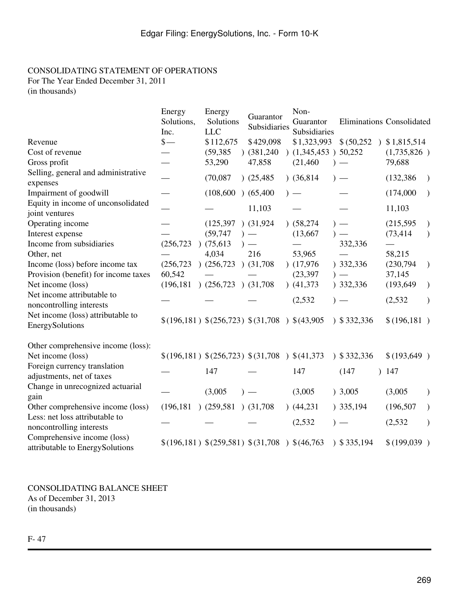#### CONSOLIDATING STATEMENT OF OPERATIONS

For The Year Ended December 31, 2011 (in thousands)

|                                                                | Energy<br>Solutions,<br>Inc.       | Energy<br>Solutions<br><b>LLC</b> | Guarantor<br>Subsidiaries                   | Non-<br>Guarantor<br>Subsidiaries | Eliminations Consolidated |                       |               |
|----------------------------------------------------------------|------------------------------------|-----------------------------------|---------------------------------------------|-----------------------------------|---------------------------|-----------------------|---------------|
| Revenue<br>Cost of revenue                                     | $\frac{\mathcal{S}}{\mathcal{S}}$  | \$112,675<br>(59, 385)            | \$429,098                                   | \$1,323,993                       | \$ (50,252 ) \$ 1,815,514 |                       |               |
| Gross profit                                                   |                                    | 53,290                            | (381,240)<br>47,858                         | $(1,345,453)$ 50,252<br>(21, 460) | $)$ —                     | (1,735,826)<br>79,688 |               |
| Selling, general and administrative<br>expenses                |                                    | (70,087)                          | (25, 485)                                   | (36,814)                          |                           | (132, 386)            | $\mathcal{L}$ |
| Impairment of goodwill                                         |                                    | (108,600)                         | (65,400)                                    | $)$ —                             |                           | (174,000)             | $\lambda$     |
| Equity in income of unconsolidated<br>joint ventures           |                                    |                                   | 11,103                                      |                                   |                           | 11,103                |               |
| Operating income                                               |                                    | (125, 397)                        | (31, 924)                                   | (58,274)                          |                           | (215, 595)            | $\mathcal{L}$ |
| Interest expense                                               |                                    | (59,747)                          | $)$ —                                       | (13, 667)                         |                           | (73, 414)             | $\mathcal{L}$ |
| Income from subsidiaries                                       | (256, 723)                         | (75, 613)                         | $)$ —                                       |                                   | 332,336                   |                       |               |
| Other, net                                                     |                                    | 4,034                             | 216                                         | 53,965                            |                           | 58,215                |               |
| Income (loss) before income tax                                | (256, 723)                         | $(256,723)$ $(31,708)$            |                                             | (17,976)                          | )332,336                  | (230,794)             | $\mathcal{L}$ |
| Provision (benefit) for income taxes                           | 60,542                             |                                   |                                             | (23, 397)                         | $\overline{\phantom{0}}$  | 37,145                |               |
| Net income (loss)                                              | (196, 181)                         | (256, 723)                        | $)$ (31,708)                                | (41,373)                          | ) 332,336                 | (193, 649)            | $\mathcal{L}$ |
| Net income attributable to<br>noncontrolling interests         |                                    |                                   |                                             | (2,532)                           | $)$ —                     | (2,532)               | $\mathcal{E}$ |
| Net income (loss) attributable to<br>EnergySolutions           |                                    |                                   | $$(196,181) $(256,723) $(31,708) $(43,905)$ |                                   | 332,336                   | \$(196, 181)          |               |
| Other comprehensive income (loss):<br>Net income (loss)        |                                    |                                   | $$(196,181) $(256,723) $(31,708) $(41,373)$ |                                   | 332,336                   | \$(193, 649)          |               |
| Foreign currency translation                                   |                                    | 147                               |                                             | 147                               | (147)                     | 147                   |               |
| adjustments, net of taxes                                      |                                    |                                   |                                             |                                   |                           |                       |               |
| Change in unrecognized actuarial<br>gain                       |                                    | (3,005)                           |                                             | (3,005)                           | )3,005                    | (3,005)               | $\mathcal{L}$ |
| Other comprehensive income (loss)                              | (196, 181)                         | $(259,581)$ $(31,708)$            |                                             | (44,231)                          | ) 335,194                 | (196, 507)            | $\mathcal{L}$ |
| Less: net loss attributable to<br>noncontrolling interests     |                                    |                                   |                                             | (2,532)                           |                           | (2,532)               | $\mathcal{E}$ |
| Comprehensive income (loss)<br>attributable to EnergySolutions | \$(196,181) \$(259,581) \$(31,708) |                                   |                                             | (46,763)                          | 335,194                   | \$(199,039)           |               |

CONSOLIDATING BALANCE SHEET As of December 31, 2013 (in thousands)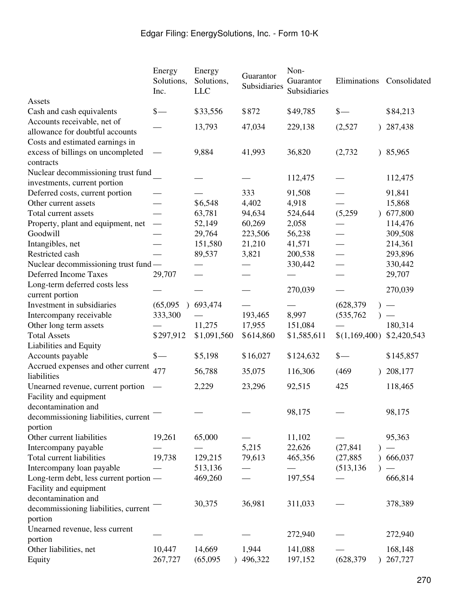|                                                             | Energy<br>Solutions,<br>Inc. | Energy<br>Solutions,<br><b>LLC</b> | Guarantor<br>Subsidiaries | Non-<br>Guarantor<br>Subsidiaries | Eliminations Consolidated |                          |
|-------------------------------------------------------------|------------------------------|------------------------------------|---------------------------|-----------------------------------|---------------------------|--------------------------|
| Assets                                                      |                              |                                    |                           |                                   |                           |                          |
| Cash and cash equivalents                                   | $\frac{\ }{s-}$              | \$33,556                           | \$872                     | \$49,785                          | $\frac{\ }{s-}$           | \$84,213                 |
| Accounts receivable, net of                                 |                              |                                    |                           |                                   |                           |                          |
| allowance for doubtful accounts                             |                              | 13,793                             | 47,034                    | 229,138                           | (2,527)                   | 287,438                  |
| Costs and estimated earnings in                             |                              |                                    |                           |                                   |                           |                          |
| excess of billings on uncompleted<br>contracts              |                              | 9,884                              | 41,993                    | 36,820                            | (2,732)<br>$\mathcal{L}$  | 85,965                   |
| Nuclear decommissioning trust fund                          |                              |                                    |                           | 112,475                           |                           | 112,475                  |
| investments, current portion                                |                              |                                    |                           |                                   |                           |                          |
| Deferred costs, current portion                             |                              |                                    | 333                       | 91,508                            |                           | 91,841                   |
| Other current assets                                        |                              | \$6,548                            | 4,402                     | 4,918                             |                           | 15,868                   |
| Total current assets                                        |                              | 63,781                             | 94,634                    | 524,644                           | (5,259)<br>$\lambda$      | 677,800                  |
| Property, plant and equipment, net                          | $\overline{\phantom{0}}$     | 52,149                             | 60,269                    | 2,058                             |                           | 114,476                  |
| Goodwill                                                    |                              | 29,764                             | 223,506                   | 56,238                            |                           | 309,508                  |
| Intangibles, net                                            |                              | 151,580                            | 21,210                    | 41,571                            |                           | 214,361                  |
| Restricted cash                                             |                              | 89,537                             | 3,821                     | 200,538                           |                           | 293,896                  |
| Nuclear decommissioning trust fund —                        |                              |                                    |                           | 330,442                           |                           | 330,442                  |
| Deferred Income Taxes                                       | 29,707                       |                                    |                           |                                   |                           | 29,707                   |
| Long-term deferred costs less                               |                              |                                    |                           | 270,039                           |                           | 270,039                  |
| current portion                                             |                              |                                    |                           |                                   |                           |                          |
| Investment in subsidiaries                                  | (65,095)<br>$\lambda$        | 693,474                            |                           |                                   | (628, 379)                |                          |
| Intercompany receivable                                     | 333,300                      |                                    | 193,465                   | 8,997                             | (535, 762)                | $\overline{\phantom{0}}$ |
| Other long term assets                                      |                              | 11,275                             | 17,955                    | 151,084                           |                           | 180,314                  |
| <b>Total Assets</b>                                         | \$297,912                    | \$1,091,560                        | \$614,860                 | \$1,585,611                       | \$(1,169,400)             | \$2,420,543              |
| Liabilities and Equity                                      |                              |                                    |                           |                                   |                           |                          |
| Accounts payable                                            | $\frac{\ }{s-}$              | \$5,198                            | \$16,027                  | \$124,632                         | $\frac{\ }{s-}$           | \$145,857                |
| Accrued expenses and other current<br>liabilities           | 477                          | 56,788                             | 35,075                    | 116,306                           | (469)<br>$\lambda$        | 208,177                  |
| Unearned revenue, current portion<br>Facility and equipment |                              | 2,229                              | 23,296                    | 92,515                            | 425                       | 118,465                  |
| decontamination and                                         |                              |                                    |                           |                                   |                           |                          |
| decommissioning liabilities, current<br>portion             |                              |                                    |                           | 98,175                            |                           | 98,175                   |
| Other current liabilities                                   | 19,261                       | 65,000                             |                           | 11,102                            |                           | 95,363                   |
| Intercompany payable                                        |                              |                                    | 5,215                     | 22,626                            | (27, 841)                 | $\overline{\phantom{0}}$ |
| Total current liabilities                                   | 19,738                       | 129,215                            | 79,613                    | 465,356                           | (27, 885)                 | 666,037                  |
| Intercompany loan payable                                   |                              | 513,136                            |                           |                                   | (513, 136)                |                          |
| Long-term debt, less current portion -                      |                              | 469,260                            |                           | 197,554                           |                           | 666,814                  |
| Facility and equipment                                      |                              |                                    |                           |                                   |                           |                          |
| decontamination and                                         |                              |                                    |                           |                                   |                           |                          |
| decommissioning liabilities, current                        |                              | 30,375                             | 36,981                    | 311,033                           |                           | 378,389                  |
| portion                                                     |                              |                                    |                           |                                   |                           |                          |
| Unearned revenue, less current                              |                              |                                    |                           | 272,940                           |                           | 272,940                  |
| portion                                                     |                              |                                    |                           |                                   |                           |                          |
| Other liabilities, net                                      | 10,447                       | 14,669                             | 1,944                     | 141,088                           |                           | 168,148                  |
| Equity                                                      | 267,727                      | (65,095)                           | ) 496,322                 | 197,152                           | (628, 379)<br>$\lambda$   | 267,727                  |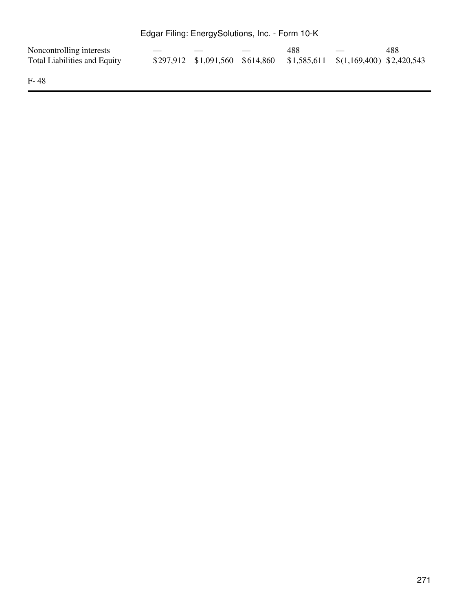Edgar Filing: EnergySolutions, Inc. - Form 10-K

| Noncontrolling interests<br><b>Total Liabilities and Equity</b> | $\overbrace{\phantom{13333}}$ | \$297,912 \$1,091,560 \$614,860 | 488 | $$1,585,611$ $$(1,169,400)$ $$2,420,543$ | 488 |
|-----------------------------------------------------------------|-------------------------------|---------------------------------|-----|------------------------------------------|-----|
| $F - 48$                                                        |                               |                                 |     |                                          |     |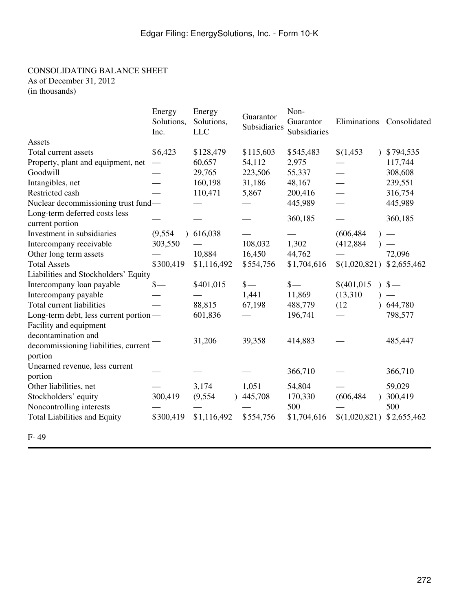## CONSOLIDATING BALANCE SHEET

As of December 31, 2012 (in thousands)

|                                                                        | Energy<br>Solutions,<br>Inc. | Energy<br>Solutions,<br><b>LLC</b> | Guarantor<br>Subsidiaries | Non-<br>Guarantor<br>Subsidiaries | Eliminations Consolidated  |                          |
|------------------------------------------------------------------------|------------------------------|------------------------------------|---------------------------|-----------------------------------|----------------------------|--------------------------|
| Assets                                                                 |                              |                                    |                           |                                   |                            |                          |
| Total current assets                                                   | \$6,423                      | \$128,479                          | \$115,603                 | \$545,483                         | \$(1,453)                  | \$794,535                |
| Property, plant and equipment, net                                     |                              | 60,657                             | 54,112                    | 2,975                             |                            | 117,744                  |
| Goodwill                                                               |                              | 29,765                             | 223,506                   | 55,337                            |                            | 308,608                  |
| Intangibles, net                                                       |                              | 160,198                            | 31,186                    | 48,167                            |                            | 239,551                  |
| Restricted cash                                                        |                              | 110,471                            | 5,867                     | 200,416                           |                            | 316,754                  |
| Nuclear decommissioning trust fund-                                    |                              |                                    |                           | 445,989                           |                            | 445,989                  |
| Long-term deferred costs less<br>current portion                       |                              |                                    |                           | 360,185                           |                            | 360,185                  |
| Investment in subsidiaries                                             | (9, 554)                     | 616,038                            |                           |                                   | (606, 484)                 |                          |
| Intercompany receivable                                                | 303,550                      |                                    | 108,032                   | 1,302                             | (412, 884)                 |                          |
| Other long term assets                                                 |                              | 10,884                             | 16,450                    | 44,762                            |                            | 72,096                   |
| <b>Total Assets</b>                                                    | \$300,419                    | \$1,116,492                        | \$554,756                 | \$1,704,616                       | $$(1,020,821)$ \$2,655,462 |                          |
| Liabilities and Stockholders' Equity                                   |                              |                                    |                           |                                   |                            |                          |
| Intercompany loan payable                                              | $\frac{\S}{\S}$              | \$401,015                          | $\frac{1}{2}$             | $\frac{\ }{\ }$                   | \$(401,015)                | $5 -$                    |
| Intercompany payable                                                   |                              |                                    | 1,441                     | 11,869                            | (13,310)                   | $\overline{\phantom{0}}$ |
| Total current liabilities                                              |                              | 88,815                             | 67,198                    | 488,779                           | (12)                       | 644,780                  |
| Long-term debt, less current portion -                                 |                              | 601,836                            |                           | 196,741                           |                            | 798,577                  |
| Facility and equipment                                                 |                              |                                    |                           |                                   |                            |                          |
| decontamination and<br>decommissioning liabilities, current<br>portion |                              | 31,206                             | 39,358                    | 414,883                           |                            | 485,447                  |
| Unearned revenue, less current<br>portion                              |                              |                                    |                           | 366,710                           |                            | 366,710                  |
| Other liabilities, net                                                 |                              | 3,174                              | 1,051                     | 54,804                            |                            | 59,029                   |
| Stockholders' equity                                                   | 300,419                      | (9, 554)                           | 445,708                   | 170,330                           | (606, 484)                 | ) 300,419                |
| Noncontrolling interests                                               |                              |                                    |                           | 500                               |                            | 500                      |
| <b>Total Liabilities and Equity</b>                                    | \$300,419                    | \$1,116,492                        | \$554,756                 | \$1,704,616                       | \$(1,020,821)              | \$2,655,462              |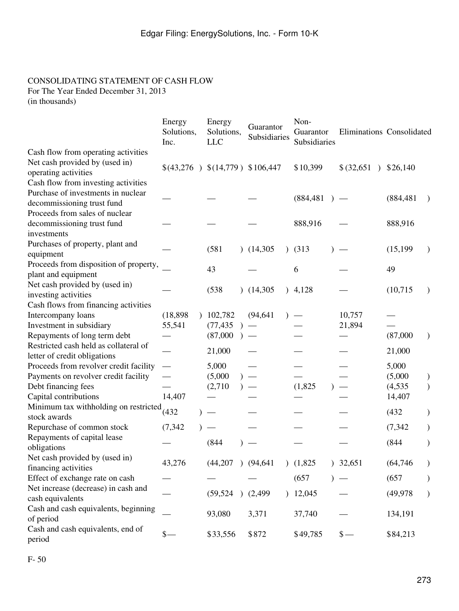## CONSOLIDATING STATEMENT OF CASH FLOW For The Year Ended December 31, 2013 (in thousands)

|                                                                                                                                      | Energy<br>Solutions,<br>Inc. | Energy<br>Solutions,<br><b>LLC</b> |               | Guarantor<br>Subsidiaries |               | Non-<br>Guarantor<br>Subsidiaries | Eliminations Consolidated |                                        |                                |
|--------------------------------------------------------------------------------------------------------------------------------------|------------------------------|------------------------------------|---------------|---------------------------|---------------|-----------------------------------|---------------------------|----------------------------------------|--------------------------------|
| Cash flow from operating activities<br>Net cash provided by (used in)<br>operating activities<br>Cash flow from investing activities | \$(43,276)                   |                                    |               | $(14,779)$ \$106,447      |               | \$10,399                          | \$ (32,651)<br>$\lambda$  | \$26,140                               |                                |
| Purchase of investments in nuclear<br>decommissioning trust fund                                                                     |                              |                                    |               |                           |               | (884, 481)                        |                           | (884, 481)                             |                                |
| Proceeds from sales of nuclear<br>decommissioning trust fund<br>investments                                                          |                              |                                    |               |                           |               | 888,916                           |                           | 888,916                                |                                |
| Purchases of property, plant and<br>equipment                                                                                        |                              | (581)                              | $\mathcal{L}$ | (14,305)                  | $\mathcal{L}$ | (313)                             |                           | (15, 199)                              | $\mathcal{E}$                  |
| Proceeds from disposition of property,<br>plant and equipment                                                                        |                              | 43                                 |               |                           |               | 6                                 |                           | 49                                     |                                |
| Net cash provided by (used in)<br>investing activities                                                                               |                              | (538)                              |               | (14,305)                  |               | ) 4,128                           |                           | (10,715)                               | $\lambda$                      |
| Cash flows from financing activities<br>Intercompany loans<br>Investment in subsidiary                                               | (18, 898)<br>55,541          | 102,782<br>(77, 435)               |               | (94, 641)                 |               |                                   | 10,757<br>21,894          |                                        |                                |
| Repayments of long term debt<br>Restricted cash held as collateral of<br>letter of credit obligations                                |                              | (87,000)<br>21,000                 |               |                           |               |                                   |                           | (87,000)<br>21,000                     | $\lambda$                      |
| Proceeds from revolver credit facility<br>Payments on revolver credit facility<br>Debt financing fees<br>Capital contributions       | 14,407                       | 5,000<br>(5,000)<br>(2,710)        |               |                           |               | (1,825)                           |                           | 5,000<br>(5,000)<br>(4, 535)<br>14,407 | $\mathcal{Y}$<br>$\mathcal{E}$ |
| Minimum tax withholding on restricted<br>stock awards                                                                                | (432)                        |                                    |               |                           |               |                                   |                           | (432)                                  | $\mathcal{E}$                  |
| Repurchase of common stock<br>Repayments of capital lease<br>obligations                                                             | (7, 342)                     | (844)                              |               |                           |               |                                   |                           | (7, 342)<br>(844)                      | $\lambda$                      |
| Net cash provided by (used in)<br>financing activities                                                                               | 43,276                       | $(44,207)$ $(94,641)$              |               |                           |               | $)$ (1,825)                       | ) 32,651                  | (64, 746)                              | $\mathcal{L}$                  |
| Effect of exchange rate on cash<br>Net increase (decrease) in cash and                                                               |                              | (59, 524)                          |               | (2, 499)                  |               | (657)<br>12,045                   |                           | (657)<br>(49, 978)                     | $\lambda$                      |
| cash equivalents<br>Cash and cash equivalents, beginning<br>of period                                                                |                              | 93,080                             |               | 3,371                     |               | 37,740                            |                           | 134,191                                |                                |
| Cash and cash equivalents, end of<br>period                                                                                          |                              | \$33,556                           |               | \$872                     |               | \$49,785                          | $\frac{\ }{s-}$           | \$84,213                               |                                |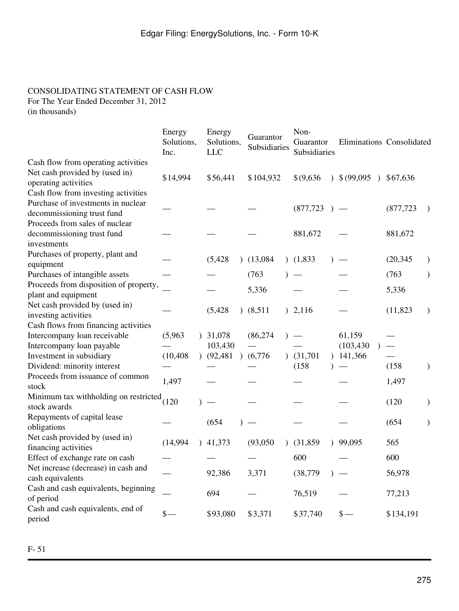# CONSOLIDATING STATEMENT OF CASH FLOW For The Year Ended December 31, 2012

(in thousands)

|                                                                                                                                           | Energy<br>Solutions,<br>Inc. | Energy<br>Solutions,<br><b>LLC</b> |           | Guarantor<br>Subsidiaries | Non-<br>Guarantor<br>Subsidiaries |               | Eliminations Consolidated |            |               |
|-------------------------------------------------------------------------------------------------------------------------------------------|------------------------------|------------------------------------|-----------|---------------------------|-----------------------------------|---------------|---------------------------|------------|---------------|
| Cash flow from operating activities<br>Net cash provided by (used in)<br>operating activities                                             | \$14,994                     | \$56,441                           |           | \$104,932                 | \$ (9,636)                        |               | 99,095<br>$\lambda$       | \$67,636   |               |
| Cash flow from investing activities<br>Purchase of investments in nuclear<br>decommissioning trust fund<br>Proceeds from sales of nuclear |                              |                                    |           |                           | (877, 723)                        |               | $)$ —                     | (877, 723) | $\lambda$     |
| decommissioning trust fund<br>investments                                                                                                 |                              |                                    |           |                           | 881,672                           |               |                           | 881,672    |               |
| Purchases of property, plant and<br>equipment                                                                                             |                              | (5, 428)                           |           | (13,084)                  | (1,833)                           |               |                           | (20, 345)  | $\mathcal{E}$ |
| Purchases of intangible assets                                                                                                            |                              |                                    |           | (763)                     |                                   |               |                           | (763)      | $\mathcal{E}$ |
| Proceeds from disposition of property,<br>plant and equipment                                                                             |                              |                                    |           | 5,336                     |                                   |               |                           | 5,336      |               |
| Net cash provided by (used in)<br>investing activities                                                                                    |                              | (5, 428)                           | $\lambda$ | (8,511)                   | ) 2,116                           |               |                           | (11, 823)  | $\mathcal{F}$ |
| Cash flows from financing activities<br>Intercompany loan receivable                                                                      | (5,963)                      | ) 31,078                           |           | (86, 274)                 |                                   |               | 61,159                    |            |               |
| Intercompany loan payable                                                                                                                 |                              | 103,430                            |           |                           |                                   |               | (103, 430)                |            |               |
| Investment in subsidiary                                                                                                                  | (10, 408)                    | (92, 481)                          | $\lambda$ | (6,776)                   | (31,701)                          |               | $)$ 141,366               |            |               |
| Dividend: minority interest                                                                                                               |                              |                                    |           |                           | (158)                             |               |                           | (158)      | $\mathcal{L}$ |
| Proceeds from issuance of common<br>stock                                                                                                 | 1,497                        |                                    |           |                           |                                   |               |                           | 1,497      |               |
| Minimum tax withholding on restricted $(120$<br>stock awards                                                                              |                              |                                    |           |                           |                                   |               |                           | (120)      | $\mathcal{E}$ |
| Repayments of capital lease<br>obligations                                                                                                |                              | (654)                              |           |                           |                                   |               |                           | (654)      | $\mathcal{E}$ |
| Net cash provided by (used in)<br>financing activities                                                                                    | (14, 994)                    | ) 41,373                           |           | (93,050)                  | (31,859)                          | $\mathcal{L}$ | 99,095                    | 565        |               |
| Effect of exchange rate on cash                                                                                                           |                              |                                    |           |                           | 600                               |               |                           | 600        |               |
| Net increase (decrease) in cash and<br>cash equivalents                                                                                   |                              | 92,386                             |           | 3,371                     | (38, 779)                         |               |                           | 56,978     |               |
| Cash and cash equivalents, beginning<br>of period                                                                                         |                              | 694                                |           |                           | 76,519                            |               |                           | 77,213     |               |
| Cash and cash equivalents, end of<br>period                                                                                               | $\frac{\text{S}}{\text{}}$   | \$93,080                           |           | \$3,371                   | \$37,740                          |               | $\frac{\ }{s-}$           | \$134,191  |               |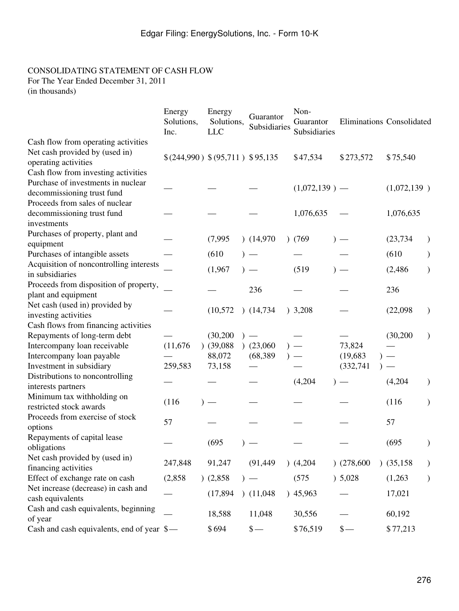# CONSOLIDATING STATEMENT OF CASH FLOW

For The Year Ended December 31, 2011 (in thousands)

|                                                                                                         | Energy<br>Solutions,<br>Inc.    | Energy<br>Solutions,<br><b>LLC</b> | Guarantor<br>Subsidiaries | Non-<br>Guarantor<br>Subsidiaries | Eliminations Consolidated |              |               |
|---------------------------------------------------------------------------------------------------------|---------------------------------|------------------------------------|---------------------------|-----------------------------------|---------------------------|--------------|---------------|
| Cash flow from operating activities                                                                     |                                 |                                    |                           |                                   |                           |              |               |
| Net cash provided by (used in)<br>operating activities                                                  | \$(244,990) \$(95,711) \$95,135 |                                    |                           | \$47,534                          | \$273,572                 | \$75,540     |               |
| Cash flow from investing activities<br>Purchase of investments in nuclear<br>decommissioning trust fund |                                 |                                    |                           | $(1,072,139)$ –                   |                           | (1,072,139)  |               |
| Proceeds from sales of nuclear<br>decommissioning trust fund<br>investments                             |                                 |                                    |                           | 1,076,635                         |                           | 1,076,635    |               |
| Purchases of property, plant and<br>equipment                                                           |                                 | (7,995)                            | (14,970)                  | (769)                             |                           | (23, 734)    | $\mathcal{Y}$ |
| Purchases of intangible assets                                                                          |                                 | (610)                              |                           |                                   |                           | (610)        |               |
| Acquisition of noncontrolling interests<br>in subsidiaries                                              |                                 | (1,967)                            |                           | (519)                             |                           | (2,486)      | $\mathcal{F}$ |
| Proceeds from disposition of property,<br>plant and equipment                                           |                                 |                                    | 236                       |                                   |                           | 236          |               |
| Net cash (used in) provided by<br>investing activities                                                  |                                 | (10, 572)                          | (14,734)                  | ) 3,208                           |                           | (22,098)     | $\lambda$     |
| Cash flows from financing activities                                                                    |                                 |                                    |                           |                                   |                           |              |               |
| Repayments of long-term debt                                                                            |                                 | (30, 200)                          |                           |                                   |                           | (30, 200)    | $\lambda$     |
| Intercompany loan receivable                                                                            | (11,676)                        | $)$ (39,088)                       | (23,060)                  |                                   | 73,824                    |              |               |
| Intercompany loan payable                                                                               |                                 | 88,072                             | (68, 389)                 |                                   | (19,683)                  |              |               |
| Investment in subsidiary                                                                                | 259,583                         | 73,158                             |                           |                                   | (332,741)                 |              |               |
| Distributions to noncontrolling<br>interests partners                                                   |                                 |                                    |                           | (4,204)                           |                           | (4,204)      | $\lambda$     |
| Minimum tax withholding on<br>restricted stock awards                                                   | (116)                           |                                    |                           |                                   |                           | (116)        |               |
| Proceeds from exercise of stock<br>options                                                              | 57                              |                                    |                           |                                   |                           | 57           |               |
| Repayments of capital lease<br>obligations                                                              |                                 | (695)                              |                           |                                   |                           | (695)        | $\lambda$     |
| Net cash provided by (used in)<br>financing activities                                                  | 247,848                         | 91,247                             | (91, 449)                 | (4,204)                           | (278,600)                 | $)$ (35,158) | $\mathcal{F}$ |
| Effect of exchange rate on cash                                                                         | (2,858)                         | )(2,858)                           |                           | (575)                             | ) 5,028                   | (1,263)      | $\mathcal{Y}$ |
| Net increase (decrease) in cash and<br>cash equivalents                                                 |                                 | (17, 894)                          | (11,048)                  | )45,963                           |                           | 17,021       |               |
| Cash and cash equivalents, beginning<br>of year                                                         |                                 | 18,588                             | 11,048                    | 30,556                            |                           | 60,192       |               |
| Cash and cash equivalents, end of year \$-                                                              |                                 | \$694                              | $\frac{\S}{\S}$           | \$76,519                          | $\frac{\ }{s-}$           | \$77,213     |               |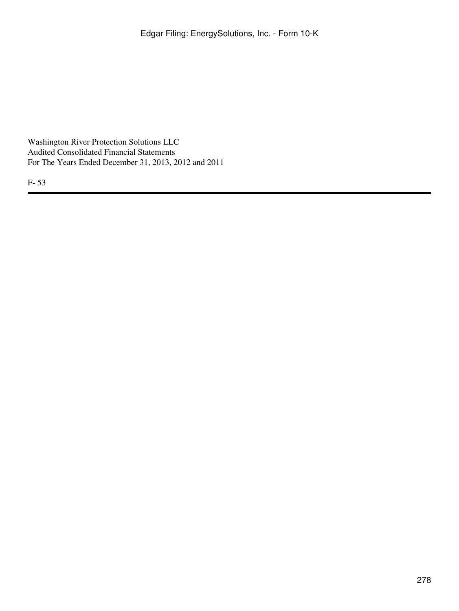Washington River Protection Solutions LLC Audited Consolidated Financial Statements For The Years Ended December 31, 2013, 2012 and 2011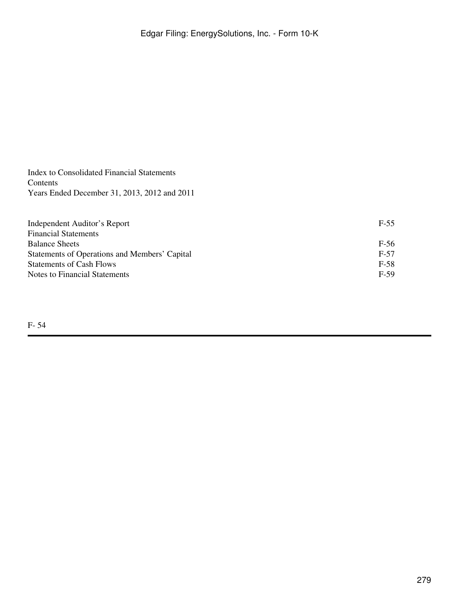Index to Consolidated Financial Statements Contents Years Ended December 31, 2013, 2012 and 2011

| Independent Auditor's Report                  | $F-55$ |
|-----------------------------------------------|--------|
| <b>Financial Statements</b>                   |        |
| <b>Balance Sheets</b>                         | F-56   |
| Statements of Operations and Members' Capital | $F-57$ |
| <b>Statements of Cash Flows</b>               | F-58   |
| Notes to Financial Statements                 | F-59   |
|                                               |        |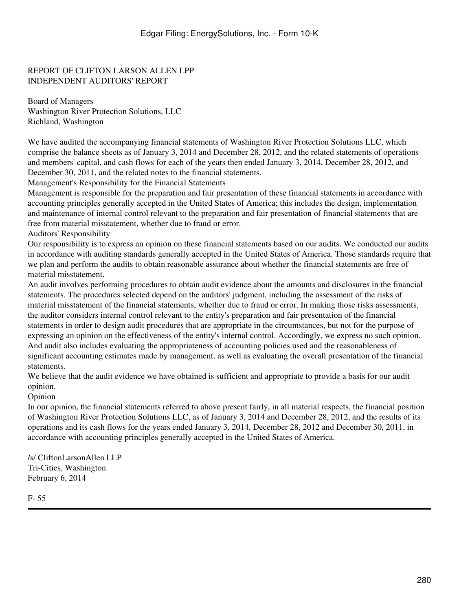#### REPORT OF CLIFTON LARSON ALLEN LPP INDEPENDENT AUDITORS' REPORT

Board of Managers Washington River Protection Solutions, LLC Richland, Washington

We have audited the accompanying financial statements of Washington River Protection Solutions LLC, which comprise the balance sheets as of January 3, 2014 and December 28, 2012, and the related statements of operations and members' capital, and cash flows for each of the years then ended January 3, 2014, December 28, 2012, and December 30, 2011, and the related notes to the financial statements.

Management's Responsibility for the Financial Statements

Management is responsible for the preparation and fair presentation of these financial statements in accordance with accounting principles generally accepted in the United States of America; this includes the design, implementation and maintenance of internal control relevant to the preparation and fair presentation of financial statements that are free from material misstatement, whether due to fraud or error.

Auditors' Responsibility

Our responsibility is to express an opinion on these financial statements based on our audits. We conducted our audits in accordance with auditing standards generally accepted in the United States of America. Those standards require that we plan and perform the audits to obtain reasonable assurance about whether the financial statements are free of material misstatement.

An audit involves performing procedures to obtain audit evidence about the amounts and disclosures in the financial statements. The procedures selected depend on the auditors' judgment, including the assessment of the risks of material misstatement of the financial statements, whether due to fraud or error. In making those risks assessments, the auditor considers internal control relevant to the entity's preparation and fair presentation of the financial statements in order to design audit procedures that are appropriate in the circumstances, but not for the purpose of expressing an opinion on the effectiveness of the entity's internal control. Accordingly, we express no such opinion. And audit also includes evaluating the appropriateness of accounting policies used and the reasonableness of significant accounting estimates made by management, as well as evaluating the overall presentation of the financial statements.

We believe that the audit evidence we have obtained is sufficient and appropriate to provide a basis for our audit opinion.

Opinion

In our opinion, the financial statements referred to above present fairly, in all material respects, the financial position of Washington River Protection Solutions LLC, as of January 3, 2014 and December 28, 2012, and the results of its operations and its cash flows for the years ended January 3, 2014, December 28, 2012 and December 30, 2011, in accordance with accounting principles generally accepted in the United States of America.

/s/ CliftonLarsonAllen LLP Tri-Cities, Washington February 6, 2014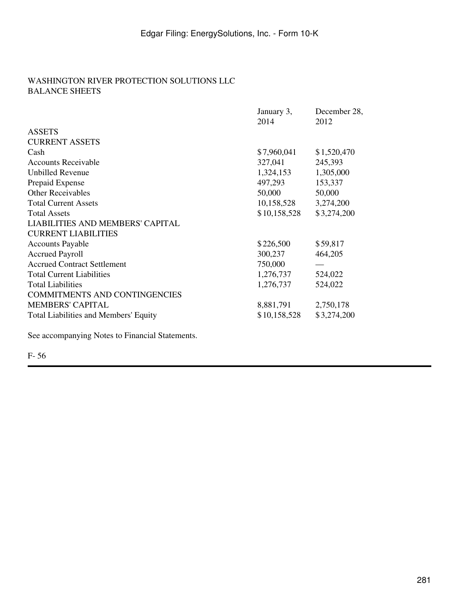## WASHINGTON RIVER PROTECTION SOLUTIONS LLC BALANCE SHEETS

|                                       | January 3,   | December 28, |
|---------------------------------------|--------------|--------------|
|                                       | 2014         | 2012         |
| <b>ASSETS</b>                         |              |              |
| <b>CURRENT ASSETS</b>                 |              |              |
| Cash                                  | \$7,960,041  | \$1,520,470  |
| <b>Accounts Receivable</b>            | 327,041      | 245,393      |
| <b>Unbilled Revenue</b>               | 1,324,153    | 1,305,000    |
| Prepaid Expense                       | 497,293      | 153,337      |
| <b>Other Receivables</b>              | 50,000       | 50,000       |
| <b>Total Current Assets</b>           | 10,158,528   | 3,274,200    |
| <b>Total Assets</b>                   | \$10,158,528 | \$3,274,200  |
| LIABILITIES AND MEMBERS' CAPITAL      |              |              |
| <b>CURRENT LIABILITIES</b>            |              |              |
| <b>Accounts Payable</b>               | \$226,500    | \$59,817     |
| <b>Accrued Payroll</b>                | 300,237      | 464,205      |
| <b>Accrued Contract Settlement</b>    | 750,000      |              |
| <b>Total Current Liabilities</b>      | 1,276,737    | 524,022      |
| <b>Total Liabilities</b>              | 1,276,737    | 524,022      |
| <b>COMMITMENTS AND CONTINGENCIES</b>  |              |              |
| <b>MEMBERS' CAPITAL</b>               | 8,881,791    | 2,750,178    |
| Total Liabilities and Members' Equity | \$10,158,528 | \$3,274,200  |
|                                       |              |              |

See accompanying Notes to Financial Statements.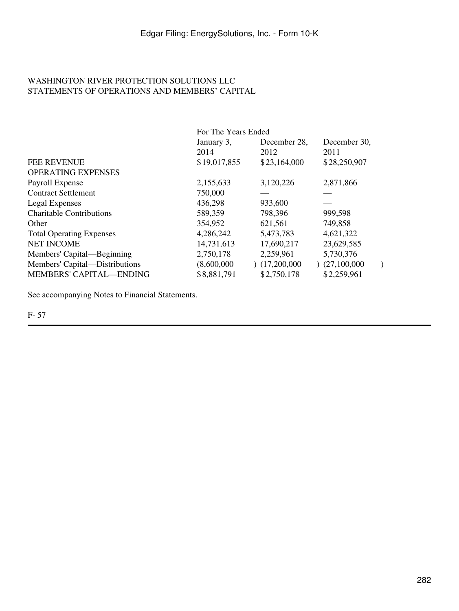#### WASHINGTON RIVER PROTECTION SOLUTIONS LLC STATEMENTS OF OPERATIONS AND MEMBERS' CAPITAL

|                                 | For The Years Ended |              |              |  |  |  |  |
|---------------------------------|---------------------|--------------|--------------|--|--|--|--|
|                                 | January 3,          | December 28, | December 30, |  |  |  |  |
|                                 | 2014                | 2012         | 2011         |  |  |  |  |
| <b>FEE REVENUE</b>              | \$19,017,855        | \$23,164,000 | \$28,250,907 |  |  |  |  |
| <b>OPERATING EXPENSES</b>       |                     |              |              |  |  |  |  |
| Payroll Expense                 | 2,155,633           | 3,120,226    | 2,871,866    |  |  |  |  |
| <b>Contract Settlement</b>      | 750,000             |              |              |  |  |  |  |
| Legal Expenses                  | 436,298             | 933,600      |              |  |  |  |  |
| <b>Charitable Contributions</b> | 589,359             | 798,396      | 999,598      |  |  |  |  |
| Other                           | 354,952             | 621,561      | 749,858      |  |  |  |  |
| <b>Total Operating Expenses</b> | 4,286,242           | 5,473,783    | 4,621,322    |  |  |  |  |
| <b>NET INCOME</b>               | 14,731,613          | 17,690,217   | 23,629,585   |  |  |  |  |
| Members' Capital—Beginning      | 2,750,178           | 2,259,961    | 5,730,376    |  |  |  |  |
| Members' Capital—Distributions  | (8,600,000)         | (17,200,000) | (27,100,000) |  |  |  |  |
| MEMBERS' CAPITAL-ENDING         | \$8,881,791         | \$2,750,178  | \$2,259,961  |  |  |  |  |

See accompanying Notes to Financial Statements.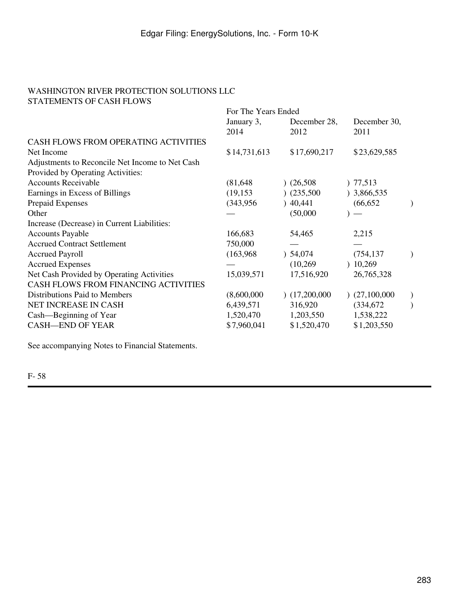# WASHINGTON RIVER PROTECTION SOLUTIONS LLC STATEMENTS OF CASH FLOWS

|                                                 | For The Years Ended |              |              |  |  |  |  |
|-------------------------------------------------|---------------------|--------------|--------------|--|--|--|--|
|                                                 | January 3,          | December 28, | December 30, |  |  |  |  |
|                                                 | 2014                | 2012         | 2011         |  |  |  |  |
| CASH FLOWS FROM OPERATING ACTIVITIES            |                     |              |              |  |  |  |  |
| Net Income                                      | \$14,731,613        | \$17,690,217 | \$23,629,585 |  |  |  |  |
| Adjustments to Reconcile Net Income to Net Cash |                     |              |              |  |  |  |  |
| Provided by Operating Activities:               |                     |              |              |  |  |  |  |
| <b>Accounts Receivable</b>                      | (81, 648)           | (26,508)     | 77,513       |  |  |  |  |
| Earnings in Excess of Billings                  | (19, 153)           | (235,500)    | )3,866,535   |  |  |  |  |
| Prepaid Expenses                                | (343, 956)          | 40,441       | (66, 652)    |  |  |  |  |
| Other                                           |                     | (50,000)     |              |  |  |  |  |
| Increase (Decrease) in Current Liabilities:     |                     |              |              |  |  |  |  |
| <b>Accounts Payable</b>                         | 166,683             | 54,465       | 2,215        |  |  |  |  |
| <b>Accrued Contract Settlement</b>              | 750,000             |              |              |  |  |  |  |
| <b>Accrued Payroll</b>                          | (163,968)           | 54,074       | (754, 137)   |  |  |  |  |
| <b>Accrued Expenses</b>                         |                     | (10,269)     | 10,269       |  |  |  |  |
| Net Cash Provided by Operating Activities       | 15,039,571          | 17,516,920   | 26,765,328   |  |  |  |  |
| CASH FLOWS FROM FINANCING ACTIVITIES            |                     |              |              |  |  |  |  |
| Distributions Paid to Members                   | (8,600,000)         | (17,200,000) | (27,100,000) |  |  |  |  |
| NET INCREASE IN CASH                            | 6,439,571           | 316,920      | (334, 672)   |  |  |  |  |
| Cash—Beginning of Year                          | 1,520,470           | 1,203,550    | 1,538,222    |  |  |  |  |
| <b>CASH-END OF YEAR</b>                         | \$7,960,041         | \$1,520,470  | \$1,203,550  |  |  |  |  |
|                                                 |                     |              |              |  |  |  |  |

See accompanying Notes to Financial Statements.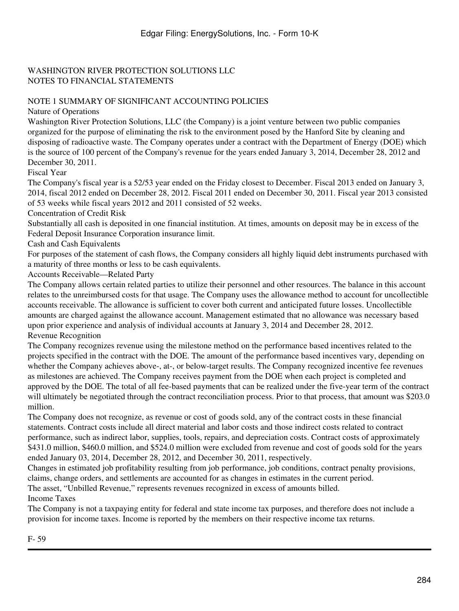# WASHINGTON RIVER PROTECTION SOLUTIONS LLC NOTES TO FINANCIAL STATEMENTS

### NOTE 1 SUMMARY OF SIGNIFICANT ACCOUNTING POLICIES

#### Nature of Operations

Washington River Protection Solutions, LLC (the Company) is a joint venture between two public companies organized for the purpose of eliminating the risk to the environment posed by the Hanford Site by cleaning and disposing of radioactive waste. The Company operates under a contract with the Department of Energy (DOE) which is the source of 100 percent of the Company's revenue for the years ended January 3, 2014, December 28, 2012 and December 30, 2011.

Fiscal Year

The Company's fiscal year is a 52/53 year ended on the Friday closest to December. Fiscal 2013 ended on January 3, 2014, fiscal 2012 ended on December 28, 2012. Fiscal 2011 ended on December 30, 2011. Fiscal year 2013 consisted of 53 weeks while fiscal years 2012 and 2011 consisted of 52 weeks.

Concentration of Credit Risk

Substantially all cash is deposited in one financial institution. At times, amounts on deposit may be in excess of the Federal Deposit Insurance Corporation insurance limit.

Cash and Cash Equivalents

For purposes of the statement of cash flows, the Company considers all highly liquid debt instruments purchased with a maturity of three months or less to be cash equivalents.

Accounts Receivable—Related Party

The Company allows certain related parties to utilize their personnel and other resources. The balance in this account relates to the unreimbursed costs for that usage. The Company uses the allowance method to account for uncollectible accounts receivable. The allowance is sufficient to cover both current and anticipated future losses. Uncollectible amounts are charged against the allowance account. Management estimated that no allowance was necessary based upon prior experience and analysis of individual accounts at January 3, 2014 and December 28, 2012. Revenue Recognition

The Company recognizes revenue using the milestone method on the performance based incentives related to the projects specified in the contract with the DOE. The amount of the performance based incentives vary, depending on whether the Company achieves above-, at-, or below-target results. The Company recognized incentive fee revenues as milestones are achieved. The Company receives payment from the DOE when each project is completed and approved by the DOE. The total of all fee-based payments that can be realized under the five-year term of the contract will ultimately be negotiated through the contract reconciliation process. Prior to that process, that amount was \$203.0 million.

The Company does not recognize, as revenue or cost of goods sold, any of the contract costs in these financial statements. Contract costs include all direct material and labor costs and those indirect costs related to contract performance, such as indirect labor, supplies, tools, repairs, and depreciation costs. Contract costs of approximately \$431.0 million, \$460.0 million, and \$524.0 million were excluded from revenue and cost of goods sold for the years ended January 03, 2014, December 28, 2012, and December 30, 2011, respectively.

Changes in estimated job profitability resulting from job performance, job conditions, contract penalty provisions, claims, change orders, and settlements are accounted for as changes in estimates in the current period.

The asset, "Unbilled Revenue," represents revenues recognized in excess of amounts billed. Income Taxes

The Company is not a taxpaying entity for federal and state income tax purposes, and therefore does not include a provision for income taxes. Income is reported by the members on their respective income tax returns.